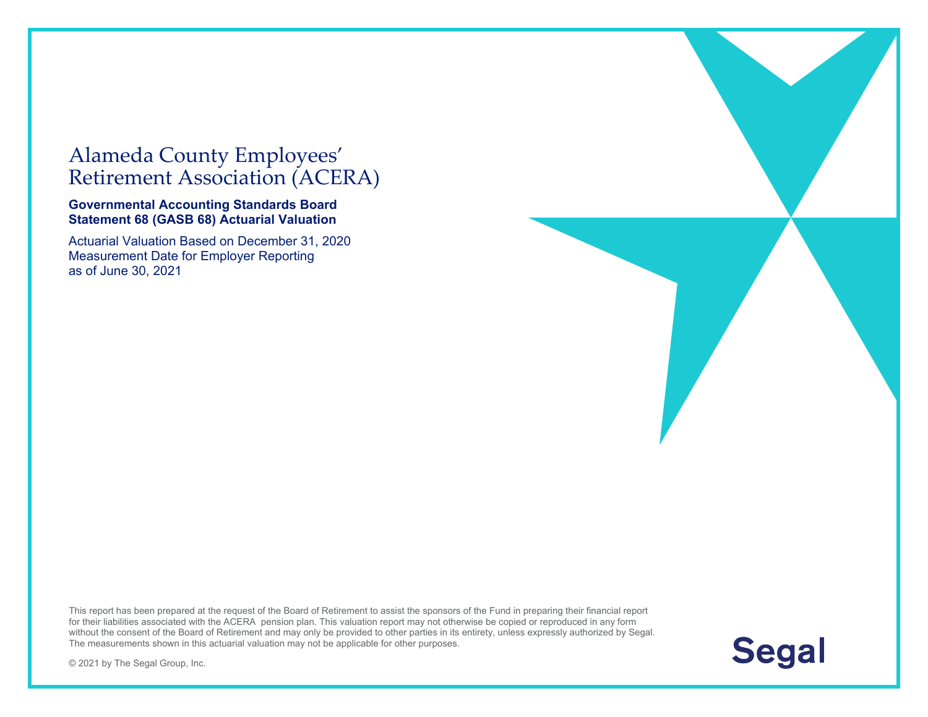### Alameda County Employees' Retirement Association (ACERA)

#### **Governmental Accounting Standards Board Statement 68 (GASB 68) Actuarial Valuation**

Actuarial Valuation Based on December 31, 2020 Measurement Date for Employer Reporting as of June 30, 2021

This report has been prepared at the request of the Board of Retirement to assist the sponsors of the Fund in preparing their financial report for their liabilities associated with the ACERA pension plan. This valuation report may not otherwise be copied or reproduced in any form without the consent of the Board of Retirement and may only be provided to other parties in its entirety, unless expressly authorized by Segal. The measurements shown in this actuarial valuation may not be applicable for other purposes.



© 2021 by The Segal Group, Inc.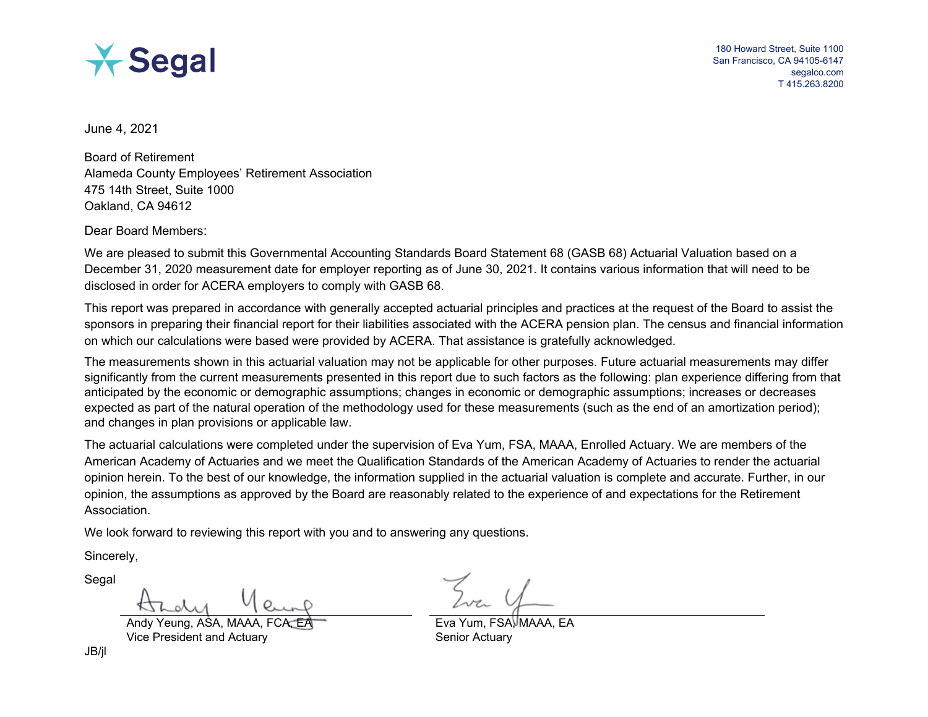

 180 Howard Street, Suite 1100 San Francisco, CA 94105-6147 segalco.com T 415.263.8200

June 4, 2021

Board of Retirement Alameda County Employees' Retirement Association 475 14th Street, Suite 1000 Oakland, CA 94612

Dear Board Members:

We are pleased to submit this Governmental Accounting Standards Board Statement 68 (GASB 68) Actuarial Valuation based on a December 31, 2020 measurement date for employer reporting as of June 30, 2021. It contains various information that will need to be disclosed in order for ACERA employers to comply with GASB 68.

This report was prepared in accordance with generally accepted actuarial principles and practices at the request of the Board to assist the sponsors in preparing their financial report for their liabilities associated with the ACERA pension plan. The census and financial information on which our calculations were based were provided by ACERA. That assistance is gratefully acknowledged.

The measurements shown in this actuarial valuation may not be applicable for other purposes. Future actuarial measurements may differ significantly from the current measurements presented in this report due to such factors as the following: plan experience differing from that anticipated by the economic or demographic assumptions; changes in economic or demographic assumptions; increases or decreases expected as part of the natural operation of the methodology used for these measurements (such as the end of an amortization period); and changes in plan provisions or applicable law.

The actuarial calculations were completed under the supervision of Eva Yum, FSA, MAAA, Enrolled Actuary. We are members of the American Academy of Actuaries and we meet the Qualification Standards of the American Academy of Actuaries to render the actuarial opinion herein. To the best of our knowledge, the information supplied in the actuarial valuation is complete and accurate. Further, in our opinion, the assumptions as approved by the Board are reasonably related to the experience of and expectations for the Retirement Association.

We look forward to reviewing this report with you and to answering any questions.

Sincerely,

Segal

Vice President and Actuary New York Senior Actuary

Andy Yeung, ASA, MAAA, FCA, EA EA Exa Exa Yum, FSA, MAAA, EA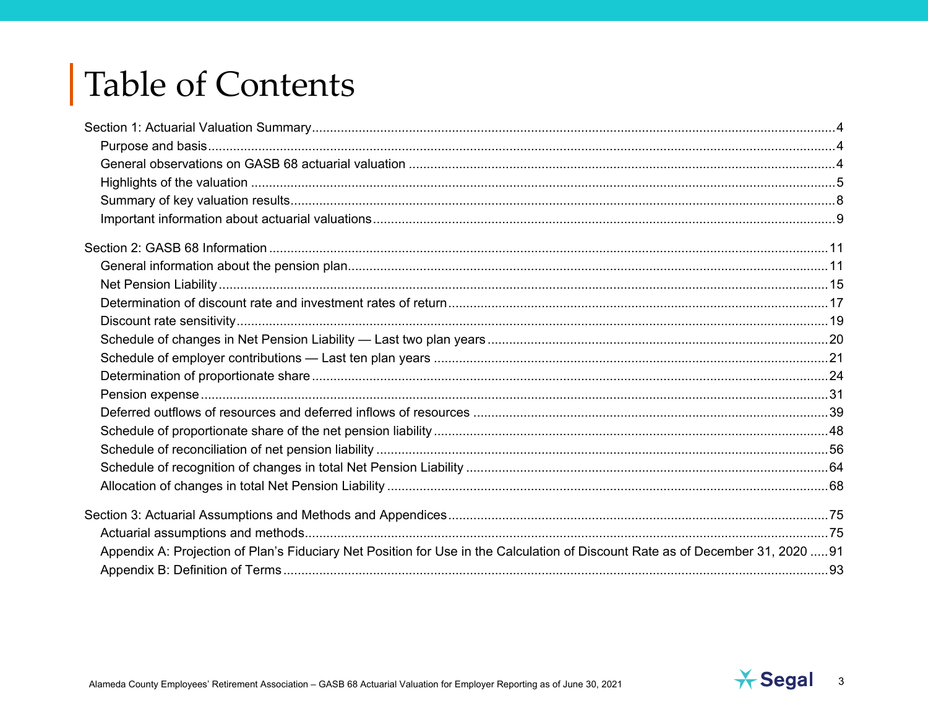# **Table of Contents**

| Appendix A: Projection of Plan's Fiduciary Net Position for Use in the Calculation of Discount Rate as of December 31, 2020 91 |  |
|--------------------------------------------------------------------------------------------------------------------------------|--|
|                                                                                                                                |  |

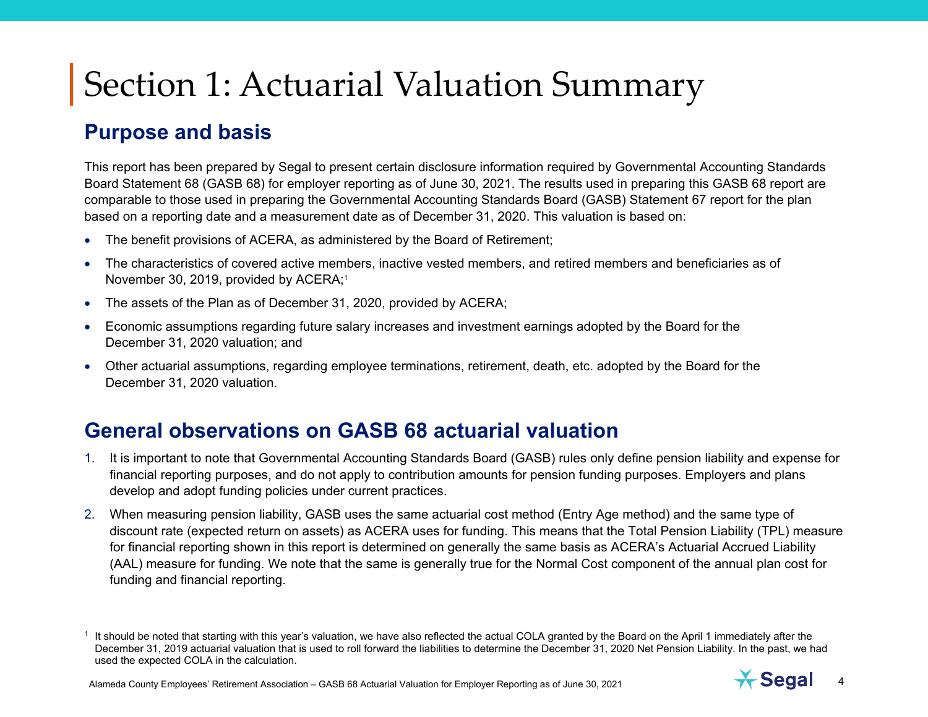### **Purpose and basis**

This report has been prepared by Segal to present certain disclosure information required by Governmental Accounting Standards Board Statement 68 (GASB 68) for employer reporting as of June 30, 2021. The results used in preparing this GASB 68 report are comparable to those used in preparing the Governmental Accounting Standards Board (GASB) Statement 67 report for the plan based on a reporting date and a measurement date as of December 31, 2020. This valuation is based on:

- The benefit provisions of ACERA, as administered by the Board of Retirement;
- The characteristics of covered active members, inactive vested members, and retired members and beneficiaries as of November 30, 2019, provided by ACERA;<sup>1</sup>
- The assets of the Plan as of December 31, 2020, provided by ACERA;
- Economic assumptions regarding future salary increases and investment earnings adopted by the Board for the December 31, 2020 valuation; and
- Other actuarial assumptions, regarding employee terminations, retirement, death, etc. adopted by the Board for the December 31, 2020 valuation.

## **General observations on GASB 68 actuarial valuation**

- 1. It is important to note that Governmental Accounting Standards Board (GASB) rules only define pension liability and expense for financial reporting purposes, and do not apply to contribution amounts for pension funding purposes. Employers and plans develop and adopt funding policies under current practices.
- 2. When measuring pension liability, GASB uses the same actuarial cost method (Entry Age method) and the same type of discount rate (expected return on assets) as ACERA uses for funding. This means that the Total Pension Liability (TPL) measure for financial reporting shown in this report is determined on generally the same basis as ACERA's Actuarial Accrued Liability (AAL) measure for funding. We note that the same is generally true for the Normal Cost component of the annual plan cost for funding and financial reporting.

 $1$  It should be noted that starting with this year's valuation, we have also reflected the actual COLA granted by the Board on the April 1 immediately after the December 31, 2019 actuarial valuation that is used to roll forward the liabilities to determine the December 31, 2020 Net Pension Liability. In the past, we had used the expected COLA in the calculation.



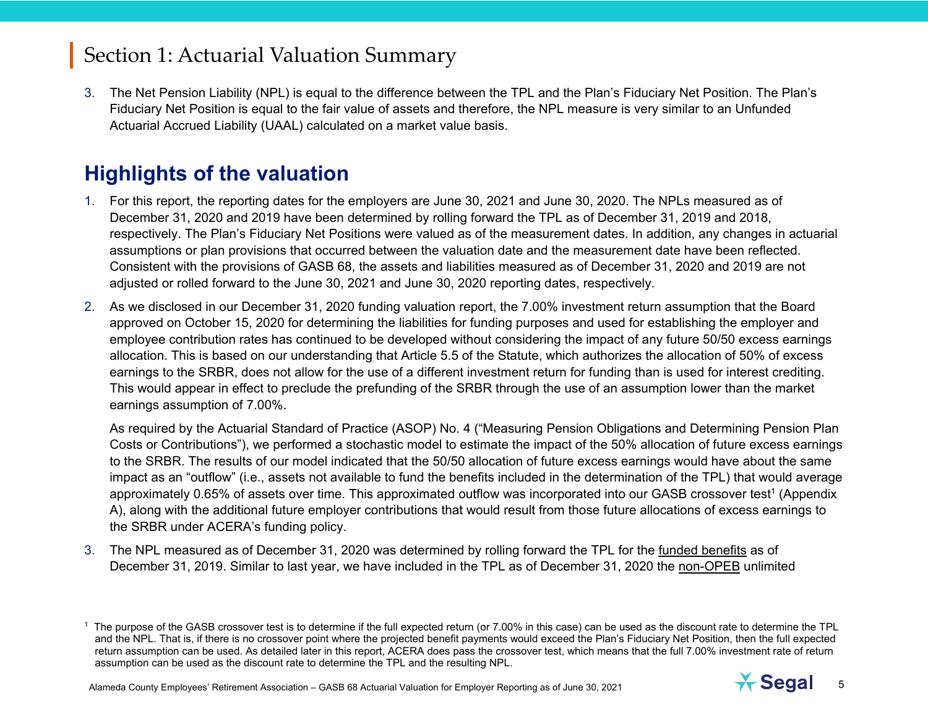3. The Net Pension Liability (NPL) is equal to the difference between the TPL and the Plan's Fiduciary Net Position. The Plan's Fiduciary Net Position is equal to the fair value of assets and therefore, the NPL measure is very similar to an Unfunded Actuarial Accrued Liability (UAAL) calculated on a market value basis.

# **Highlights of the valuation**

- 1. For this report, the reporting dates for the employers are June 30, 2021 and June 30, 2020. The NPLs measured as of December 31, 2020 and 2019 have been determined by rolling forward the TPL as of December 31, 2019 and 2018, respectively. The Plan's Fiduciary Net Positions were valued as of the measurement dates. In addition, any changes in actuarial assumptions or plan provisions that occurred between the valuation date and the measurement date have been reflected. Consistent with the provisions of GASB 68, the assets and liabilities measured as of December 31, 2020 and 2019 are not adjusted or rolled forward to the June 30, 2021 and June 30, 2020 reporting dates, respectively.
- 2. As we disclosed in our December 31, 2020 funding valuation report, the 7.00% investment return assumption that the Board approved on October 15, 2020 for determining the liabilities for funding purposes and used for establishing the employer and employee contribution rates has continued to be developed without considering the impact of any future 50/50 excess earnings allocation. This is based on our understanding that Article 5.5 of the Statute, which authorizes the allocation of 50% of excess earnings to the SRBR, does not allow for the use of a different investment return for funding than is used for interest crediting. This would appear in effect to preclude the prefunding of the SRBR through the use of an assumption lower than the market earnings assumption of 7.00%.

As required by the Actuarial Standard of Practice (ASOP) No. 4 ("Measuring Pension Obligations and Determining Pension Plan Costs or Contributions"), we performed a stochastic model to estimate the impact of the 50% allocation of future excess earnings to the SRBR. The results of our model indicated that the 50/50 allocation of future excess earnings would have about the same impact as an "outflow" (i.e., assets not available to fund the benefits included in the determination of the TPL) that would average approximately 0.65% of assets over time. This approximated outflow was incorporated into our GASB crossover test<sup>1</sup> (Appendix A), along with the additional future employer contributions that would result from those future allocations of excess earnings to the SRBR under ACERA's funding policy.

3. The NPL measured as of December 31, 2020 was determined by rolling forward the TPL for the funded benefits as of December 31, 2019. Similar to last year, we have included in the TPL as of December 31, 2020 the non-OPEB unlimited



<sup>&</sup>lt;sup>1</sup> The purpose of the GASB crossover test is to determine if the full expected return (or 7.00% in this case) can be used as the discount rate to determine the TPL and the NPL. That is, if there is no crossover point where the projected benefit payments would exceed the Plan's Fiduciary Net Position, then the full expected return assumption can be used. As detailed later in this report, ACERA does pass the crossover test, which means that the full 7.00% investment rate of return assumption can be used as the discount rate to determine the TPL and the resulting NPL.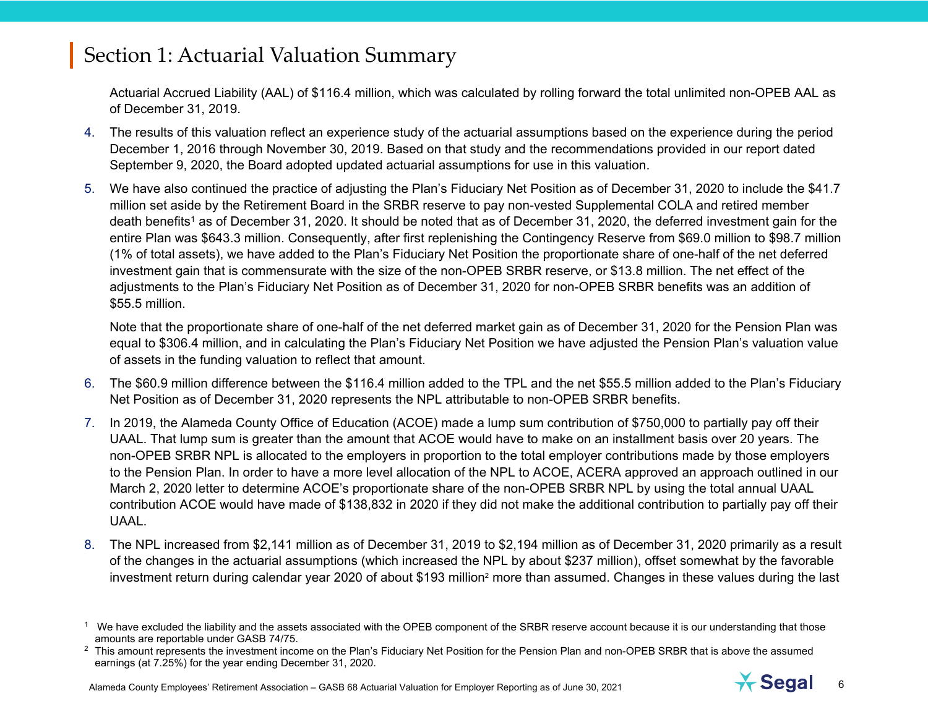Actuarial Accrued Liability (AAL) of \$116.4 million, which was calculated by rolling forward the total unlimited non-OPEB AAL as of December 31, 2019.

- 4. The results of this valuation reflect an experience study of the actuarial assumptions based on the experience during the period December 1, 2016 through November 30, 2019. Based on that study and the recommendations provided in our report dated September 9, 2020, the Board adopted updated actuarial assumptions for use in this valuation.
- 5. We have also continued the practice of adjusting the Plan's Fiduciary Net Position as of December 31, 2020 to include the \$41.7 million set aside by the Retirement Board in the SRBR reserve to pay non-vested Supplemental COLA and retired member death benefits<sup>1</sup> as of December 31, 2020. It should be noted that as of December 31, 2020, the deferred investment gain for the entire Plan was \$643.3 million. Consequently, after first replenishing the Contingency Reserve from \$69.0 million to \$98.7 million (1% of total assets), we have added to the Plan's Fiduciary Net Position the proportionate share of one-half of the net deferred investment gain that is commensurate with the size of the non-OPEB SRBR reserve, or \$13.8 million. The net effect of the adjustments to the Plan's Fiduciary Net Position as of December 31, 2020 for non-OPEB SRBR benefits was an addition of \$55.5 million.

Note that the proportionate share of one-half of the net deferred market gain as of December 31, 2020 for the Pension Plan was equal to \$306.4 million, and in calculating the Plan's Fiduciary Net Position we have adjusted the Pension Plan's valuation value of assets in the funding valuation to reflect that amount.

- 6. The \$60.9 million difference between the \$116.4 million added to the TPL and the net \$55.5 million added to the Plan's Fiduciary Net Position as of December 31, 2020 represents the NPL attributable to non-OPEB SRBR benefits.
- 7. In 2019, the Alameda County Office of Education (ACOE) made a lump sum contribution of \$750,000 to partially pay off their UAAL. That lump sum is greater than the amount that ACOE would have to make on an installment basis over 20 years. The non-OPEB SRBR NPL is allocated to the employers in proportion to the total employer contributions made by those employers to the Pension Plan. In order to have a more level allocation of the NPL to ACOE, ACERA approved an approach outlined in our March 2, 2020 letter to determine ACOE's proportionate share of the non-OPEB SRBR NPL by using the total annual UAAL contribution ACOE would have made of \$138,832 in 2020 if they did not make the additional contribution to partially pay off their UAAL.
- 8. The NPL increased from \$2,141 million as of December 31, 2019 to \$2,194 million as of December 31, 2020 primarily as a result of the changes in the actuarial assumptions (which increased the NPL by about \$237 million), offset somewhat by the favorable investment return during calendar year 2020 of about \$193 million<sup>2</sup> more than assumed. Changes in these values during the last



<sup>&</sup>lt;sup>1</sup> We have excluded the liability and the assets associated with the OPEB component of the SRBR reserve account because it is our understanding that those amounts are reportable under GASB 74/75.

<sup>&</sup>lt;sup>2</sup> This amount represents the investment income on the Plan's Fiduciary Net Position for the Pension Plan and non-OPEB SRBR that is above the assumed earnings (at 7.25%) for the year ending December 31, 2020.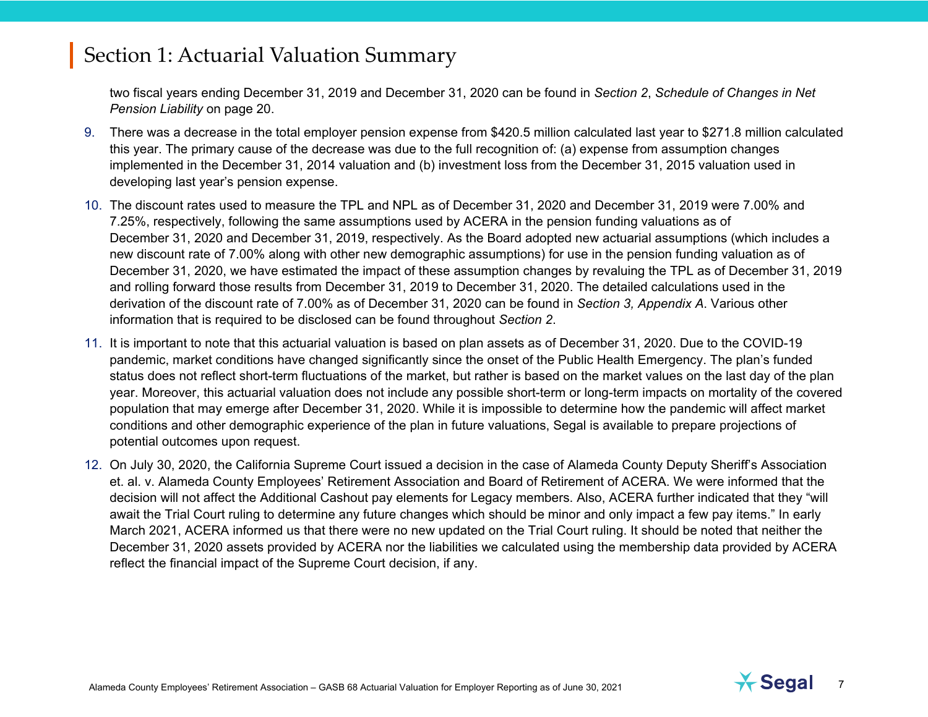two fiscal years ending December 31, 2019 and December 31, 2020 can be found in *Section 2*, *Schedule of Changes in Net Pension Liability* on page 20.

- 9. There was a decrease in the total employer pension expense from \$420.5 million calculated last year to \$271.8 million calculated this year. The primary cause of the decrease was due to the full recognition of: (a) expense from assumption changes implemented in the December 31, 2014 valuation and (b) investment loss from the December 31, 2015 valuation used in developing last year's pension expense.
- 10. The discount rates used to measure the TPL and NPL as of December 31, 2020 and December 31, 2019 were 7.00% and 7.25%, respectively, following the same assumptions used by ACERA in the pension funding valuations as of December 31, 2020 and December 31, 2019, respectively. As the Board adopted new actuarial assumptions (which includes a new discount rate of 7.00% along with other new demographic assumptions) for use in the pension funding valuation as of December 31, 2020, we have estimated the impact of these assumption changes by revaluing the TPL as of December 31, 2019 and rolling forward those results from December 31, 2019 to December 31, 2020. The detailed calculations used in the derivation of the discount rate of 7.00% as of December 31, 2020 can be found in *Section 3, Appendix A*. Various other information that is required to be disclosed can be found throughout *Section 2*.
- 11. It is important to note that this actuarial valuation is based on plan assets as of December 31, 2020. Due to the COVID-19 pandemic, market conditions have changed significantly since the onset of the Public Health Emergency. The plan's funded status does not reflect short-term fluctuations of the market, but rather is based on the market values on the last day of the plan year. Moreover, this actuarial valuation does not include any possible short-term or long-term impacts on mortality of the covered population that may emerge after December 31, 2020. While it is impossible to determine how the pandemic will affect market conditions and other demographic experience of the plan in future valuations, Segal is available to prepare projections of potential outcomes upon request.
- 12. On July 30, 2020, the California Supreme Court issued a decision in the case of Alameda County Deputy Sheriff's Association et. al. v. Alameda County Employees' Retirement Association and Board of Retirement of ACERA. We were informed that the decision will not affect the Additional Cashout pay elements for Legacy members. Also, ACERA further indicated that they "will await the Trial Court ruling to determine any future changes which should be minor and only impact a few pay items." In early March 2021, ACERA informed us that there were no new updated on the Trial Court ruling. It should be noted that neither the December 31, 2020 assets provided by ACERA nor the liabilities we calculated using the membership data provided by ACERA reflect the financial impact of the Supreme Court decision, if any.

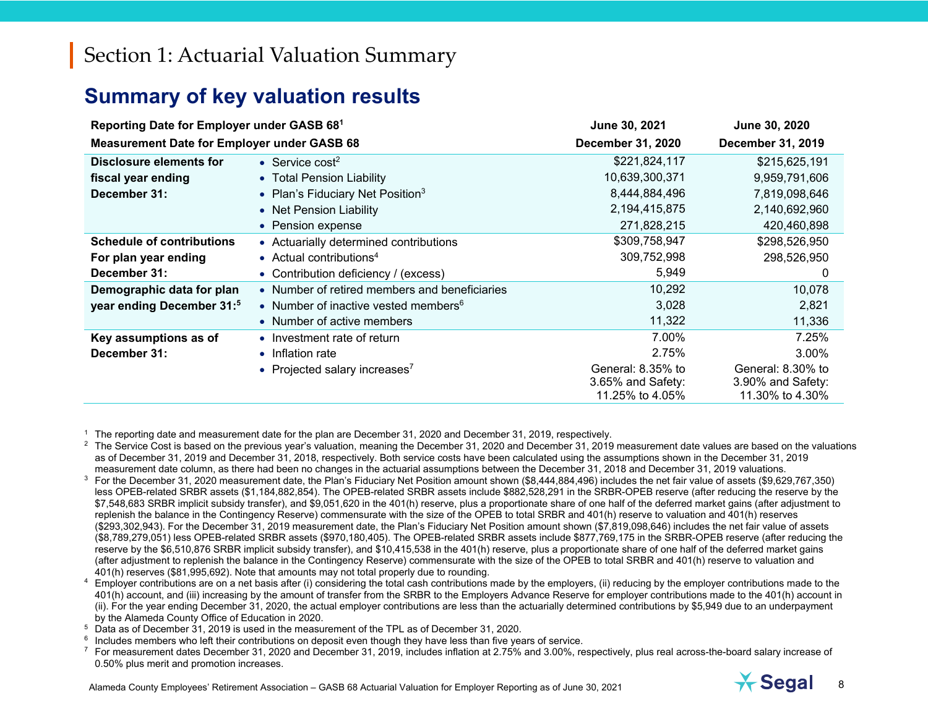# **Summary of key valuation results**

| Reporting Date for Employer under GASB 681         |                                                  | June 30, 2021                                             | June 30, 2020                                             |
|----------------------------------------------------|--------------------------------------------------|-----------------------------------------------------------|-----------------------------------------------------------|
| <b>Measurement Date for Employer under GASB 68</b> |                                                  | <b>December 31, 2020</b>                                  | December 31, 2019                                         |
| Disclosure elements for                            | • Service cost <sup>2</sup>                      | \$221,824,117                                             | \$215,625,191                                             |
| fiscal year ending                                 | • Total Pension Liability                        | 10,639,300,371                                            | 9,959,791,606                                             |
| December 31:                                       | • Plan's Fiduciary Net Position <sup>3</sup>     | 8,444,884,496                                             | 7,819,098,646                                             |
|                                                    | • Net Pension Liability                          | 2, 194, 415, 875                                          | 2,140,692,960                                             |
|                                                    | • Pension expense                                | 271,828,215                                               | 420,460,898                                               |
| <b>Schedule of contributions</b>                   | • Actuarially determined contributions           | \$309,758,947                                             | \$298,526,950                                             |
| For plan year ending                               | • Actual contributions <sup>4</sup>              | 309,752,998                                               | 298,526,950                                               |
| December 31:                                       | • Contribution deficiency / (excess)             | 5,949                                                     | 0                                                         |
| Demographic data for plan                          | • Number of retired members and beneficiaries    | 10,292                                                    | 10,078                                                    |
| year ending December 31:5                          | • Number of inactive vested members <sup>6</sup> | 3,028                                                     | 2,821                                                     |
|                                                    | • Number of active members                       | 11,322                                                    | 11,336                                                    |
| Key assumptions as of                              | • Investment rate of return                      | 7.00%                                                     | 7.25%                                                     |
| December 31:                                       | • Inflation rate                                 | 2.75%                                                     | $3.00\%$                                                  |
|                                                    | • Projected salary increases <sup>7</sup>        | General: 8.35% to<br>3.65% and Safety:<br>11.25% to 4.05% | General: 8.30% to<br>3.90% and Safety:<br>11.30% to 4.30% |

1 The reporting date and measurement date for the plan are December 31, 2020 and December 31, 2019, respectively.

 $2$  The Service Cost is based on the previous year's valuation, meaning the December 31, 2020 and December 31, 2019 measurement date values are based on the valuations as of December 31, 2019 and December 31, 2018, respectively. Both service costs have been calculated using the assumptions shown in the December 31, 2019 measurement date column, as there had been no changes in the actuarial assumptions between the December 31, 2018 and December 31, 2019 valuations.

 $3$  For the December 31, 2020 measurement date, the Plan's Fiduciary Net Position amount shown  $($8,444,884,496)$  includes the net fair value of assets  $(\$9,629,767,350)$ less OPEB-related SRBR assets (\$1,184,882,854). The OPEB-related SRBR assets include \$882,528,291 in the SRBR-OPEB reserve (after reducing the reserve by the \$7,548,683 SRBR implicit subsidy transfer), and \$9,051,620 in the 401(h) reserve, plus a proportionate share of one half of the deferred market gains (after adjustment to replenish the balance in the Contingency Reserve) commensurate with the size of the OPEB to total SRBR and 401(h) reserve to valuation and 401(h) reserves (\$293,302,943). For the December 31, 2019 measurement date, the Plan's Fiduciary Net Position amount shown (\$7,819,098,646) includes the net fair value of assets (\$8,789,279,051) less OPEB-related SRBR assets (\$970,180,405). The OPEB-related SRBR assets include \$877,769,175 in the SRBR-OPEB reserve (after reducing the reserve by the \$6,510,876 SRBR implicit subsidy transfer), and \$10,415,538 in the 401(h) reserve, plus a proportionate share of one half of the deferred market gains (after adjustment to replenish the balance in the Contingency Reserve) commensurate with the size of the OPEB to total SRBR and 401(h) reserve to valuation and 401(h) reserves (\$81,995,692). Note that amounts may not total properly due to rounding.

 $4$  Employer contributions are on a net basis after (i) considering the total cash contributions made by the employers, (ii) reducing by the employer contributions made to the 401(h) account, and (iii) increasing by the amount of transfer from the SRBR to the Employers Advance Reserve for employer contributions made to the 401(h) account in (ii). For the year ending December 31, 2020, the actual employer contributions are less than the actuarially determined contributions by \$5,949 due to an underpayment by the Alameda County Office of Education in 2020.

- 5 Data as of December 31, 2019 is used in the measurement of the TPL as of December 31, 2020.
- $6$  Includes members who left their contributions on deposit even though they have less than five years of service.

 $^7$  For measurement dates December 31, 2020 and December 31, 2019, includes inflation at 2.75% and 3.00%, respectively, plus real across-the-board salary increase of 0.50% plus merit and promotion increases.

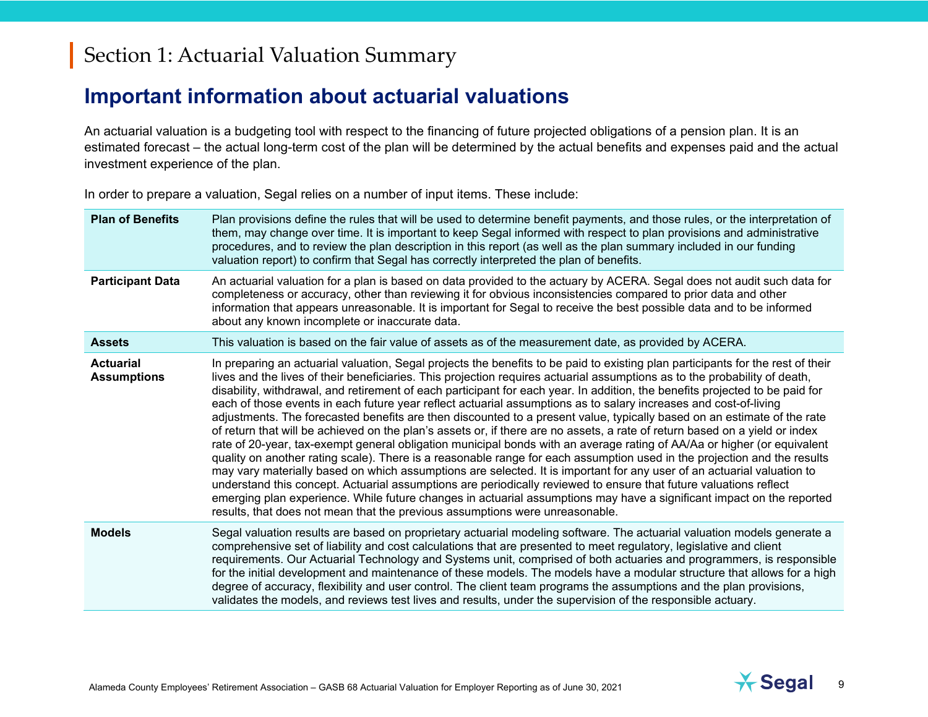### **Important information about actuarial valuations**

An actuarial valuation is a budgeting tool with respect to the financing of future projected obligations of a pension plan. It is an estimated forecast – the actual long-term cost of the plan will be determined by the actual benefits and expenses paid and the actual investment experience of the plan.

In order to prepare a valuation, Segal relies on a number of input items. These include:

| <b>Plan of Benefits</b>                | Plan provisions define the rules that will be used to determine benefit payments, and those rules, or the interpretation of<br>them, may change over time. It is important to keep Segal informed with respect to plan provisions and administrative<br>procedures, and to review the plan description in this report (as well as the plan summary included in our funding<br>valuation report) to confirm that Segal has correctly interpreted the plan of benefits.                                                                                                                                                                                                                                                                                                                                                                                                                                                                                                                                                                                                                                                                                                                                                                                                                                                                                                                                                                                                                      |
|----------------------------------------|--------------------------------------------------------------------------------------------------------------------------------------------------------------------------------------------------------------------------------------------------------------------------------------------------------------------------------------------------------------------------------------------------------------------------------------------------------------------------------------------------------------------------------------------------------------------------------------------------------------------------------------------------------------------------------------------------------------------------------------------------------------------------------------------------------------------------------------------------------------------------------------------------------------------------------------------------------------------------------------------------------------------------------------------------------------------------------------------------------------------------------------------------------------------------------------------------------------------------------------------------------------------------------------------------------------------------------------------------------------------------------------------------------------------------------------------------------------------------------------------|
| <b>Participant Data</b>                | An actuarial valuation for a plan is based on data provided to the actuary by ACERA. Segal does not audit such data for<br>completeness or accuracy, other than reviewing it for obvious inconsistencies compared to prior data and other<br>information that appears unreasonable. It is important for Segal to receive the best possible data and to be informed<br>about any known incomplete or inaccurate data.                                                                                                                                                                                                                                                                                                                                                                                                                                                                                                                                                                                                                                                                                                                                                                                                                                                                                                                                                                                                                                                                       |
| <b>Assets</b>                          | This valuation is based on the fair value of assets as of the measurement date, as provided by ACERA.                                                                                                                                                                                                                                                                                                                                                                                                                                                                                                                                                                                                                                                                                                                                                                                                                                                                                                                                                                                                                                                                                                                                                                                                                                                                                                                                                                                      |
| <b>Actuarial</b><br><b>Assumptions</b> | In preparing an actuarial valuation, Segal projects the benefits to be paid to existing plan participants for the rest of their<br>lives and the lives of their beneficiaries. This projection requires actuarial assumptions as to the probability of death,<br>disability, withdrawal, and retirement of each participant for each year. In addition, the benefits projected to be paid for<br>each of those events in each future year reflect actuarial assumptions as to salary increases and cost-of-living<br>adjustments. The forecasted benefits are then discounted to a present value, typically based on an estimate of the rate<br>of return that will be achieved on the plan's assets or, if there are no assets, a rate of return based on a yield or index<br>rate of 20-year, tax-exempt general obligation municipal bonds with an average rating of AA/Aa or higher (or equivalent<br>quality on another rating scale). There is a reasonable range for each assumption used in the projection and the results<br>may vary materially based on which assumptions are selected. It is important for any user of an actuarial valuation to<br>understand this concept. Actuarial assumptions are periodically reviewed to ensure that future valuations reflect<br>emerging plan experience. While future changes in actuarial assumptions may have a significant impact on the reported<br>results, that does not mean that the previous assumptions were unreasonable. |
| <b>Models</b>                          | Segal valuation results are based on proprietary actuarial modeling software. The actuarial valuation models generate a<br>comprehensive set of liability and cost calculations that are presented to meet regulatory, legislative and client<br>requirements. Our Actuarial Technology and Systems unit, comprised of both actuaries and programmers, is responsible<br>for the initial development and maintenance of these models. The models have a modular structure that allows for a high<br>degree of accuracy, flexibility and user control. The client team programs the assumptions and the plan provisions,<br>validates the models, and reviews test lives and results, under the supervision of the responsible actuary.                                                                                                                                                                                                                                                                                                                                                                                                                                                                                                                                                                                                                                                                                                                                                     |

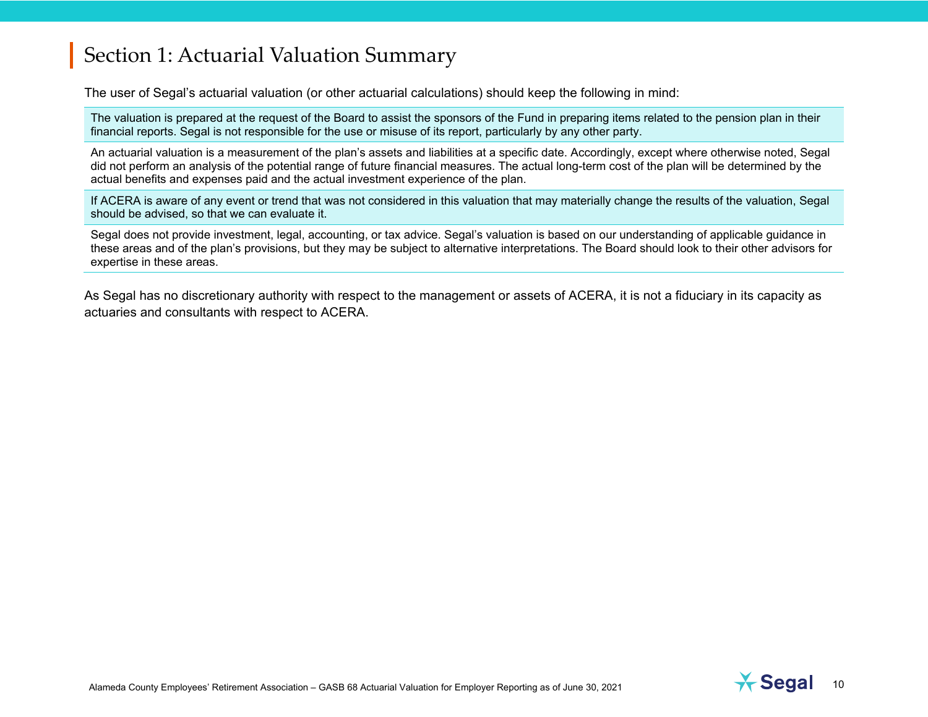The user of Segal's actuarial valuation (or other actuarial calculations) should keep the following in mind:

The valuation is prepared at the request of the Board to assist the sponsors of the Fund in preparing items related to the pension plan in their financial reports. Segal is not responsible for the use or misuse of its report, particularly by any other party.

An actuarial valuation is a measurement of the plan's assets and liabilities at a specific date. Accordingly, except where otherwise noted, Segal did not perform an analysis of the potential range of future financial measures. The actual long-term cost of the plan will be determined by the actual benefits and expenses paid and the actual investment experience of the plan.

If ACERA is aware of any event or trend that was not considered in this valuation that may materially change the results of the valuation, Segal should be advised, so that we can evaluate it.

Segal does not provide investment, legal, accounting, or tax advice. Segal's valuation is based on our understanding of applicable guidance in these areas and of the plan's provisions, but they may be subject to alternative interpretations. The Board should look to their other advisors for expertise in these areas.

As Segal has no discretionary authority with respect to the management or assets of ACERA, it is not a fiduciary in its capacity as actuaries and consultants with respect to ACERA.

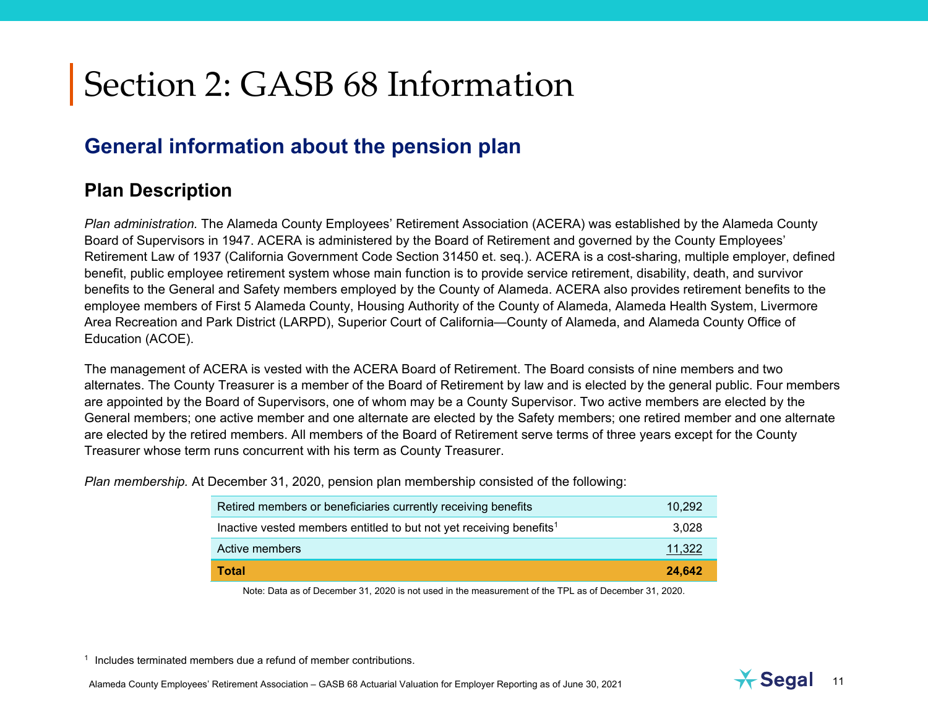# **General information about the pension plan**

### **Plan Description**

*Plan administration.* The Alameda County Employees' Retirement Association (ACERA) was established by the Alameda County Board of Supervisors in 1947. ACERA is administered by the Board of Retirement and governed by the County Employees' Retirement Law of 1937 (California Government Code Section 31450 et. seq.). ACERA is a cost-sharing, multiple employer, defined benefit, public employee retirement system whose main function is to provide service retirement, disability, death, and survivor benefits to the General and Safety members employed by the County of Alameda. ACERA also provides retirement benefits to the employee members of First 5 Alameda County, Housing Authority of the County of Alameda, Alameda Health System, Livermore Area Recreation and Park District (LARPD), Superior Court of California—County of Alameda, and Alameda County Office of Education (ACOE).

The management of ACERA is vested with the ACERA Board of Retirement. The Board consists of nine members and two alternates. The County Treasurer is a member of the Board of Retirement by law and is elected by the general public. Four members are appointed by the Board of Supervisors, one of whom may be a County Supervisor. Two active members are elected by the General members; one active member and one alternate are elected by the Safety members; one retired member and one alternate are elected by the retired members. All members of the Board of Retirement serve terms of three years except for the County Treasurer whose term runs concurrent with his term as County Treasurer.

*Plan membership.* At December 31, 2020, pension plan membership consisted of the following:

| Retired members or beneficiaries currently receiving benefits                   | 10.292 |
|---------------------------------------------------------------------------------|--------|
| Inactive vested members entitled to but not yet receiving benefits <sup>1</sup> | 3.028  |
| Active members                                                                  | 11.322 |
| <b>Total</b>                                                                    | 24.642 |

Note: Data as of December 31, 2020 is not used in the measurement of the TPL as of December 31, 2020.



 $1$  Includes terminated members due a refund of member contributions.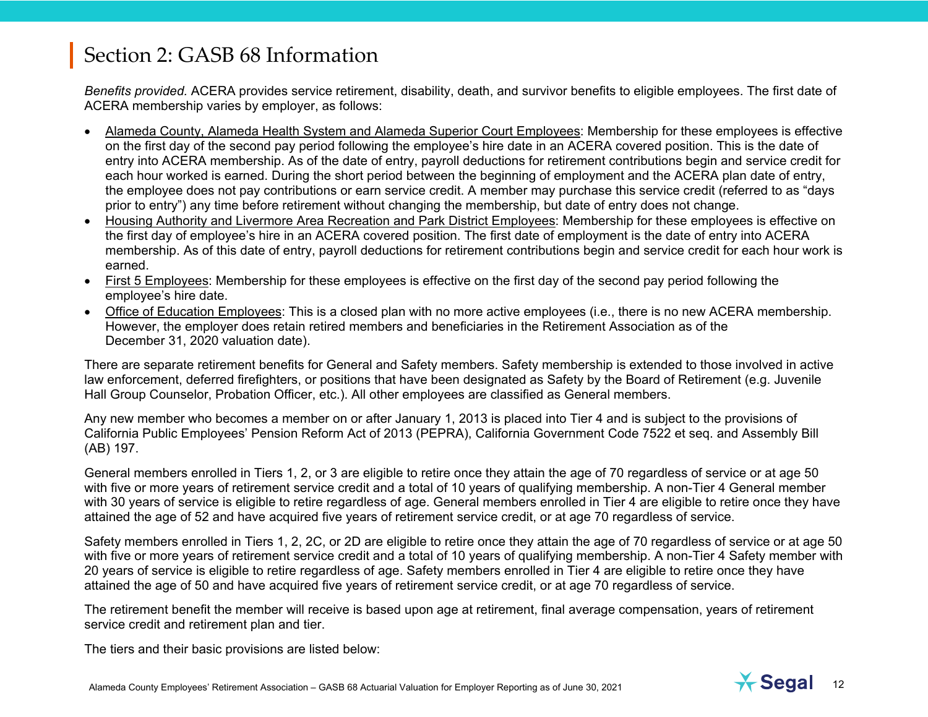*Benefits provided.* ACERA provides service retirement, disability, death, and survivor benefits to eligible employees. The first date of ACERA membership varies by employer, as follows:

- Alameda County, Alameda Health System and Alameda Superior Court Employees: Membership for these employees is effective on the first day of the second pay period following the employee's hire date in an ACERA covered position. This is the date of entry into ACERA membership. As of the date of entry, payroll deductions for retirement contributions begin and service credit for each hour worked is earned. During the short period between the beginning of employment and the ACERA plan date of entry, the employee does not pay contributions or earn service credit. A member may purchase this service credit (referred to as "days prior to entry") any time before retirement without changing the membership, but date of entry does not change.
- Housing Authority and Livermore Area Recreation and Park District Employees: Membership for these employees is effective on the first day of employee's hire in an ACERA covered position. The first date of employment is the date of entry into ACERA membership. As of this date of entry, payroll deductions for retirement contributions begin and service credit for each hour work is earned.
- First 5 Employees: Membership for these employees is effective on the first day of the second pay period following the employee's hire date.
- Office of Education Employees: This is a closed plan with no more active employees (i.e., there is no new ACERA membership. However, the employer does retain retired members and beneficiaries in the Retirement Association as of the December 31, 2020 valuation date).

There are separate retirement benefits for General and Safety members. Safety membership is extended to those involved in active law enforcement, deferred firefighters, or positions that have been designated as Safety by the Board of Retirement (e.g. Juvenile Hall Group Counselor, Probation Officer, etc.). All other employees are classified as General members.

Any new member who becomes a member on or after January 1, 2013 is placed into Tier 4 and is subject to the provisions of California Public Employees' Pension Reform Act of 2013 (PEPRA), California Government Code 7522 et seq. and Assembly Bill (AB) 197.

General members enrolled in Tiers 1, 2, or 3 are eligible to retire once they attain the age of 70 regardless of service or at age 50 with five or more years of retirement service credit and a total of 10 years of qualifying membership. A non-Tier 4 General member with 30 years of service is eligible to retire regardless of age. General members enrolled in Tier 4 are eligible to retire once they have attained the age of 52 and have acquired five years of retirement service credit, or at age 70 regardless of service.

Safety members enrolled in Tiers 1, 2, 2C, or 2D are eligible to retire once they attain the age of 70 regardless of service or at age 50 with five or more years of retirement service credit and a total of 10 years of qualifying membership. A non-Tier 4 Safety member with 20 years of service is eligible to retire regardless of age. Safety members enrolled in Tier 4 are eligible to retire once they have attained the age of 50 and have acquired five years of retirement service credit, or at age 70 regardless of service.

The retirement benefit the member will receive is based upon age at retirement, final average compensation, years of retirement service credit and retirement plan and tier.

The tiers and their basic provisions are listed below: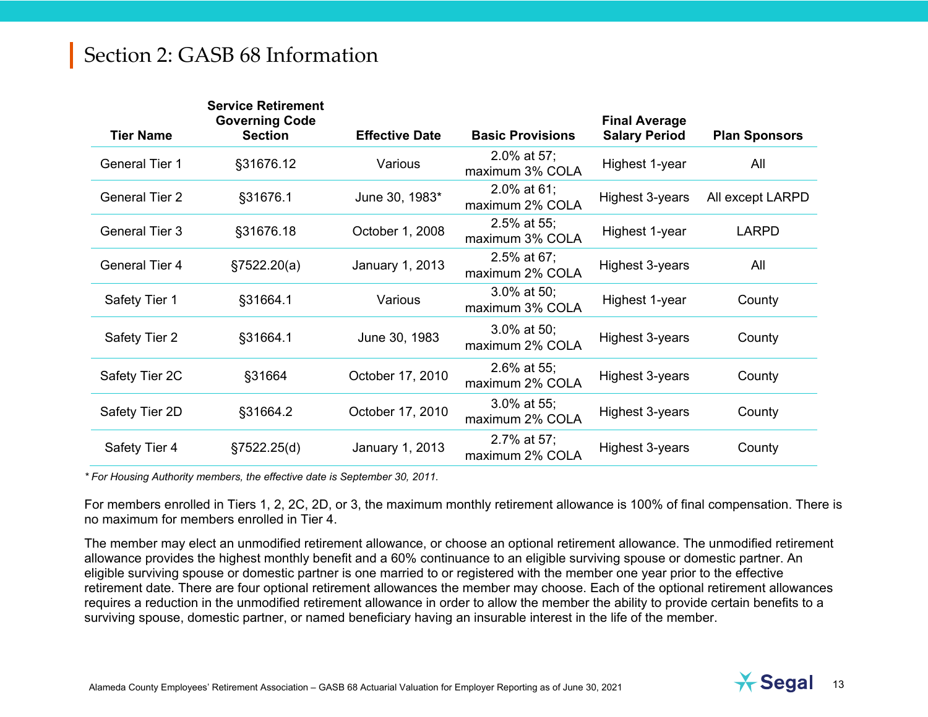| <b>Tier Name</b>      | <b>Service Retirement</b><br><b>Governing Code</b><br><b>Section</b> | <b>Effective Date</b> | <b>Basic Provisions</b>           | <b>Final Average</b><br><b>Salary Period</b> | <b>Plan Sponsors</b> |
|-----------------------|----------------------------------------------------------------------|-----------------------|-----------------------------------|----------------------------------------------|----------------------|
| <b>General Tier 1</b> | §31676.12                                                            | Various               | 2.0% at 57;<br>maximum 3% COLA    | Highest 1-year                               | All                  |
| <b>General Tier 2</b> | §31676.1                                                             | June 30, 1983*        | $2.0\%$ at 61;<br>maximum 2% COLA | Highest 3-years                              | All except LARPD     |
| <b>General Tier 3</b> | §31676.18                                                            | October 1, 2008       | $2.5\%$ at 55;<br>maximum 3% COLA | Highest 1-year                               | <b>LARPD</b>         |
| <b>General Tier 4</b> | §7522.20(a)                                                          | January 1, 2013       | 2.5% at 67;<br>maximum 2% COLA    | Highest 3-years                              | All                  |
| Safety Tier 1         | §31664.1                                                             | Various               | $3.0\%$ at 50;<br>maximum 3% COLA | Highest 1-year                               | County               |
| Safety Tier 2         | §31664.1                                                             | June 30, 1983         | $3.0\%$ at 50;<br>maximum 2% COLA | Highest 3-years                              | County               |
| Safety Tier 2C        | §31664                                                               | October 17, 2010      | $2.6\%$ at 55;<br>maximum 2% COLA | Highest 3-years                              | County               |
| Safety Tier 2D        | §31664.2                                                             | October 17, 2010      | 3.0% at 55;<br>maximum 2% COLA    | Highest 3-years                              | County               |
| Safety Tier 4         | §7522.25(d)                                                          | January 1, 2013       | 2.7% at 57;<br>maximum 2% COLA    | Highest 3-years                              | County               |

*\* For Housing Authority members, the effective date is September 30, 2011.* 

For members enrolled in Tiers 1, 2, 2C, 2D, or 3, the maximum monthly retirement allowance is 100% of final compensation. There is no maximum for members enrolled in Tier 4.

The member may elect an unmodified retirement allowance, or choose an optional retirement allowance. The unmodified retirement allowance provides the highest monthly benefit and a 60% continuance to an eligible surviving spouse or domestic partner. An eligible surviving spouse or domestic partner is one married to or registered with the member one year prior to the effective retirement date. There are four optional retirement allowances the member may choose. Each of the optional retirement allowances requires a reduction in the unmodified retirement allowance in order to allow the member the ability to provide certain benefits to a surviving spouse, domestic partner, or named beneficiary having an insurable interest in the life of the member.

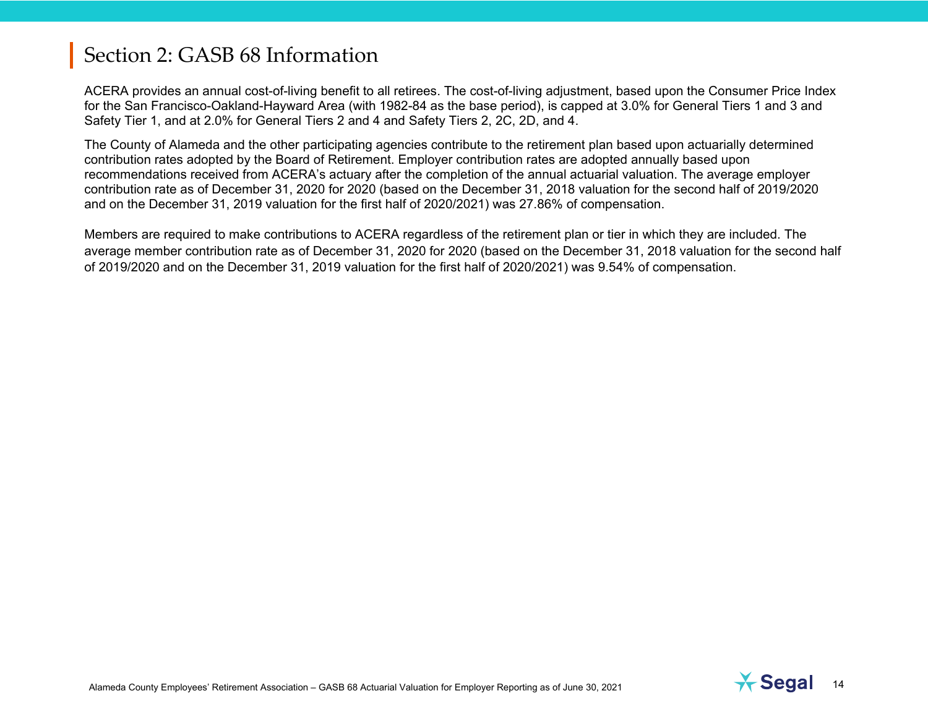ACERA provides an annual cost-of-living benefit to all retirees. The cost-of-living adjustment, based upon the Consumer Price Index for the San Francisco-Oakland-Hayward Area (with 1982-84 as the base period), is capped at 3.0% for General Tiers 1 and 3 and Safety Tier 1, and at 2.0% for General Tiers 2 and 4 and Safety Tiers 2, 2C, 2D, and 4.

The County of Alameda and the other participating agencies contribute to the retirement plan based upon actuarially determined contribution rates adopted by the Board of Retirement. Employer contribution rates are adopted annually based upon recommendations received from ACERA's actuary after the completion of the annual actuarial valuation. The average employer contribution rate as of December 31, 2020 for 2020 (based on the December 31, 2018 valuation for the second half of 2019/2020 and on the December 31, 2019 valuation for the first half of 2020/2021) was 27.86% of compensation.

Members are required to make contributions to ACERA regardless of the retirement plan or tier in which they are included. The average member contribution rate as of December 31, 2020 for 2020 (based on the December 31, 2018 valuation for the second half of 2019/2020 and on the December 31, 2019 valuation for the first half of 2020/2021) was 9.54% of compensation.

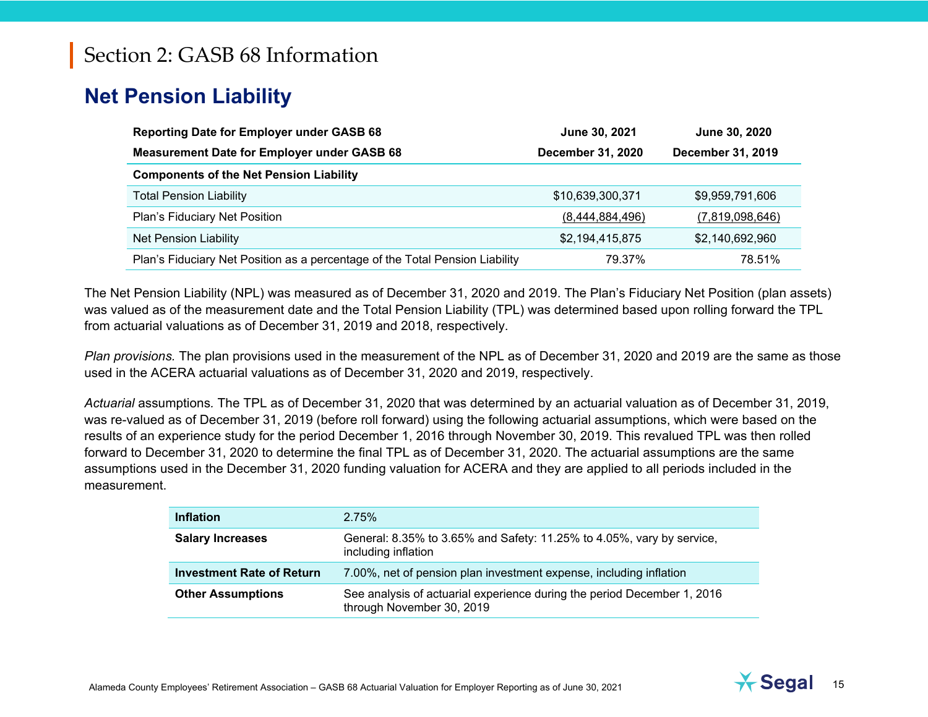# **Net Pension Liability**

| <b>Reporting Date for Employer under GASB 68</b>                             | June 30, 2021            | June 30, 2020     |
|------------------------------------------------------------------------------|--------------------------|-------------------|
| <b>Measurement Date for Employer under GASB 68</b>                           | <b>December 31, 2020</b> | December 31, 2019 |
| <b>Components of the Net Pension Liability</b>                               |                          |                   |
| <b>Total Pension Liability</b>                                               | \$10,639,300,371         | \$9,959,791,606   |
| Plan's Fiduciary Net Position                                                | (8,444,884,496)          | (7,819,098,646)   |
| <b>Net Pension Liability</b>                                                 | \$2,194,415,875          | \$2,140,692,960   |
| Plan's Fiduciary Net Position as a percentage of the Total Pension Liability | 79.37%                   | 78.51%            |

The Net Pension Liability (NPL) was measured as of December 31, 2020 and 2019. The Plan's Fiduciary Net Position (plan assets) was valued as of the measurement date and the Total Pension Liability (TPL) was determined based upon rolling forward the TPL from actuarial valuations as of December 31, 2019 and 2018, respectively.

*Plan provisions.* The plan provisions used in the measurement of the NPL as of December 31, 2020 and 2019 are the same as those used in the ACERA actuarial valuations as of December 31, 2020 and 2019, respectively.

*Actuarial* assumptions*.* The TPL as of December 31, 2020 that was determined by an actuarial valuation as of December 31, 2019, was re-valued as of December 31, 2019 (before roll forward) using the following actuarial assumptions, which were based on the results of an experience study for the period December 1, 2016 through November 30, 2019. This revalued TPL was then rolled forward to December 31, 2020 to determine the final TPL as of December 31, 2020. The actuarial assumptions are the same assumptions used in the December 31, 2020 funding valuation for ACERA and they are applied to all periods included in the measurement.

| <b>Inflation</b>                 | 2.75%                                                                                                |
|----------------------------------|------------------------------------------------------------------------------------------------------|
| <b>Salary Increases</b>          | General: 8.35% to 3.65% and Safety: 11.25% to 4.05%, vary by service,<br>including inflation         |
| <b>Investment Rate of Return</b> | 7.00%, net of pension plan investment expense, including inflation                                   |
| <b>Other Assumptions</b>         | See analysis of actuarial experience during the period December 1, 2016<br>through November 30, 2019 |

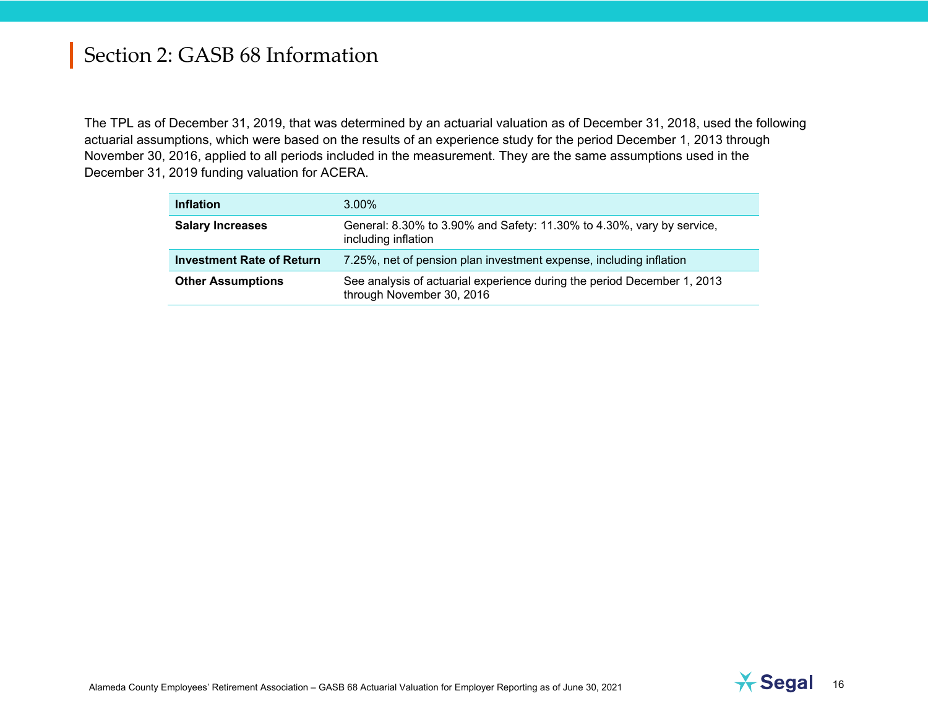The TPL as of December 31, 2019, that was determined by an actuarial valuation as of December 31, 2018, used the following actuarial assumptions, which were based on the results of an experience study for the period December 1, 2013 through November 30, 2016, applied to all periods included in the measurement. They are the same assumptions used in the December 31, 2019 funding valuation for ACERA.

| <b>Inflation</b>                 | $3.00\%$                                                                                             |
|----------------------------------|------------------------------------------------------------------------------------------------------|
| <b>Salary Increases</b>          | General: 8.30% to 3.90% and Safety: 11.30% to 4.30%, vary by service,<br>including inflation         |
| <b>Investment Rate of Return</b> | 7.25%, net of pension plan investment expense, including inflation                                   |
| <b>Other Assumptions</b>         | See analysis of actuarial experience during the period December 1, 2013<br>through November 30, 2016 |

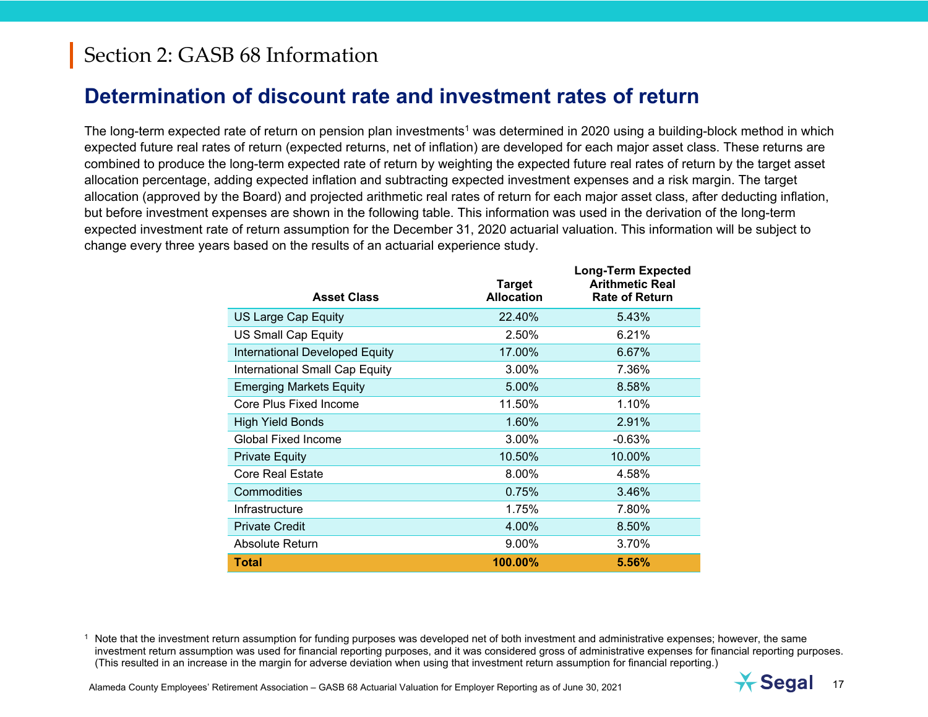### **Determination of discount rate and investment rates of return**

The long-term expected rate of return on pension plan investments<sup>1</sup> was determined in 2020 using a building-block method in which expected future real rates of return (expected returns, net of inflation) are developed for each major asset class. These returns are combined to produce the long-term expected rate of return by weighting the expected future real rates of return by the target asset allocation percentage, adding expected inflation and subtracting expected investment expenses and a risk margin. The target allocation (approved by the Board) and projected arithmetic real rates of return for each major asset class, after deducting inflation, but before investment expenses are shown in the following table. This information was used in the derivation of the long-term expected investment rate of return assumption for the December 31, 2020 actuarial valuation. This information will be subject to change every three years based on the results of an actuarial experience study.

**Long-Term Expected** 

| <b>Asset Class</b>                    | <b>Target</b><br><b>Allocation</b> | Long-Term Expected<br><b>Arithmetic Real</b><br><b>Rate of Return</b> |
|---------------------------------------|------------------------------------|-----------------------------------------------------------------------|
| <b>US Large Cap Equity</b>            | 22.40%                             | 5.43%                                                                 |
| <b>US Small Cap Equity</b>            | 2.50%                              | 6.21%                                                                 |
| International Developed Equity        | 17.00%                             | 6.67%                                                                 |
| <b>International Small Cap Equity</b> | 3.00%                              | 7.36%                                                                 |
| <b>Emerging Markets Equity</b>        | 5.00%                              | 8.58%                                                                 |
| Core Plus Fixed Income                | 11.50%                             | 1.10%                                                                 |
| <b>High Yield Bonds</b>               | 1.60%                              | 2.91%                                                                 |
| <b>Global Fixed Income</b>            | 3.00%                              | $-0.63\%$                                                             |
| <b>Private Equity</b>                 | 10.50%                             | 10.00%                                                                |
| <b>Core Real Estate</b>               | 8.00%                              | 4.58%                                                                 |
| Commodities                           | 0.75%                              | 3.46%                                                                 |
| Infrastructure                        | 1.75%                              | 7.80%                                                                 |
| <b>Private Credit</b>                 | 4.00%                              | 8.50%                                                                 |
| Absolute Return                       | 9.00%                              | 3.70%                                                                 |
| <b>Total</b>                          | 100.00%                            | 5.56%                                                                 |

<sup>1</sup> Note that the investment return assumption for funding purposes was developed net of both investment and administrative expenses; however, the same investment return assumption was used for financial reporting purposes, and it was considered gross of administrative expenses for financial reporting purposes. (This resulted in an increase in the margin for adverse deviation when using that investment return assumption for financial reporting.)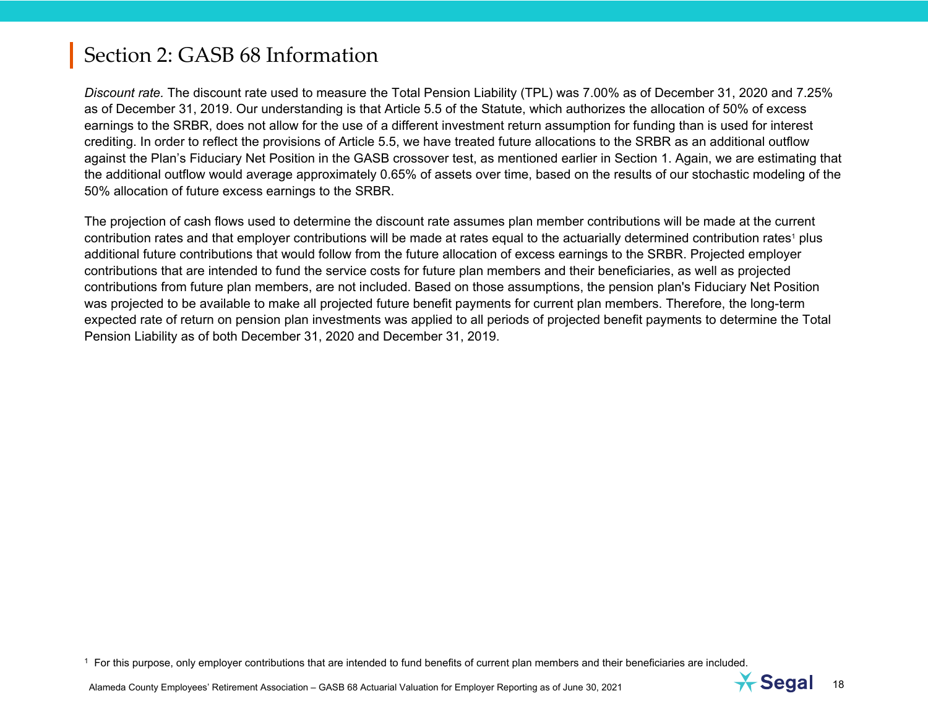*Discount rate.* The discount rate used to measure the Total Pension Liability (TPL) was 7.00% as of December 31, 2020 and 7.25% as of December 31, 2019. Our understanding is that Article 5.5 of the Statute, which authorizes the allocation of 50% of excess earnings to the SRBR, does not allow for the use of a different investment return assumption for funding than is used for interest crediting. In order to reflect the provisions of Article 5.5, we have treated future allocations to the SRBR as an additional outflow against the Plan's Fiduciary Net Position in the GASB crossover test, as mentioned earlier in Section 1. Again, we are estimating that the additional outflow would average approximately 0.65% of assets over time, based on the results of our stochastic modeling of the 50% allocation of future excess earnings to the SRBR.

The projection of cash flows used to determine the discount rate assumes plan member contributions will be made at the current contribution rates and that employer contributions will be made at rates equal to the actuarially determined contribution rates<sup>1</sup> plus additional future contributions that would follow from the future allocation of excess earnings to the SRBR. Projected employer contributions that are intended to fund the service costs for future plan members and their beneficiaries, as well as projected contributions from future plan members, are not included. Based on those assumptions, the pension plan's Fiduciary Net Position was projected to be available to make all projected future benefit payments for current plan members. Therefore, the long-term expected rate of return on pension plan investments was applied to all periods of projected benefit payments to determine the Total Pension Liability as of both December 31, 2020 and December 31, 2019.

 $<sup>1</sup>$  For this purpose, only employer contributions that are intended to fund benefits of current plan members and their beneficiaries are included.</sup>

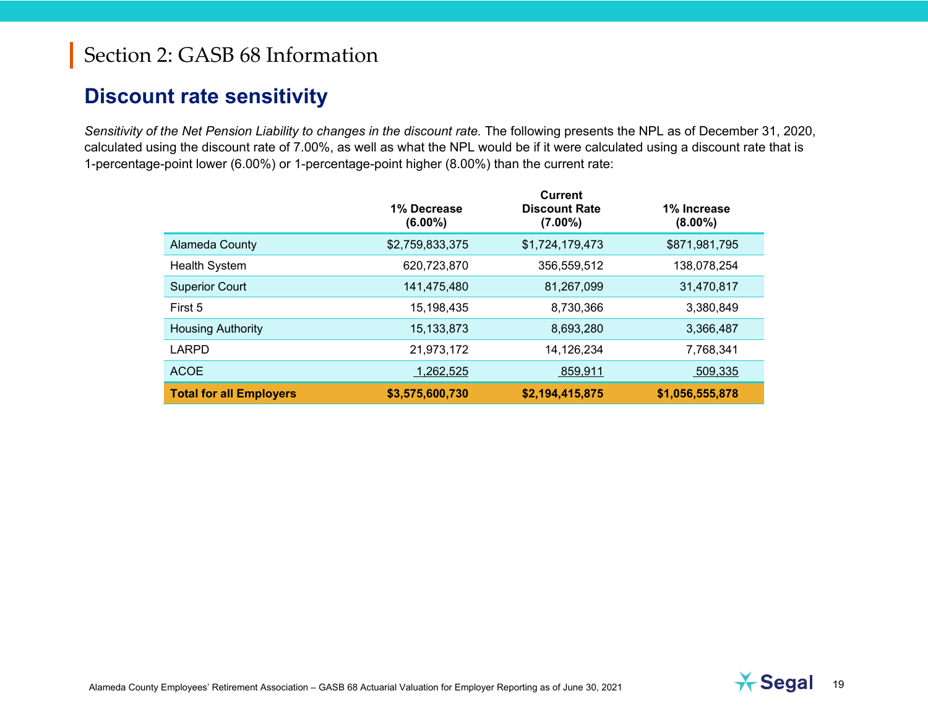### **Discount rate sensitivity**

*Sensitivity of the Net Pension Liability to changes in the discount rate.* The following presents the NPL as of December 31, 2020, calculated using the discount rate of 7.00%, as well as what the NPL would be if it were calculated using a discount rate that is 1-percentage-point lower (6.00%) or 1-percentage-point higher (8.00%) than the current rate:

|                                | 1% Decrease<br>$(6.00\%)$ | <b>Current</b><br><b>Discount Rate</b><br>$(7.00\%)$ | 1% Increase<br>$(8.00\%)$ |
|--------------------------------|---------------------------|------------------------------------------------------|---------------------------|
| <b>Alameda County</b>          | \$2,759,833,375           | \$1,724,179,473                                      | \$871,981,795             |
| <b>Health System</b>           | 620,723,870               | 356,559,512                                          | 138,078,254               |
| <b>Superior Court</b>          | 141,475,480               | 81,267,099                                           | 31,470,817                |
| First 5                        | 15,198,435                | 8,730,366                                            | 3,380,849                 |
| <b>Housing Authority</b>       | 15, 133, 873              | 8,693,280                                            | 3,366,487                 |
| LARPD                          | 21,973,172                | 14,126,234                                           | 7,768,341                 |
| <b>ACOE</b>                    | 1,262,525                 | 859,911                                              | 509,335                   |
| <b>Total for all Employers</b> | \$3,575,600,730           | \$2,194,415,875                                      | \$1,056,555,878           |

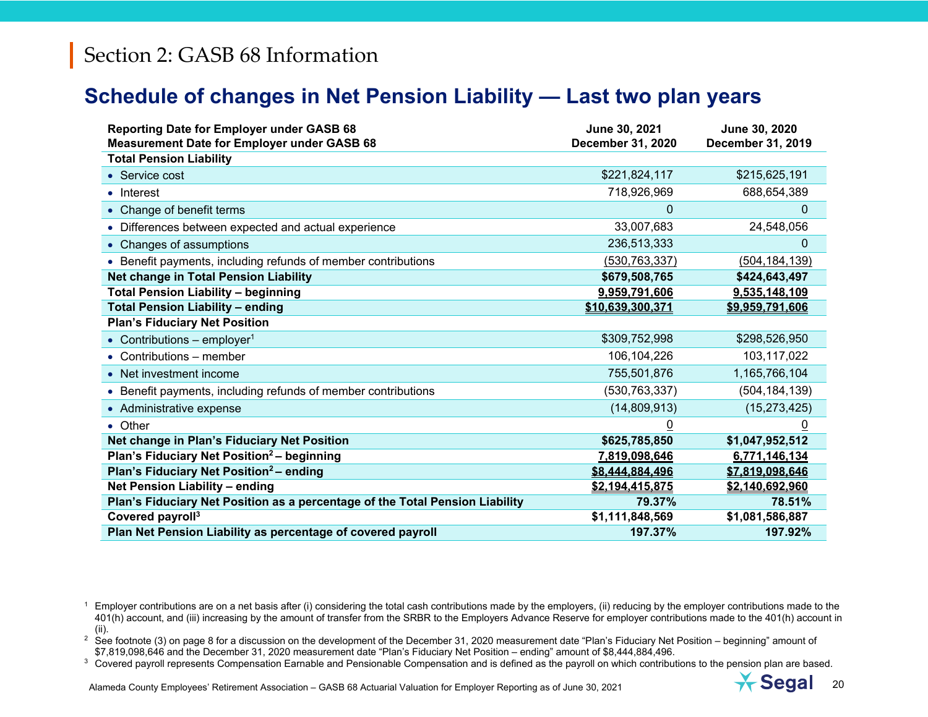### **Schedule of changes in Net Pension Liability — Last two plan years**

| <b>Reporting Date for Employer under GASB 68</b><br><b>Measurement Date for Employer under GASB 68</b> | June 30, 2021<br>December 31, 2020 | June 30, 2020<br>December 31, 2019 |
|--------------------------------------------------------------------------------------------------------|------------------------------------|------------------------------------|
| <b>Total Pension Liability</b>                                                                         |                                    |                                    |
| • Service cost                                                                                         | \$221,824,117                      | \$215,625,191                      |
| • Interest                                                                                             | 718,926,969                        | 688,654,389                        |
| • Change of benefit terms                                                                              | $\mathbf 0$                        | 0                                  |
| • Differences between expected and actual experience                                                   | 33,007,683                         | 24,548,056                         |
| • Changes of assumptions                                                                               | 236,513,333                        | 0                                  |
| • Benefit payments, including refunds of member contributions                                          | (530, 763, 337)                    | (504, 184, 139)                    |
| Net change in Total Pension Liability                                                                  | \$679,508,765                      | \$424,643,497                      |
| <b>Total Pension Liability - beginning</b>                                                             | 9,959,791,606                      | 9,535,148,109                      |
| <b>Total Pension Liability - ending</b>                                                                | \$10.639.300.371                   | \$9,959,791,606                    |
| <b>Plan's Fiduciary Net Position</b>                                                                   |                                    |                                    |
| • Contributions – employer <sup>1</sup>                                                                | \$309,752,998                      | \$298,526,950                      |
| • Contributions $-$ member                                                                             | 106, 104, 226                      | 103,117,022                        |
| • Net investment income                                                                                | 755,501,876                        | 1,165,766,104                      |
| • Benefit payments, including refunds of member contributions                                          | (530, 763, 337)                    | (504, 184, 139)                    |
| • Administrative expense                                                                               | (14,809,913)                       | (15, 273, 425)                     |
| • Other                                                                                                | $\overline{0}$                     | $\overline{0}$                     |
| Net change in Plan's Fiduciary Net Position                                                            | \$625,785,850                      | \$1,047,952,512                    |
| Plan's Fiduciary Net Position <sup>2</sup> - beginning                                                 | 7,819,098,646                      | 6,771,146,134                      |
| Plan's Fiduciary Net Position <sup>2</sup> - ending                                                    | \$8.444.884.496                    | \$7,819,098,646                    |
| <b>Net Pension Liability - ending</b>                                                                  | \$2,194,415,875                    | \$2,140,692,960                    |
| Plan's Fiduciary Net Position as a percentage of the Total Pension Liability                           | 79.37%                             | 78.51%                             |
| Covered payroll <sup>3</sup>                                                                           | \$1,111,848,569                    | \$1,081,586,887                    |
| Plan Net Pension Liability as percentage of covered payroll                                            | 197.37%                            | 197.92%                            |



<sup>1</sup> Employer contributions are on a net basis after (i) considering the total cash contributions made by the employers, (ii) reducing by the employer contributions made to the 401(h) account, and (iii) increasing by the amount of transfer from the SRBR to the Employers Advance Reserve for employer contributions made to the 401(h) account in (ii).

 $^2\,$  See footnote (3) on page 8 for a discussion on the development of the December 31, 2020 measurement date "Plan's Fiduciary Net Position – beginning" amount of \$7,819,098,646 and the December 31, 2020 measurement date "Plan's Fiduciary Net Position – ending" amount of \$8,444,884,496.

 $3$  Covered payroll represents Compensation Earnable and Pensionable Compensation and is defined as the payroll on which contributions to the pension plan are based.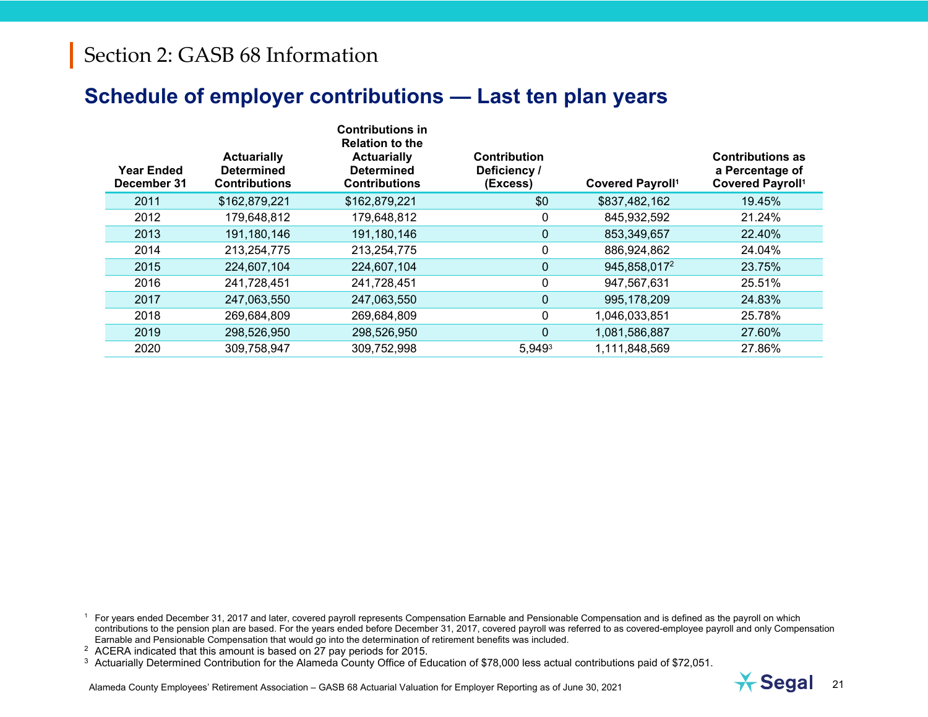### **Schedule of employer contributions — Last ten plan years**

| <b>Year Ended</b><br>December 31 | <b>Actuarially</b><br><b>Determined</b><br><b>Contributions</b> | <b>Contributions in</b><br><b>Relation to the</b><br><b>Actuarially</b><br><b>Determined</b><br><b>Contributions</b> | <b>Contribution</b><br>Deficiency /<br>(Excess) | <b>Covered Payroll1</b> | <b>Contributions as</b><br>a Percentage of<br><b>Covered Payroll1</b> |
|----------------------------------|-----------------------------------------------------------------|----------------------------------------------------------------------------------------------------------------------|-------------------------------------------------|-------------------------|-----------------------------------------------------------------------|
| 2011                             | \$162,879,221                                                   | \$162,879,221                                                                                                        | \$0                                             | \$837,482,162           | 19.45%                                                                |
| 2012                             | 179,648,812                                                     | 179,648,812                                                                                                          | 0                                               | 845,932,592             | 21.24%                                                                |
| 2013                             | 191,180,146                                                     | 191,180,146                                                                                                          | $\mathbf{0}$                                    | 853,349,657             | 22.40%                                                                |
| 2014                             | 213,254,775                                                     | 213,254,775                                                                                                          | $\Omega$                                        | 886,924,862             | 24.04%                                                                |
| 2015                             | 224,607,104                                                     | 224,607,104                                                                                                          | $\Omega$                                        | 945,858,0172            | 23.75%                                                                |
| 2016                             | 241,728,451                                                     | 241,728,451                                                                                                          | $\Omega$                                        | 947,567,631             | 25.51%                                                                |
| 2017                             | 247,063,550                                                     | 247,063,550                                                                                                          | $\Omega$                                        | 995,178,209             | 24.83%                                                                |
| 2018                             | 269,684,809                                                     | 269,684,809                                                                                                          | $\Omega$                                        | 1,046,033,851           | 25.78%                                                                |
| 2019                             | 298,526,950                                                     | 298,526,950                                                                                                          | $\Omega$                                        | 1,081,586,887           | 27.60%                                                                |
| 2020                             | 309,758,947                                                     | 309,752,998                                                                                                          | $5,949^3$                                       | 1,111,848,569           | 27.86%                                                                |

<sup>1</sup> For years ended December 31, 2017 and later, covered payroll represents Compensation Earnable and Pensionable Compensation and is defined as the payroll on which contributions to the pension plan are based. For the years ended before December 31, 2017, covered payroll was referred to as covered-employee payroll and only Compensation Earnable and Pensionable Compensation that would go into the determination of retirement benefits was included.

<sup>2</sup> ACERA indicated that this amount is based on 27 pay periods for 2015.

<sup>3</sup> Actuarially Determined Contribution for the Alameda County Office of Education of \$78,000 less actual contributions paid of \$72,051.



Alameda County Employees' Retirement Association – GASB 68 Actuarial Valuation for Employer Reporting as of June 30, 2021 **21**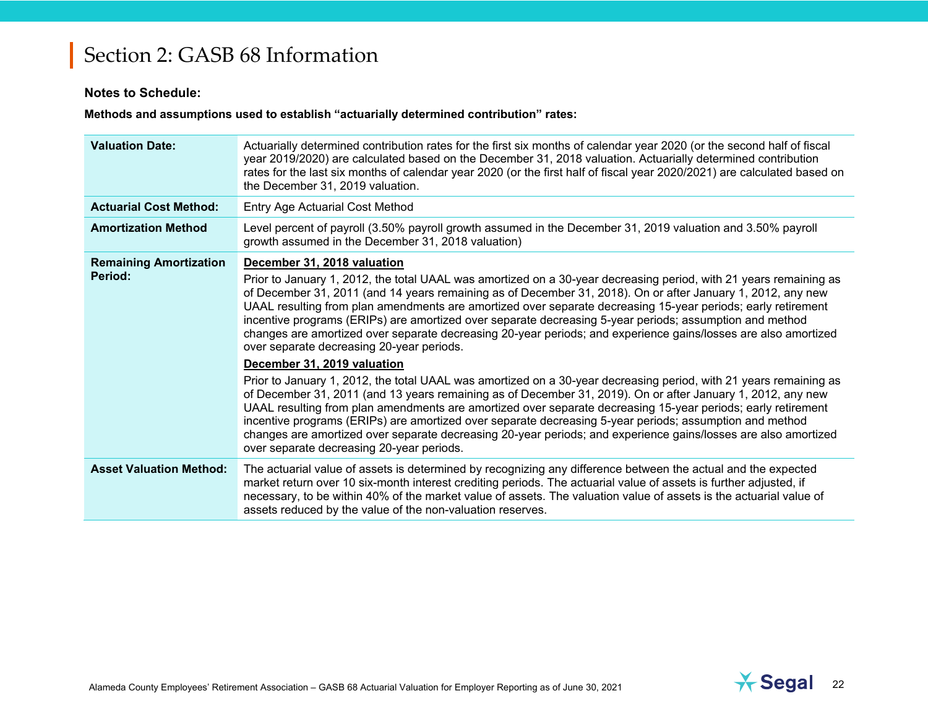#### **Notes to Schedule:**

**Methods and assumptions used to establish "actuarially determined contribution" rates:**

| <b>Valuation Date:</b>                   | Actuarially determined contribution rates for the first six months of calendar year 2020 (or the second half of fiscal<br>year 2019/2020) are calculated based on the December 31, 2018 valuation. Actuarially determined contribution<br>rates for the last six months of calendar year 2020 (or the first half of fiscal year 2020/2021) are calculated based on<br>the December 31, 2019 valuation.                                                                                                                                                                                                                                                                                                                                                                                                                                                                                                                                                                                                                                                                                                                                                                                                                                                                                                                 |
|------------------------------------------|------------------------------------------------------------------------------------------------------------------------------------------------------------------------------------------------------------------------------------------------------------------------------------------------------------------------------------------------------------------------------------------------------------------------------------------------------------------------------------------------------------------------------------------------------------------------------------------------------------------------------------------------------------------------------------------------------------------------------------------------------------------------------------------------------------------------------------------------------------------------------------------------------------------------------------------------------------------------------------------------------------------------------------------------------------------------------------------------------------------------------------------------------------------------------------------------------------------------------------------------------------------------------------------------------------------------|
| <b>Actuarial Cost Method:</b>            | <b>Entry Age Actuarial Cost Method</b>                                                                                                                                                                                                                                                                                                                                                                                                                                                                                                                                                                                                                                                                                                                                                                                                                                                                                                                                                                                                                                                                                                                                                                                                                                                                                 |
| <b>Amortization Method</b>               | Level percent of payroll (3.50% payroll growth assumed in the December 31, 2019 valuation and 3.50% payroll<br>growth assumed in the December 31, 2018 valuation)                                                                                                                                                                                                                                                                                                                                                                                                                                                                                                                                                                                                                                                                                                                                                                                                                                                                                                                                                                                                                                                                                                                                                      |
| <b>Remaining Amortization</b><br>Period: | December 31, 2018 valuation<br>Prior to January 1, 2012, the total UAAL was amortized on a 30-year decreasing period, with 21 years remaining as<br>of December 31, 2011 (and 14 years remaining as of December 31, 2018). On or after January 1, 2012, any new<br>UAAL resulting from plan amendments are amortized over separate decreasing 15-year periods; early retirement<br>incentive programs (ERIPs) are amortized over separate decreasing 5-year periods; assumption and method<br>changes are amortized over separate decreasing 20-year periods; and experience gains/losses are also amortized<br>over separate decreasing 20-year periods.<br>December 31, 2019 valuation<br>Prior to January 1, 2012, the total UAAL was amortized on a 30-year decreasing period, with 21 years remaining as<br>of December 31, 2011 (and 13 years remaining as of December 31, 2019). On or after January 1, 2012, any new<br>UAAL resulting from plan amendments are amortized over separate decreasing 15-year periods; early retirement<br>incentive programs (ERIPs) are amortized over separate decreasing 5-year periods; assumption and method<br>changes are amortized over separate decreasing 20-year periods; and experience gains/losses are also amortized<br>over separate decreasing 20-year periods. |
| <b>Asset Valuation Method:</b>           | The actuarial value of assets is determined by recognizing any difference between the actual and the expected<br>market return over 10 six-month interest crediting periods. The actuarial value of assets is further adjusted, if<br>necessary, to be within 40% of the market value of assets. The valuation value of assets is the actuarial value of<br>assets reduced by the value of the non-valuation reserves.                                                                                                                                                                                                                                                                                                                                                                                                                                                                                                                                                                                                                                                                                                                                                                                                                                                                                                 |

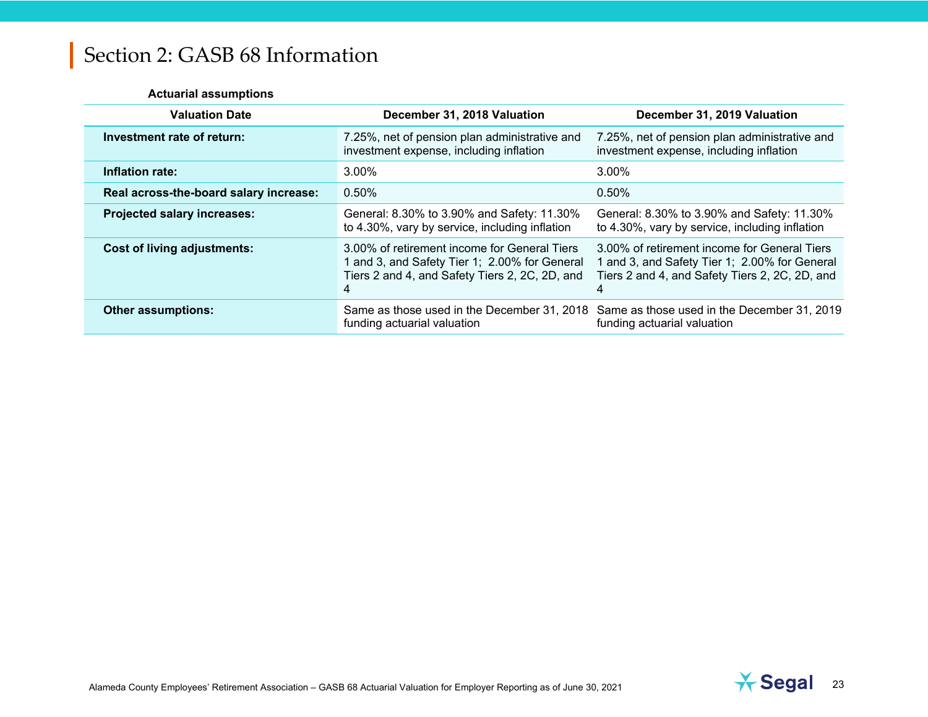#### **Actuarial assumptions**

| <b>Valuation Date</b>                  | December 31, 2018 Valuation                                                                                                                          | December 31, 2019 Valuation                                                                                                                          |
|----------------------------------------|------------------------------------------------------------------------------------------------------------------------------------------------------|------------------------------------------------------------------------------------------------------------------------------------------------------|
| Investment rate of return:             | 7.25%, net of pension plan administrative and<br>investment expense, including inflation                                                             | 7.25%, net of pension plan administrative and<br>investment expense, including inflation                                                             |
| Inflation rate:                        | $3.00\%$                                                                                                                                             | 3.00%                                                                                                                                                |
| Real across-the-board salary increase: | $0.50\%$                                                                                                                                             | 0.50%                                                                                                                                                |
| <b>Projected salary increases:</b>     | General: 8.30% to 3.90% and Safety: 11.30%<br>to 4.30%, vary by service, including inflation                                                         | General: 8.30% to 3.90% and Safety: 11.30%<br>to 4.30%, vary by service, including inflation                                                         |
| <b>Cost of living adjustments:</b>     | 3.00% of retirement income for General Tiers<br>1 and 3, and Safety Tier 1; 2.00% for General<br>Tiers 2 and 4, and Safety Tiers 2, 2C, 2D, and<br>4 | 3.00% of retirement income for General Tiers<br>1 and 3, and Safety Tier 1; 2.00% for General<br>Tiers 2 and 4, and Safety Tiers 2, 2C, 2D, and<br>4 |
| <b>Other assumptions:</b>              | funding actuarial valuation                                                                                                                          | Same as those used in the December 31, 2018 Same as those used in the December 31, 2019<br>funding actuarial valuation                               |

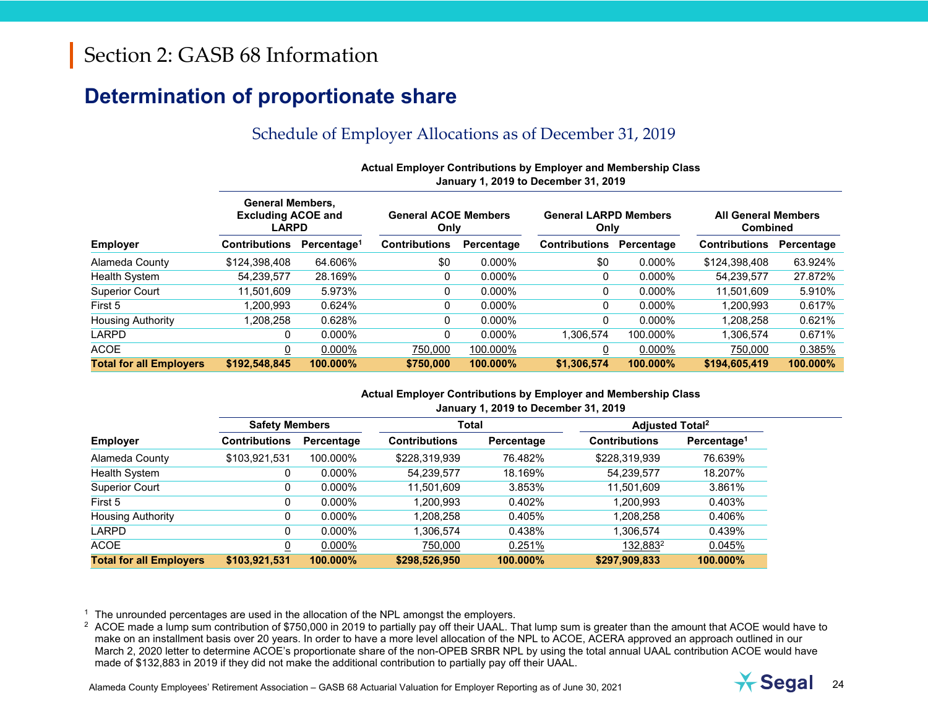### **Determination of proportionate share**

### Schedule of Employer Allocations as of December 31, 2019

| Actual Employer Contributions by Employer and Membership Class |
|----------------------------------------------------------------|
| January 1, 2019 to December 31, 2019                           |
|                                                                |

|                                | <b>General Members,</b><br><b>Excluding ACOE and</b><br><b>LARPD</b> |                         | <b>General ACOE Members</b><br>Only |            | <b>General LARPD Members</b><br>Only |            | <b>All General Members</b><br><b>Combined</b> |            |
|--------------------------------|----------------------------------------------------------------------|-------------------------|-------------------------------------|------------|--------------------------------------|------------|-----------------------------------------------|------------|
| <b>Employer</b>                | <b>Contributions</b>                                                 | Percentage <sup>1</sup> | <b>Contributions</b>                | Percentage | <b>Contributions</b>                 | Percentage | <b>Contributions</b>                          | Percentage |
| Alameda County                 | \$124,398,408                                                        | 64.606%                 | \$0                                 | $0.000\%$  | \$0                                  | $0.000\%$  | \$124,398,408                                 | 63.924%    |
| <b>Health System</b>           | 54,239,577                                                           | 28.169%                 |                                     | $0.000\%$  | 0                                    | $0.000\%$  | 54.239.577                                    | 27.872%    |
| <b>Superior Court</b>          | 11.501.609                                                           | 5.973%                  |                                     | $0.000\%$  | 0                                    | 0.000%     | 11.501.609                                    | 5.910%     |
| First 5                        | .200.993                                                             | 0.624%                  |                                     | $0.000\%$  | 0                                    | $0.000\%$  | 1.200.993                                     | 0.617%     |
| <b>Housing Authority</b>       | ,208,258                                                             | 0.628%                  |                                     | $0.000\%$  | 0                                    | $0.000\%$  | 1,208,258                                     | 0.621%     |
| LARPD                          | 0                                                                    | $0.000\%$               |                                     | $0.000\%$  | 1.306.574                            | 100.000%   | 1,306,574                                     | 0.671%     |
| <b>ACOE</b>                    | υ                                                                    | $0.000\%$               | 750,000                             | 100.000%   |                                      | 0.000%     | 750,000                                       | 0.385%     |
| <b>Total for all Employers</b> | \$192,548,845                                                        | 100.000%                | \$750,000                           | 100.000%   | \$1,306,574                          | 100.000%   | \$194,605,419                                 | 100.000%   |

#### **Actual Employer Contributions by Employer and Membership Class January 1, 2019 to December 31, 2019**

|                                | <b>Safety Members</b> |            | Total                |            | <b>Adjusted Total<sup>2</sup></b> |                         |  |  |
|--------------------------------|-----------------------|------------|----------------------|------------|-----------------------------------|-------------------------|--|--|
| <b>Employer</b>                | Contributions         | Percentage | <b>Contributions</b> | Percentage | <b>Contributions</b>              | Percentage <sup>1</sup> |  |  |
| Alameda County                 | \$103,921,531         | 100.000%   | \$228,319,939        | 76.482%    | \$228,319,939                     | 76.639%                 |  |  |
| Health System                  | 0                     | $0.000\%$  | 54,239,577           | 18.169%    | 54,239,577                        | 18.207%                 |  |  |
| <b>Superior Court</b>          | 0                     | $0.000\%$  | 11,501,609           | 3.853%     | 11.501.609                        | 3.861%                  |  |  |
| First 5                        | 0                     | $0.000\%$  | 1.200.993            | 0.402%     | 1.200.993                         | 0.403%                  |  |  |
| <b>Housing Authority</b>       | 0                     | $0.000\%$  | 1,208,258            | 0.405%     | 1.208.258                         | 0.406%                  |  |  |
| LARPD                          | 0                     | $0.000\%$  | 1,306,574            | 0.438%     | 1.306.574                         | 0.439%                  |  |  |
| <b>ACOE</b>                    |                       | $0.000\%$  | 750,000              | 0.251%     | 132,883 <sup>2</sup>              | 0.045%                  |  |  |
| <b>Total for all Employers</b> | \$103,921,531         | 100.000%   | \$298,526,950        | 100.000%   | \$297.909.833                     | 100.000%                |  |  |

 $1$  The unrounded percentages are used in the allocation of the NPL amongst the employers.

 $2\text{ ACOE}$  made a lump sum contribution of \$750,000 in 2019 to partially pay off their UAAL. That lump sum is greater than the amount that ACOE would have to make on an installment basis over 20 years. In order to have a more level allocation of the NPL to ACOE, ACERA approved an approach outlined in our March 2, 2020 letter to determine ACOE's proportionate share of the non-OPEB SRBR NPL by using the total annual UAAL contribution ACOE would have made of \$132,883 in 2019 if they did not make the additional contribution to partially pay off their UAAL.

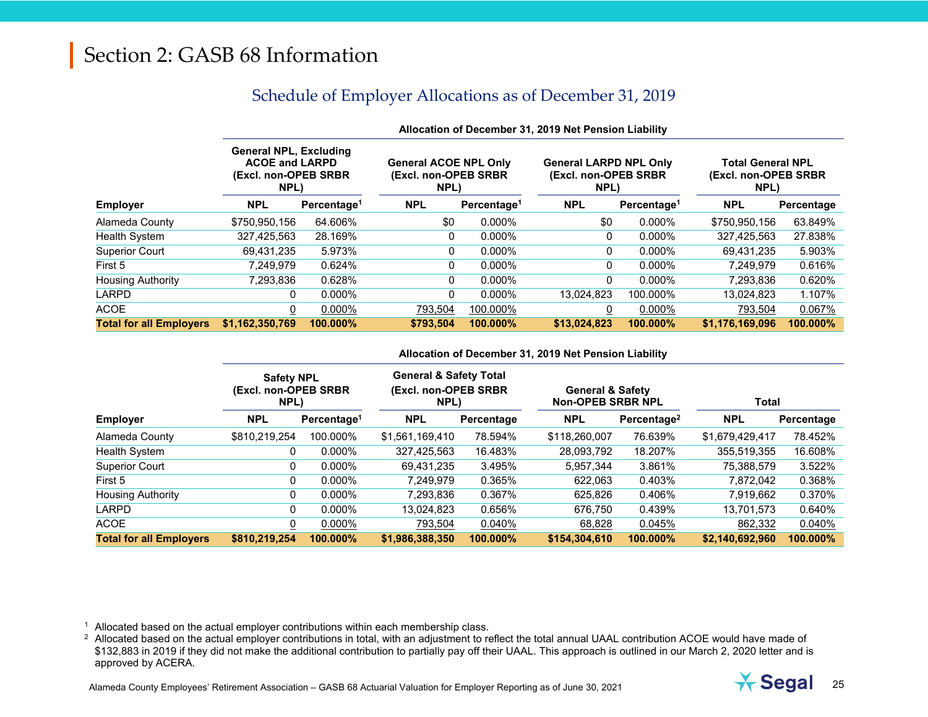### Schedule of Employer Allocations as of December 31, 2019

|                                |                                                                                         | Allocation of December 31, 2019 Net Pension Liability |                                                               |                         |                                                                |                         |                                                          |            |  |  |  |
|--------------------------------|-----------------------------------------------------------------------------------------|-------------------------------------------------------|---------------------------------------------------------------|-------------------------|----------------------------------------------------------------|-------------------------|----------------------------------------------------------|------------|--|--|--|
|                                | <b>General NPL, Excluding</b><br><b>ACOE and LARPD</b><br>(Excl. non-OPEB SRBR)<br>NPL) |                                                       | <b>General ACOE NPL Only</b><br>(Excl. non-OPEB SRBR)<br>NPL) |                         | <b>General LARPD NPL Only</b><br>(Excl. non-OPEB SRBR)<br>NPL) |                         | <b>Total General NPL</b><br>(Excl. non-OPEB SRBR<br>NPL) |            |  |  |  |
| <b>Employer</b>                | <b>NPL</b>                                                                              | Percentage <sup>1</sup>                               | <b>NPL</b>                                                    | Percentage <sup>1</sup> | <b>NPL</b>                                                     | Percentage <sup>1</sup> | <b>NPL</b>                                               | Percentage |  |  |  |
| Alameda County                 | \$750,950,156                                                                           | 64.606%                                               | \$0                                                           | $0.000\%$               | \$0                                                            | 0.000%                  | \$750,950,156                                            | 63.849%    |  |  |  |
| Health System                  | 327,425,563                                                                             | 28.169%                                               | 0                                                             | $0.000\%$               | 0                                                              | 0.000%                  | 327,425,563                                              | 27.838%    |  |  |  |
| <b>Superior Court</b>          | 69.431.235                                                                              | 5.973%                                                | 0                                                             | $0.000\%$               | 0                                                              | 0.000%                  | 69,431,235                                               | 5.903%     |  |  |  |
| First 5                        | 7,249,979                                                                               | 0.624%                                                | 0                                                             | $0.000\%$               | 0                                                              | $0.000\%$               | 7,249,979                                                | 0.616%     |  |  |  |
| <b>Housing Authority</b>       | 7.293.836                                                                               | 0.628%                                                | 0                                                             | $0.000\%$               | 0                                                              | $0.000\%$               | 7,293,836                                                | 0.620%     |  |  |  |
| <b>LARPD</b>                   | 0                                                                                       | $0.000\%$                                             | 0                                                             | $0.000\%$               | 13,024,823                                                     | 100.000%                | 13,024,823                                               | 1.107%     |  |  |  |
| <b>ACOE</b>                    | 0                                                                                       | 0.000%                                                | 793,504                                                       | 100.000%                |                                                                | 0.000%                  | 793,504                                                  | 0.067%     |  |  |  |
| <b>Total for all Employers</b> | \$1,162,350,769                                                                         | 100.000%                                              | \$793.504                                                     | 100.000%                | \$13,024,823                                                   | 100.000%                | \$1,176,169,096                                          | 100.000%   |  |  |  |

#### **Allocation of December 31, 2019 Net Pension Liability**

#### **Allocation of December 31, 2019 Net Pension Liability**

|                                | <b>Safety NPL</b><br>(Excl. non-OPEB SRBR<br>NPL) |                         | <b>General &amp; Safety Total</b><br>(Excl. non-OPEB SRBR<br>NPL) |            | <b>General &amp; Safety</b><br><b>Non-OPEB SRBR NPL</b> |                         | <b>Total</b>    |            |
|--------------------------------|---------------------------------------------------|-------------------------|-------------------------------------------------------------------|------------|---------------------------------------------------------|-------------------------|-----------------|------------|
| <b>Employer</b>                | <b>NPL</b>                                        | Percentage <sup>1</sup> | <b>NPL</b>                                                        | Percentage | <b>NPL</b>                                              | Percentage <sup>2</sup> | <b>NPL</b>      | Percentage |
| Alameda County                 | \$810,219,254                                     | 100.000%                | \$1,561,169,410                                                   | 78.594%    | \$118,260,007                                           | 76.639%                 | \$1,679,429,417 | 78.452%    |
| Health System                  |                                                   | $0.000\%$               | 327,425,563                                                       | 16.483%    | 28,093,792                                              | 18.207%                 | 355,519,355     | 16.608%    |
| <b>Superior Court</b>          |                                                   | $0.000\%$               | 69,431,235                                                        | 3.495%     | 5,957,344                                               | 3.861%                  | 75,388,579      | 3.522%     |
| First 5                        |                                                   | $0.000\%$               | 7.249.979                                                         | 0.365%     | 622.063                                                 | 0.403%                  | 7.872.042       | 0.368%     |
| <b>Housing Authority</b>       |                                                   | $0.000\%$               | 7,293,836                                                         | 0.367%     | 625,826                                                 | 0.406%                  | 7,919,662       | 0.370%     |
| <b>LARPD</b>                   |                                                   | $0.000\%$               | 13.024.823                                                        | 0.656%     | 676.750                                                 | 0.439%                  | 13,701,573      | 0.640%     |
| ACOE                           |                                                   | $0.000\%$               | 793,504                                                           | 0.040%     | 68,828                                                  | 0.045%                  | 862,332         | 0.040%     |
| <b>Total for all Employers</b> | \$810,219,254                                     | 100.000%                | \$1,986,388,350                                                   | 100.000%   | \$154,304,610                                           | 100.000%                | \$2,140,692,960 | 100.000%   |

 $1$  Allocated based on the actual employer contributions within each membership class.

<sup>2</sup> Allocated based on the actual employer contributions in total, with an adjustment to reflect the total annual UAAL contribution ACOE would have made of \$132,883 in 2019 if they did not make the additional contribution to partially pay off their UAAL. This approach is outlined in our March 2, 2020 letter and is approved by ACERA.

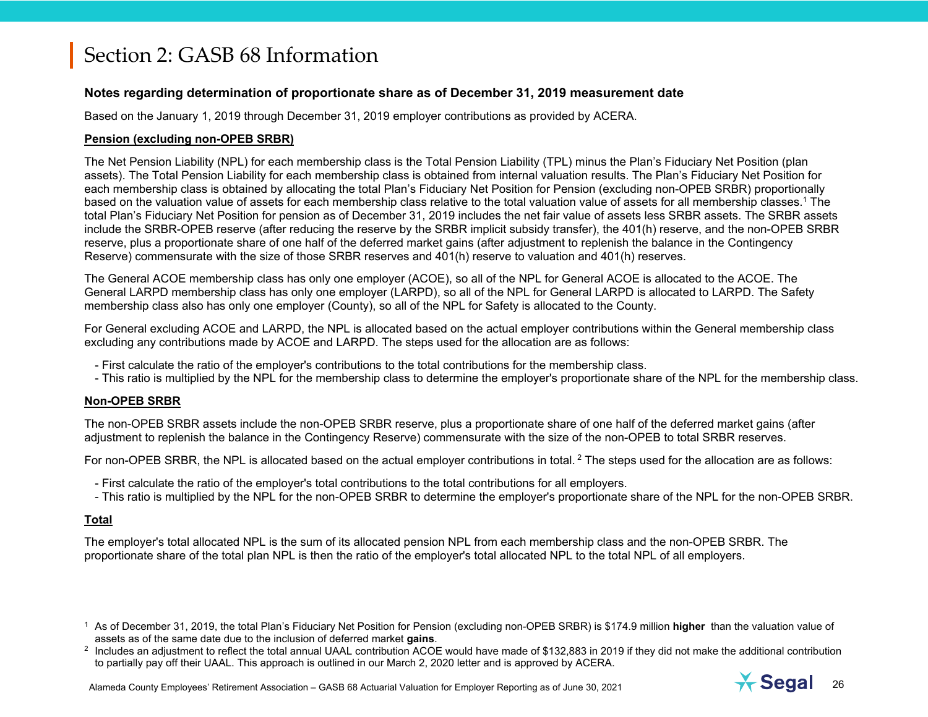#### **Notes regarding determination of proportionate share as of December 31, 2019 measurement date**

Based on the January 1, 2019 through December 31, 2019 employer contributions as provided by ACERA.

#### **Pension (excluding non-OPEB SRBR)**

The Net Pension Liability (NPL) for each membership class is the Total Pension Liability (TPL) minus the Plan's Fiduciary Net Position (plan assets). The Total Pension Liability for each membership class is obtained from internal valuation results. The Plan's Fiduciary Net Position for each membership class is obtained by allocating the total Plan's Fiduciary Net Position for Pension (excluding non-OPEB SRBR) proportionally based on the valuation value of assets for each membership class relative to the total valuation value of assets for all membership classes.1 The total Plan's Fiduciary Net Position for pension as of December 31, 2019 includes the net fair value of assets less SRBR assets. The SRBR assets include the SRBR-OPEB reserve (after reducing the reserve by the SRBR implicit subsidy transfer), the 401(h) reserve, and the non-OPEB SRBR reserve, plus a proportionate share of one half of the deferred market gains (after adjustment to replenish the balance in the Contingency Reserve) commensurate with the size of those SRBR reserves and 401(h) reserve to valuation and 401(h) reserves.

The General ACOE membership class has only one employer (ACOE), so all of the NPL for General ACOE is allocated to the ACOE. The General LARPD membership class has only one employer (LARPD), so all of the NPL for General LARPD is allocated to LARPD. The Safety membership class also has only one employer (County), so all of the NPL for Safety is allocated to the County.

For General excluding ACOE and LARPD, the NPL is allocated based on the actual employer contributions within the General membership class excluding any contributions made by ACOE and LARPD. The steps used for the allocation are as follows:

- First calculate the ratio of the employer's contributions to the total contributions for the membership class.
- This ratio is multiplied by the NPL for the membership class to determine the employer's proportionate share of the NPL for the membership class.

#### **Non-OPEB SRBR**

The non-OPEB SRBR assets include the non-OPEB SRBR reserve, plus a proportionate share of one half of the deferred market gains (after adjustment to replenish the balance in the Contingency Reserve) commensurate with the size of the non-OPEB to total SRBR reserves.

For non-OPEB SRBR, the NPL is allocated based on the actual employer contributions in total. <sup>2</sup> The steps used for the allocation are as follows:

- First calculate the ratio of the employer's total contributions to the total contributions for all employers.
- This ratio is multiplied by the NPL for the non-OPEB SRBR to determine the employer's proportionate share of the NPL for the non-OPEB SRBR.

#### **Total**

The employer's total allocated NPL is the sum of its allocated pension NPL from each membership class and the non-OPEB SRBR. The proportionate share of the total plan NPL is then the ratio of the employer's total allocated NPL to the total NPL of all employers.

1 As of December 31, 2019, the total Plan's Fiduciary Net Position for Pension (excluding non-OPEB SRBR) is \$174.9 million **higher** than the valuation value of assets as of the same date due to the inclusion of deferred market **gains**.

 $2$  Includes an adjustment to reflect the total annual UAAL contribution ACOE would have made of \$132,883 in 2019 if they did not make the additional contribution to partially pay off their UAAL. This approach is outlined in our March 2, 2020 letter and is approved by ACERA.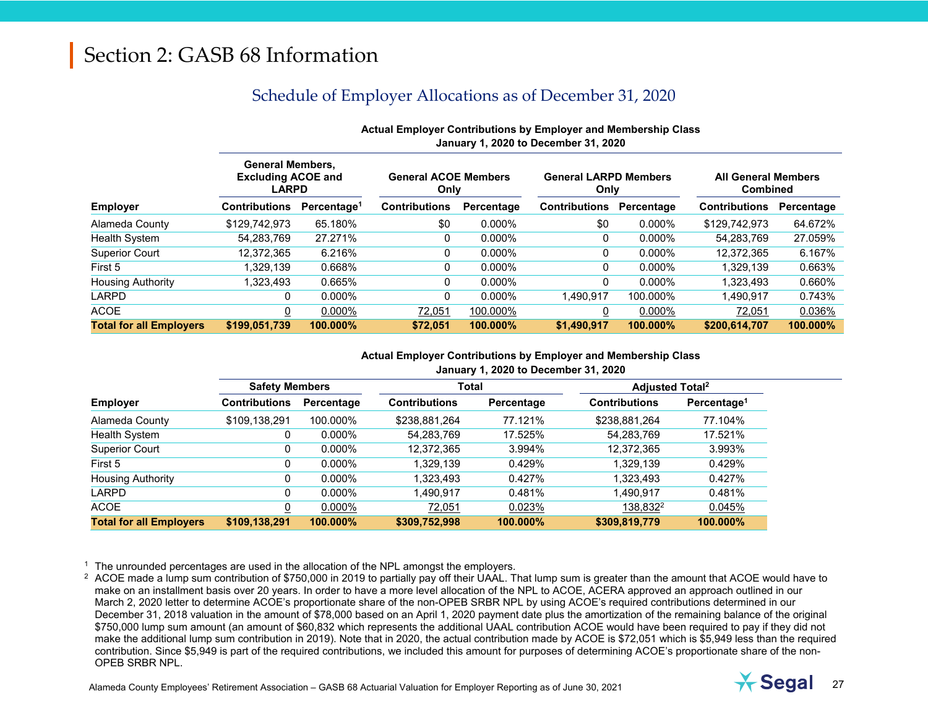### Schedule of Employer Allocations as of December 31, 2020

|                                |                                                                      | January 1, 2020 to December 31, 2020 |                                     |            |                                      |            |                                               |            |  |  |  |
|--------------------------------|----------------------------------------------------------------------|--------------------------------------|-------------------------------------|------------|--------------------------------------|------------|-----------------------------------------------|------------|--|--|--|
|                                | <b>General Members,</b><br><b>Excluding ACOE and</b><br><b>LARPD</b> |                                      | <b>General ACOE Members</b><br>Only |            | <b>General LARPD Members</b><br>Only |            | <b>All General Members</b><br><b>Combined</b> |            |  |  |  |
| <b>Employer</b>                | <b>Contributions</b>                                                 | Percentage <sup>1</sup>              | <b>Contributions</b>                | Percentage | <b>Contributions</b>                 | Percentage | <b>Contributions</b>                          | Percentage |  |  |  |
| Alameda County                 | \$129,742,973                                                        | 65.180%                              | \$0                                 | $0.000\%$  | \$0                                  | $0.000\%$  | \$129,742,973                                 | 64.672%    |  |  |  |
| <b>Health System</b>           | 54,283,769                                                           | 27.271%                              | 0                                   | $0.000\%$  | 0                                    | $0.000\%$  | 54,283,769                                    | 27.059%    |  |  |  |
| <b>Superior Court</b>          | 12.372.365                                                           | 6.216%                               | 0                                   | $0.000\%$  | 0                                    | $0.000\%$  | 12.372.365                                    | 6.167%     |  |  |  |
| First 5                        | 1.329.139                                                            | 0.668%                               | 0                                   | 0.000%     | 0                                    | $0.000\%$  | 1,329,139                                     | 0.663%     |  |  |  |
| <b>Housing Authority</b>       | 1,323,493                                                            | 0.665%                               | 0                                   | $0.000\%$  | 0                                    | $0.000\%$  | 1.323.493                                     | 0.660%     |  |  |  |
| LARPD                          | 0                                                                    | $0.000\%$                            | 0                                   | $0.000\%$  | 1.490.917                            | 100.000%   | 1.490.917                                     | 0.743%     |  |  |  |
| <b>ACOE</b>                    | 0                                                                    | $0.000\%$                            | 72,051                              | 100.000%   | 0                                    | $0.000\%$  | 72,051                                        | 0.036%     |  |  |  |
| <b>Total for all Employers</b> | \$199,051,739                                                        | 100.000%                             | \$72,051                            | 100.000%   | \$1,490,917                          | 100.000%   | \$200,614,707                                 | 100.000%   |  |  |  |

### **Actual Employer Contributions by Employer and Membership Class**

#### **Actual Employer Contributions by Employer and Membership Class January 1, 2020 to December 31, 2020**

| <b>Safety Members</b> |            |                      |            | <b>Adjusted Total<sup>2</sup></b> |                         |
|-----------------------|------------|----------------------|------------|-----------------------------------|-------------------------|
| <b>Contributions</b>  | Percentage | <b>Contributions</b> | Percentage | <b>Contributions</b>              | Percentage <sup>1</sup> |
| \$109,138,291         | 100.000%   | \$238,881,264        | 77.121%    | \$238,881,264                     | 77.104%                 |
| 0                     | $0.000\%$  | 54,283,769           | 17.525%    | 54,283,769                        | 17.521%                 |
| 0                     | $0.000\%$  | 12.372.365           | 3.994%     | 12,372,365                        | 3.993%                  |
| 0                     | $0.000\%$  | 1,329,139            | 0.429%     | 1,329,139                         | 0.429%                  |
| 0                     | $0.000\%$  | 1,323,493            | 0.427%     | 1,323,493                         | 0.427%                  |
| 0                     | $0.000\%$  | 1,490,917            | 0.481%     | 1.490.917                         | 0.481%                  |
| 0                     | $0.000\%$  | 72,051               | 0.023%     | 138,832 <sup>2</sup>              | 0.045%                  |
| \$109,138,291         | 100.000%   | \$309,752,998        | 100.000%   | \$309,819,779                     | 100.000%                |
|                       |            |                      |            | Total                             |                         |

 $<sup>1</sup>$  The unrounded percentages are used in the allocation of the NPL amongst the employers.</sup>

<sup>2</sup> ACOE made a lump sum contribution of \$750,000 in 2019 to partially pay off their UAAL. That lump sum is greater than the amount that ACOE would have to make on an installment basis over 20 years. In order to have a more level allocation of the NPL to ACOE, ACERA approved an approach outlined in our March 2, 2020 letter to determine ACOE's proportionate share of the non-OPEB SRBR NPL by using ACOE's required contributions determined in our December 31, 2018 valuation in the amount of \$78,000 based on an April 1, 2020 payment date plus the amortization of the remaining balance of the original \$750,000 lump sum amount (an amount of \$60,832 which represents the additional UAAL contribution ACOE would have been required to pay if they did not make the additional lump sum contribution in 2019). Note that in 2020, the actual contribution made by ACOE is \$72,051 which is \$5,949 less than the required contribution. Since \$5,949 is part of the required contributions, we included this amount for purposes of determining ACOE's proportionate share of the non-OPEB SRBR NPL.

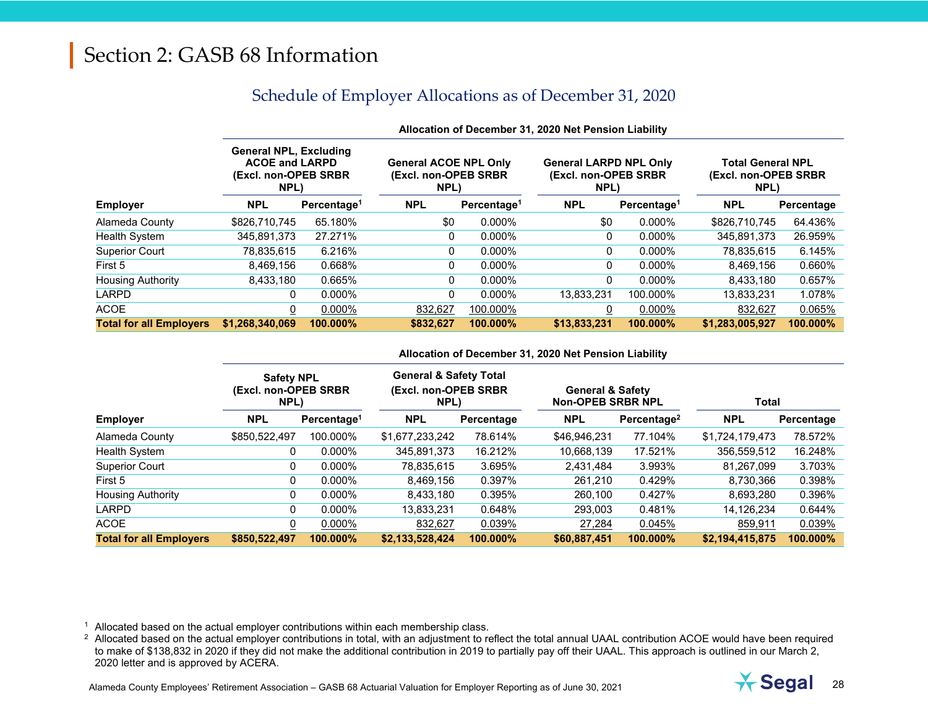### Schedule of Employer Allocations as of December 31, 2020

|                                | Allocation of December 31, 2020 Net Pension Liability                                   |                         |                                                               |                         |                                                                |                         |                                                           |            |  |
|--------------------------------|-----------------------------------------------------------------------------------------|-------------------------|---------------------------------------------------------------|-------------------------|----------------------------------------------------------------|-------------------------|-----------------------------------------------------------|------------|--|
|                                | <b>General NPL, Excluding</b><br><b>ACOE and LARPD</b><br>(Excl. non-OPEB SRBR)<br>NPL) |                         | <b>General ACOE NPL Only</b><br>(Excl. non-OPEB SRBR)<br>NPL) |                         | <b>General LARPD NPL Only</b><br>(Excl. non-OPEB SRBR)<br>NPL) |                         | <b>Total General NPL</b><br>(Excl. non-OPEB SRBR)<br>NPL) |            |  |
| <b>Employer</b>                | <b>NPL</b>                                                                              | Percentage <sup>1</sup> | <b>NPL</b>                                                    | Percentage <sup>1</sup> | <b>NPL</b>                                                     | Percentage <sup>1</sup> | <b>NPL</b>                                                | Percentage |  |
| Alameda County                 | \$826,710,745                                                                           | 65.180%                 | \$0                                                           | $0.000\%$               | \$0                                                            | 0.000%                  | \$826,710,745                                             | 64.436%    |  |
| <b>Health System</b>           | 345,891,373                                                                             | 27.271%                 | 0                                                             | $0.000\%$               | 0                                                              | 0.000%                  | 345.891.373                                               | 26.959%    |  |
| <b>Superior Court</b>          | 78.835.615                                                                              | 6.216%                  | 0                                                             | $0.000\%$               | 0                                                              | 0.000%                  | 78,835,615                                                | 6.145%     |  |
| First 5                        | 8,469,156                                                                               | 0.668%                  | 0                                                             | $0.000\%$               | 0                                                              | 0.000%                  | 8,469,156                                                 | 0.660%     |  |
| <b>Housing Authority</b>       | 8.433.180                                                                               | 0.665%                  | 0                                                             | $0.000\%$               | 0                                                              | 0.000%                  | 8,433,180                                                 | 0.657%     |  |
| <b>LARPD</b>                   | 0                                                                                       | $0.000\%$               | 0                                                             | $0.000\%$               | 13.833.231                                                     | 100.000%                | 13,833,231                                                | 1.078%     |  |
| <b>ACOE</b>                    | 0                                                                                       | $0.000\%$               | 832,627                                                       | 100.000%                |                                                                | 0.000%                  | 832,627                                                   | 0.065%     |  |
| <b>Total for all Employers</b> | \$1,268,340,069                                                                         | 100.000%                | \$832,627                                                     | 100.000%                | \$13,833,231                                                   | 100.000%                | \$1,283,005,927                                           | 100.000%   |  |

#### **Allocation of December 31, 2020 Net Pension Liability**

#### **Allocation of December 31, 2020 Net Pension Liability**

|                                | <b>Safety NPL</b><br>(Excl. non-OPEB SRBR)<br>NPL) |                         | <b>General &amp; Safety Total</b><br>(Excl. non-OPEB SRBR<br>NPL) |            |              | <b>General &amp; Safety</b><br><b>Non-OPEB SRBR NPL</b> |                 | <b>Total</b> |  |
|--------------------------------|----------------------------------------------------|-------------------------|-------------------------------------------------------------------|------------|--------------|---------------------------------------------------------|-----------------|--------------|--|
| <b>Employer</b>                | <b>NPL</b>                                         | Percentage <sup>1</sup> | <b>NPL</b>                                                        | Percentage | <b>NPL</b>   | Percentage <sup>2</sup>                                 | <b>NPL</b>      | Percentage   |  |
| Alameda County                 | \$850,522,497                                      | 100.000%                | \$1,677,233,242                                                   | 78.614%    | \$46,946,231 | 77.104%                                                 | \$1,724,179,473 | 78.572%      |  |
| Health System                  |                                                    | $0.000\%$               | 345.891.373                                                       | 16.212%    | 10,668,139   | 17.521%                                                 | 356,559,512     | 16.248%      |  |
| <b>Superior Court</b>          |                                                    | $0.000\%$               | 78,835,615                                                        | 3.695%     | 2,431,484    | 3.993%                                                  | 81.267.099      | 3.703%       |  |
| First 5                        |                                                    | $0.000\%$               | 8,469,156                                                         | 0.397%     | 261,210      | 0.429%                                                  | 8,730,366       | 0.398%       |  |
| <b>Housing Authority</b>       |                                                    | $0.000\%$               | 8.433.180                                                         | 0.395%     | 260.100      | 0.427%                                                  | 8,693,280       | 0.396%       |  |
| LARPD                          |                                                    | $0.000\%$               | 13,833,231                                                        | 0.648%     | 293,003      | 0.481%                                                  | 14,126,234      | 0.644%       |  |
| <b>ACOE</b>                    |                                                    | $0.000\%$               | 832,627                                                           | 0.039%     | 27,284       | 0.045%                                                  | 859,911         | 0.039%       |  |
| <b>Total for all Employers</b> | \$850,522,497                                      | 100.000%                | \$2,133,528,424                                                   | 100.000%   | \$60,887,451 | 100.000%                                                | \$2,194,415,875 | 100.000%     |  |

 $1$  Allocated based on the actual employer contributions within each membership class.

<sup>2</sup> Allocated based on the actual employer contributions in total, with an adjustment to reflect the total annual UAAL contribution ACOE would have been required to make of \$138,832 in 2020 if they did not make the additional contribution in 2019 to partially pay off their UAAL. This approach is outlined in our March 2, 2020 letter and is approved by ACERA.

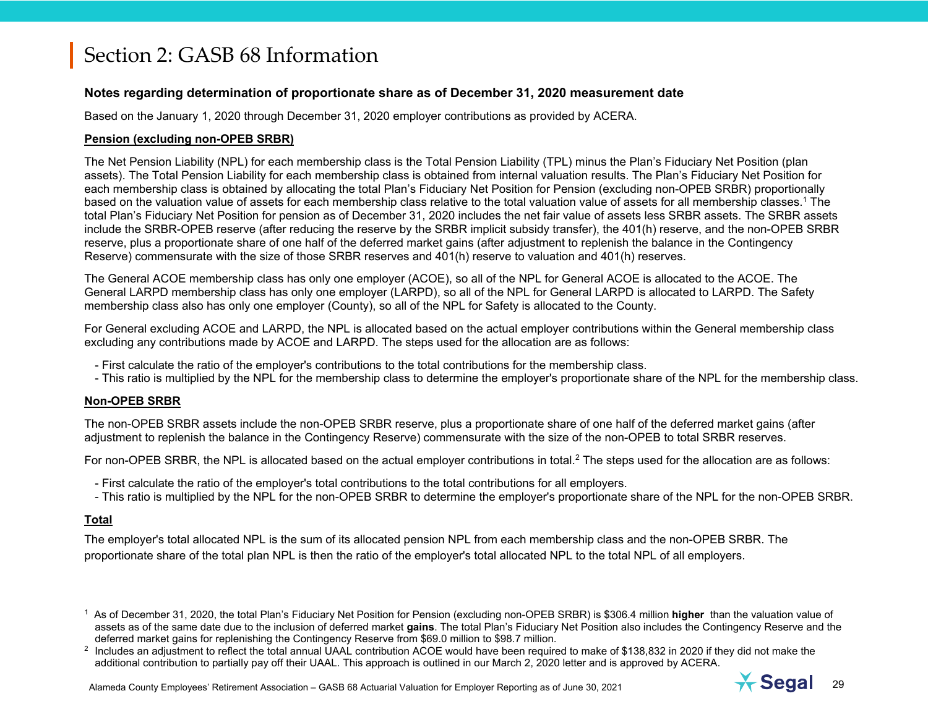#### **Notes regarding determination of proportionate share as of December 31, 2020 measurement date**

Based on the January 1, 2020 through December 31, 2020 employer contributions as provided by ACERA.

#### **Pension (excluding non-OPEB SRBR)**

The Net Pension Liability (NPL) for each membership class is the Total Pension Liability (TPL) minus the Plan's Fiduciary Net Position (plan assets). The Total Pension Liability for each membership class is obtained from internal valuation results. The Plan's Fiduciary Net Position for each membership class is obtained by allocating the total Plan's Fiduciary Net Position for Pension (excluding non-OPEB SRBR) proportionally based on the valuation value of assets for each membership class relative to the total valuation value of assets for all membership classes.1 The total Plan's Fiduciary Net Position for pension as of December 31, 2020 includes the net fair value of assets less SRBR assets. The SRBR assets include the SRBR-OPEB reserve (after reducing the reserve by the SRBR implicit subsidy transfer), the 401(h) reserve, and the non-OPEB SRBR reserve, plus a proportionate share of one half of the deferred market gains (after adjustment to replenish the balance in the Contingency Reserve) commensurate with the size of those SRBR reserves and 401(h) reserve to valuation and 401(h) reserves.

The General ACOE membership class has only one employer (ACOE), so all of the NPL for General ACOE is allocated to the ACOE. The General LARPD membership class has only one employer (LARPD), so all of the NPL for General LARPD is allocated to LARPD. The Safety membership class also has only one employer (County), so all of the NPL for Safety is allocated to the County.

For General excluding ACOE and LARPD, the NPL is allocated based on the actual employer contributions within the General membership class excluding any contributions made by ACOE and LARPD. The steps used for the allocation are as follows:

- First calculate the ratio of the employer's contributions to the total contributions for the membership class.
- This ratio is multiplied by the NPL for the membership class to determine the employer's proportionate share of the NPL for the membership class.

#### **Non-OPEB SRBR**

The non-OPEB SRBR assets include the non-OPEB SRBR reserve, plus a proportionate share of one half of the deferred market gains (after adjustment to replenish the balance in the Contingency Reserve) commensurate with the size of the non-OPEB to total SRBR reserves.

For non-OPEB SRBR, the NPL is allocated based on the actual employer contributions in total.<sup>2</sup> The steps used for the allocation are as follows:

- First calculate the ratio of the employer's total contributions to the total contributions for all employers.
- This ratio is multiplied by the NPL for the non-OPEB SRBR to determine the employer's proportionate share of the NPL for the non-OPEB SRBR.

#### **Total**

The employer's total allocated NPL is the sum of its allocated pension NPL from each membership class and the non-OPEB SRBR. The proportionate share of the total plan NPL is then the ratio of the employer's total allocated NPL to the total NPL of all employers.

1 As of December 31, 2020, the total Plan's Fiduciary Net Position for Pension (excluding non-OPEB SRBR) is \$306.4 million **higher** than the valuation value of assets as of the same date due to the inclusion of deferred market **gains**. The total Plan's Fiduciary Net Position also includes the Contingency Reserve and the deferred market gains for replenishing the Contingency Reserve from \$69.0 million to \$98.7 million.

 $2$  Includes an adjustment to reflect the total annual UAAL contribution ACOE would have been required to make of \$138,832 in 2020 if they did not make the additional contribution to partially pay off their UAAL. This approach is outlined in our March 2, 2020 letter and is approved by ACERA.

Alameda County Employees' Retirement Association – GASB 68 Actuarial Valuation for Employer Reporting as of June 30, 2021 29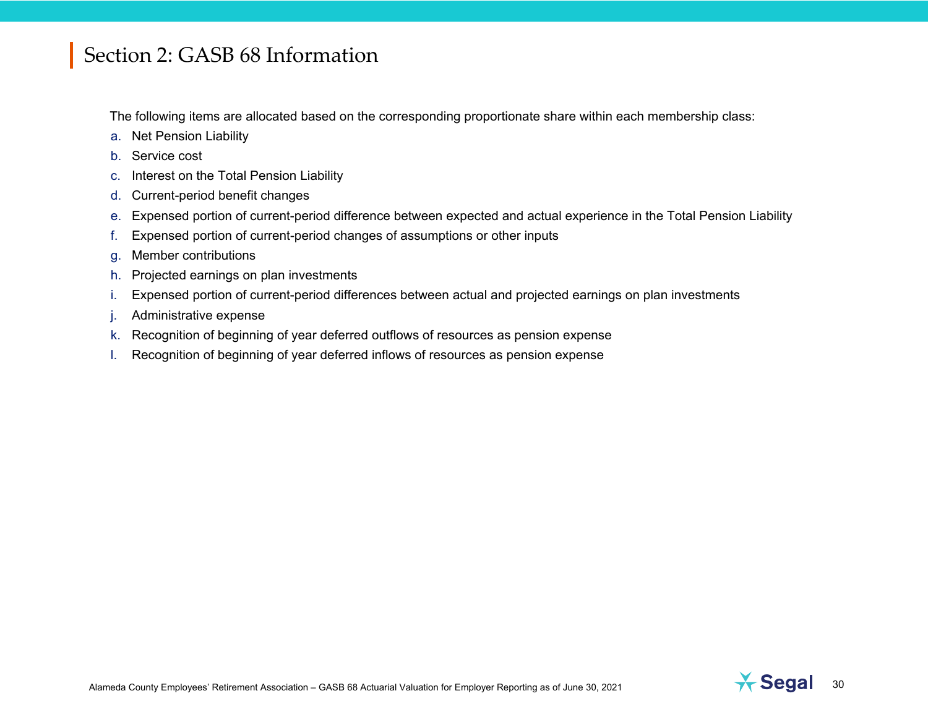The following items are allocated based on the corresponding proportionate share within each membership class:

- a. Net Pension Liability
- b. Service cost
- c. Interest on the Total Pension Liability
- d. Current-period benefit changes
- e. Expensed portion of current-period difference between expected and actual experience in the Total Pension Liability
- f. Expensed portion of current-period changes of assumptions or other inputs
- g. Member contributions
- h. Projected earnings on plan investments
- i. Expensed portion of current-period differences between actual and projected earnings on plan investments
- Administrative expense
- k. Recognition of beginning of year deferred outflows of resources as pension expense
- l. Recognition of beginning of year deferred inflows of resources as pension expense

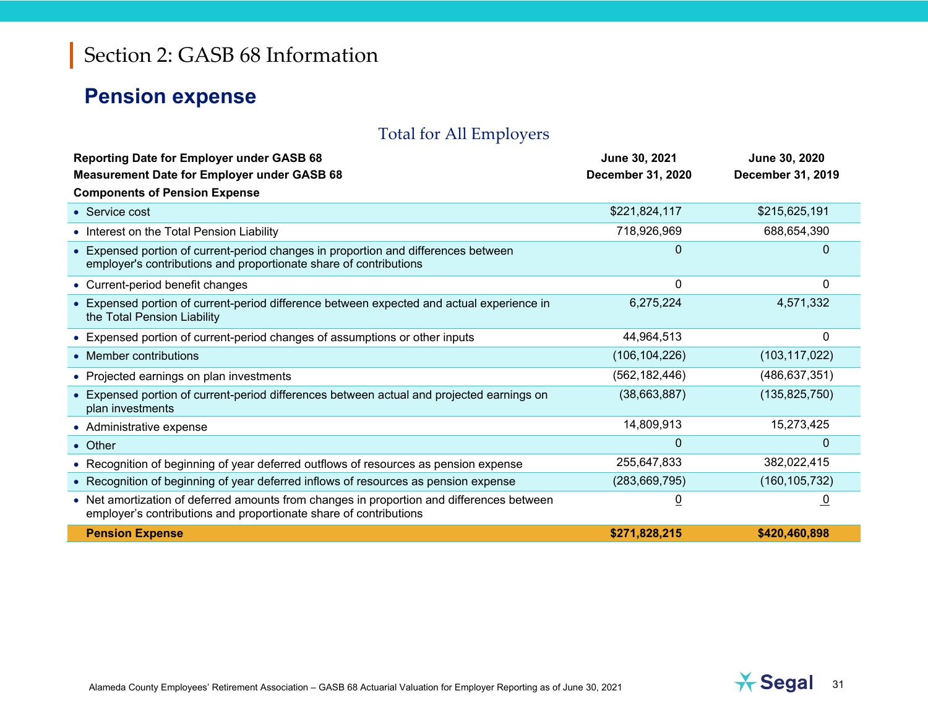### **Pension expense**

### Total for All Employers

| <b>Reporting Date for Employer under GASB 68</b><br><b>Measurement Date for Employer under GASB 68</b>                                                         | June 30, 2021<br>December 31, 2020 | June 30, 2020<br>December 31, 2019 |
|----------------------------------------------------------------------------------------------------------------------------------------------------------------|------------------------------------|------------------------------------|
| <b>Components of Pension Expense</b>                                                                                                                           |                                    |                                    |
| • Service cost                                                                                                                                                 | \$221,824,117                      | \$215,625,191                      |
| • Interest on the Total Pension Liability                                                                                                                      | 718,926,969                        | 688,654,390                        |
| • Expensed portion of current-period changes in proportion and differences between<br>employer's contributions and proportionate share of contributions        | $\Omega$                           | $\Omega$                           |
| • Current-period benefit changes                                                                                                                               | 0                                  | 0                                  |
| • Expensed portion of current-period difference between expected and actual experience in<br>the Total Pension Liability                                       | 6,275,224                          | 4,571,332                          |
| • Expensed portion of current-period changes of assumptions or other inputs                                                                                    | 44,964,513                         | 0                                  |
| • Member contributions                                                                                                                                         | (106, 104, 226)                    | (103, 117, 022)                    |
| • Projected earnings on plan investments                                                                                                                       | (562, 182, 446)                    | (486, 637, 351)                    |
| • Expensed portion of current-period differences between actual and projected earnings on<br>plan investments                                                  | (38,663,887)                       | (135, 825, 750)                    |
| • Administrative expense                                                                                                                                       | 14,809,913                         | 15,273,425                         |
| • Other                                                                                                                                                        | $\Omega$                           | $\Omega$                           |
| • Recognition of beginning of year deferred outflows of resources as pension expense                                                                           | 255,647,833                        | 382,022,415                        |
| • Recognition of beginning of year deferred inflows of resources as pension expense                                                                            | (283, 669, 795)                    | (160, 105, 732)                    |
| • Net amortization of deferred amounts from changes in proportion and differences between<br>employer's contributions and proportionate share of contributions | $\underline{0}$                    | $\overline{0}$                     |
| <b>Pension Expense</b>                                                                                                                                         | \$271,828,215                      | \$420,460,898                      |

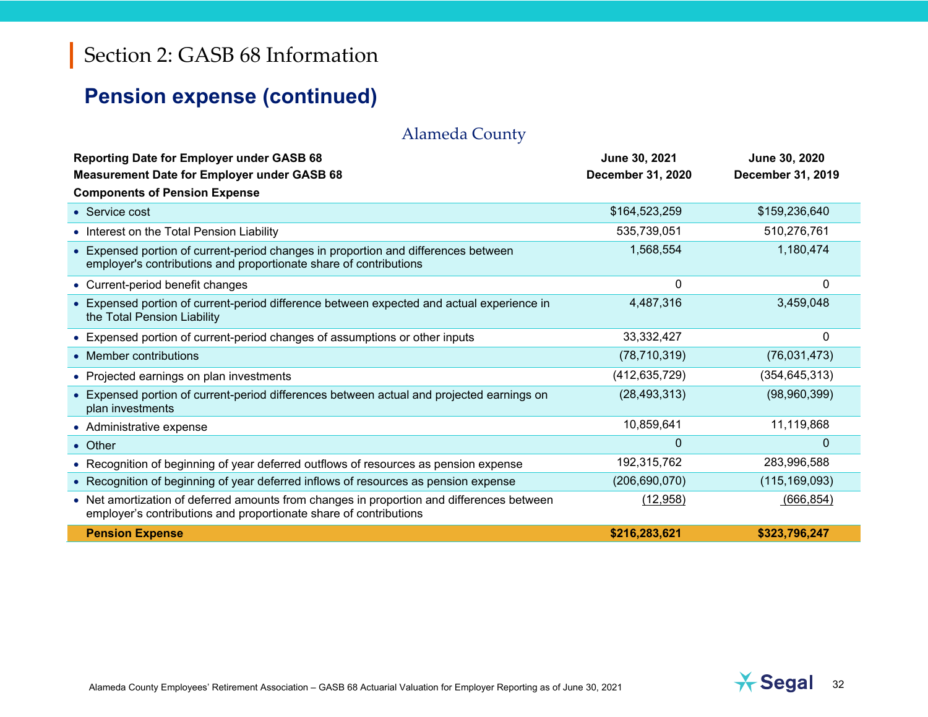## **Pension expense (continued)**

### Alameda County

| <b>Reporting Date for Employer under GASB 68</b><br><b>Measurement Date for Employer under GASB 68</b>                                                         | June 30, 2021<br>December 31, 2020 | June 30, 2020<br>December 31, 2019 |
|----------------------------------------------------------------------------------------------------------------------------------------------------------------|------------------------------------|------------------------------------|
| <b>Components of Pension Expense</b>                                                                                                                           |                                    |                                    |
| • Service cost                                                                                                                                                 | \$164,523,259                      | \$159,236,640                      |
| • Interest on the Total Pension Liability                                                                                                                      | 535,739,051                        | 510,276,761                        |
| • Expensed portion of current-period changes in proportion and differences between<br>employer's contributions and proportionate share of contributions        | 1,568,554                          | 1,180,474                          |
| • Current-period benefit changes                                                                                                                               | 0                                  | 0                                  |
| • Expensed portion of current-period difference between expected and actual experience in<br>the Total Pension Liability                                       | 4,487,316                          | 3,459,048                          |
| • Expensed portion of current-period changes of assumptions or other inputs                                                                                    | 33, 332, 427                       | 0                                  |
| • Member contributions                                                                                                                                         | (78, 710, 319)                     | (76,031,473)                       |
| • Projected earnings on plan investments                                                                                                                       | (412, 635, 729)                    | (354, 645, 313)                    |
| • Expensed portion of current-period differences between actual and projected earnings on<br>plan investments                                                  | (28, 493, 313)                     | (98,960,399)                       |
| • Administrative expense                                                                                                                                       | 10,859,641                         | 11,119,868                         |
| • Other                                                                                                                                                        | 0                                  | $\Omega$                           |
| • Recognition of beginning of year deferred outflows of resources as pension expense                                                                           | 192,315,762                        | 283,996,588                        |
| • Recognition of beginning of year deferred inflows of resources as pension expense                                                                            | (206, 690, 070)                    | (115, 169, 093)                    |
| • Net amortization of deferred amounts from changes in proportion and differences between<br>employer's contributions and proportionate share of contributions | (12,958)                           | (666, 854)                         |
| <b>Pension Expense</b>                                                                                                                                         | \$216,283,621                      | \$323,796,247                      |

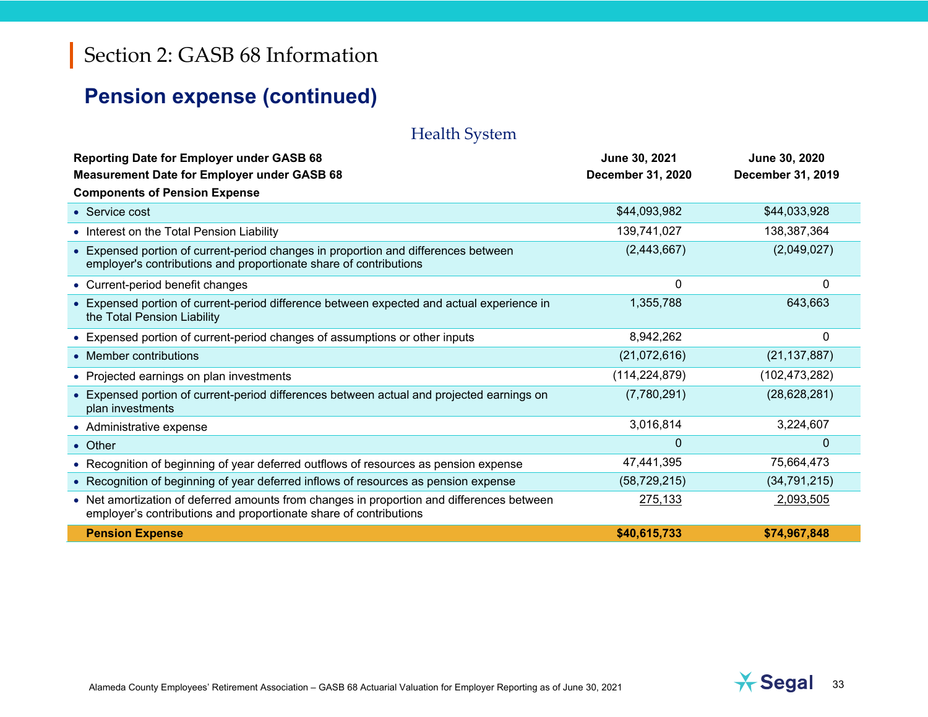## **Pension expense (continued)**

### Health System

| <b>Reporting Date for Employer under GASB 68</b><br><b>Measurement Date for Employer under GASB 68</b>                                                         | June 30, 2021<br>December 31, 2020 | June 30, 2020<br>December 31, 2019 |
|----------------------------------------------------------------------------------------------------------------------------------------------------------------|------------------------------------|------------------------------------|
| <b>Components of Pension Expense</b>                                                                                                                           |                                    |                                    |
| • Service cost                                                                                                                                                 | \$44,093,982                       | \$44,033,928                       |
| • Interest on the Total Pension Liability                                                                                                                      | 139,741,027                        | 138,387,364                        |
| • Expensed portion of current-period changes in proportion and differences between<br>employer's contributions and proportionate share of contributions        | (2,443,667)                        | (2,049,027)                        |
| • Current-period benefit changes                                                                                                                               | 0                                  | 0                                  |
| • Expensed portion of current-period difference between expected and actual experience in<br>the Total Pension Liability                                       | 1,355,788                          | 643,663                            |
| • Expensed portion of current-period changes of assumptions or other inputs                                                                                    | 8,942,262                          | 0                                  |
| • Member contributions                                                                                                                                         | (21,072,616)                       | (21, 137, 887)                     |
| • Projected earnings on plan investments                                                                                                                       | (114, 224, 879)                    | (102, 473, 282)                    |
| • Expensed portion of current-period differences between actual and projected earnings on<br>plan investments                                                  | (7,780,291)                        | (28, 628, 281)                     |
| • Administrative expense                                                                                                                                       | 3,016,814                          | 3,224,607                          |
| • Other                                                                                                                                                        | $\Omega$                           | $\Omega$                           |
| • Recognition of beginning of year deferred outflows of resources as pension expense                                                                           | 47,441,395                         | 75,664,473                         |
| • Recognition of beginning of year deferred inflows of resources as pension expense                                                                            | (58, 729, 215)                     | (34, 791, 215)                     |
| • Net amortization of deferred amounts from changes in proportion and differences between<br>employer's contributions and proportionate share of contributions | 275,133                            | 2,093,505                          |
| <b>Pension Expense</b>                                                                                                                                         | \$40,615,733                       | \$74.967.848                       |

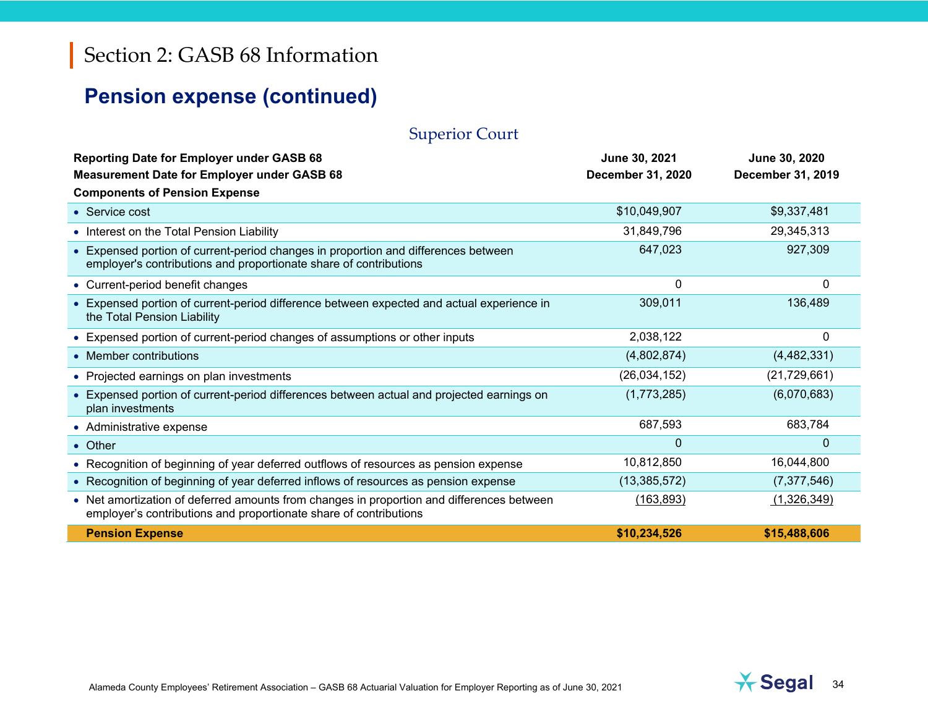## **Pension expense (continued)**

### Superior Court

| <b>Reporting Date for Employer under GASB 68</b><br><b>Measurement Date for Employer under GASB 68</b>                                                         | June 30, 2021<br>December 31, 2020 | June 30, 2020<br><b>December 31, 2019</b> |
|----------------------------------------------------------------------------------------------------------------------------------------------------------------|------------------------------------|-------------------------------------------|
| <b>Components of Pension Expense</b>                                                                                                                           |                                    |                                           |
| • Service cost                                                                                                                                                 | \$10,049,907                       | \$9,337,481                               |
| • Interest on the Total Pension Liability                                                                                                                      | 31,849,796                         | 29,345,313                                |
| • Expensed portion of current-period changes in proportion and differences between<br>employer's contributions and proportionate share of contributions        | 647,023                            | 927,309                                   |
| • Current-period benefit changes                                                                                                                               | 0                                  | 0                                         |
| • Expensed portion of current-period difference between expected and actual experience in<br>the Total Pension Liability                                       | 309,011                            | 136,489                                   |
| • Expensed portion of current-period changes of assumptions or other inputs                                                                                    | 2,038,122                          | 0                                         |
| • Member contributions                                                                                                                                         | (4,802,874)                        | (4,482,331)                               |
| • Projected earnings on plan investments                                                                                                                       | (26,034,152)                       | (21, 729, 661)                            |
| • Expensed portion of current-period differences between actual and projected earnings on<br>plan investments                                                  | (1,773,285)                        | (6,070,683)                               |
| • Administrative expense                                                                                                                                       | 687,593                            | 683,784                                   |
| • Other                                                                                                                                                        | $\mathbf{0}$                       | $\mathbf{0}$                              |
| • Recognition of beginning of year deferred outflows of resources as pension expense                                                                           | 10,812,850                         | 16,044,800                                |
| • Recognition of beginning of year deferred inflows of resources as pension expense                                                                            | (13, 385, 572)                     | (7, 377, 546)                             |
| • Net amortization of deferred amounts from changes in proportion and differences between<br>employer's contributions and proportionate share of contributions | (163, 893)                         | (1,326,349)                               |
| <b>Pension Expense</b>                                                                                                                                         | \$10,234,526                       | \$15,488,606                              |

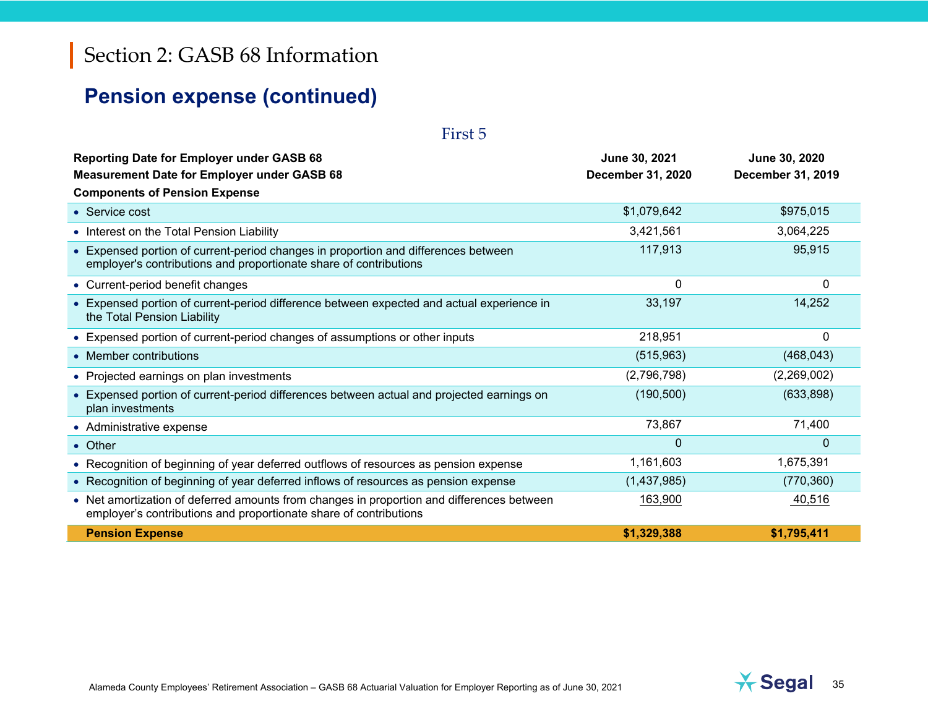## **Pension expense (continued)**

| First 5                                                                                                                                                        |                                           |                                           |
|----------------------------------------------------------------------------------------------------------------------------------------------------------------|-------------------------------------------|-------------------------------------------|
| <b>Reporting Date for Employer under GASB 68</b><br><b>Measurement Date for Employer under GASB 68</b><br><b>Components of Pension Expense</b>                 | June 30, 2021<br><b>December 31, 2020</b> | June 30, 2020<br><b>December 31, 2019</b> |
| • Service cost                                                                                                                                                 | \$1,079,642                               | \$975,015                                 |
| • Interest on the Total Pension Liability                                                                                                                      | 3,421,561                                 | 3,064,225                                 |
| • Expensed portion of current-period changes in proportion and differences between<br>employer's contributions and proportionate share of contributions        | 117,913                                   | 95,915                                    |
| • Current-period benefit changes                                                                                                                               | 0                                         | 0                                         |
| • Expensed portion of current-period difference between expected and actual experience in<br>the Total Pension Liability                                       | 33,197                                    | 14,252                                    |
| • Expensed portion of current-period changes of assumptions or other inputs                                                                                    | 218,951                                   | 0                                         |
| • Member contributions                                                                                                                                         | (515,963)                                 | (468, 043)                                |
| • Projected earnings on plan investments                                                                                                                       | (2,796,798)                               | (2,269,002)                               |
| • Expensed portion of current-period differences between actual and projected earnings on<br>plan investments                                                  | (190, 500)                                | (633, 898)                                |
| • Administrative expense                                                                                                                                       | 73,867                                    | 71,400                                    |
| • Other                                                                                                                                                        | $\Omega$                                  | $\Omega$                                  |
| • Recognition of beginning of year deferred outflows of resources as pension expense                                                                           | 1,161,603                                 | 1,675,391                                 |
| • Recognition of beginning of year deferred inflows of resources as pension expense                                                                            | (1,437,985)                               | (770, 360)                                |
| • Net amortization of deferred amounts from changes in proportion and differences between<br>employer's contributions and proportionate share of contributions | 163,900                                   | 40,516                                    |
| <b>Pension Expense</b>                                                                                                                                         | \$1,329,388                               | \$1,795,411                               |



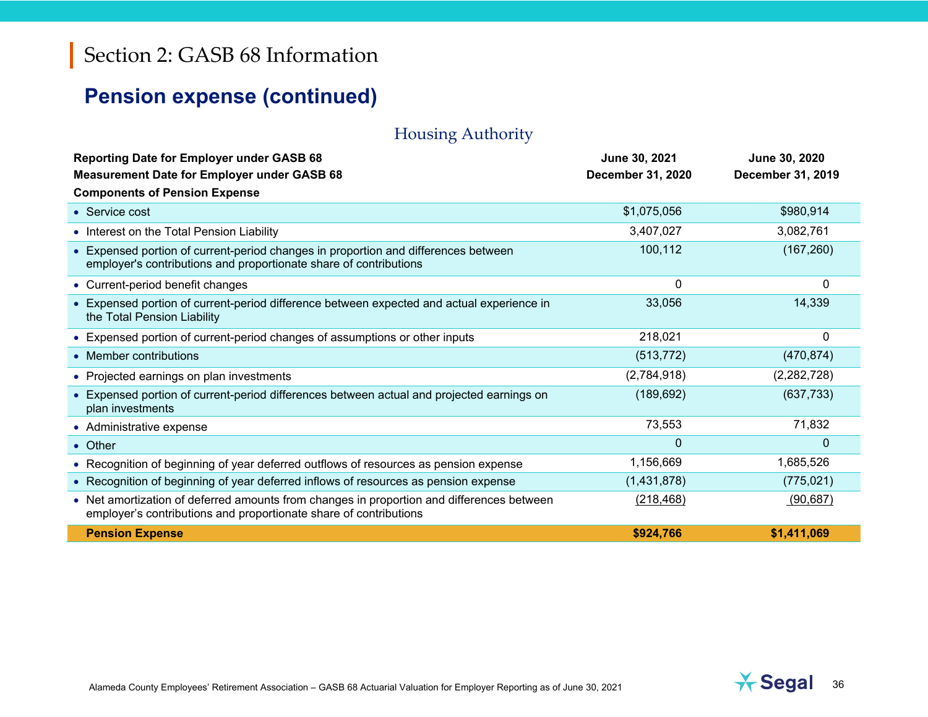## **Pension expense (continued)**

### Housing Authority

| <b>Reporting Date for Employer under GASB 68</b><br><b>Measurement Date for Employer under GASB 68</b>                                                         | June 30, 2021<br>December 31, 2020 | June 30, 2020<br><b>December 31, 2019</b> |
|----------------------------------------------------------------------------------------------------------------------------------------------------------------|------------------------------------|-------------------------------------------|
| <b>Components of Pension Expense</b>                                                                                                                           |                                    |                                           |
| • Service cost                                                                                                                                                 | \$1,075,056                        | \$980,914                                 |
| • Interest on the Total Pension Liability                                                                                                                      | 3,407,027                          | 3,082,761                                 |
| • Expensed portion of current-period changes in proportion and differences between<br>employer's contributions and proportionate share of contributions        | 100,112                            | (167, 260)                                |
| • Current-period benefit changes                                                                                                                               | 0                                  | 0                                         |
| • Expensed portion of current-period difference between expected and actual experience in<br>the Total Pension Liability                                       | 33,056                             | 14,339                                    |
| • Expensed portion of current-period changes of assumptions or other inputs                                                                                    | 218,021                            | 0                                         |
| • Member contributions                                                                                                                                         | (513, 772)                         | (470, 874)                                |
| • Projected earnings on plan investments                                                                                                                       | (2,784,918)                        | (2,282,728)                               |
| • Expensed portion of current-period differences between actual and projected earnings on<br>plan investments                                                  | (189, 692)                         | (637, 733)                                |
| • Administrative expense                                                                                                                                       | 73,553                             | 71,832                                    |
| • Other                                                                                                                                                        | $\Omega$                           | $\Omega$                                  |
| • Recognition of beginning of year deferred outflows of resources as pension expense                                                                           | 1,156,669                          | 1,685,526                                 |
| • Recognition of beginning of year deferred inflows of resources as pension expense                                                                            | (1,431,878)                        | (775, 021)                                |
| • Net amortization of deferred amounts from changes in proportion and differences between<br>employer's contributions and proportionate share of contributions | (218, 468)                         | (90, 687)                                 |
| <b>Pension Expense</b>                                                                                                                                         | \$924.766                          | \$1,411,069                               |

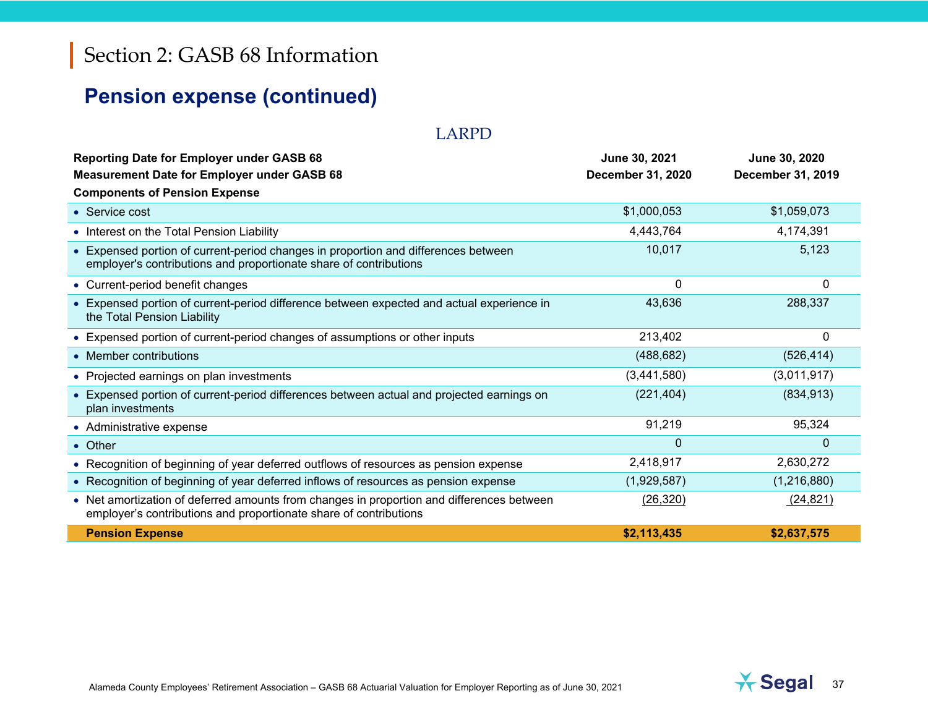# **Pension expense (continued)**

#### LARPD

| <b>Reporting Date for Employer under GASB 68</b><br><b>Measurement Date for Employer under GASB 68</b><br><b>Components of Pension Expense</b>                 | June 30, 2021<br>December 31, 2020 | June 30, 2020<br>December 31, 2019 |
|----------------------------------------------------------------------------------------------------------------------------------------------------------------|------------------------------------|------------------------------------|
| • Service cost                                                                                                                                                 | \$1,000,053                        | \$1,059,073                        |
| • Interest on the Total Pension Liability                                                                                                                      | 4,443,764                          | 4,174,391                          |
| • Expensed portion of current-period changes in proportion and differences between<br>employer's contributions and proportionate share of contributions        | 10,017                             | 5,123                              |
| • Current-period benefit changes                                                                                                                               | 0                                  | $\mathbf{0}$                       |
| • Expensed portion of current-period difference between expected and actual experience in<br>the Total Pension Liability                                       | 43,636                             | 288,337                            |
| • Expensed portion of current-period changes of assumptions or other inputs                                                                                    | 213,402                            | 0                                  |
| • Member contributions                                                                                                                                         | (488, 682)                         | (526, 414)                         |
| • Projected earnings on plan investments                                                                                                                       | (3,441,580)                        | (3,011,917)                        |
| • Expensed portion of current-period differences between actual and projected earnings on<br>plan investments                                                  | (221, 404)                         | (834, 913)                         |
| • Administrative expense                                                                                                                                       | 91,219                             | 95,324                             |
| • Other                                                                                                                                                        | $\Omega$                           | $\Omega$                           |
| • Recognition of beginning of year deferred outflows of resources as pension expense                                                                           | 2,418,917                          | 2,630,272                          |
| • Recognition of beginning of year deferred inflows of resources as pension expense                                                                            | (1,929,587)                        | (1,216,880)                        |
| • Net amortization of deferred amounts from changes in proportion and differences between<br>employer's contributions and proportionate share of contributions | (26, 320)                          | (24, 821)                          |
| <b>Pension Expense</b>                                                                                                                                         | \$2,113,435                        | \$2,637,575                        |

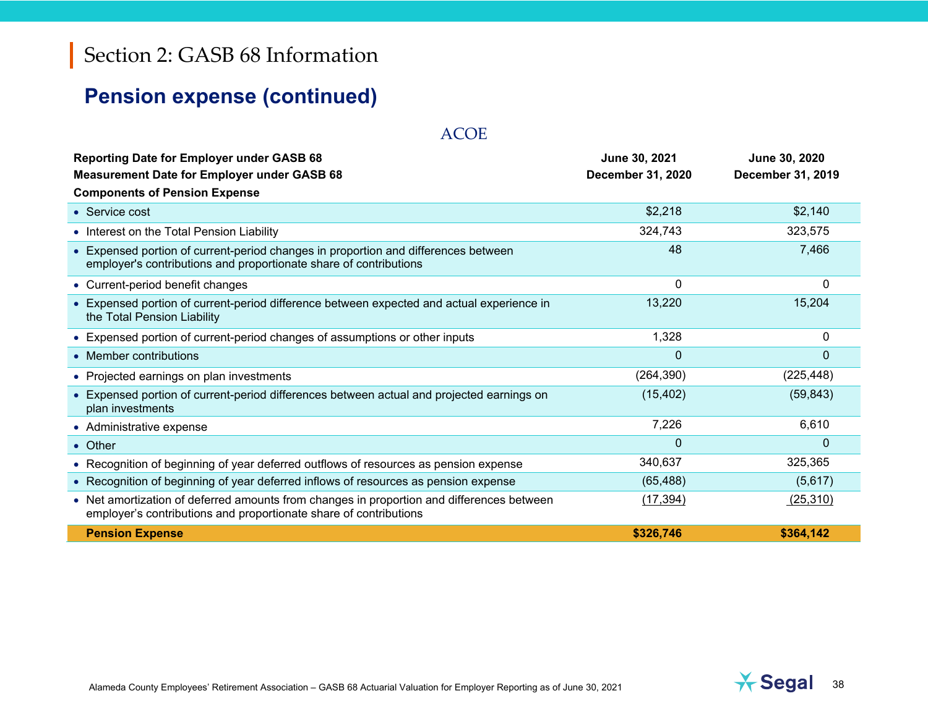# **Pension expense (continued)**

| <b>Reporting Date for Employer under GASB 68</b><br><b>Measurement Date for Employer under GASB 68</b>                                                         | June 30, 2021<br>December 31, 2020 | June 30, 2020<br>December 31, 2019 |
|----------------------------------------------------------------------------------------------------------------------------------------------------------------|------------------------------------|------------------------------------|
| <b>Components of Pension Expense</b>                                                                                                                           |                                    |                                    |
| • Service cost                                                                                                                                                 | \$2,218                            | \$2,140                            |
| • Interest on the Total Pension Liability                                                                                                                      | 324,743                            | 323,575                            |
| • Expensed portion of current-period changes in proportion and differences between<br>employer's contributions and proportionate share of contributions        | 48                                 | 7,466                              |
| • Current-period benefit changes                                                                                                                               | 0                                  | $\Omega$                           |
| • Expensed portion of current-period difference between expected and actual experience in<br>the Total Pension Liability                                       | 13,220                             | 15,204                             |
| • Expensed portion of current-period changes of assumptions or other inputs                                                                                    | 1,328                              | $\Omega$                           |
| • Member contributions                                                                                                                                         | $\mathbf{0}$                       | $\Omega$                           |
| • Projected earnings on plan investments                                                                                                                       | (264, 390)                         | (225, 448)                         |
| • Expensed portion of current-period differences between actual and projected earnings on<br>plan investments                                                  | (15, 402)                          | (59, 843)                          |
| • Administrative expense                                                                                                                                       | 7,226                              | 6,610                              |
| • Other                                                                                                                                                        | $\mathbf 0$                        | 0                                  |
| • Recognition of beginning of year deferred outflows of resources as pension expense                                                                           | 340,637                            | 325,365                            |
| • Recognition of beginning of year deferred inflows of resources as pension expense                                                                            | (65, 488)                          | (5,617)                            |
| • Net amortization of deferred amounts from changes in proportion and differences between<br>employer's contributions and proportionate share of contributions | (17, 394)                          | (25,310)                           |
| <b>Pension Expense</b>                                                                                                                                         | \$326,746                          | \$364,142                          |

ACOE

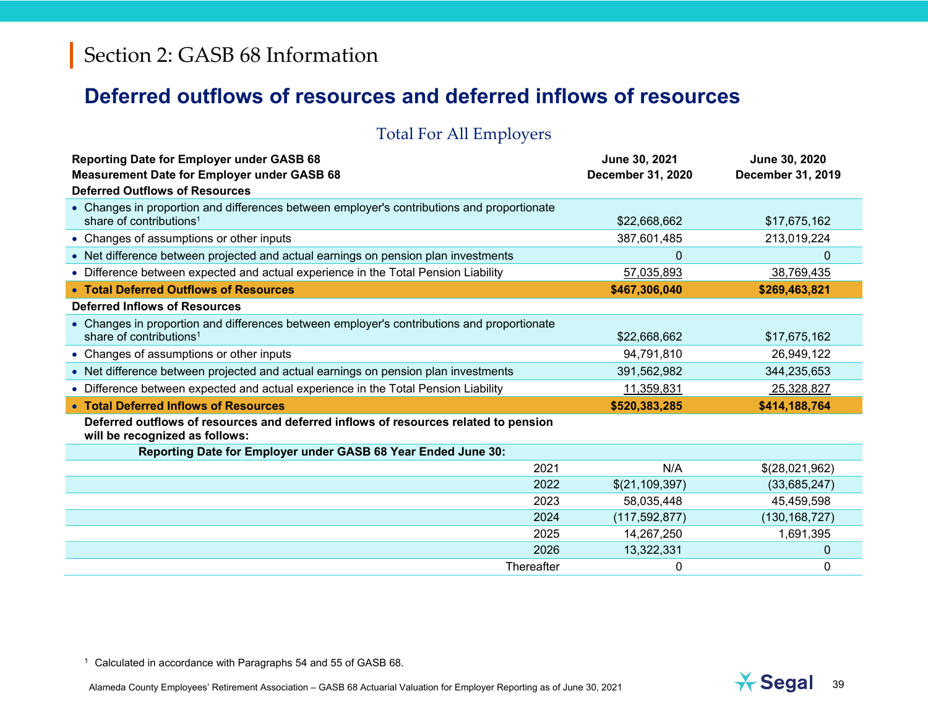## **Deferred outflows of resources and deferred inflows of resources**

#### Total For All Employers

| <b>Reporting Date for Employer under GASB 68</b><br><b>Measurement Date for Employer under GASB 68</b>                            | June 30, 2021<br>December 31, 2020 | June 30, 2020<br>December 31, 2019 |
|-----------------------------------------------------------------------------------------------------------------------------------|------------------------------------|------------------------------------|
| <b>Deferred Outflows of Resources</b>                                                                                             |                                    |                                    |
| • Changes in proportion and differences between employer's contributions and proportionate<br>share of contributions <sup>1</sup> | \$22,668,662                       | \$17,675,162                       |
| • Changes of assumptions or other inputs                                                                                          | 387,601,485                        | 213,019,224                        |
| • Net difference between projected and actual earnings on pension plan investments                                                | 0                                  | $\Omega$                           |
| • Difference between expected and actual experience in the Total Pension Liability                                                | 57,035,893                         | 38,769,435                         |
| • Total Deferred Outflows of Resources                                                                                            | \$467,306,040                      | \$269,463,821                      |
| <b>Deferred Inflows of Resources</b>                                                                                              |                                    |                                    |
| • Changes in proportion and differences between employer's contributions and proportionate<br>share of contributions <sup>1</sup> | \$22,668,662                       | \$17,675,162                       |
| • Changes of assumptions or other inputs                                                                                          | 94,791,810                         | 26,949,122                         |
| • Net difference between projected and actual earnings on pension plan investments                                                | 391,562,982                        | 344,235,653                        |
| • Difference between expected and actual experience in the Total Pension Liability                                                | 11,359,831                         | 25,328,827                         |
| • Total Deferred Inflows of Resources                                                                                             | \$520,383,285                      | \$414,188,764                      |
| Deferred outflows of resources and deferred inflows of resources related to pension<br>will be recognized as follows:             |                                    |                                    |
| Reporting Date for Employer under GASB 68 Year Ended June 30:                                                                     |                                    |                                    |
| 2021                                                                                                                              | N/A                                | \$(28,021,962)                     |
| 2022                                                                                                                              | \$(21, 109, 397)                   | (33,685,247)                       |
| 2023                                                                                                                              | 58,035,448                         | 45,459,598                         |
| 2024                                                                                                                              | (117, 592, 877)                    | (130, 168, 727)                    |
| 2025                                                                                                                              | 14,267,250                         | 1,691,395                          |
| 2026                                                                                                                              | 13,322,331                         | 0                                  |
| Thereafter                                                                                                                        | 0                                  | 0                                  |

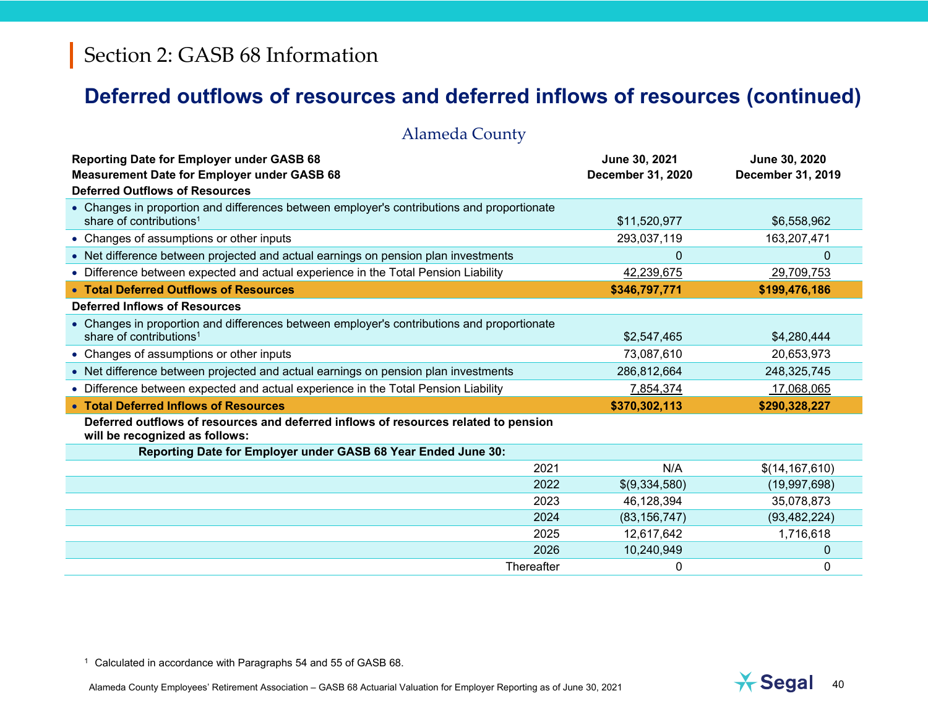# **Deferred outflows of resources and deferred inflows of resources (continued)**

| <b>Alameda County</b>                                                                                                                           |                                    |                                    |
|-------------------------------------------------------------------------------------------------------------------------------------------------|------------------------------------|------------------------------------|
| <b>Reporting Date for Employer under GASB 68</b><br><b>Measurement Date for Employer under GASB 68</b><br><b>Deferred Outflows of Resources</b> | June 30, 2021<br>December 31, 2020 | June 30, 2020<br>December 31, 2019 |
| • Changes in proportion and differences between employer's contributions and proportionate<br>share of contributions <sup>1</sup>               | \$11,520,977                       | \$6,558,962                        |
| • Changes of assumptions or other inputs                                                                                                        | 293,037,119                        | 163,207,471                        |
| • Net difference between projected and actual earnings on pension plan investments                                                              | $\mathbf{0}$                       | 0                                  |
| • Difference between expected and actual experience in the Total Pension Liability                                                              | 42,239,675                         | 29,709,753                         |
| • Total Deferred Outflows of Resources                                                                                                          | \$346,797,771                      | \$199,476,186                      |
| <b>Deferred Inflows of Resources</b>                                                                                                            |                                    |                                    |
| • Changes in proportion and differences between employer's contributions and proportionate<br>share of contributions <sup>1</sup>               | \$2,547,465                        | \$4,280,444                        |
| • Changes of assumptions or other inputs                                                                                                        | 73,087,610                         | 20,653,973                         |
| • Net difference between projected and actual earnings on pension plan investments                                                              | 286,812,664                        | 248,325,745                        |
| • Difference between expected and actual experience in the Total Pension Liability                                                              | 7,854,374                          | 17,068,065                         |
| • Total Deferred Inflows of Resources                                                                                                           | \$370,302,113                      | \$290,328,227                      |
| Deferred outflows of resources and deferred inflows of resources related to pension<br>will be recognized as follows:                           |                                    |                                    |
| Reporting Date for Employer under GASB 68 Year Ended June 30:                                                                                   |                                    |                                    |
| 2021                                                                                                                                            | N/A                                | \$(14, 167, 610)                   |
| 2022                                                                                                                                            | \$(9,334,580)                      | (19,997,698)                       |
| 2023                                                                                                                                            | 46,128,394                         | 35,078,873                         |
| 2024                                                                                                                                            | (83, 156, 747)                     | (93, 482, 224)                     |
| 2025                                                                                                                                            | 12,617,642                         | 1,716,618                          |
| 2026                                                                                                                                            | 10,240,949                         | $\mathbf 0$                        |
| Thereafter                                                                                                                                      | 0                                  | 0                                  |

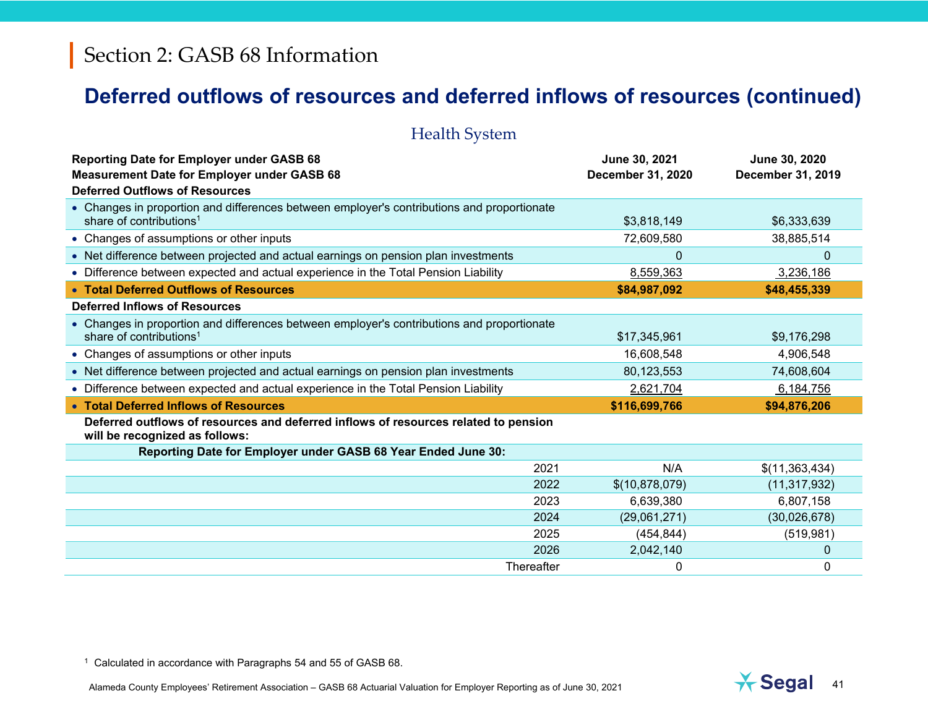# **Deferred outflows of resources and deferred inflows of resources (continued)**

| <b>Health System</b>                                                                                                                            |                                    |                                    |  |  |  |  |
|-------------------------------------------------------------------------------------------------------------------------------------------------|------------------------------------|------------------------------------|--|--|--|--|
| <b>Reporting Date for Employer under GASB 68</b><br><b>Measurement Date for Employer under GASB 68</b><br><b>Deferred Outflows of Resources</b> | June 30, 2021<br>December 31, 2020 | June 30, 2020<br>December 31, 2019 |  |  |  |  |
| • Changes in proportion and differences between employer's contributions and proportionate<br>share of contributions <sup>1</sup>               | \$3,818,149                        | \$6,333,639                        |  |  |  |  |
| • Changes of assumptions or other inputs                                                                                                        | 72,609,580                         | 38,885,514                         |  |  |  |  |
| • Net difference between projected and actual earnings on pension plan investments                                                              | $\mathbf{0}$                       | $\Omega$                           |  |  |  |  |
| • Difference between expected and actual experience in the Total Pension Liability                                                              | 8,559,363                          | 3,236,186                          |  |  |  |  |
| • Total Deferred Outflows of Resources                                                                                                          | \$84,987,092                       | \$48,455,339                       |  |  |  |  |
| Deferred Inflows of Resources                                                                                                                   |                                    |                                    |  |  |  |  |
| • Changes in proportion and differences between employer's contributions and proportionate<br>share of contributions <sup>1</sup>               | \$17,345,961                       | \$9,176,298                        |  |  |  |  |
| • Changes of assumptions or other inputs                                                                                                        | 16,608,548                         | 4,906,548                          |  |  |  |  |
| • Net difference between projected and actual earnings on pension plan investments                                                              | 80,123,553                         | 74,608,604                         |  |  |  |  |
| • Difference between expected and actual experience in the Total Pension Liability                                                              | 2,621,704                          | 6,184,756                          |  |  |  |  |
| • Total Deferred Inflows of Resources                                                                                                           | \$116,699,766                      | \$94,876,206                       |  |  |  |  |
| Deferred outflows of resources and deferred inflows of resources related to pension<br>will be recognized as follows:                           |                                    |                                    |  |  |  |  |
| Reporting Date for Employer under GASB 68 Year Ended June 30:                                                                                   |                                    |                                    |  |  |  |  |
| 2021                                                                                                                                            | N/A                                | \$(11,363,434)                     |  |  |  |  |
| 2022                                                                                                                                            | \$(10,878,079)                     | (11, 317, 932)                     |  |  |  |  |
| 2023                                                                                                                                            | 6,639,380                          | 6,807,158                          |  |  |  |  |
| 2024                                                                                                                                            | (29,061,271)                       | (30,026,678)                       |  |  |  |  |
| 2025                                                                                                                                            | (454, 844)                         | (519, 981)                         |  |  |  |  |
| 2026                                                                                                                                            | 2,042,140                          | 0                                  |  |  |  |  |
| Thereafter                                                                                                                                      | 0                                  | 0                                  |  |  |  |  |

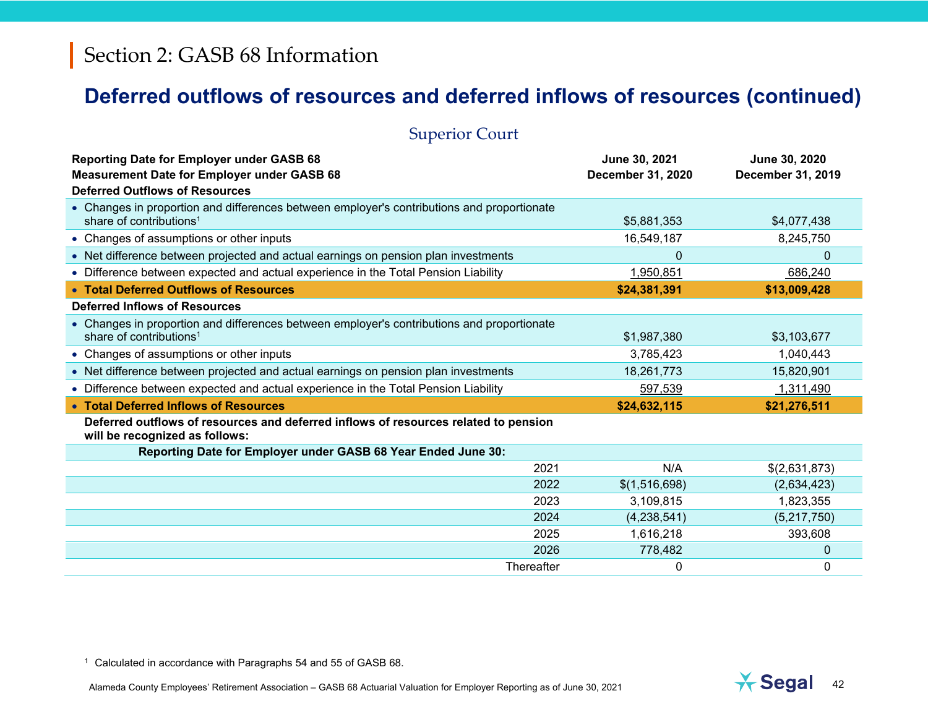# **Deferred outflows of resources and deferred inflows of resources (continued)**

| <b>Superior Court</b>                                                                                                                           |                                    |                                    |
|-------------------------------------------------------------------------------------------------------------------------------------------------|------------------------------------|------------------------------------|
| <b>Reporting Date for Employer under GASB 68</b><br><b>Measurement Date for Employer under GASB 68</b><br><b>Deferred Outflows of Resources</b> | June 30, 2021<br>December 31, 2020 | June 30, 2020<br>December 31, 2019 |
| • Changes in proportion and differences between employer's contributions and proportionate<br>share of contributions <sup>1</sup>               | \$5,881,353                        | \$4,077,438                        |
| • Changes of assumptions or other inputs                                                                                                        | 16,549,187                         | 8,245,750                          |
| • Net difference between projected and actual earnings on pension plan investments                                                              | $\mathbf 0$                        | $\Omega$                           |
| • Difference between expected and actual experience in the Total Pension Liability                                                              | 1,950,851                          | 686,240                            |
| • Total Deferred Outflows of Resources                                                                                                          | \$24,381,391                       | \$13,009,428                       |
| <b>Deferred Inflows of Resources</b>                                                                                                            |                                    |                                    |
| • Changes in proportion and differences between employer's contributions and proportionate<br>share of contributions <sup>1</sup>               | \$1,987,380                        | \$3,103,677                        |
| • Changes of assumptions or other inputs                                                                                                        | 3,785,423                          | 1,040,443                          |
| • Net difference between projected and actual earnings on pension plan investments                                                              | 18,261,773                         | 15,820,901                         |
| • Difference between expected and actual experience in the Total Pension Liability                                                              | 597,539                            | 1,311,490                          |
| • Total Deferred Inflows of Resources                                                                                                           | \$24,632,115                       | \$21,276,511                       |
| Deferred outflows of resources and deferred inflows of resources related to pension<br>will be recognized as follows:                           |                                    |                                    |
| Reporting Date for Employer under GASB 68 Year Ended June 30:                                                                                   |                                    |                                    |
| 2021                                                                                                                                            | N/A                                | \$(2,631,873)                      |
| 2022                                                                                                                                            | \$(1,516,698)                      | (2,634,423)                        |
| 2023                                                                                                                                            | 3,109,815                          | 1,823,355                          |
| 2024                                                                                                                                            | (4,238,541)                        | (5,217,750)                        |
| 2025                                                                                                                                            | 1,616,218                          | 393,608                            |
| 2026                                                                                                                                            | 778,482                            | $\Omega$                           |
| Thereafter                                                                                                                                      | 0                                  | $\Omega$                           |

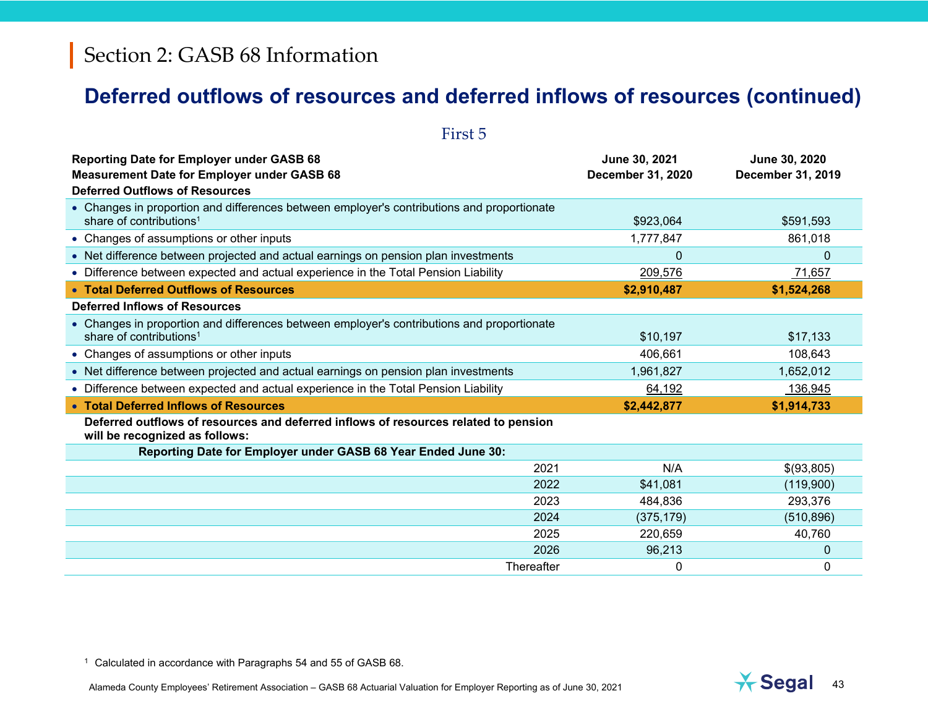## **Deferred outflows of resources and deferred inflows of resources (continued)**

| First 5                                                                                                                                         |                                    |                                    |
|-------------------------------------------------------------------------------------------------------------------------------------------------|------------------------------------|------------------------------------|
| <b>Reporting Date for Employer under GASB 68</b><br><b>Measurement Date for Employer under GASB 68</b><br><b>Deferred Outflows of Resources</b> | June 30, 2021<br>December 31, 2020 | June 30, 2020<br>December 31, 2019 |
| • Changes in proportion and differences between employer's contributions and proportionate<br>share of contributions <sup>1</sup>               | \$923,064                          | \$591,593                          |
| • Changes of assumptions or other inputs                                                                                                        | 1,777,847                          | 861,018                            |
| • Net difference between projected and actual earnings on pension plan investments                                                              | $\Omega$                           | 0                                  |
| • Difference between expected and actual experience in the Total Pension Liability                                                              | 209,576                            | 71,657                             |
| • Total Deferred Outflows of Resources                                                                                                          | \$2,910,487                        | \$1,524,268                        |
| <b>Deferred Inflows of Resources</b>                                                                                                            |                                    |                                    |
| • Changes in proportion and differences between employer's contributions and proportionate<br>share of contributions <sup>1</sup>               | \$10,197                           | \$17,133                           |
| • Changes of assumptions or other inputs                                                                                                        | 406,661                            | 108,643                            |
| • Net difference between projected and actual earnings on pension plan investments                                                              | 1,961,827                          | 1,652,012                          |
| • Difference between expected and actual experience in the Total Pension Liability                                                              | 64,192                             | 136,945                            |
| • Total Deferred Inflows of Resources                                                                                                           | \$2,442,877                        | \$1,914,733                        |
| Deferred outflows of resources and deferred inflows of resources related to pension<br>will be recognized as follows:                           |                                    |                                    |
| Reporting Date for Employer under GASB 68 Year Ended June 30:                                                                                   |                                    |                                    |
| 2021                                                                                                                                            | N/A                                | \$(93,805)                         |
| 2022                                                                                                                                            | \$41,081                           | (119,900)                          |
| 2023                                                                                                                                            | 484,836                            | 293,376                            |
| 2024                                                                                                                                            | (375, 179)                         | (510, 896)                         |
| 2025                                                                                                                                            | 220,659                            | 40,760                             |
| 2026                                                                                                                                            | 96,213                             | 0                                  |
| Thereafter                                                                                                                                      | 0                                  | 0                                  |

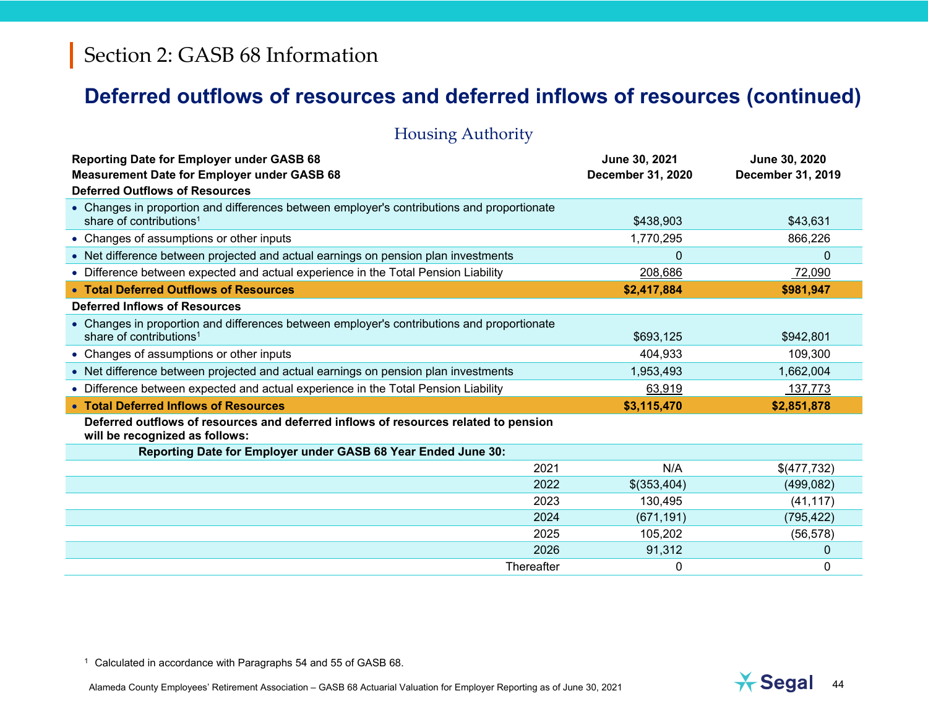### **Deferred outflows of resources and deferred inflows of resources (continued)**

| Troubling Audionity                                                                                                                             |                                    |                                    |
|-------------------------------------------------------------------------------------------------------------------------------------------------|------------------------------------|------------------------------------|
| <b>Reporting Date for Employer under GASB 68</b><br><b>Measurement Date for Employer under GASB 68</b><br><b>Deferred Outflows of Resources</b> | June 30, 2021<br>December 31, 2020 | June 30, 2020<br>December 31, 2019 |
| • Changes in proportion and differences between employer's contributions and proportionate<br>share of contributions <sup>1</sup>               | \$438,903                          | \$43,631                           |
| • Changes of assumptions or other inputs                                                                                                        | 1,770,295                          | 866,226                            |
| • Net difference between projected and actual earnings on pension plan investments                                                              | $\Omega$                           | 0                                  |
| • Difference between expected and actual experience in the Total Pension Liability                                                              | 208,686                            | 72,090                             |
| • Total Deferred Outflows of Resources                                                                                                          | \$2,417,884                        | \$981,947                          |
| <b>Deferred Inflows of Resources</b>                                                                                                            |                                    |                                    |
| • Changes in proportion and differences between employer's contributions and proportionate<br>share of contributions <sup>1</sup>               | \$693,125                          | \$942,801                          |
| • Changes of assumptions or other inputs                                                                                                        | 404,933                            | 109,300                            |
| • Net difference between projected and actual earnings on pension plan investments                                                              | 1,953,493                          | 1,662,004                          |
| • Difference between expected and actual experience in the Total Pension Liability                                                              | 63,919                             | 137,773                            |
| • Total Deferred Inflows of Resources                                                                                                           | \$3,115,470                        | \$2,851,878                        |
| Deferred outflows of resources and deferred inflows of resources related to pension<br>will be recognized as follows:                           |                                    |                                    |
| Reporting Date for Employer under GASB 68 Year Ended June 30:                                                                                   |                                    |                                    |
| 2021                                                                                                                                            | N/A                                | \$(477,732)                        |
| 2022                                                                                                                                            | \$(353,404)                        | (499, 082)                         |
| 2023                                                                                                                                            | 130,495                            | (41, 117)                          |
| 2024                                                                                                                                            | (671, 191)                         | (795, 422)                         |
| 2025                                                                                                                                            | 105,202                            | (56, 578)                          |
| 2026                                                                                                                                            | 91,312                             | 0                                  |
| Thereafter                                                                                                                                      | $\mathbf{0}$                       | $\mathbf{0}$                       |

Housing Authority

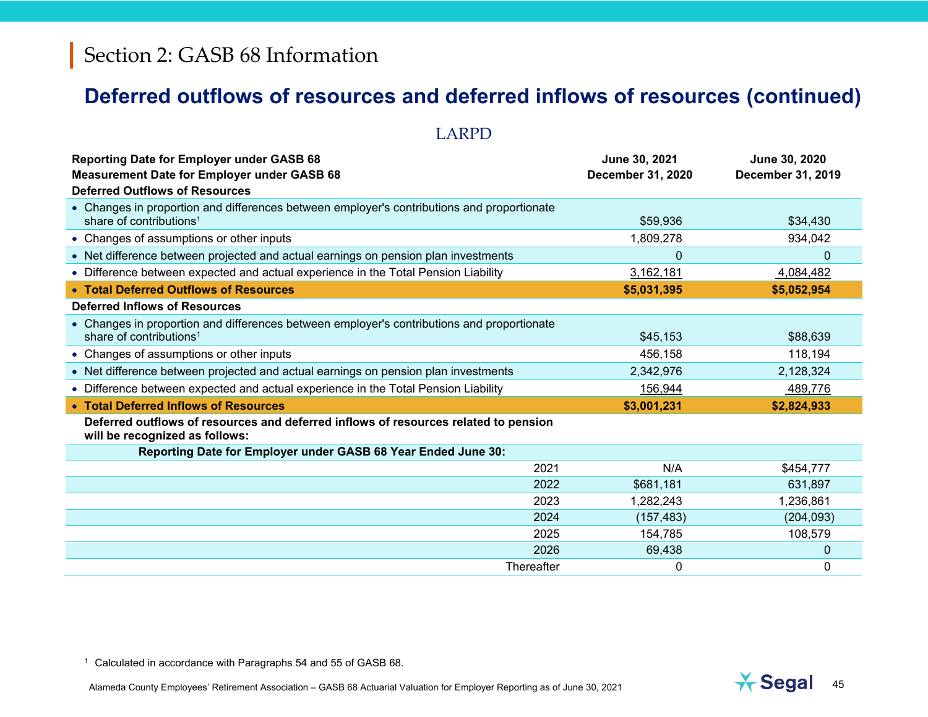# **Deferred outflows of resources and deferred inflows of resources (continued)**

LARPD

| <b>Reporting Date for Employer under GASB 68</b><br><b>Measurement Date for Employer under GASB 68</b><br><b>Deferred Outflows of Resources</b> | June 30, 2021<br><b>December 31, 2020</b> | June 30, 2020<br>December 31, 2019 |
|-------------------------------------------------------------------------------------------------------------------------------------------------|-------------------------------------------|------------------------------------|
| • Changes in proportion and differences between employer's contributions and proportionate<br>share of contributions <sup>1</sup>               | \$59,936                                  | \$34,430                           |
| • Changes of assumptions or other inputs                                                                                                        | 1,809,278                                 | 934,042                            |
| • Net difference between projected and actual earnings on pension plan investments                                                              | 0                                         | $\mathbf 0$                        |
| • Difference between expected and actual experience in the Total Pension Liability                                                              | 3,162,181                                 | 4,084,482                          |
| • Total Deferred Outflows of Resources                                                                                                          | \$5,031,395                               | \$5,052,954                        |
| <b>Deferred Inflows of Resources</b>                                                                                                            |                                           |                                    |
| • Changes in proportion and differences between employer's contributions and proportionate<br>share of contributions <sup>1</sup>               | \$45,153                                  | \$88,639                           |
| • Changes of assumptions or other inputs                                                                                                        | 456,158                                   | 118,194                            |
| • Net difference between projected and actual earnings on pension plan investments                                                              | 2,342,976                                 | 2,128,324                          |
| • Difference between expected and actual experience in the Total Pension Liability                                                              | 156,944                                   | 489,776                            |
| • Total Deferred Inflows of Resources                                                                                                           | \$3,001,231                               | \$2,824,933                        |
| Deferred outflows of resources and deferred inflows of resources related to pension<br>will be recognized as follows:                           |                                           |                                    |
| Reporting Date for Employer under GASB 68 Year Ended June 30:                                                                                   |                                           |                                    |
| 2021                                                                                                                                            | N/A                                       | \$454,777                          |
| 2022                                                                                                                                            | \$681,181                                 | 631,897                            |
| 2023                                                                                                                                            | 1,282,243                                 | 1,236,861                          |
| 2024                                                                                                                                            | (157, 483)                                | (204, 093)                         |
| 2025                                                                                                                                            | 154,785                                   | 108,579                            |
| 2026                                                                                                                                            | 69,438                                    | 0                                  |
| Thereafter                                                                                                                                      | $\mathbf{0}$                              | $\Omega$                           |

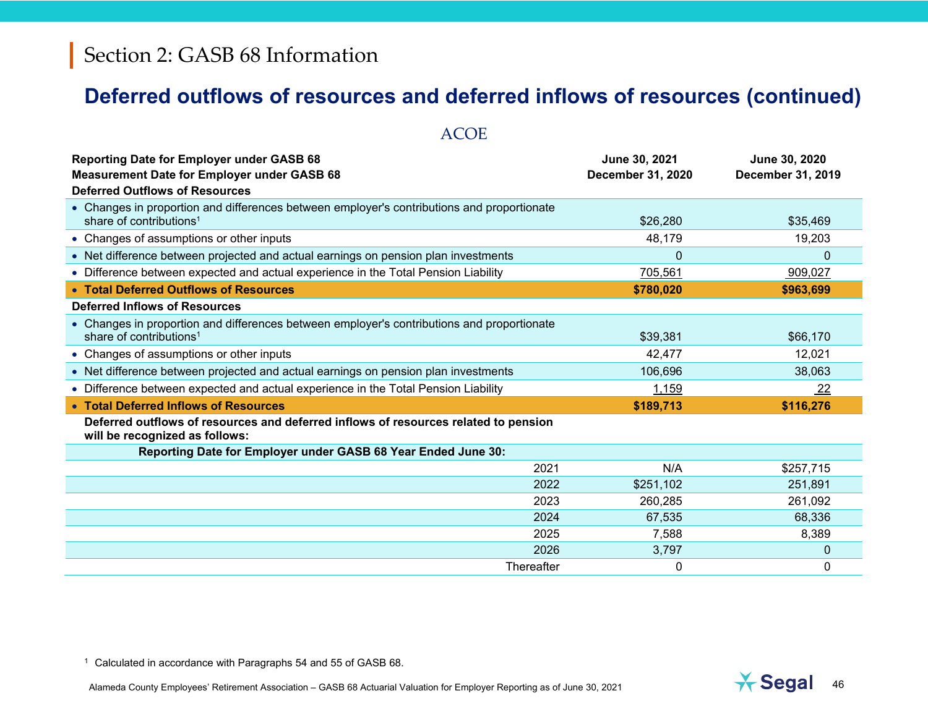### **Deferred outflows of resources and deferred inflows of resources (continued)**

| <b>ACOE</b>                                                                                                                                     |                                    |                                           |
|-------------------------------------------------------------------------------------------------------------------------------------------------|------------------------------------|-------------------------------------------|
| <b>Reporting Date for Employer under GASB 68</b><br><b>Measurement Date for Employer under GASB 68</b><br><b>Deferred Outflows of Resources</b> | June 30, 2021<br>December 31, 2020 | June 30, 2020<br><b>December 31, 2019</b> |
| • Changes in proportion and differences between employer's contributions and proportionate<br>share of contributions <sup>1</sup>               | \$26,280                           | \$35,469                                  |
| • Changes of assumptions or other inputs                                                                                                        | 48,179                             | 19,203                                    |
| • Net difference between projected and actual earnings on pension plan investments                                                              | $\mathbf{0}$                       | 0                                         |
| • Difference between expected and actual experience in the Total Pension Liability                                                              | 705,561                            | 909,027                                   |
| • Total Deferred Outflows of Resources                                                                                                          | \$780,020                          | \$963,699                                 |
| <b>Deferred Inflows of Resources</b>                                                                                                            |                                    |                                           |
| • Changes in proportion and differences between employer's contributions and proportionate<br>share of contributions <sup>1</sup>               | \$39,381                           | \$66,170                                  |
| • Changes of assumptions or other inputs                                                                                                        | 42,477                             | 12,021                                    |
| • Net difference between projected and actual earnings on pension plan investments                                                              | 106,696                            | 38,063                                    |
| • Difference between expected and actual experience in the Total Pension Liability                                                              | 1,159                              | 22                                        |
| • Total Deferred Inflows of Resources                                                                                                           | \$189,713                          | \$116,276                                 |
| Deferred outflows of resources and deferred inflows of resources related to pension<br>will be recognized as follows:                           |                                    |                                           |
| Reporting Date for Employer under GASB 68 Year Ended June 30:                                                                                   |                                    |                                           |
| 2021                                                                                                                                            | N/A                                | \$257,715                                 |
| 2022                                                                                                                                            | \$251,102                          | 251,891                                   |
| 2023                                                                                                                                            | 260,285                            | 261,092                                   |
| 2024                                                                                                                                            | 67,535                             | 68,336                                    |
| 2025                                                                                                                                            | 7,588                              | 8,389                                     |
| 2026                                                                                                                                            | 3,797                              | $\mathbf{0}$                              |
| Thereafter                                                                                                                                      | 0                                  | $\Omega$                                  |

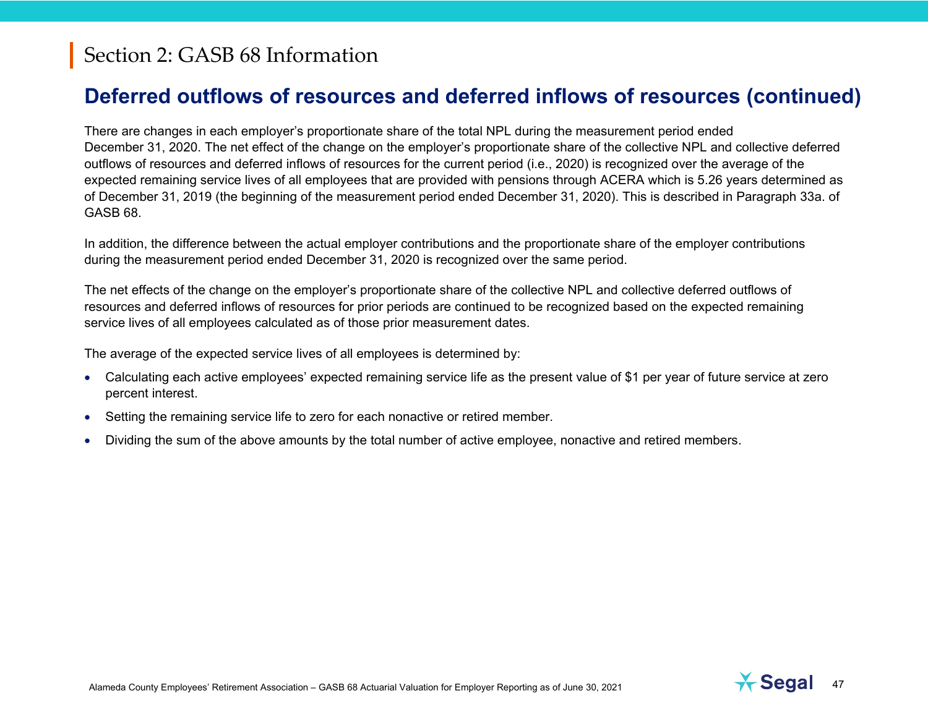## **Deferred outflows of resources and deferred inflows of resources (continued)**

There are changes in each employer's proportionate share of the total NPL during the measurement period ended December 31, 2020. The net effect of the change on the employer's proportionate share of the collective NPL and collective deferred outflows of resources and deferred inflows of resources for the current period (i.e., 2020) is recognized over the average of the expected remaining service lives of all employees that are provided with pensions through ACERA which is 5.26 years determined as of December 31, 2019 (the beginning of the measurement period ended December 31, 2020). This is described in Paragraph 33a. of GASB 68.

In addition, the difference between the actual employer contributions and the proportionate share of the employer contributions during the measurement period ended December 31, 2020 is recognized over the same period.

The net effects of the change on the employer's proportionate share of the collective NPL and collective deferred outflows of resources and deferred inflows of resources for prior periods are continued to be recognized based on the expected remaining service lives of all employees calculated as of those prior measurement dates.

The average of the expected service lives of all employees is determined by:

- Calculating each active employees' expected remaining service life as the present value of \$1 per year of future service at zero percent interest.
- Setting the remaining service life to zero for each nonactive or retired member.
- O Dividing the sum of the above amounts by the total number of active employee, nonactive and retired members.

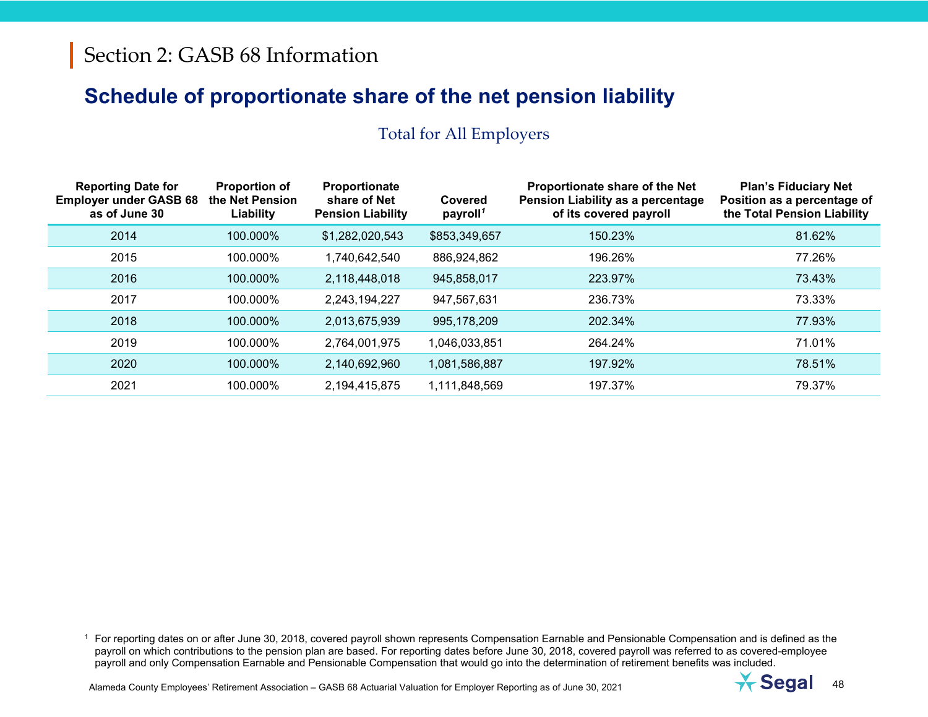#### Total for All Employers

| <b>Reporting Date for</b><br><b>Employer under GASB 68</b><br>as of June 30 | <b>Proportion of</b><br>the Net Pension<br>Liability | Proportionate<br>share of Net<br><b>Pension Liability</b> | Covered<br>payroll <sup>1</sup> | Proportionate share of the Net<br>Pension Liability as a percentage<br>of its covered payroll | <b>Plan's Fiduciary Net</b><br>Position as a percentage of<br>the Total Pension Liability |
|-----------------------------------------------------------------------------|------------------------------------------------------|-----------------------------------------------------------|---------------------------------|-----------------------------------------------------------------------------------------------|-------------------------------------------------------------------------------------------|
| 2014                                                                        | 100.000%                                             | \$1,282,020,543                                           | \$853,349,657                   | 150.23%                                                                                       | 81.62%                                                                                    |
| 2015                                                                        | 100.000%                                             | 1,740,642,540                                             | 886,924,862                     | 196.26%                                                                                       | 77.26%                                                                                    |
| 2016                                                                        | 100.000%                                             | 2,118,448,018                                             | 945,858,017                     | 223.97%                                                                                       | 73.43%                                                                                    |
| 2017                                                                        | 100.000%                                             | 2,243,194,227                                             | 947,567,631                     | 236.73%                                                                                       | 73.33%                                                                                    |
| 2018                                                                        | 100.000%                                             | 2,013,675,939                                             | 995,178,209                     | 202.34%                                                                                       | 77.93%                                                                                    |
| 2019                                                                        | 100.000%                                             | 2,764,001,975                                             | 1,046,033,851                   | 264.24%                                                                                       | 71.01%                                                                                    |
| 2020                                                                        | 100.000%                                             | 2,140,692,960                                             | 1,081,586,887                   | 197.92%                                                                                       | 78.51%                                                                                    |
| 2021                                                                        | 100.000%                                             | 2,194,415,875                                             | 1,111,848,569                   | 197.37%                                                                                       | 79.37%                                                                                    |

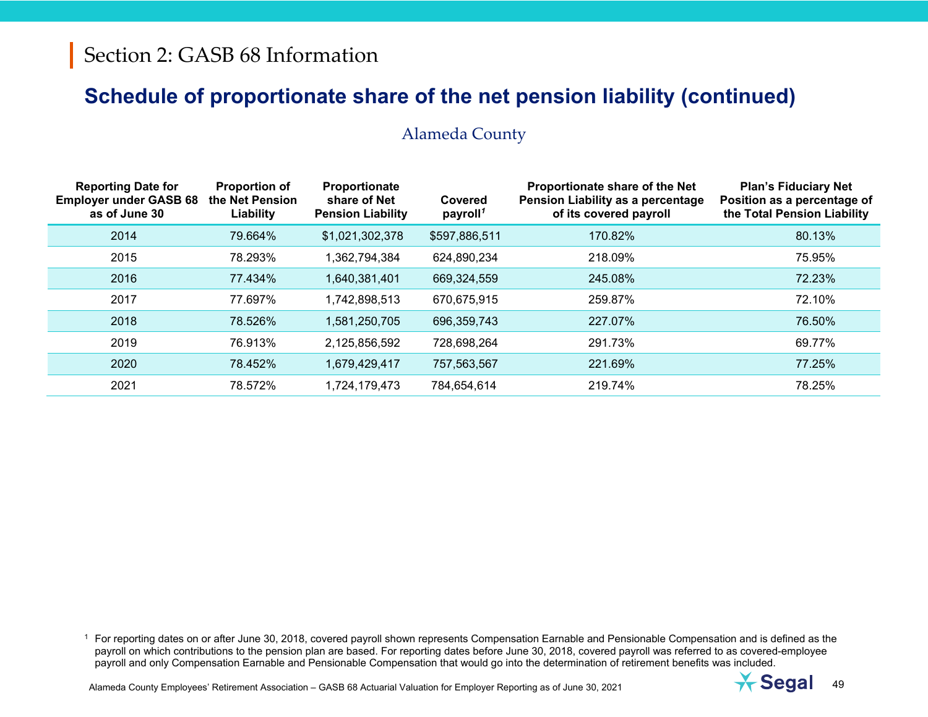#### Alameda County

| <b>Reporting Date for</b><br><b>Employer under GASB 68</b><br>as of June 30 | <b>Proportion of</b><br>the Net Pension<br>Liability | <b>Proportionate</b><br>share of Net<br><b>Pension Liability</b> | Covered<br>payroll <sup>1</sup> | Proportionate share of the Net<br>Pension Liability as a percentage<br>of its covered payroll | <b>Plan's Fiduciary Net</b><br>Position as a percentage of<br>the Total Pension Liability |
|-----------------------------------------------------------------------------|------------------------------------------------------|------------------------------------------------------------------|---------------------------------|-----------------------------------------------------------------------------------------------|-------------------------------------------------------------------------------------------|
| 2014                                                                        | 79.664%                                              | \$1,021,302,378                                                  | \$597,886,511                   | 170.82%                                                                                       | 80.13%                                                                                    |
| 2015                                                                        | 78.293%                                              | 1,362,794,384                                                    | 624,890,234                     | 218.09%                                                                                       | 75.95%                                                                                    |
| 2016                                                                        | 77.434%                                              | 1,640,381,401                                                    | 669,324,559                     | 245.08%                                                                                       | 72.23%                                                                                    |
| 2017                                                                        | 77.697%                                              | 1,742,898,513                                                    | 670,675,915                     | 259.87%                                                                                       | 72.10%                                                                                    |
| 2018                                                                        | 78.526%                                              | 1,581,250,705                                                    | 696,359,743                     | 227.07%                                                                                       | 76.50%                                                                                    |
| 2019                                                                        | 76.913%                                              | 2,125,856,592                                                    | 728,698,264                     | 291.73%                                                                                       | 69.77%                                                                                    |
| 2020                                                                        | 78.452%                                              | 1,679,429,417                                                    | 757,563,567                     | 221.69%                                                                                       | 77.25%                                                                                    |
| 2021                                                                        | 78.572%                                              | 1,724,179,473                                                    | 784,654,614                     | 219.74%                                                                                       | 78.25%                                                                                    |

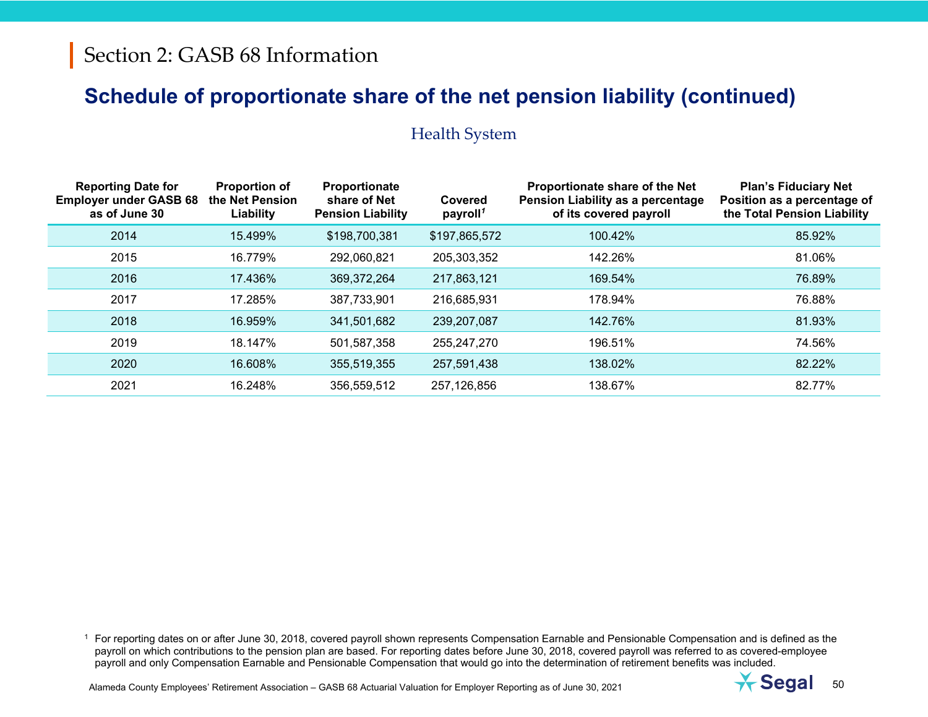#### Health System

| <b>Reporting Date for</b><br><b>Employer under GASB 68</b><br>as of June 30 | <b>Proportion of</b><br>the Net Pension<br>Liability | Proportionate<br>share of Net<br><b>Pension Liability</b> | Covered<br>payroll <sup>1</sup> | Proportionate share of the Net<br>Pension Liability as a percentage<br>of its covered payroll | <b>Plan's Fiduciary Net</b><br>Position as a percentage of<br>the Total Pension Liability |
|-----------------------------------------------------------------------------|------------------------------------------------------|-----------------------------------------------------------|---------------------------------|-----------------------------------------------------------------------------------------------|-------------------------------------------------------------------------------------------|
| 2014                                                                        | 15.499%                                              | \$198,700,381                                             | \$197,865,572                   | 100.42%                                                                                       | 85.92%                                                                                    |
| 2015                                                                        | 16.779%                                              | 292,060,821                                               | 205,303,352                     | 142.26%                                                                                       | 81.06%                                                                                    |
| 2016                                                                        | 17.436%                                              | 369,372,264                                               | 217,863,121                     | 169.54%                                                                                       | 76.89%                                                                                    |
| 2017                                                                        | 17.285%                                              | 387,733,901                                               | 216,685,931                     | 178.94%                                                                                       | 76.88%                                                                                    |
| 2018                                                                        | 16.959%                                              | 341,501,682                                               | 239,207,087                     | 142.76%                                                                                       | 81.93%                                                                                    |
| 2019                                                                        | 18.147%                                              | 501,587,358                                               | 255,247,270                     | 196.51%                                                                                       | 74.56%                                                                                    |
| 2020                                                                        | 16.608%                                              | 355,519,355                                               | 257,591,438                     | 138.02%                                                                                       | 82.22%                                                                                    |
| 2021                                                                        | 16.248%                                              | 356,559,512                                               | 257,126,856                     | 138.67%                                                                                       | 82.77%                                                                                    |

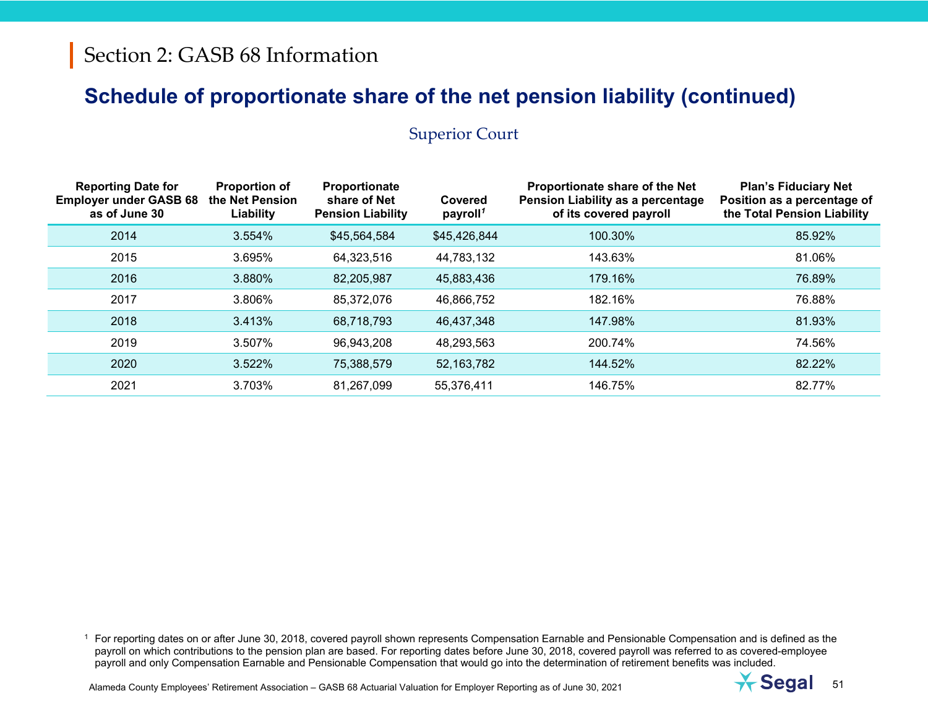#### Superior Court

| <b>Reporting Date for</b><br><b>Employer under GASB 68</b><br>as of June 30 | <b>Proportion of</b><br>the Net Pension<br>Liability | Proportionate<br>share of Net<br><b>Pension Liability</b> | Covered<br>payroll <sup>1</sup> | Proportionate share of the Net<br>Pension Liability as a percentage<br>of its covered payroll | <b>Plan's Fiduciary Net</b><br>Position as a percentage of<br>the Total Pension Liability |
|-----------------------------------------------------------------------------|------------------------------------------------------|-----------------------------------------------------------|---------------------------------|-----------------------------------------------------------------------------------------------|-------------------------------------------------------------------------------------------|
| 2014                                                                        | 3.554%                                               | \$45,564,584                                              | \$45,426,844                    | 100.30%                                                                                       | 85.92%                                                                                    |
| 2015                                                                        | 3.695%                                               | 64,323,516                                                | 44,783,132                      | 143.63%                                                                                       | 81.06%                                                                                    |
| 2016                                                                        | 3.880%                                               | 82,205,987                                                | 45,883,436                      | 179.16%                                                                                       | 76.89%                                                                                    |
| 2017                                                                        | 3.806%                                               | 85,372,076                                                | 46,866,752                      | 182.16%                                                                                       | 76.88%                                                                                    |
| 2018                                                                        | 3.413%                                               | 68,718,793                                                | 46,437,348                      | 147.98%                                                                                       | 81.93%                                                                                    |
| 2019                                                                        | 3.507%                                               | 96,943,208                                                | 48,293,563                      | 200.74%                                                                                       | 74.56%                                                                                    |
| 2020                                                                        | 3.522%                                               | 75,388,579                                                | 52,163,782                      | 144.52%                                                                                       | 82.22%                                                                                    |
| 2021                                                                        | 3.703%                                               | 81,267,099                                                | 55,376,411                      | 146.75%                                                                                       | 82.77%                                                                                    |

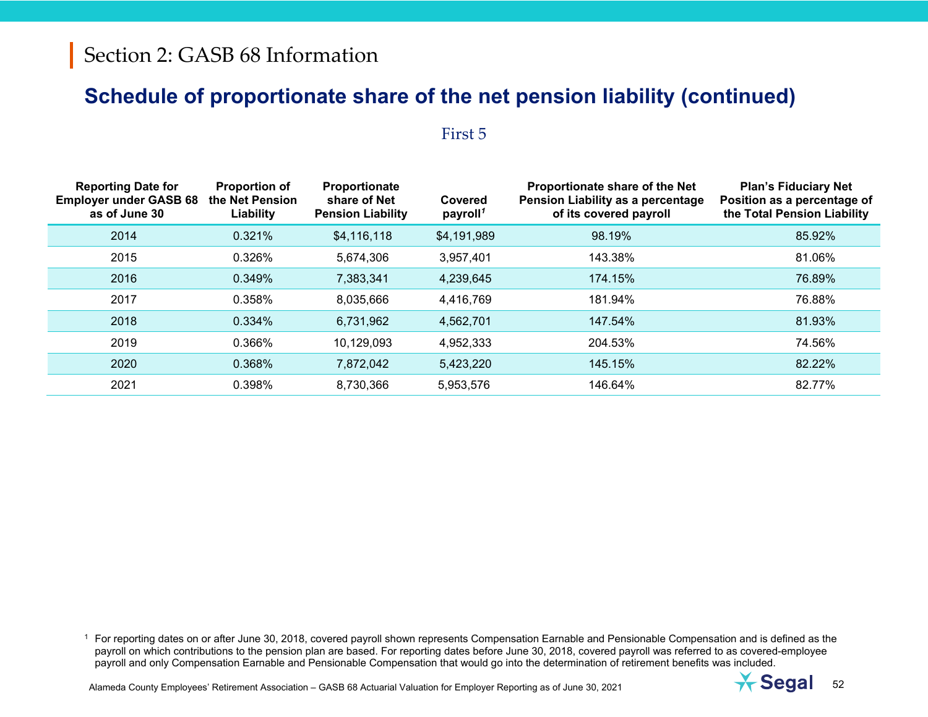#### First 5

| <b>Reporting Date for</b><br><b>Employer under GASB 68</b><br>as of June 30 | <b>Proportion of</b><br>the Net Pension<br>Liability | Proportionate<br>share of Net<br><b>Pension Liability</b> | Covered<br>payroll <sup>1</sup> | Proportionate share of the Net<br>Pension Liability as a percentage<br>of its covered payroll | <b>Plan's Fiduciary Net</b><br>Position as a percentage of<br>the Total Pension Liability |
|-----------------------------------------------------------------------------|------------------------------------------------------|-----------------------------------------------------------|---------------------------------|-----------------------------------------------------------------------------------------------|-------------------------------------------------------------------------------------------|
| 2014                                                                        | 0.321%                                               | \$4,116,118                                               | \$4,191,989                     | 98.19%                                                                                        | 85.92%                                                                                    |
| 2015                                                                        | 0.326%                                               | 5,674,306                                                 | 3,957,401                       | 143.38%                                                                                       | 81.06%                                                                                    |
| 2016                                                                        | 0.349%                                               | 7,383,341                                                 | 4,239,645                       | 174.15%                                                                                       | 76.89%                                                                                    |
| 2017                                                                        | 0.358%                                               | 8,035,666                                                 | 4,416,769                       | 181.94%                                                                                       | 76.88%                                                                                    |
| 2018                                                                        | 0.334%                                               | 6,731,962                                                 | 4,562,701                       | 147.54%                                                                                       | 81.93%                                                                                    |
| 2019                                                                        | 0.366%                                               | 10,129,093                                                | 4,952,333                       | 204.53%                                                                                       | 74.56%                                                                                    |
| 2020                                                                        | 0.368%                                               | 7,872,042                                                 | 5,423,220                       | 145.15%                                                                                       | 82.22%                                                                                    |
| 2021                                                                        | 0.398%                                               | 8,730,366                                                 | 5,953,576                       | 146.64%                                                                                       | 82.77%                                                                                    |

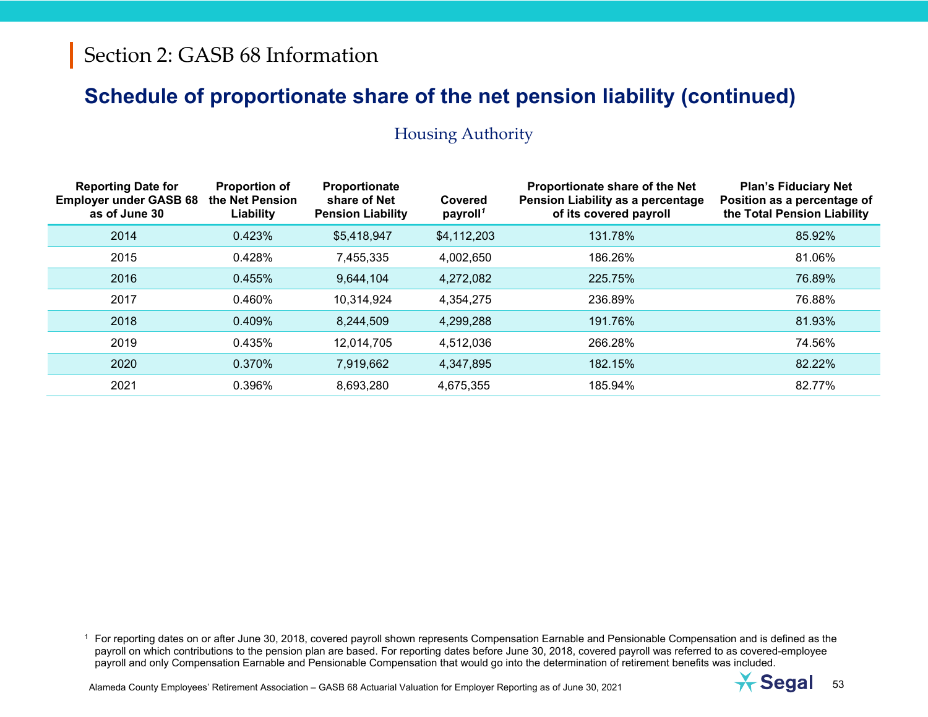| <b>Reporting Date for</b><br><b>Employer under GASB 68</b><br>as of June 30 | <b>Proportion of</b><br>the Net Pension<br>Liability | Proportionate<br>share of Net<br><b>Pension Liability</b> | Covered<br>payroll <sup>1</sup> | Proportionate share of the Net<br>Pension Liability as a percentage<br>of its covered payroll | <b>Plan's Fiduciary Net</b><br>Position as a percentage of<br>the Total Pension Liability |
|-----------------------------------------------------------------------------|------------------------------------------------------|-----------------------------------------------------------|---------------------------------|-----------------------------------------------------------------------------------------------|-------------------------------------------------------------------------------------------|
| 2014                                                                        | 0.423%                                               | \$5,418,947                                               | \$4,112,203                     | 131.78%                                                                                       | 85.92%                                                                                    |
| 2015                                                                        | 0.428%                                               | 7,455,335                                                 | 4,002,650                       | 186.26%                                                                                       | 81.06%                                                                                    |
| 2016                                                                        | 0.455%                                               | 9,644,104                                                 | 4,272,082                       | 225.75%                                                                                       | 76.89%                                                                                    |
| 2017                                                                        | 0.460%                                               | 10,314,924                                                | 4,354,275                       | 236.89%                                                                                       | 76.88%                                                                                    |
| 2018                                                                        | 0.409%                                               | 8,244,509                                                 | 4,299,288                       | 191.76%                                                                                       | 81.93%                                                                                    |
| 2019                                                                        | 0.435%                                               | 12,014,705                                                | 4,512,036                       | 266.28%                                                                                       | 74.56%                                                                                    |
| 2020                                                                        | 0.370%                                               | 7,919,662                                                 | 4,347,895                       | 182.15%                                                                                       | 82.22%                                                                                    |
| 2021                                                                        | 0.396%                                               | 8,693,280                                                 | 4,675,355                       | 185.94%                                                                                       | 82.77%                                                                                    |

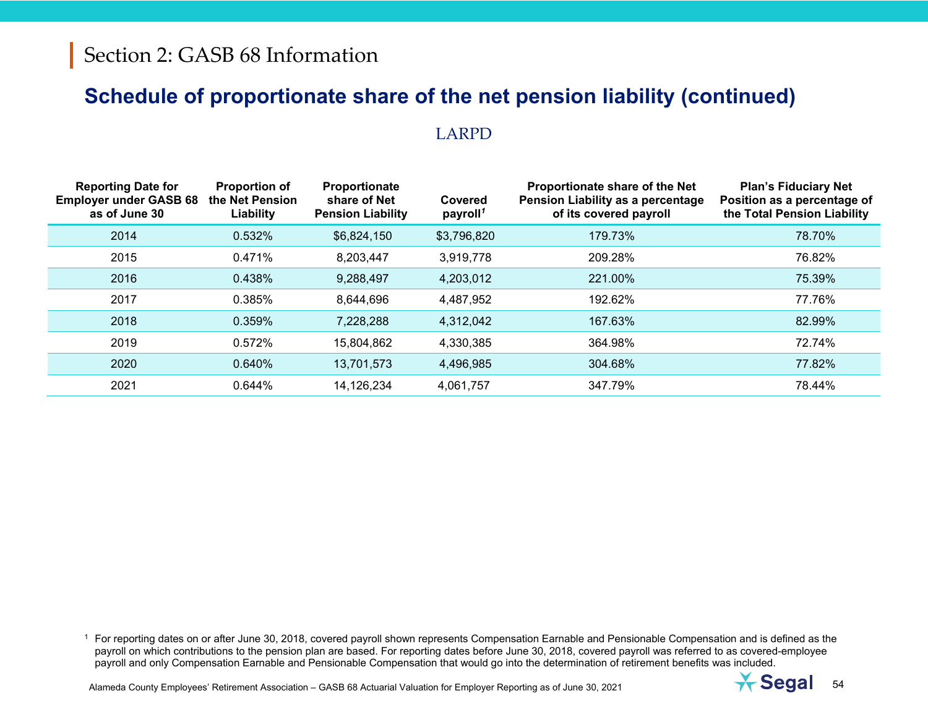#### LARPD

| <b>Reporting Date for</b><br><b>Employer under GASB 68</b><br>as of June 30 | <b>Proportion of</b><br>the Net Pension<br>Liability | Proportionate<br>share of Net<br><b>Pension Liability</b> | Covered<br>payroll <sup>1</sup> | Proportionate share of the Net<br>Pension Liability as a percentage<br>of its covered payroll | <b>Plan's Fiduciary Net</b><br>Position as a percentage of<br>the Total Pension Liability |
|-----------------------------------------------------------------------------|------------------------------------------------------|-----------------------------------------------------------|---------------------------------|-----------------------------------------------------------------------------------------------|-------------------------------------------------------------------------------------------|
| 2014                                                                        | 0.532%                                               | \$6,824,150                                               | \$3,796,820                     | 179.73%                                                                                       | 78.70%                                                                                    |
| 2015                                                                        | 0.471%                                               | 8,203,447                                                 | 3,919,778                       | 209.28%                                                                                       | 76.82%                                                                                    |
| 2016                                                                        | 0.438%                                               | 9,288,497                                                 | 4,203,012                       | 221.00%                                                                                       | 75.39%                                                                                    |
| 2017                                                                        | 0.385%                                               | 8,644,696                                                 | 4,487,952                       | 192.62%                                                                                       | 77.76%                                                                                    |
| 2018                                                                        | 0.359%                                               | 7,228,288                                                 | 4,312,042                       | 167.63%                                                                                       | 82.99%                                                                                    |
| 2019                                                                        | 0.572%                                               | 15,804,862                                                | 4,330,385                       | 364.98%                                                                                       | 72.74%                                                                                    |
| 2020                                                                        | 0.640%                                               | 13,701,573                                                | 4,496,985                       | 304.68%                                                                                       | 77.82%                                                                                    |
| 2021                                                                        | 0.644%                                               | 14,126,234                                                | 4,061,757                       | 347.79%                                                                                       | 78.44%                                                                                    |

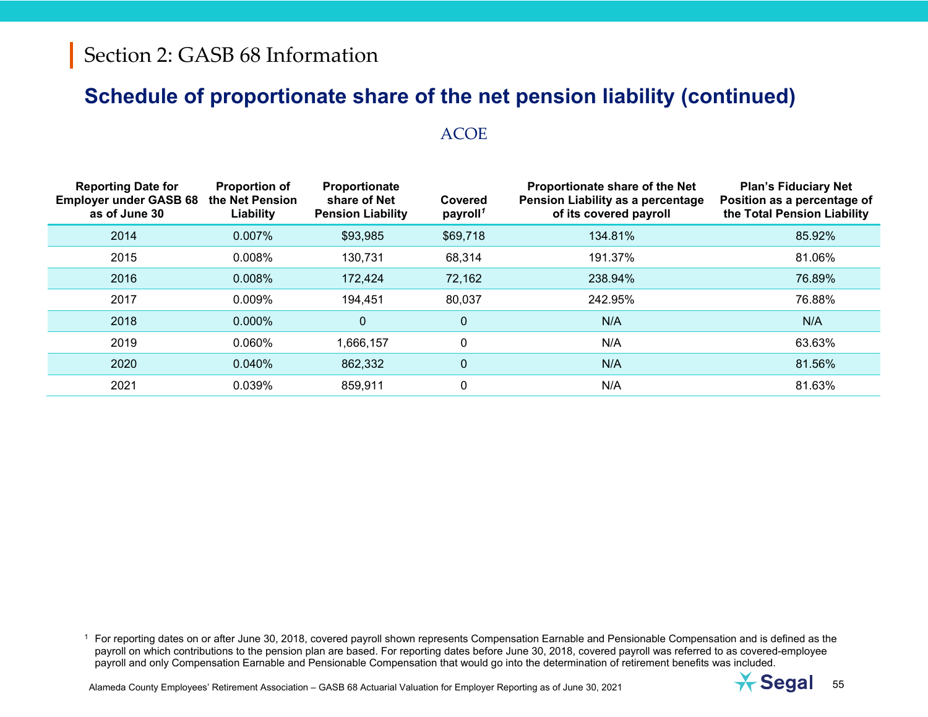#### ACOE

| <b>Reporting Date for</b><br><b>Employer under GASB 68</b><br>as of June 30 | <b>Proportion of</b><br>the Net Pension<br>Liability | Proportionate<br>share of Net<br><b>Pension Liability</b> | Covered<br>payroll <sup>1</sup> | Proportionate share of the Net<br><b>Pension Liability as a percentage</b><br>of its covered payroll | <b>Plan's Fiduciary Net</b><br>Position as a percentage of<br>the Total Pension Liability |
|-----------------------------------------------------------------------------|------------------------------------------------------|-----------------------------------------------------------|---------------------------------|------------------------------------------------------------------------------------------------------|-------------------------------------------------------------------------------------------|
| 2014                                                                        | 0.007%                                               | \$93,985                                                  | \$69,718                        | 134.81%                                                                                              | 85.92%                                                                                    |
| 2015                                                                        | 0.008%                                               | 130,731                                                   | 68,314                          | 191.37%                                                                                              | 81.06%                                                                                    |
| 2016                                                                        | 0.008%                                               | 172,424                                                   | 72,162                          | 238.94%                                                                                              | 76.89%                                                                                    |
| 2017                                                                        | 0.009%                                               | 194,451                                                   | 80,037                          | 242.95%                                                                                              | 76.88%                                                                                    |
| 2018                                                                        | 0.000%                                               | $\mathbf 0$                                               | $\mathbf 0$                     | N/A                                                                                                  | N/A                                                                                       |
| 2019                                                                        | 0.060%                                               | ,666,157                                                  | $\mathbf{0}$                    | N/A                                                                                                  | 63.63%                                                                                    |
| 2020                                                                        | 0.040%                                               | 862,332                                                   | $\mathbf 0$                     | N/A                                                                                                  | 81.56%                                                                                    |
| 2021                                                                        | 0.039%                                               | 859,911                                                   | 0                               | N/A                                                                                                  | 81.63%                                                                                    |

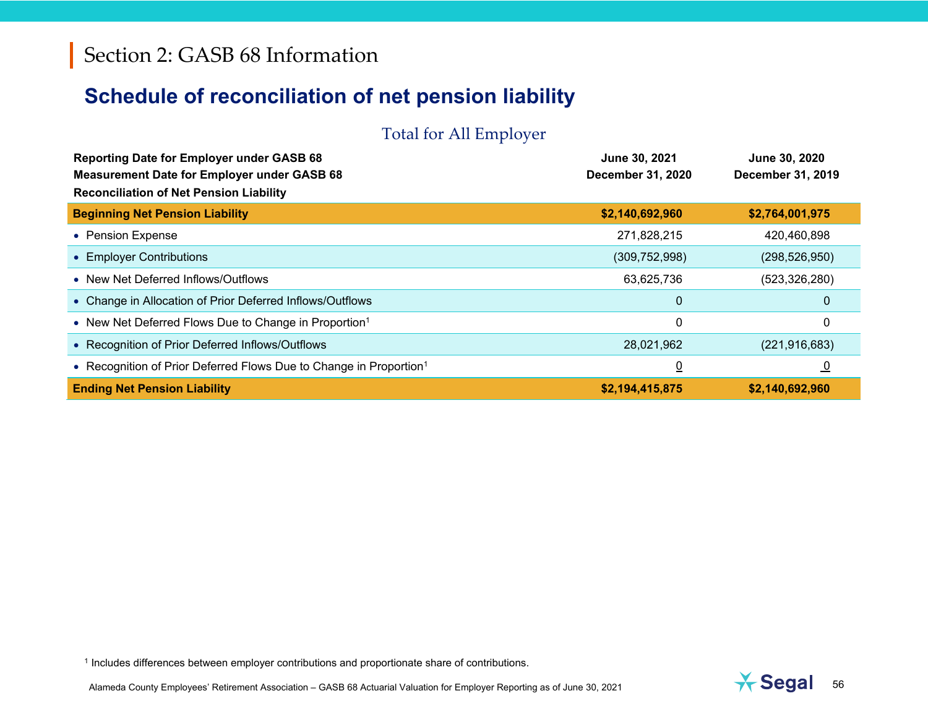# **Schedule of reconciliation of net pension liability**

#### Total for All Employer

| <b>Reporting Date for Employer under GASB 68</b>                                                     | June 30, 2021     | June 30, 2020            |
|------------------------------------------------------------------------------------------------------|-------------------|--------------------------|
| <b>Measurement Date for Employer under GASB 68</b><br><b>Reconciliation of Net Pension Liability</b> | December 31, 2020 | <b>December 31, 2019</b> |
| <b>Beginning Net Pension Liability</b>                                                               | \$2,140,692,960   | \$2,764,001,975          |
| • Pension Expense                                                                                    | 271,828,215       | 420,460,898              |
| • Employer Contributions                                                                             | (309, 752, 998)   | (298, 526, 950)          |
| • New Net Deferred Inflows/Outflows                                                                  | 63,625,736        | (523, 326, 280)          |
| • Change in Allocation of Prior Deferred Inflows/Outflows                                            | $\mathbf 0$       | 0                        |
| • New Net Deferred Flows Due to Change in Proportion <sup>1</sup>                                    | 0                 | 0                        |
| • Recognition of Prior Deferred Inflows/Outflows                                                     | 28,021,962        | (221, 916, 683)          |
| • Recognition of Prior Deferred Flows Due to Change in Proportion <sup>1</sup>                       | $\overline{0}$    | <u>ັບ</u>                |
| <b>Ending Net Pension Liability</b>                                                                  | \$2,194,415,875   | \$2,140,692,960          |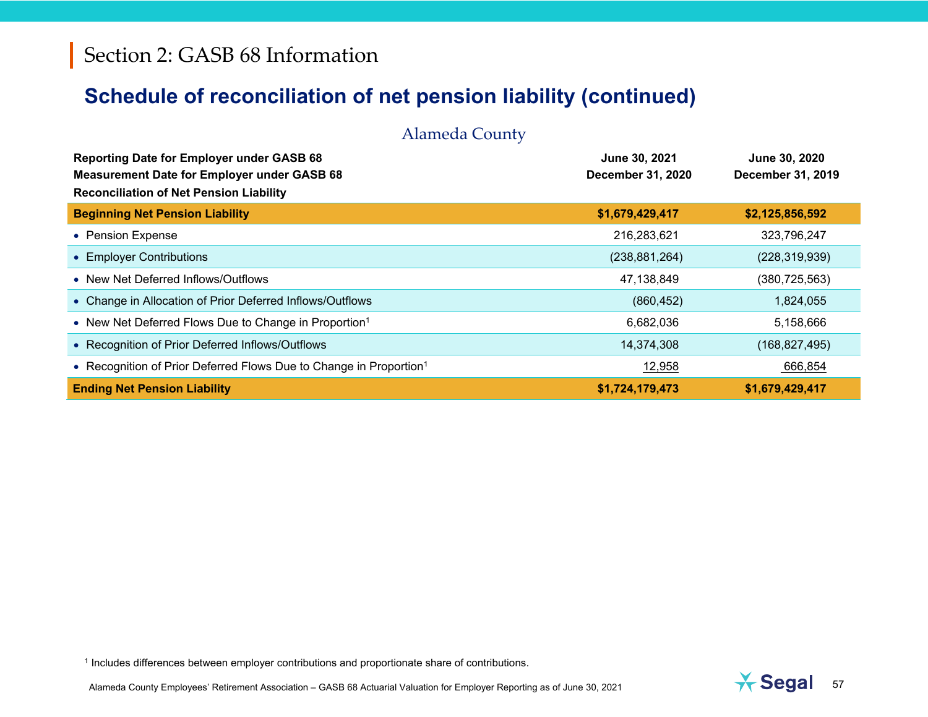| <b>Alameda County</b>                                                                                                                                    |                                                  |                                           |
|----------------------------------------------------------------------------------------------------------------------------------------------------------|--------------------------------------------------|-------------------------------------------|
| <b>Reporting Date for Employer under GASB 68</b><br><b>Measurement Date for Employer under GASB 68</b><br><b>Reconciliation of Net Pension Liability</b> | <b>June 30, 2021</b><br><b>December 31, 2020</b> | June 30, 2020<br><b>December 31, 2019</b> |
| <b>Beginning Net Pension Liability</b>                                                                                                                   | \$1,679,429,417                                  | \$2,125,856,592                           |
| • Pension Expense                                                                                                                                        | 216,283,621                                      | 323,796,247                               |
| • Employer Contributions                                                                                                                                 | (238, 881, 264)                                  | (228, 319, 939)                           |
| • New Net Deferred Inflows/Outflows                                                                                                                      | 47,138,849                                       | (380, 725, 563)                           |
| • Change in Allocation of Prior Deferred Inflows/Outflows                                                                                                | (860, 452)                                       | 1,824,055                                 |
| • New Net Deferred Flows Due to Change in Proportion <sup>1</sup>                                                                                        | 6,682,036                                        | 5,158,666                                 |
| • Recognition of Prior Deferred Inflows/Outflows                                                                                                         | 14,374,308                                       | (168, 827, 495)                           |
| • Recognition of Prior Deferred Flows Due to Change in Proportion <sup>1</sup>                                                                           | 12,958                                           | 666,854                                   |
| <b>Ending Net Pension Liability</b>                                                                                                                      | \$1,724,179,473                                  | \$1,679,429,417                           |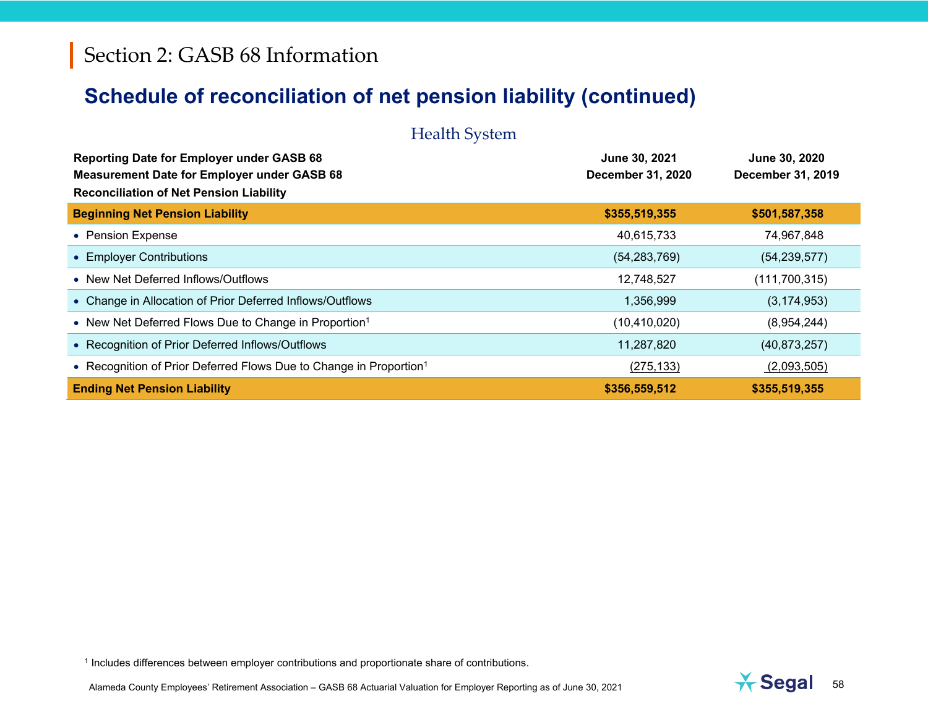| <b>Health System</b>                                                                                                                                     |                                           |                                    |  |  |  |
|----------------------------------------------------------------------------------------------------------------------------------------------------------|-------------------------------------------|------------------------------------|--|--|--|
| <b>Reporting Date for Employer under GASB 68</b><br><b>Measurement Date for Employer under GASB 68</b><br><b>Reconciliation of Net Pension Liability</b> | June 30, 2021<br><b>December 31, 2020</b> | June 30, 2020<br>December 31, 2019 |  |  |  |
| <b>Beginning Net Pension Liability</b>                                                                                                                   | \$355,519,355                             | \$501,587,358                      |  |  |  |
| • Pension Expense                                                                                                                                        | 40,615,733                                | 74,967,848                         |  |  |  |
| • Employer Contributions                                                                                                                                 | (54, 283, 769)                            | (54, 239, 577)                     |  |  |  |
| • New Net Deferred Inflows/Outflows                                                                                                                      | 12,748,527                                | (111, 700, 315)                    |  |  |  |
| • Change in Allocation of Prior Deferred Inflows/Outflows                                                                                                | 1,356,999                                 | (3, 174, 953)                      |  |  |  |
| • New Net Deferred Flows Due to Change in Proportion <sup>1</sup>                                                                                        | (10, 410, 020)                            | (8,954,244)                        |  |  |  |
| • Recognition of Prior Deferred Inflows/Outflows                                                                                                         | 11,287,820                                | (40,873,257)                       |  |  |  |
| • Recognition of Prior Deferred Flows Due to Change in Proportion <sup>1</sup>                                                                           | (275, 133)                                | (2,093,505)                        |  |  |  |
| <b>Ending Net Pension Liability</b>                                                                                                                      | \$356,559,512                             | \$355,519,355                      |  |  |  |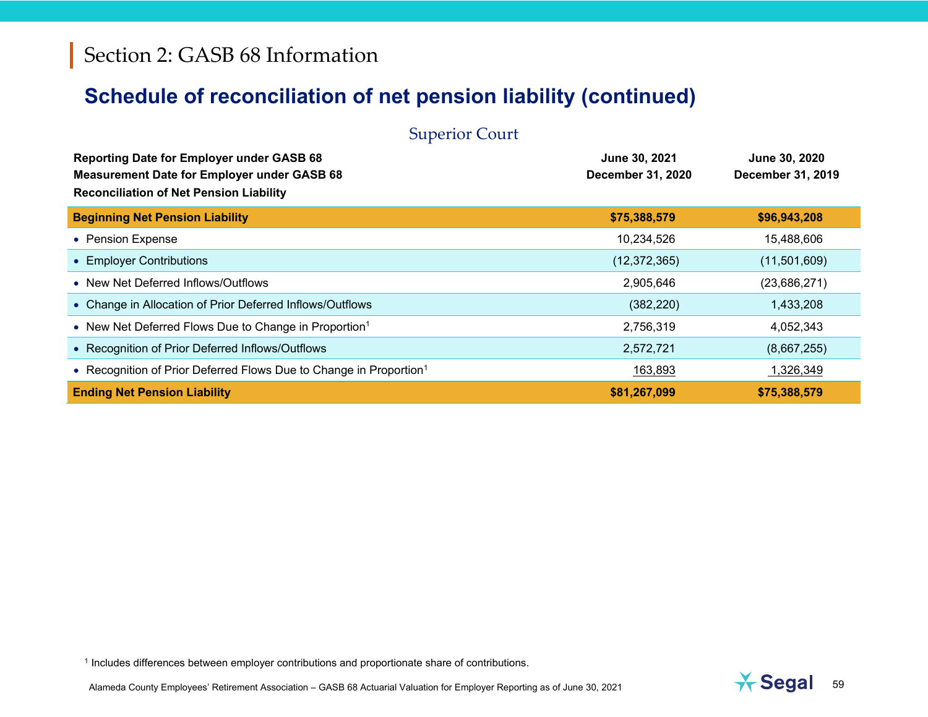| <b>Superior Court</b>                                                                                                                                    |                                           |                                    |  |  |  |
|----------------------------------------------------------------------------------------------------------------------------------------------------------|-------------------------------------------|------------------------------------|--|--|--|
| <b>Reporting Date for Employer under GASB 68</b><br><b>Measurement Date for Employer under GASB 68</b><br><b>Reconciliation of Net Pension Liability</b> | June 30, 2021<br><b>December 31, 2020</b> | June 30, 2020<br>December 31, 2019 |  |  |  |
| <b>Beginning Net Pension Liability</b>                                                                                                                   | \$75,388,579                              | \$96,943,208                       |  |  |  |
| • Pension Expense                                                                                                                                        | 10,234,526                                | 15,488,606                         |  |  |  |
| • Employer Contributions                                                                                                                                 | (12, 372, 365)                            | (11,501,609)                       |  |  |  |
| • New Net Deferred Inflows/Outflows                                                                                                                      | 2,905,646                                 | (23,686,271)                       |  |  |  |
| • Change in Allocation of Prior Deferred Inflows/Outflows                                                                                                | (382, 220)                                | 1,433,208                          |  |  |  |
| • New Net Deferred Flows Due to Change in Proportion <sup>1</sup>                                                                                        | 2,756,319                                 | 4,052,343                          |  |  |  |
| • Recognition of Prior Deferred Inflows/Outflows                                                                                                         | 2,572,721                                 | (8,667,255)                        |  |  |  |
| • Recognition of Prior Deferred Flows Due to Change in Proportion <sup>1</sup>                                                                           | 163,893                                   | 1,326,349                          |  |  |  |
| <b>Ending Net Pension Liability</b>                                                                                                                      | \$81,267,099                              | \$75,388,579                       |  |  |  |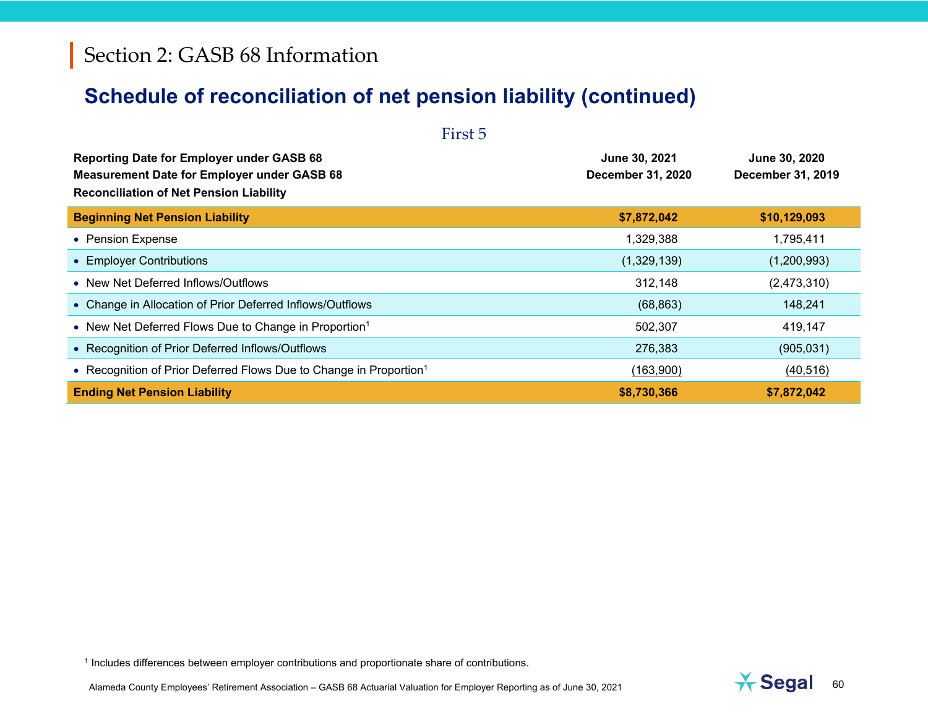# **Schedule of reconciliation of net pension liability (continued)**

| First 5                                                                                                                                                  |                                    |                                    |  |  |  |
|----------------------------------------------------------------------------------------------------------------------------------------------------------|------------------------------------|------------------------------------|--|--|--|
| <b>Reporting Date for Employer under GASB 68</b><br><b>Measurement Date for Employer under GASB 68</b><br><b>Reconciliation of Net Pension Liability</b> | June 30, 2021<br>December 31, 2020 | June 30, 2020<br>December 31, 2019 |  |  |  |
| <b>Beginning Net Pension Liability</b>                                                                                                                   | \$7,872,042                        | \$10,129,093                       |  |  |  |
| • Pension Expense                                                                                                                                        | 1,329,388                          | 1,795,411                          |  |  |  |
| • Employer Contributions                                                                                                                                 | (1,329,139)                        | (1,200,993)                        |  |  |  |
| • New Net Deferred Inflows/Outflows                                                                                                                      | 312,148                            | (2,473,310)                        |  |  |  |
| • Change in Allocation of Prior Deferred Inflows/Outflows                                                                                                | (68, 863)                          | 148,241                            |  |  |  |
| • New Net Deferred Flows Due to Change in Proportion <sup>1</sup>                                                                                        | 502,307                            | 419,147                            |  |  |  |
| • Recognition of Prior Deferred Inflows/Outflows                                                                                                         | 276,383                            | (905, 031)                         |  |  |  |
| • Recognition of Prior Deferred Flows Due to Change in Proportion <sup>1</sup>                                                                           | (163,900)                          | (40, 516)                          |  |  |  |
| <b>Ending Net Pension Liability</b>                                                                                                                      | \$8,730,366                        | \$7,872,042                        |  |  |  |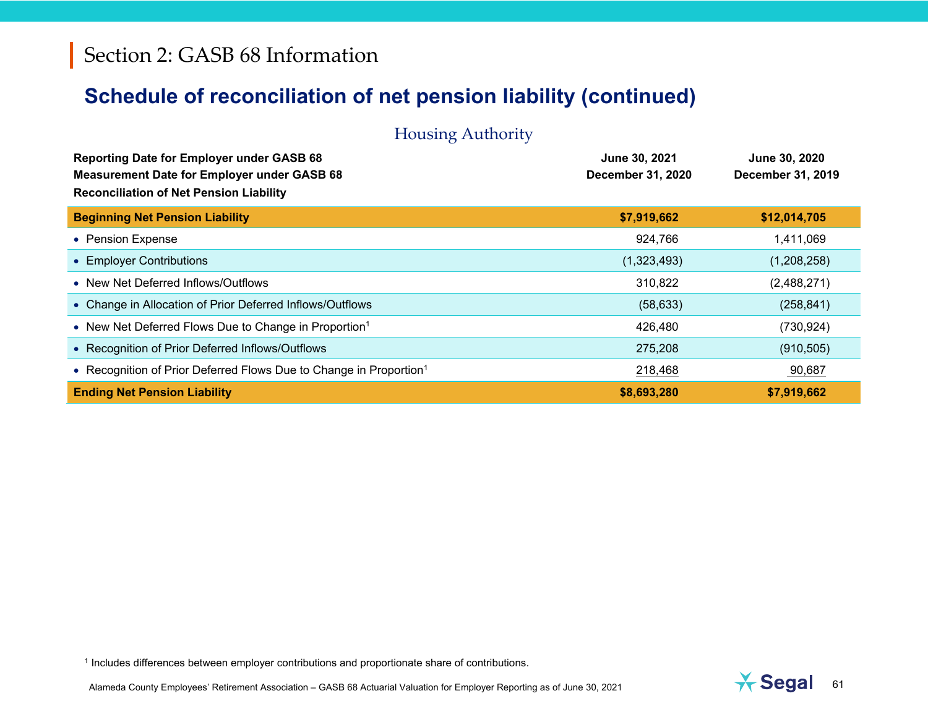| <b>Housing Authority</b>                                                                                                                                 |                                    |                                           |
|----------------------------------------------------------------------------------------------------------------------------------------------------------|------------------------------------|-------------------------------------------|
| <b>Reporting Date for Employer under GASB 68</b><br><b>Measurement Date for Employer under GASB 68</b><br><b>Reconciliation of Net Pension Liability</b> | June 30, 2021<br>December 31, 2020 | June 30, 2020<br><b>December 31, 2019</b> |
| <b>Beginning Net Pension Liability</b>                                                                                                                   | \$7,919,662                        | \$12,014,705                              |
| • Pension Expense                                                                                                                                        | 924,766                            | 1,411,069                                 |
| • Employer Contributions                                                                                                                                 | (1,323,493)                        | (1,208,258)                               |
| • New Net Deferred Inflows/Outflows                                                                                                                      | 310,822                            | (2,488,271)                               |
| • Change in Allocation of Prior Deferred Inflows/Outflows                                                                                                | (58, 633)                          | (258, 841)                                |
| • New Net Deferred Flows Due to Change in Proportion <sup>1</sup>                                                                                        | 426,480                            | (730, 924)                                |
| • Recognition of Prior Deferred Inflows/Outflows                                                                                                         | 275,208                            | (910, 505)                                |
| • Recognition of Prior Deferred Flows Due to Change in Proportion <sup>1</sup>                                                                           | 218,468                            | 90,687                                    |
| <b>Ending Net Pension Liability</b>                                                                                                                      | \$8,693,280                        | \$7,919,662                               |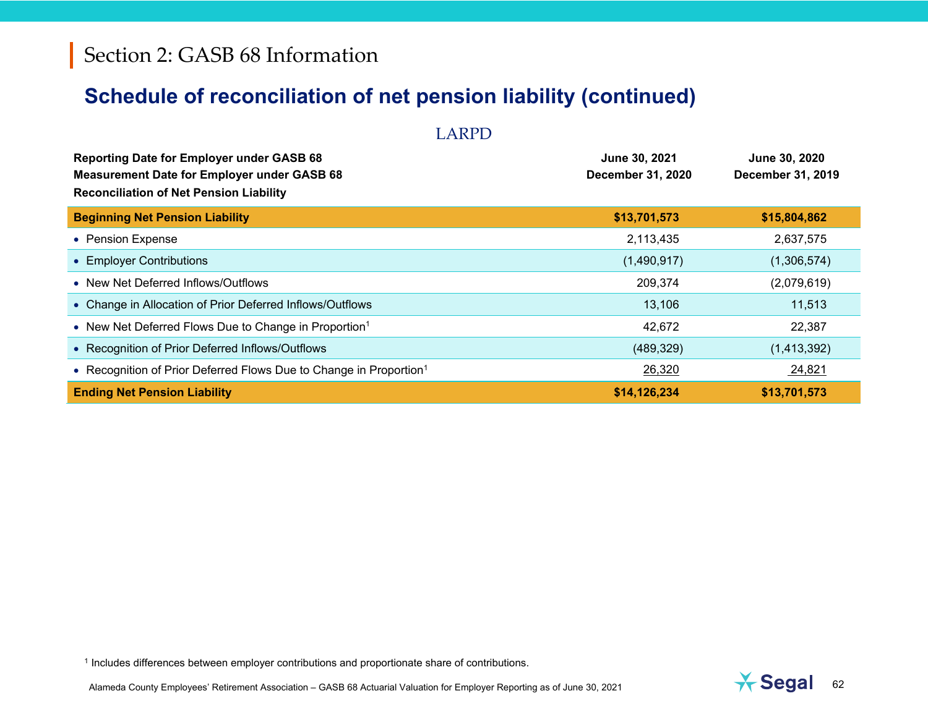| <b>LARPD</b>                                                                                                                                             |                                           |                                           |
|----------------------------------------------------------------------------------------------------------------------------------------------------------|-------------------------------------------|-------------------------------------------|
| <b>Reporting Date for Employer under GASB 68</b><br><b>Measurement Date for Employer under GASB 68</b><br><b>Reconciliation of Net Pension Liability</b> | June 30, 2021<br><b>December 31, 2020</b> | June 30, 2020<br><b>December 31, 2019</b> |
| <b>Beginning Net Pension Liability</b>                                                                                                                   | \$13,701,573                              | \$15,804,862                              |
| • Pension Expense                                                                                                                                        | 2,113,435                                 | 2,637,575                                 |
| • Employer Contributions                                                                                                                                 | (1,490,917)                               | (1,306,574)                               |
| • New Net Deferred Inflows/Outflows                                                                                                                      | 209,374                                   | (2,079,619)                               |
| • Change in Allocation of Prior Deferred Inflows/Outflows                                                                                                | 13,106                                    | 11,513                                    |
| • New Net Deferred Flows Due to Change in Proportion <sup>1</sup>                                                                                        | 42,672                                    | 22,387                                    |
| • Recognition of Prior Deferred Inflows/Outflows                                                                                                         | (489, 329)                                | (1,413,392)                               |
| • Recognition of Prior Deferred Flows Due to Change in Proportion <sup>1</sup>                                                                           | 26,320                                    | 24,821                                    |
| <b>Ending Net Pension Liability</b>                                                                                                                      | \$14,126,234                              | \$13,701,573                              |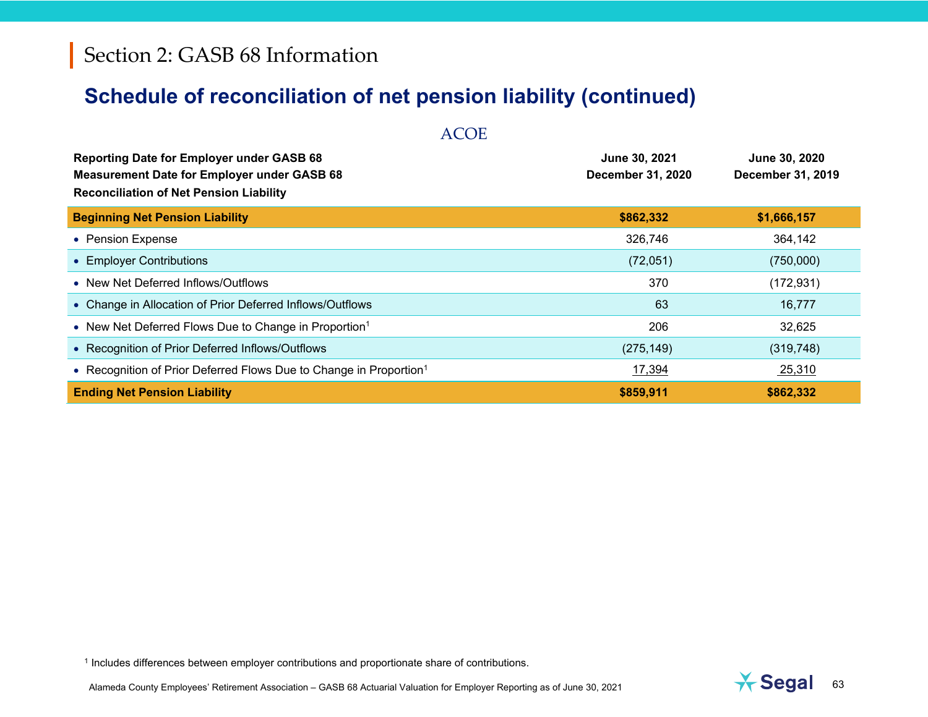| <b>ACOE</b>                                                                                                                                              |                                           |                                    |  |  |
|----------------------------------------------------------------------------------------------------------------------------------------------------------|-------------------------------------------|------------------------------------|--|--|
| <b>Reporting Date for Employer under GASB 68</b><br><b>Measurement Date for Employer under GASB 68</b><br><b>Reconciliation of Net Pension Liability</b> | June 30, 2021<br><b>December 31, 2020</b> | June 30, 2020<br>December 31, 2019 |  |  |
| <b>Beginning Net Pension Liability</b>                                                                                                                   | \$862,332                                 | \$1,666,157                        |  |  |
| • Pension Expense                                                                                                                                        | 326,746                                   | 364,142                            |  |  |
| • Employer Contributions                                                                                                                                 | (72,051)                                  | (750,000)                          |  |  |
| • New Net Deferred Inflows/Outflows                                                                                                                      | 370                                       | (172, 931)                         |  |  |
| • Change in Allocation of Prior Deferred Inflows/Outflows                                                                                                | 63                                        | 16,777                             |  |  |
| • New Net Deferred Flows Due to Change in Proportion <sup>1</sup>                                                                                        | 206                                       | 32,625                             |  |  |
| • Recognition of Prior Deferred Inflows/Outflows                                                                                                         | (275, 149)                                | (319, 748)                         |  |  |
| • Recognition of Prior Deferred Flows Due to Change in Proportion <sup>1</sup>                                                                           | 17,394                                    | 25,310                             |  |  |
| <b>Ending Net Pension Liability</b>                                                                                                                      | \$859,911                                 | \$862,332                          |  |  |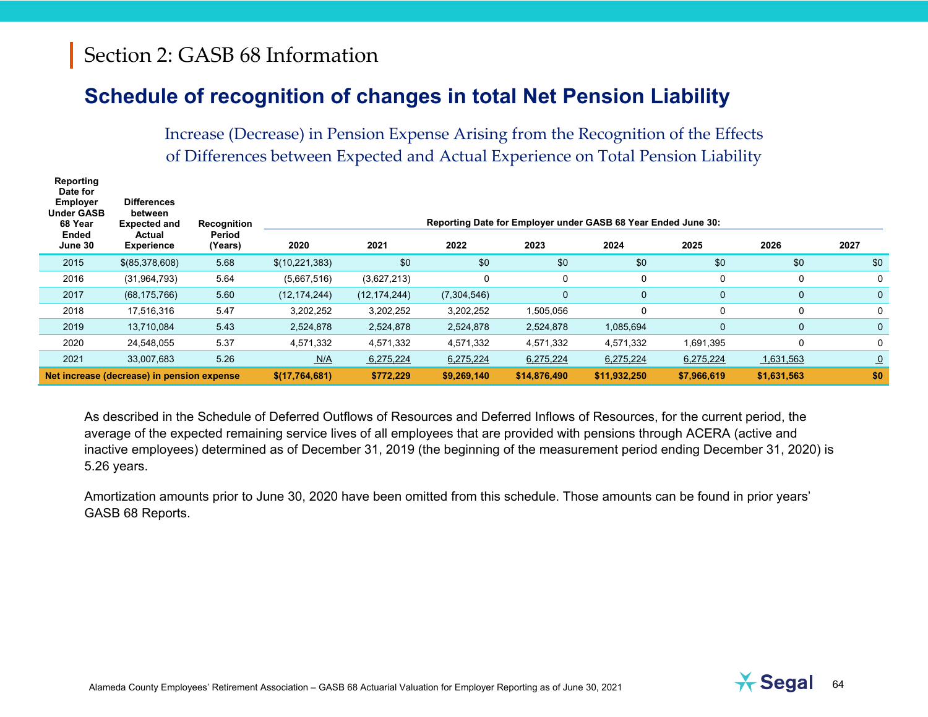## **Schedule of recognition of changes in total Net Pension Liability**

Increase (Decrease) in Pension Expense Arising from the Recognition of the Effects of Differences between Expected and Actual Experience on Total Pension Liability

| Reporting<br>Date for<br><b>Employer</b><br><b>Under GASB</b><br>68 Year<br>Ended<br>June 30 | <b>Differences</b><br>between<br><b>Expected and</b><br>Actual<br><b>Experience</b> | Recognition<br>Period<br>(Years) | 2020           | 2021           | 2022        | 2023         | Reporting Date for Employer under GASB 68 Year Ended June 30:<br>2024 | 2025         | 2026         | 2027           |
|----------------------------------------------------------------------------------------------|-------------------------------------------------------------------------------------|----------------------------------|----------------|----------------|-------------|--------------|-----------------------------------------------------------------------|--------------|--------------|----------------|
| 2015                                                                                         | \$ (85,378,608)                                                                     | 5.68                             | \$(10,221,383) | \$0            | \$0         | \$0          | \$0                                                                   | \$0          | \$0          | \$0            |
| 2016                                                                                         | (31, 964, 793)                                                                      | 5.64                             | (5,667,516)    | (3,627,213)    | 0           | 0            | 0                                                                     | 0            | 0            | 0              |
| 2017                                                                                         | (68, 175, 766)                                                                      | 5.60                             | (12, 174, 244) | (12, 174, 244) | (7,304,546) | 0            | 0                                                                     | $\mathbf 0$  | $\mathbf{0}$ | $\mathbf{0}$   |
| 2018                                                                                         | 17,516,316                                                                          | 5.47                             | 3,202,252      | 3,202,252      | 3,202,252   | 1,505,056    | 0                                                                     | 0            | 0            | 0              |
| 2019                                                                                         | 13,710,084                                                                          | 5.43                             | 2,524,878      | 2,524,878      | 2,524,878   | 2,524,878    | 1,085,694                                                             | $\mathbf{0}$ | $\mathbf{0}$ | $\mathbf{0}$   |
| 2020                                                                                         | 24.548.055                                                                          | 5.37                             | 4,571,332      | 4,571,332      | 4,571,332   | 4,571,332    | 4,571,332                                                             | 1,691,395    | $\Omega$     | 0              |
| 2021                                                                                         | 33,007,683                                                                          | 5.26                             | N/A            | 6,275,224      | 6,275,224   | 6,275,224    | 6,275,224                                                             | 6,275,224    | 1,631,563    | $\overline{0}$ |
|                                                                                              | Net increase (decrease) in pension expense                                          |                                  | \$(17,764,681) | \$772,229      | \$9,269,140 | \$14,876,490 | \$11,932,250                                                          | \$7,966,619  | \$1,631,563  | \$0            |

As described in the Schedule of Deferred Outflows of Resources and Deferred Inflows of Resources, for the current period, the average of the expected remaining service lives of all employees that are provided with pensions through ACERA (active and inactive employees) determined as of December 31, 2019 (the beginning of the measurement period ending December 31, 2020) is 5.26 years.

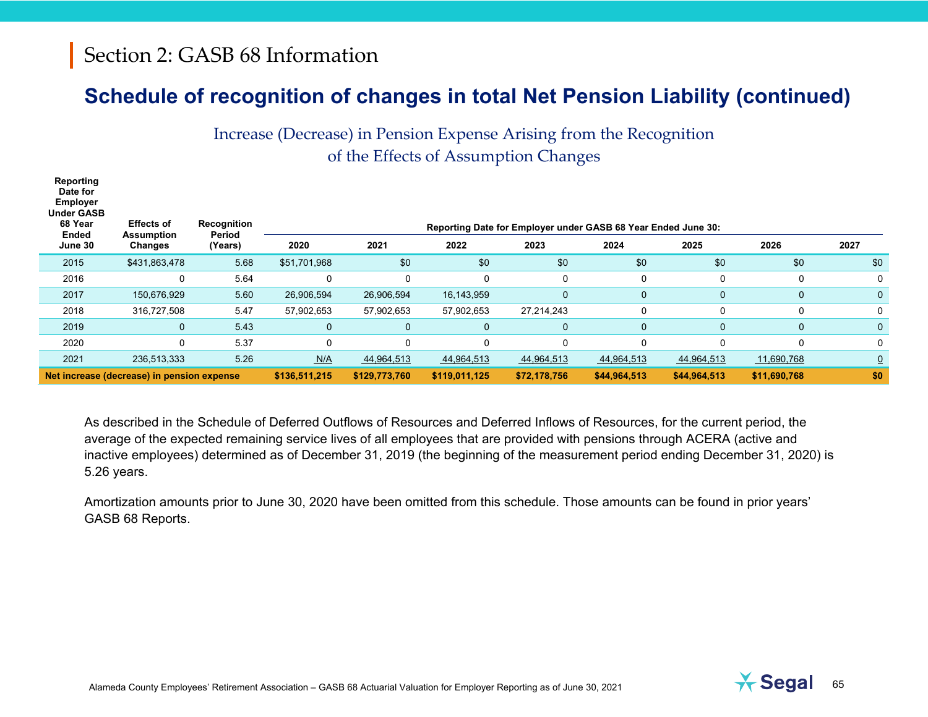## **Schedule of recognition of changes in total Net Pension Liability (continued)**

Increase (Decrease) in Pension Expense Arising from the Recognition of the Effects of Assumption Changes

| Reporting<br>Date for<br><b>Employer</b><br><b>Under GASB</b><br>68 Year<br>Ended                                             | <b>Effects of</b><br><b>Assumption</b> | Recognition<br>Period | Reporting Date for Employer under GASB 68 Year Ended June 30: |              |             |              |              |              |              |                |  |  |
|-------------------------------------------------------------------------------------------------------------------------------|----------------------------------------|-----------------------|---------------------------------------------------------------|--------------|-------------|--------------|--------------|--------------|--------------|----------------|--|--|
| June 30                                                                                                                       | Changes                                | (Years)               | 2020                                                          | 2021         | 2022        | 2023         | 2024         | 2025         | 2026         | 2027           |  |  |
| 2015                                                                                                                          | \$431,863,478                          | 5.68                  | \$51,701,968                                                  | \$0          | \$0         | \$0          | \$0          | \$0          | \$0          | \$0            |  |  |
| 2016                                                                                                                          | $\mathbf 0$                            | 5.64                  | $\Omega$                                                      |              | $\Omega$    | 0            | 0            | 0            | $\Omega$     | 0              |  |  |
| 2017                                                                                                                          | 150,676,929                            | 5.60                  | 26,906,594                                                    | 26,906,594   | 16,143,959  | 0            | 0            | $\mathbf 0$  | $\mathbf{0}$ | $\mathbf{0}$   |  |  |
| 2018                                                                                                                          | 316,727,508                            | 5.47                  | 57,902,653                                                    | 57,902,653   | 57,902,653  | 27,214,243   | $\mathbf 0$  |              | $\Omega$     | 0              |  |  |
| 2019                                                                                                                          | $\mathbf 0$                            | 5.43                  | $\mathbf{0}$                                                  | $\mathbf{0}$ | $\mathbf 0$ | 0            | 0            | $\mathbf{0}$ | $\mathbf{0}$ | 0              |  |  |
| 2020                                                                                                                          | $\mathbf 0$                            | 5.37                  | $\mathbf 0$                                                   | $\Omega$     | 0           | 0            | 0            | $\Omega$     | $\Omega$     | 0              |  |  |
| 2021                                                                                                                          | 236,513,333                            | 5.26                  | N/A                                                           | 44,964,513   | 44,964,513  | 44,964,513   | 44,964,513   | 44,964,513   | 11,690,768   | $\overline{0}$ |  |  |
| Net increase (decrease) in pension expense<br>\$136,511,215<br>\$129,773,760<br>\$119,011,125<br>\$72,178,756<br>\$44,964,513 |                                        |                       |                                                               |              |             | \$44,964,513 | \$11,690,768 | \$0          |              |                |  |  |

As described in the Schedule of Deferred Outflows of Resources and Deferred Inflows of Resources, for the current period, the average of the expected remaining service lives of all employees that are provided with pensions through ACERA (active and inactive employees) determined as of December 31, 2019 (the beginning of the measurement period ending December 31, 2020) is 5.26 years.

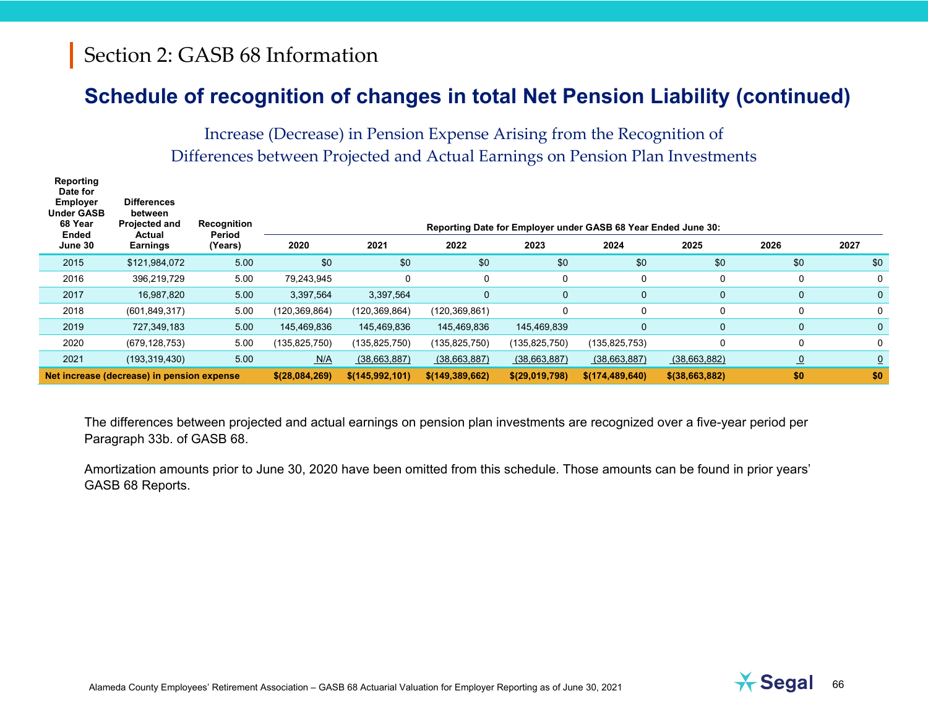### **Schedule of recognition of changes in total Net Pension Liability (continued)**

Increase (Decrease) in Pension Expense Arising from the Recognition of Differences between Projected and Actual Earnings on Pension Plan Investments

| Reporting<br>Date for<br><b>Employer</b><br><b>Under GASB</b><br>68 Year<br>Ended | <b>Differences</b><br>between<br><b>Projected and</b><br>Actual | Recognition<br>Period | Reporting Date for Employer under GASB 68 Year Ended June 30: |                 |                   |                |                   |                   |                |                |
|-----------------------------------------------------------------------------------|-----------------------------------------------------------------|-----------------------|---------------------------------------------------------------|-----------------|-------------------|----------------|-------------------|-------------------|----------------|----------------|
| June 30                                                                           | <b>Earnings</b>                                                 | (Years)               | 2020                                                          | 2021            | 2022              | 2023           | 2024              | 2025              | 2026           | 2027           |
| 2015                                                                              | \$121,984,072                                                   | 5.00                  | \$0                                                           | \$0             | \$0               | \$0            | \$0               | \$0               | \$0            | \$0            |
| 2016                                                                              | 396,219,729                                                     | 5.00                  | 79,243,945                                                    | 0               | 0                 | 0              | 0                 | 0                 | 0              | 0              |
| 2017                                                                              | 16,987,820                                                      | 5.00                  | 3,397,564                                                     | 3,397,564       | 0                 | 0              | 0                 | $\mathbf{0}$      | $\mathbf{0}$   | $\mathbf{0}$   |
| 2018                                                                              | (601, 849, 317)                                                 | 5.00                  | (120,369,864)                                                 | (120, 369, 864) | (120, 369, 861)   | $\Omega$       | 0                 |                   | 0              | 0              |
| 2019                                                                              | 727,349,183                                                     | 5.00                  | 145,469,836                                                   | 145,469,836     | 145,469,836       | 145,469,839    | 0                 | $\mathbf{0}$      | $\mathbf{0}$   | $\mathbf{0}$   |
| 2020                                                                              | (679, 128, 753)                                                 | 5.00                  | (135,825,750)                                                 | (135, 825, 750) | (135, 825, 750)   | (135,825,750)  | (135, 825, 753)   |                   | 0              | 0              |
| 2021                                                                              | (193, 319, 430)                                                 | 5.00                  | N/A                                                           | (38,663,887)    | (38,663,887)      | (38,663,887)   | (38,663,887)      | (38,663,882)      | $\overline{0}$ | $\overline{0}$ |
|                                                                                   | Net increase (decrease) in pension expense                      |                       | \$(28,084,269)                                                | \$(145,992,101) | \$(149, 389, 662) | \$(29,019,798) | \$(174, 489, 640) | \$ (38, 663, 882) | \$0            | \$0            |

The differences between projected and actual earnings on pension plan investments are recognized over a five-year period per Paragraph 33b. of GASB 68.

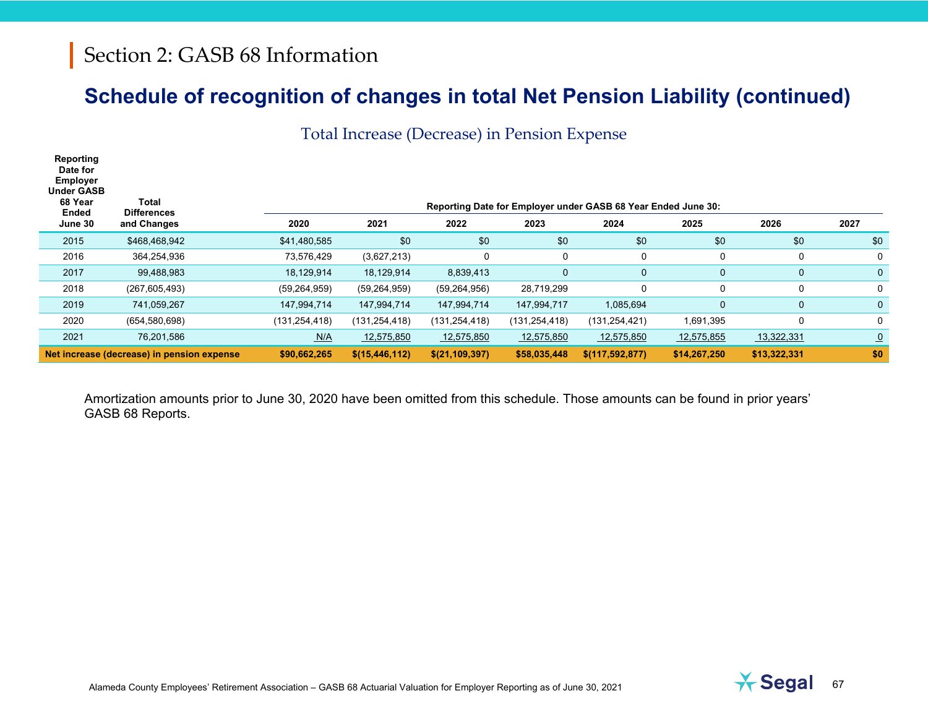# **Schedule of recognition of changes in total Net Pension Liability (continued)**

Total Increase (Decrease) in Pension Expense

| Reporting<br>Date for<br><b>Employer</b><br><b>Under GASB</b><br>68 Year<br>Ended<br>June 30 | Total<br><b>Differences</b><br>and Changes | 2020            | 2021             | 2022             | 2023            | Reporting Date for Employer under GASB 68 Year Ended June 30:<br>2024 | 2025         | 2026         | 2027         |
|----------------------------------------------------------------------------------------------|--------------------------------------------|-----------------|------------------|------------------|-----------------|-----------------------------------------------------------------------|--------------|--------------|--------------|
| 2015                                                                                         | \$468,468,942                              | \$41,480,585    | \$0              | \$0              | \$0             | \$0                                                                   | \$0          | \$0          | \$0          |
| 2016                                                                                         | 364,254,936                                | 73,576,429      | (3,627,213)      | 0                | 0               | $\Omega$                                                              | $\mathbf{0}$ | 0            | 0            |
| 2017                                                                                         | 99,488,983                                 | 18,129,914      | 18,129,914       | 8,839,413        | 0               | $\mathbf{0}$                                                          | $\mathbf{0}$ | $\mathbf{0}$ | 0            |
| 2018                                                                                         | (267,605,493)                              | (59, 264, 959)  | (59, 264, 959)   | (59, 264, 956)   | 28,719,299      | 0                                                                     | $\mathbf{0}$ | $\Omega$     | 0            |
| 2019                                                                                         | 741,059,267                                | 147,994,714     | 147,994,714      | 147,994,714      | 147,994,717     | 1,085,694                                                             | $\mathbf{0}$ | $\mathbf{0}$ | $\mathbf{0}$ |
| 2020                                                                                         | (654, 580, 698)                            | (131, 254, 418) | (131, 254, 418)  | (131, 254, 418)  | (131, 254, 418) | (131, 254, 421)                                                       | 1,691,395    | 0            | 0            |
| 2021                                                                                         | 76,201,586                                 | N/A             | 12,575,850       | 12,575,850       | 12,575,850      | 12,575,850                                                            | 12,575,855   | 13,322,331   | $\Omega$     |
|                                                                                              | Net increase (decrease) in pension expense | \$90,662,265    | \$(15, 446, 112) | \$(21, 109, 397) | \$58,035,448    | \$(117, 592, 877)                                                     | \$14,267,250 | \$13,322,331 | \$0          |

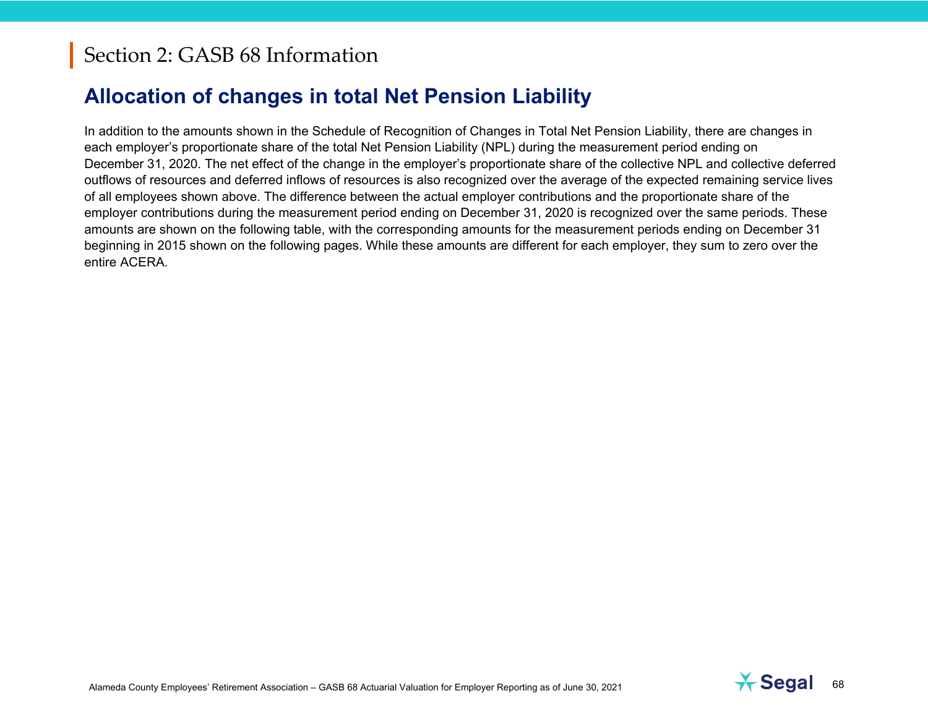# **Allocation of changes in total Net Pension Liability**

In addition to the amounts shown in the Schedule of Recognition of Changes in Total Net Pension Liability, there are changes in each employer's proportionate share of the total Net Pension Liability (NPL) during the measurement period ending on December 31, 2020. The net effect of the change in the employer's proportionate share of the collective NPL and collective deferred outflows of resources and deferred inflows of resources is also recognized over the average of the expected remaining service lives of all employees shown above. The difference between the actual employer contributions and the proportionate share of the employer contributions during the measurement period ending on December 31, 2020 is recognized over the same periods. These amounts are shown on the following table, with the corresponding amounts for the measurement periods ending on December 31 beginning in 2015 shown on the following pages. While these amounts are different for each employer, they sum to zero over the entire ACERA.

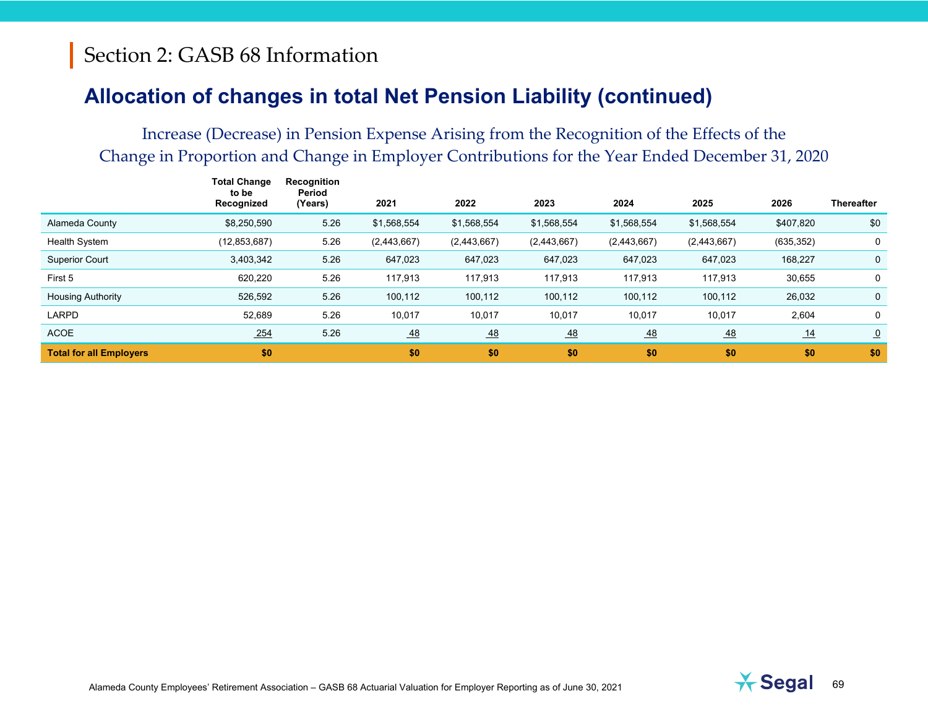## **Allocation of changes in total Net Pension Liability (continued)**

|                                | Total Change<br>to be<br>Recognized | Recognition<br>Period<br>(Years) | 2021             | 2022             | 2023             | 2024        | 2025        | 2026       | <b>Thereafter</b> |
|--------------------------------|-------------------------------------|----------------------------------|------------------|------------------|------------------|-------------|-------------|------------|-------------------|
| Alameda County                 | \$8,250,590                         | 5.26                             | \$1,568,554      | \$1,568,554      | \$1,568,554      | \$1,568,554 | \$1,568,554 | \$407,820  | \$0               |
| <b>Health System</b>           | (12, 853, 687)                      | 5.26                             | (2,443,667)      | (2,443,667)      | (2,443,667)      | (2,443,667) | (2,443,667) | (635, 352) | 0                 |
| <b>Superior Court</b>          | 3,403,342                           | 5.26                             | 647,023          | 647,023          | 647,023          | 647,023     | 647,023     | 168,227    | $\mathbf{0}$      |
| First 5                        | 620,220                             | 5.26                             | 117,913          | 117,913          | 117,913          | 117,913     | 117,913     | 30,655     | 0                 |
| <b>Housing Authority</b>       | 526,592                             | 5.26                             | 100,112          | 100,112          | 100,112          | 100,112     | 100,112     | 26,032     | $\mathbf 0$       |
| LARPD                          | 52,689                              | 5.26                             | 10,017           | 10,017           | 10,017           | 10,017      | 10,017      | 2,604      | $\mathbf 0$       |
| <b>ACOE</b>                    | 254                                 | 5.26                             | $\underline{48}$ | $\underline{48}$ | $\underline{48}$ | 48          | 48          | 14         | $\Omega$          |
| <b>Total for all Employers</b> | \$0                                 |                                  | \$0              | \$0              | \$0              | \$0         | \$0         | \$0        | \$0               |

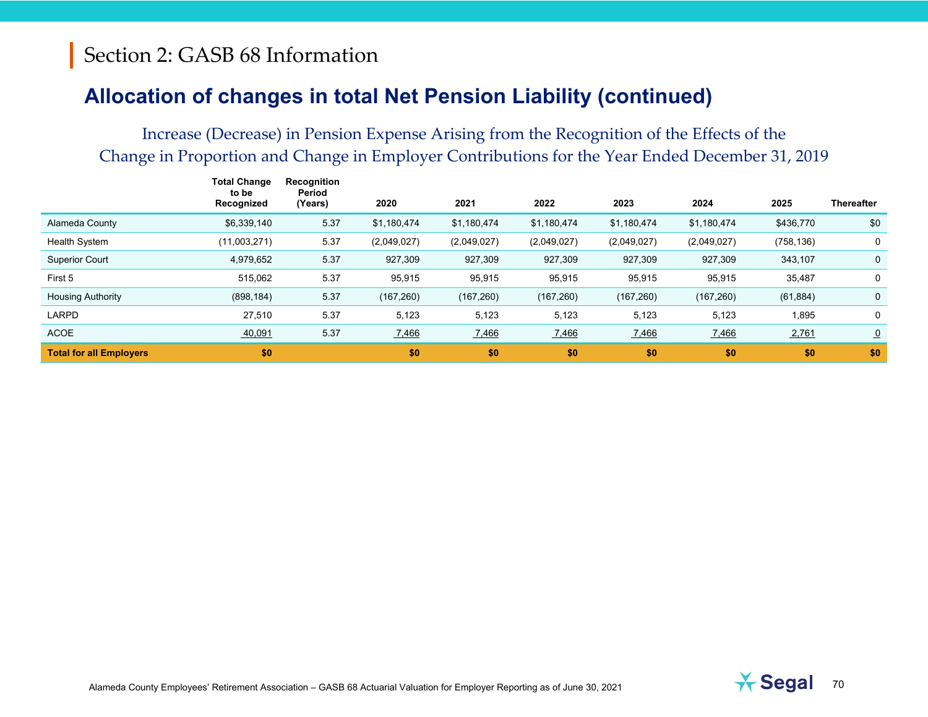### **Allocation of changes in total Net Pension Liability (continued)**

|                                | Total Change<br>to be<br>Recognized | Recognition<br>Period<br>(Years) | 2020        | 2021        | 2022        | 2023        | 2024        | 2025       | <b>Thereafter</b> |
|--------------------------------|-------------------------------------|----------------------------------|-------------|-------------|-------------|-------------|-------------|------------|-------------------|
| Alameda County                 | \$6,339,140                         | 5.37                             | \$1,180,474 | \$1,180,474 | \$1,180,474 | \$1,180,474 | \$1,180,474 | \$436,770  | \$0               |
| <b>Health System</b>           | (11,003,271)                        | 5.37                             | (2,049,027) | (2,049,027) | (2,049,027) | (2,049,027) | (2,049,027) | (758, 136) | 0                 |
| <b>Superior Court</b>          | 4,979,652                           | 5.37                             | 927,309     | 927,309     | 927,309     | 927,309     | 927,309     | 343,107    | $\mathbf{0}$      |
| First 5                        | 515,062                             | 5.37                             | 95,915      | 95,915      | 95,915      | 95,915      | 95,915      | 35,487     | 0                 |
| <b>Housing Authority</b>       | (898, 184)                          | 5.37                             | (167, 260)  | (167, 260)  | (167, 260)  | (167, 260)  | (167, 260)  | (61, 884)  | $\mathbf 0$       |
| LARPD                          | 27,510                              | 5.37                             | 5,123       | 5,123       | 5,123       | 5,123       | 5,123       | 1,895      | 0                 |
| <b>ACOE</b>                    | 40,091                              | 5.37                             | 7,466       | 7,466       | 7,466       | 7,466       | 7,466       | 2,761      | $\overline{0}$    |
| <b>Total for all Employers</b> | \$0                                 |                                  | \$0         | \$0         | \$0         | \$0         | \$0         | \$0        | \$0               |

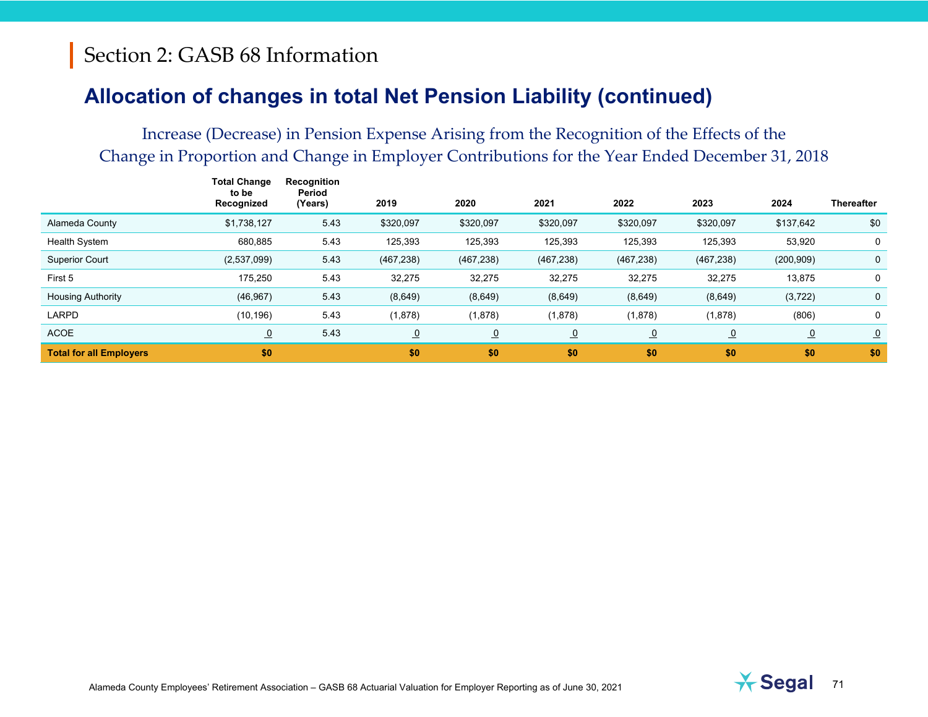## **Allocation of changes in total Net Pension Liability (continued)**

|                                | Total Change<br>to be<br>Recognized | Recognition<br>Period<br>(Years) | 2019       | 2020           | 2021           | 2022       | 2023           | 2024           | <b>Thereafter</b> |
|--------------------------------|-------------------------------------|----------------------------------|------------|----------------|----------------|------------|----------------|----------------|-------------------|
| Alameda County                 | \$1,738,127                         | 5.43                             | \$320,097  | \$320,097      | \$320,097      | \$320,097  | \$320,097      | \$137,642      | \$0               |
| <b>Health System</b>           | 680,885                             | 5.43                             | 125,393    | 125,393        | 125,393        | 125,393    | 125,393        | 53,920         | 0                 |
| <b>Superior Court</b>          | (2,537,099)                         | 5.43                             | (467, 238) | (467, 238)     | (467, 238)     | (467, 238) | (467, 238)     | (200, 909)     | $\mathbf{0}$      |
| First 5                        | 175,250                             | 5.43                             | 32,275     | 32,275         | 32,275         | 32,275     | 32,275         | 13,875         | 0                 |
| <b>Housing Authority</b>       | (46, 967)                           | 5.43                             | (8,649)    | (8,649)        | (8,649)        | (8,649)    | (8,649)        | (3, 722)       | $\mathbf 0$       |
| LARPD                          | (10, 196)                           | 5.43                             | (1,878)    | (1,878)        | (1,878)        | (1,878)    | (1,878)        | (806)          | 0                 |
| <b>ACOE</b>                    | $\overline{0}$                      | 5.43                             | $\Omega$   | $\overline{0}$ | $\overline{0}$ | $\Omega$   | $\overline{0}$ | $\overline{0}$ | $\overline{0}$    |
| <b>Total for all Employers</b> | \$0                                 |                                  | \$0        | \$0            | \$0            | \$0        | \$0            | \$0            | \$0               |

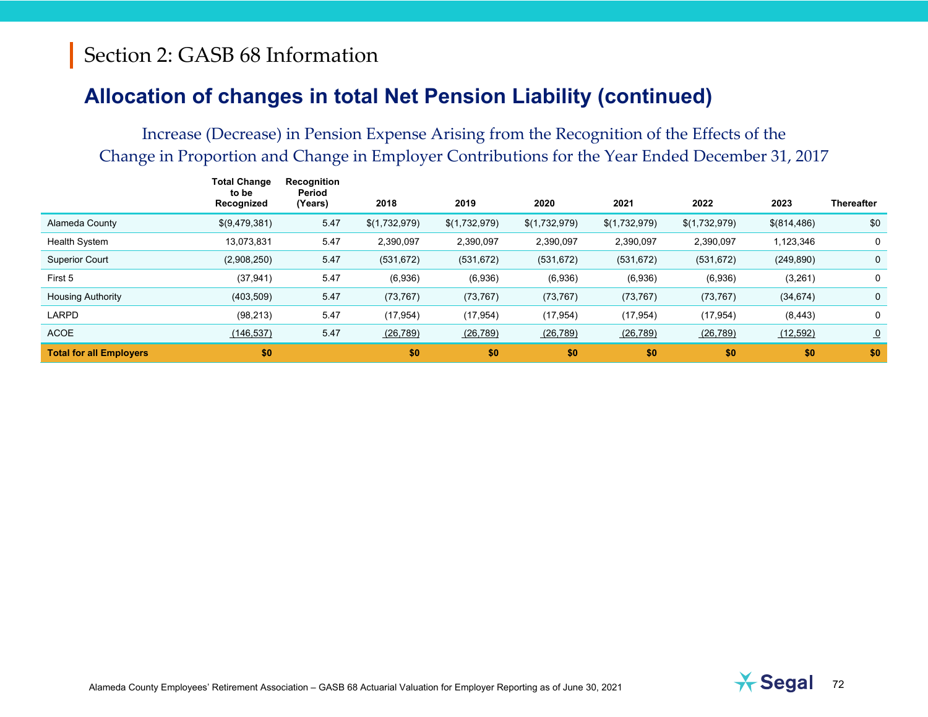### **Allocation of changes in total Net Pension Liability (continued)**

|                                | Total Change<br>to be<br>Recognized | Recognition<br>Period<br>(Years) | 2018          | 2019          | 2020          | 2021          | 2022          | 2023        | <b>Thereafter</b> |
|--------------------------------|-------------------------------------|----------------------------------|---------------|---------------|---------------|---------------|---------------|-------------|-------------------|
| Alameda County                 | \$(9,479,381)                       | 5.47                             | \$(1,732,979) | \$(1,732,979) | \$(1,732,979) | \$(1,732,979) | \$(1,732,979) | \$(814,486) | \$0               |
| <b>Health System</b>           | 13,073,831                          | 5.47                             | 2,390,097     | 2,390,097     | 2,390,097     | 2,390,097     | 2,390,097     | 1,123,346   | 0                 |
| <b>Superior Court</b>          | (2,908,250)                         | 5.47                             | (531, 672)    | (531, 672)    | (531, 672)    | (531, 672)    | (531, 672)    | (249, 890)  | $\mathbf{0}$      |
| First 5                        | (37, 941)                           | 5.47                             | (6,936)       | (6,936)       | (6,936)       | (6,936)       | (6,936)       | (3,261)     | 0                 |
| <b>Housing Authority</b>       | (403, 509)                          | 5.47                             | (73, 767)     | (73, 767)     | (73, 767)     | (73, 767)     | (73, 767)     | (34, 674)   | $\mathbf 0$       |
| <b>LARPD</b>                   | (98, 213)                           | 5.47                             | (17, 954)     | (17, 954)     | (17, 954)     | (17, 954)     | (17, 954)     | (8, 443)    | 0                 |
| <b>ACOE</b>                    | (146, 537)                          | 5.47                             | (26, 789)     | (26, 789)     | (26, 789)     | (26, 789)     | (26, 789)     | (12, 592)   | $\overline{0}$    |
| <b>Total for all Employers</b> | \$0                                 |                                  | \$0           | \$0           | \$0           | \$0           | \$0           | \$0         | \$0               |

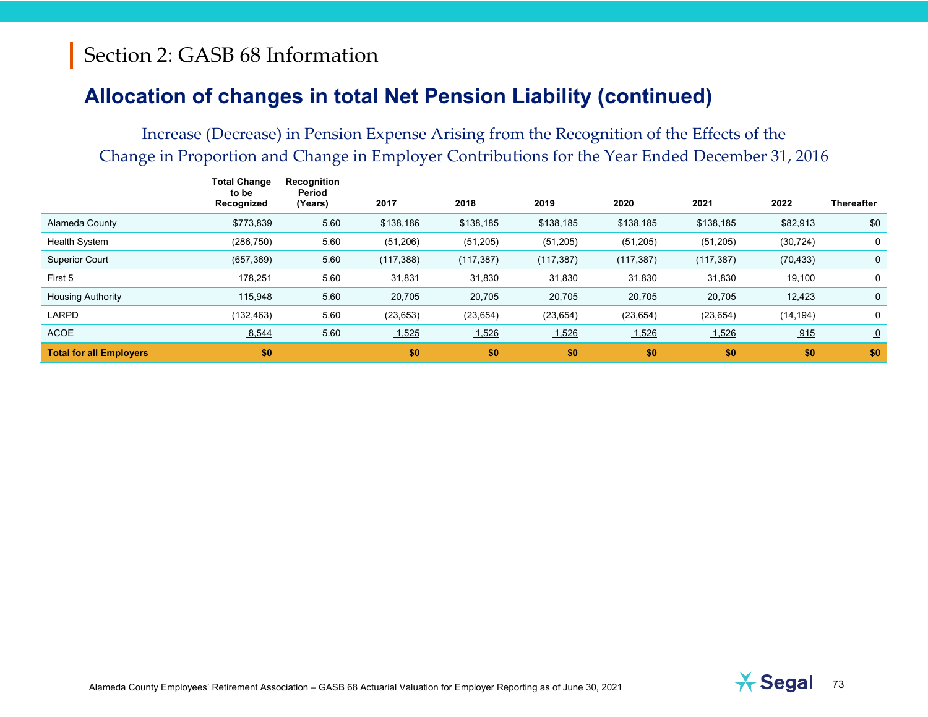### Section 2: GASB 68 Information

#### **Allocation of changes in total Net Pension Liability (continued)**

#### Increase (Decrease) in Pension Expense Arising from the Recognition of the Effects of the Change in Proportion and Change in Employer Contributions for the Year Ended December 31, 2016

|                                | Total Change<br>to be<br>Recognized | Recognition<br>Period<br>(Years) | 2017       | 2018       | 2019       | 2020       | 2021       | 2022      | <b>Thereafter</b> |
|--------------------------------|-------------------------------------|----------------------------------|------------|------------|------------|------------|------------|-----------|-------------------|
| Alameda County                 | \$773,839                           | 5.60                             | \$138,186  | \$138,185  | \$138,185  | \$138,185  | \$138,185  | \$82,913  | \$0               |
| <b>Health System</b>           | (286, 750)                          | 5.60                             | (51, 206)  | (51, 205)  | (51, 205)  | (51, 205)  | (51, 205)  | (30, 724) | 0                 |
| <b>Superior Court</b>          | (657, 369)                          | 5.60                             | (117, 388) | (117, 387) | (117, 387) | (117, 387) | (117, 387) | (70, 433) | 0                 |
| First 5                        | 178,251                             | 5.60                             | 31,831     | 31,830     | 31,830     | 31,830     | 31,830     | 19,100    | 0                 |
| <b>Housing Authority</b>       | 115,948                             | 5.60                             | 20,705     | 20,705     | 20,705     | 20,705     | 20,705     | 12,423    | 0                 |
| LARPD                          | (132, 463)                          | 5.60                             | (23, 653)  | (23, 654)  | (23, 654)  | (23, 654)  | (23, 654)  | (14, 194) | 0                 |
| <b>ACOE</b>                    | 8,544                               | 5.60                             | 1,525      | 1,526      | 1,526      | 1,526      | 1,526      | 915       | $\Omega$          |
| <b>Total for all Employers</b> | \$0                                 |                                  | \$0        | \$0        | \$0        | \$0        | \$0        | \$0       | \$0               |

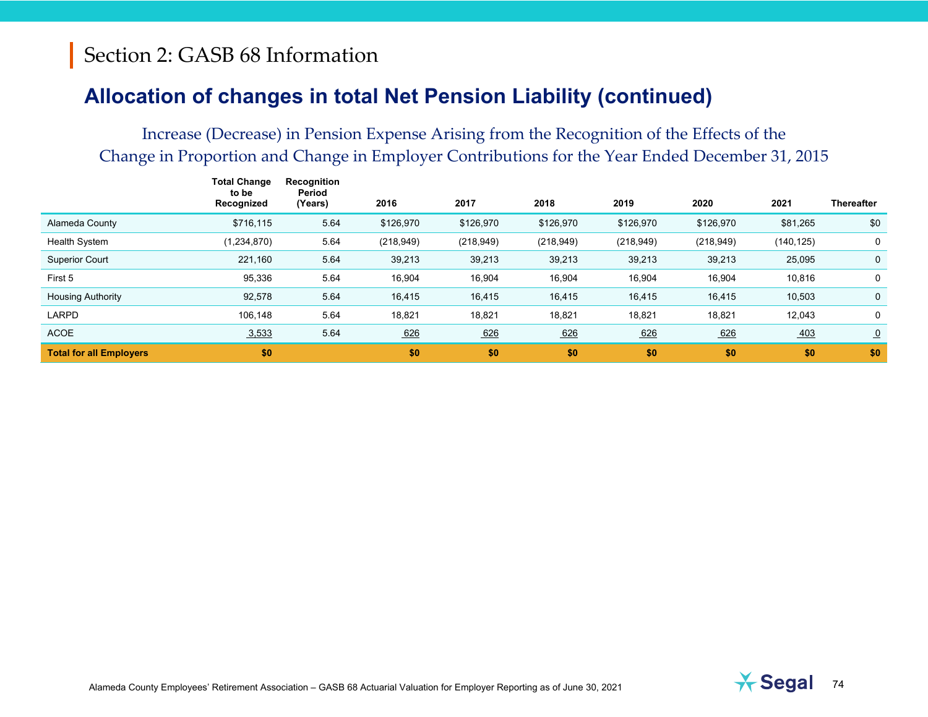### Section 2: GASB 68 Information

#### **Allocation of changes in total Net Pension Liability (continued)**

#### Increase (Decrease) in Pension Expense Arising from the Recognition of the Effects of the Change in Proportion and Change in Employer Contributions for the Year Ended December 31, 2015

|                                | Total Change<br>to be<br>Recognized | Recognition<br>Period<br>(Years) | 2016       | 2017       | 2018       | 2019       | 2020       | 2021       | <b>Thereafter</b> |
|--------------------------------|-------------------------------------|----------------------------------|------------|------------|------------|------------|------------|------------|-------------------|
| Alameda County                 | \$716,115                           | 5.64                             | \$126,970  | \$126,970  | \$126,970  | \$126,970  | \$126,970  | \$81,265   | \$0               |
| <b>Health System</b>           | (1, 234, 870)                       | 5.64                             | (218, 949) | (218, 949) | (218, 949) | (218, 949) | (218, 949) | (140, 125) | 0                 |
| <b>Superior Court</b>          | 221,160                             | 5.64                             | 39,213     | 39,213     | 39,213     | 39,213     | 39,213     | 25,095     | $\mathbf{0}$      |
| First 5                        | 95,336                              | 5.64                             | 16,904     | 16,904     | 16,904     | 16,904     | 16,904     | 10,816     | 0                 |
| <b>Housing Authority</b>       | 92,578                              | 5.64                             | 16,415     | 16,415     | 16,415     | 16,415     | 16,415     | 10,503     | $\mathbf 0$       |
| LARPD                          | 106,148                             | 5.64                             | 18,821     | 18,821     | 18,821     | 18,821     | 18,821     | 12,043     | 0                 |
| <b>ACOE</b>                    | 3,533                               | 5.64                             | 626        | 626        | 626        | 626        | 626        | 403        | $\overline{0}$    |
| <b>Total for all Employers</b> | \$0                                 |                                  | \$0        | \$0        | \$0        | \$0        | \$0        | \$0        | \$0               |

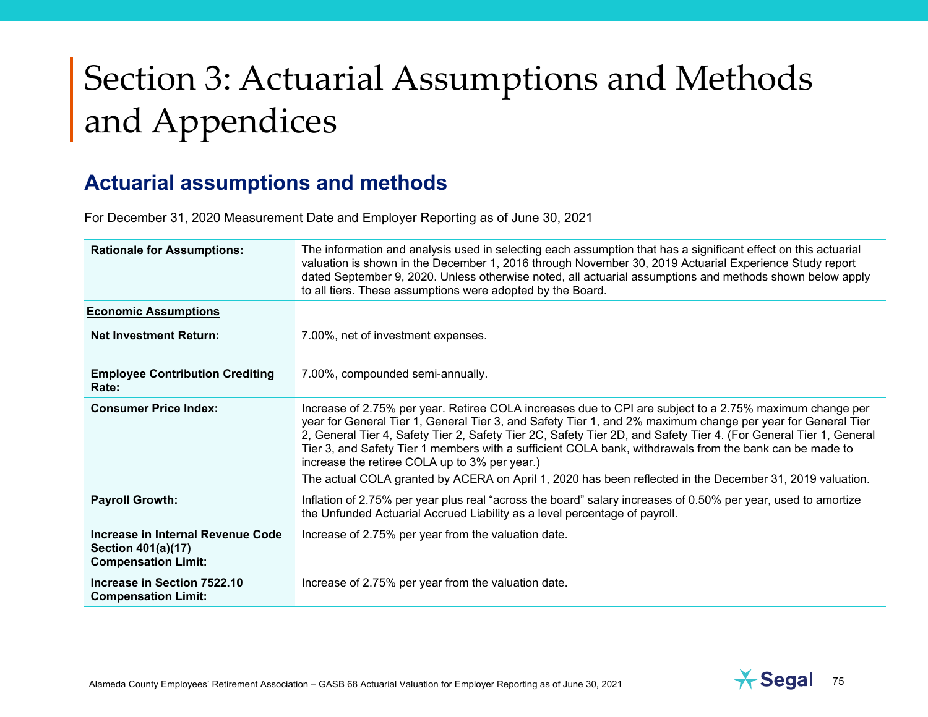#### **Actuarial assumptions and methods**

For December 31, 2020 Measurement Date and Employer Reporting as of June 30, 2021

| <b>Rationale for Assumptions:</b>                                                     | The information and analysis used in selecting each assumption that has a significant effect on this actuarial<br>valuation is shown in the December 1, 2016 through November 30, 2019 Actuarial Experience Study report<br>dated September 9, 2020. Unless otherwise noted, all actuarial assumptions and methods shown below apply<br>to all tiers. These assumptions were adopted by the Board.                                                                                                                                                                                                                  |
|---------------------------------------------------------------------------------------|---------------------------------------------------------------------------------------------------------------------------------------------------------------------------------------------------------------------------------------------------------------------------------------------------------------------------------------------------------------------------------------------------------------------------------------------------------------------------------------------------------------------------------------------------------------------------------------------------------------------|
| <b>Economic Assumptions</b>                                                           |                                                                                                                                                                                                                                                                                                                                                                                                                                                                                                                                                                                                                     |
| <b>Net Investment Return:</b>                                                         | 7.00%, net of investment expenses.                                                                                                                                                                                                                                                                                                                                                                                                                                                                                                                                                                                  |
| <b>Employee Contribution Crediting</b><br>Rate:                                       | 7.00%, compounded semi-annually.                                                                                                                                                                                                                                                                                                                                                                                                                                                                                                                                                                                    |
| <b>Consumer Price Index:</b>                                                          | Increase of 2.75% per year. Retiree COLA increases due to CPI are subject to a 2.75% maximum change per<br>year for General Tier 1, General Tier 3, and Safety Tier 1, and 2% maximum change per year for General Tier<br>2, General Tier 4, Safety Tier 2, Safety Tier 2C, Safety Tier 2D, and Safety Tier 4. (For General Tier 1, General<br>Tier 3, and Safety Tier 1 members with a sufficient COLA bank, withdrawals from the bank can be made to<br>increase the retiree COLA up to 3% per year.)<br>The actual COLA granted by ACERA on April 1, 2020 has been reflected in the December 31, 2019 valuation. |
| <b>Payroll Growth:</b>                                                                | Inflation of 2.75% per year plus real "across the board" salary increases of 0.50% per year, used to amortize<br>the Unfunded Actuarial Accrued Liability as a level percentage of payroll.                                                                                                                                                                                                                                                                                                                                                                                                                         |
| Increase in Internal Revenue Code<br>Section 401(a)(17)<br><b>Compensation Limit:</b> | Increase of 2.75% per year from the valuation date.                                                                                                                                                                                                                                                                                                                                                                                                                                                                                                                                                                 |
| Increase in Section 7522.10<br><b>Compensation Limit:</b>                             | Increase of 2.75% per year from the valuation date.                                                                                                                                                                                                                                                                                                                                                                                                                                                                                                                                                                 |

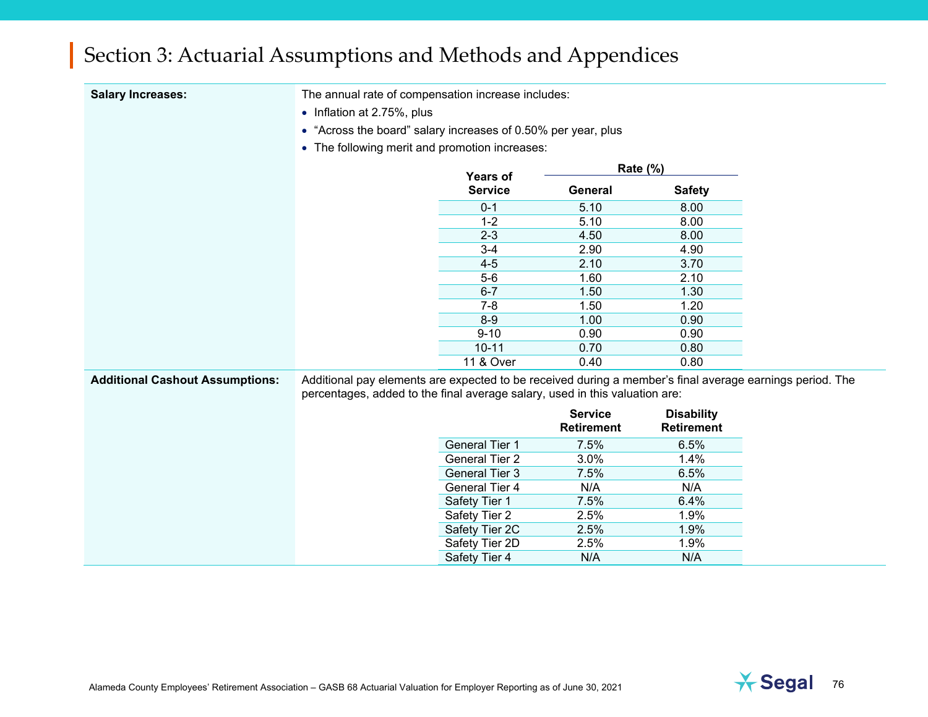| <b>Salary Increases:</b>               | The annual rate of compensation increase includes:                                                                                                                                      |                       |                   |                   |  |
|----------------------------------------|-----------------------------------------------------------------------------------------------------------------------------------------------------------------------------------------|-----------------------|-------------------|-------------------|--|
|                                        | • Inflation at 2.75%, plus                                                                                                                                                              |                       |                   |                   |  |
|                                        | • "Across the board" salary increases of 0.50% per year, plus                                                                                                                           |                       |                   |                   |  |
|                                        | • The following merit and promotion increases:                                                                                                                                          |                       |                   |                   |  |
|                                        |                                                                                                                                                                                         | <b>Years of</b>       | Rate (%)          |                   |  |
|                                        |                                                                                                                                                                                         | <b>Service</b>        | General           | <b>Safety</b>     |  |
|                                        |                                                                                                                                                                                         | $0 - 1$               | 5.10              | 8.00              |  |
|                                        |                                                                                                                                                                                         | $1 - 2$               | 5.10              | 8.00              |  |
|                                        |                                                                                                                                                                                         | $2 - 3$               | 4.50              | 8.00              |  |
|                                        |                                                                                                                                                                                         | $3 - 4$               | 2.90              | 4.90              |  |
|                                        |                                                                                                                                                                                         | $4 - 5$               | 2.10              | 3.70              |  |
|                                        |                                                                                                                                                                                         | $5-6$                 | 1.60              | 2.10              |  |
|                                        |                                                                                                                                                                                         | $6 - 7$               | 1.50              | 1.30              |  |
|                                        |                                                                                                                                                                                         | $7 - 8$               | 1.50              | 1.20              |  |
|                                        |                                                                                                                                                                                         | $8-9$                 | 1.00              | 0.90              |  |
|                                        |                                                                                                                                                                                         | $9 - 10$              | 0.90              | 0.90              |  |
|                                        |                                                                                                                                                                                         | $10 - 11$             | 0.70              | 0.80              |  |
|                                        |                                                                                                                                                                                         | 11 & Over             | 0.40              | 0.80              |  |
| <b>Additional Cashout Assumptions:</b> | Additional pay elements are expected to be received during a member's final average earnings period. The<br>percentages, added to the final average salary, used in this valuation are: |                       |                   |                   |  |
|                                        |                                                                                                                                                                                         |                       | <b>Service</b>    | <b>Disability</b> |  |
|                                        |                                                                                                                                                                                         |                       | <b>Retirement</b> | <b>Retirement</b> |  |
|                                        |                                                                                                                                                                                         | <b>General Tier 1</b> | 7.5%              | 6.5%              |  |
|                                        |                                                                                                                                                                                         | <b>General Tier 2</b> | 3.0%              | 1.4%              |  |
|                                        |                                                                                                                                                                                         | <b>General Tier 3</b> | 7.5%              | 6.5%              |  |
|                                        |                                                                                                                                                                                         | <b>General Tier 4</b> | N/A               | N/A               |  |
|                                        |                                                                                                                                                                                         | Safety Tier 1         | 7.5%              | 6.4%              |  |
|                                        |                                                                                                                                                                                         | Safety Tier 2         | 2.5%              | 1.9%              |  |
|                                        |                                                                                                                                                                                         | Safety Tier 2C        | 2.5%              | 1.9%              |  |
|                                        |                                                                                                                                                                                         | Safety Tier 2D        | 2.5%              | 1.9%              |  |

Safety Tier 4 N/A N/A

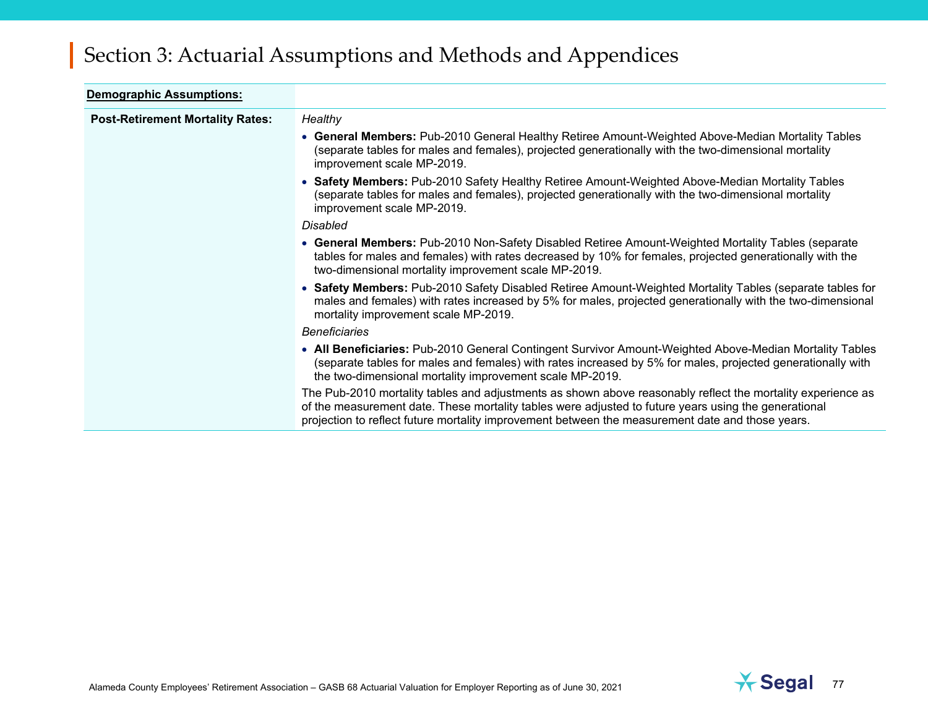| <b>Demographic Assumptions:</b>         |                                                                                                                                                                                                                                                                                                                         |
|-----------------------------------------|-------------------------------------------------------------------------------------------------------------------------------------------------------------------------------------------------------------------------------------------------------------------------------------------------------------------------|
| <b>Post-Retirement Mortality Rates:</b> | Healthy                                                                                                                                                                                                                                                                                                                 |
|                                         | • General Members: Pub-2010 General Healthy Retiree Amount-Weighted Above-Median Mortality Tables<br>(separate tables for males and females), projected generationally with the two-dimensional mortality<br>improvement scale MP-2019.                                                                                 |
|                                         | • Safety Members: Pub-2010 Safety Healthy Retiree Amount-Weighted Above-Median Mortality Tables<br>(separate tables for males and females), projected generationally with the two-dimensional mortality<br>improvement scale MP-2019.                                                                                   |
|                                         | <b>Disabled</b>                                                                                                                                                                                                                                                                                                         |
|                                         | • General Members: Pub-2010 Non-Safety Disabled Retiree Amount-Weighted Mortality Tables (separate<br>tables for males and females) with rates decreased by 10% for females, projected generationally with the<br>two-dimensional mortality improvement scale MP-2019.                                                  |
|                                         | • Safety Members: Pub-2010 Safety Disabled Retiree Amount-Weighted Mortality Tables (separate tables for<br>males and females) with rates increased by 5% for males, projected generationally with the two-dimensional<br>mortality improvement scale MP-2019.                                                          |
|                                         | <b>Beneficiaries</b>                                                                                                                                                                                                                                                                                                    |
|                                         | • All Beneficiaries: Pub-2010 General Contingent Survivor Amount-Weighted Above-Median Mortality Tables<br>(separate tables for males and females) with rates increased by 5% for males, projected generationally with<br>the two-dimensional mortality improvement scale MP-2019.                                      |
|                                         | The Pub-2010 mortality tables and adjustments as shown above reasonably reflect the mortality experience as<br>of the measurement date. These mortality tables were adjusted to future years using the generational<br>projection to reflect future mortality improvement between the measurement date and those years. |

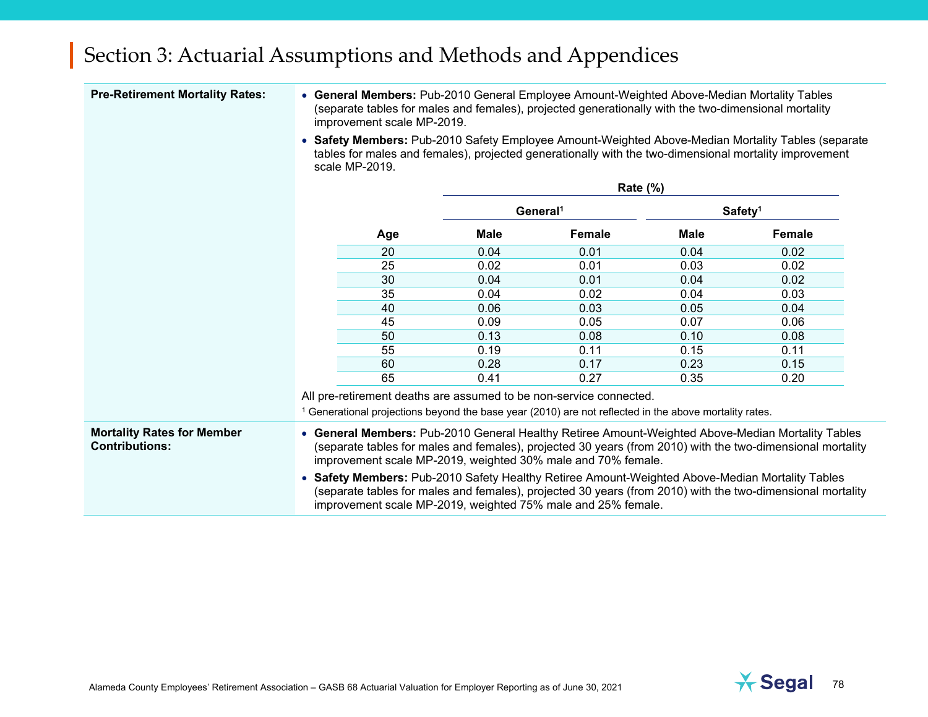| <b>Pre-Retirement Mortality Rates:</b>                     | • General Members: Pub-2010 General Employee Amount-Weighted Above-Median Mortality Tables<br>(separate tables for males and females), projected generationally with the two-dimensional mortality<br>improvement scale MP-2019.                                                |                                                                                                                                                                                                                                                                               |             |                                                                                                          |             |                                                                                                                                                                                                              |  |  |  |
|------------------------------------------------------------|---------------------------------------------------------------------------------------------------------------------------------------------------------------------------------------------------------------------------------------------------------------------------------|-------------------------------------------------------------------------------------------------------------------------------------------------------------------------------------------------------------------------------------------------------------------------------|-------------|----------------------------------------------------------------------------------------------------------|-------------|--------------------------------------------------------------------------------------------------------------------------------------------------------------------------------------------------------------|--|--|--|
|                                                            |                                                                                                                                                                                                                                                                                 | scale MP-2019.                                                                                                                                                                                                                                                                |             |                                                                                                          |             | • Safety Members: Pub-2010 Safety Employee Amount-Weighted Above-Median Mortality Tables (separate<br>tables for males and females), projected generationally with the two-dimensional mortality improvement |  |  |  |
|                                                            |                                                                                                                                                                                                                                                                                 |                                                                                                                                                                                                                                                                               |             |                                                                                                          |             |                                                                                                                                                                                                              |  |  |  |
|                                                            |                                                                                                                                                                                                                                                                                 |                                                                                                                                                                                                                                                                               |             | General <sup>1</sup>                                                                                     |             | Safety <sup>1</sup>                                                                                                                                                                                          |  |  |  |
|                                                            |                                                                                                                                                                                                                                                                                 | Age                                                                                                                                                                                                                                                                           | <b>Male</b> | <b>Female</b>                                                                                            | <b>Male</b> | <b>Female</b>                                                                                                                                                                                                |  |  |  |
|                                                            |                                                                                                                                                                                                                                                                                 | 20                                                                                                                                                                                                                                                                            | 0.04        | 0.01                                                                                                     | 0.04        | 0.02                                                                                                                                                                                                         |  |  |  |
|                                                            |                                                                                                                                                                                                                                                                                 | 25                                                                                                                                                                                                                                                                            | 0.02        | 0.01                                                                                                     | 0.03        | 0.02                                                                                                                                                                                                         |  |  |  |
|                                                            |                                                                                                                                                                                                                                                                                 | 30                                                                                                                                                                                                                                                                            | 0.04        | 0.01                                                                                                     | 0.04        | 0.02                                                                                                                                                                                                         |  |  |  |
|                                                            |                                                                                                                                                                                                                                                                                 | 35                                                                                                                                                                                                                                                                            | 0.04        | 0.02                                                                                                     | 0.04        | 0.03                                                                                                                                                                                                         |  |  |  |
|                                                            |                                                                                                                                                                                                                                                                                 | 40                                                                                                                                                                                                                                                                            | 0.06        | 0.03                                                                                                     | 0.05        | 0.04                                                                                                                                                                                                         |  |  |  |
|                                                            |                                                                                                                                                                                                                                                                                 | 45                                                                                                                                                                                                                                                                            | 0.09        | 0.05                                                                                                     | 0.07        | 0.06                                                                                                                                                                                                         |  |  |  |
|                                                            |                                                                                                                                                                                                                                                                                 | 50                                                                                                                                                                                                                                                                            | 0.13        | 0.08                                                                                                     | 0.10        | 0.08                                                                                                                                                                                                         |  |  |  |
|                                                            |                                                                                                                                                                                                                                                                                 | 55                                                                                                                                                                                                                                                                            | 0.19        | 0.11                                                                                                     | 0.15        | 0.11                                                                                                                                                                                                         |  |  |  |
|                                                            |                                                                                                                                                                                                                                                                                 | 60                                                                                                                                                                                                                                                                            | 0.28        | 0.17                                                                                                     | 0.23        | 0.15                                                                                                                                                                                                         |  |  |  |
|                                                            |                                                                                                                                                                                                                                                                                 | 65                                                                                                                                                                                                                                                                            | 0.41        | 0.27                                                                                                     | 0.35        | 0.20                                                                                                                                                                                                         |  |  |  |
|                                                            |                                                                                                                                                                                                                                                                                 |                                                                                                                                                                                                                                                                               |             | All pre-retirement deaths are assumed to be non-service connected.                                       |             |                                                                                                                                                                                                              |  |  |  |
|                                                            |                                                                                                                                                                                                                                                                                 |                                                                                                                                                                                                                                                                               |             | $1$ Generational projections beyond the base year (2010) are not reflected in the above mortality rates. |             |                                                                                                                                                                                                              |  |  |  |
| <b>Mortality Rates for Member</b><br><b>Contributions:</b> | • General Members: Pub-2010 General Healthy Retiree Amount-Weighted Above-Median Mortality Tables<br>(separate tables for males and females), projected 30 years (from 2010) with the two-dimensional mortality<br>improvement scale MP-2019, weighted 30% male and 70% female. |                                                                                                                                                                                                                                                                               |             |                                                                                                          |             |                                                                                                                                                                                                              |  |  |  |
|                                                            |                                                                                                                                                                                                                                                                                 | • Safety Members: Pub-2010 Safety Healthy Retiree Amount-Weighted Above-Median Mortality Tables<br>(separate tables for males and females), projected 30 years (from 2010) with the two-dimensional mortality<br>improvement scale MP-2019, weighted 75% male and 25% female. |             |                                                                                                          |             |                                                                                                                                                                                                              |  |  |  |

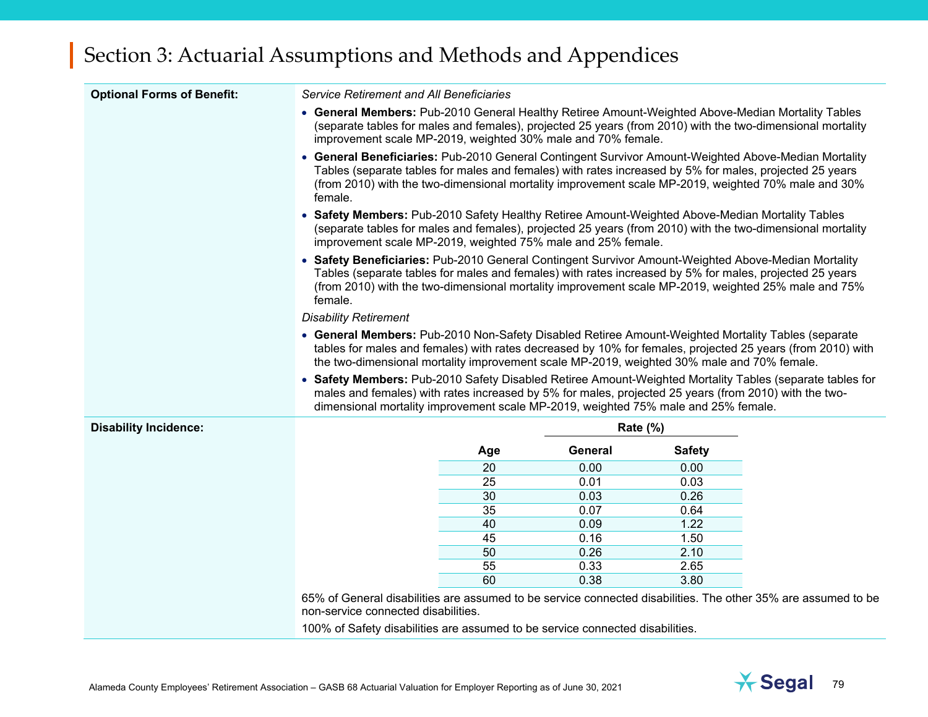| <b>Optional Forms of Benefit:</b> | Service Retirement and All Beneficiaries                                                                                                                                                                                                                                                                       |                                                                                                                                                                                                                                                                                                                       |                |               |                                                                                                                                                                                                                |  |  |  |  |
|-----------------------------------|----------------------------------------------------------------------------------------------------------------------------------------------------------------------------------------------------------------------------------------------------------------------------------------------------------------|-----------------------------------------------------------------------------------------------------------------------------------------------------------------------------------------------------------------------------------------------------------------------------------------------------------------------|----------------|---------------|----------------------------------------------------------------------------------------------------------------------------------------------------------------------------------------------------------------|--|--|--|--|
|                                   |                                                                                                                                                                                                                                                                                                                | • General Members: Pub-2010 General Healthy Retiree Amount-Weighted Above-Median Mortality Tables<br>(separate tables for males and females), projected 25 years (from 2010) with the two-dimensional mortality<br>improvement scale MP-2019, weighted 30% male and 70% female.                                       |                |               |                                                                                                                                                                                                                |  |  |  |  |
|                                   | • General Beneficiaries: Pub-2010 General Contingent Survivor Amount-Weighted Above-Median Mortality<br>female.                                                                                                                                                                                                |                                                                                                                                                                                                                                                                                                                       |                |               | Tables (separate tables for males and females) with rates increased by 5% for males, projected 25 years<br>(from 2010) with the two-dimensional mortality improvement scale MP-2019, weighted 70% male and 30% |  |  |  |  |
|                                   |                                                                                                                                                                                                                                                                                                                | • Safety Members: Pub-2010 Safety Healthy Retiree Amount-Weighted Above-Median Mortality Tables<br>(separate tables for males and females), projected 25 years (from 2010) with the two-dimensional mortality<br>improvement scale MP-2019, weighted 75% male and 25% female.                                         |                |               |                                                                                                                                                                                                                |  |  |  |  |
|                                   | female.                                                                                                                                                                                                                                                                                                        | • Safety Beneficiaries: Pub-2010 General Contingent Survivor Amount-Weighted Above-Median Mortality<br>Tables (separate tables for males and females) with rates increased by 5% for males, projected 25 years<br>(from 2010) with the two-dimensional mortality improvement scale MP-2019, weighted 25% male and 75% |                |               |                                                                                                                                                                                                                |  |  |  |  |
|                                   | <b>Disability Retirement</b>                                                                                                                                                                                                                                                                                   |                                                                                                                                                                                                                                                                                                                       |                |               |                                                                                                                                                                                                                |  |  |  |  |
|                                   | • General Members: Pub-2010 Non-Safety Disabled Retiree Amount-Weighted Mortality Tables (separate<br>tables for males and females) with rates decreased by 10% for females, projected 25 years (from 2010) with<br>the two-dimensional mortality improvement scale MP-2019, weighted 30% male and 70% female. |                                                                                                                                                                                                                                                                                                                       |                |               |                                                                                                                                                                                                                |  |  |  |  |
|                                   | • Safety Members: Pub-2010 Safety Disabled Retiree Amount-Weighted Mortality Tables (separate tables for<br>males and females) with rates increased by 5% for males, projected 25 years (from 2010) with the two-<br>dimensional mortality improvement scale MP-2019, weighted 75% male and 25% female.        |                                                                                                                                                                                                                                                                                                                       |                |               |                                                                                                                                                                                                                |  |  |  |  |
| <b>Disability Incidence:</b>      |                                                                                                                                                                                                                                                                                                                |                                                                                                                                                                                                                                                                                                                       | Rate (%)       |               |                                                                                                                                                                                                                |  |  |  |  |
|                                   |                                                                                                                                                                                                                                                                                                                | Age                                                                                                                                                                                                                                                                                                                   | <b>General</b> | <b>Safety</b> |                                                                                                                                                                                                                |  |  |  |  |
|                                   |                                                                                                                                                                                                                                                                                                                | 20                                                                                                                                                                                                                                                                                                                    | 0.00           | 0.00          |                                                                                                                                                                                                                |  |  |  |  |
|                                   |                                                                                                                                                                                                                                                                                                                | 25                                                                                                                                                                                                                                                                                                                    | 0.01           | 0.03          |                                                                                                                                                                                                                |  |  |  |  |
|                                   |                                                                                                                                                                                                                                                                                                                | 30                                                                                                                                                                                                                                                                                                                    | 0.03           | 0.26          |                                                                                                                                                                                                                |  |  |  |  |
|                                   |                                                                                                                                                                                                                                                                                                                | 35                                                                                                                                                                                                                                                                                                                    | 0.07           | 0.64          |                                                                                                                                                                                                                |  |  |  |  |
|                                   |                                                                                                                                                                                                                                                                                                                | 40                                                                                                                                                                                                                                                                                                                    | 0.09           | 1.22          |                                                                                                                                                                                                                |  |  |  |  |
|                                   |                                                                                                                                                                                                                                                                                                                | 45                                                                                                                                                                                                                                                                                                                    | 0.16           | 1.50          |                                                                                                                                                                                                                |  |  |  |  |
|                                   |                                                                                                                                                                                                                                                                                                                | 50                                                                                                                                                                                                                                                                                                                    | 0.26           | 2.10          |                                                                                                                                                                                                                |  |  |  |  |
|                                   |                                                                                                                                                                                                                                                                                                                | 55                                                                                                                                                                                                                                                                                                                    | 0.33           | 2.65          |                                                                                                                                                                                                                |  |  |  |  |
|                                   |                                                                                                                                                                                                                                                                                                                | 60                                                                                                                                                                                                                                                                                                                    | 0.38           | 3.80          |                                                                                                                                                                                                                |  |  |  |  |
|                                   |                                                                                                                                                                                                                                                                                                                |                                                                                                                                                                                                                                                                                                                       |                |               | 65% of General disabilities are assumed to be service connected disabilities. The other 35% are assumed to be                                                                                                  |  |  |  |  |
|                                   | non-service connected disabilities.                                                                                                                                                                                                                                                                            |                                                                                                                                                                                                                                                                                                                       |                |               |                                                                                                                                                                                                                |  |  |  |  |
|                                   | 100% of Safety disabilities are assumed to be service connected disabilities.                                                                                                                                                                                                                                  |                                                                                                                                                                                                                                                                                                                       |                |               |                                                                                                                                                                                                                |  |  |  |  |

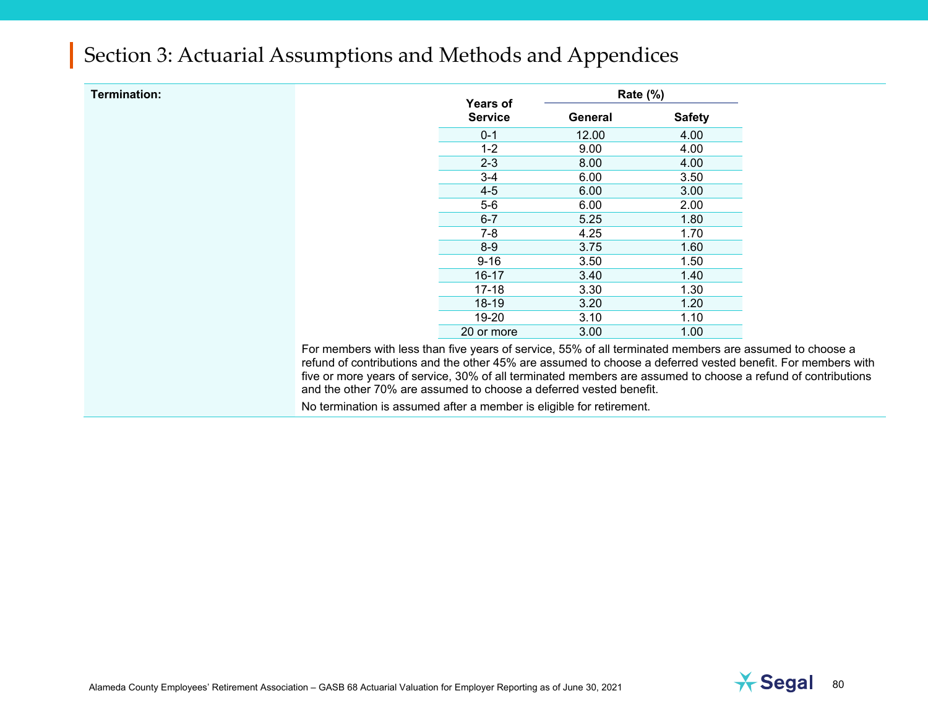| Termination: |                                                                                                                                                                                                                        | Years of       | <b>Rate (%)</b> |               |
|--------------|------------------------------------------------------------------------------------------------------------------------------------------------------------------------------------------------------------------------|----------------|-----------------|---------------|
|              |                                                                                                                                                                                                                        | <b>Service</b> | General         | <b>Safety</b> |
|              |                                                                                                                                                                                                                        | $0 - 1$        | 12.00           | 4.00          |
|              |                                                                                                                                                                                                                        | $1 - 2$        | 9.00            | 4.00          |
|              |                                                                                                                                                                                                                        | $2 - 3$        | 8.00            | 4.00          |
|              |                                                                                                                                                                                                                        | 3-4            | 6.00            | 3.50          |
|              |                                                                                                                                                                                                                        | $4 - 5$        | 6.00            | 3.00          |
|              |                                                                                                                                                                                                                        | $5-6$          | 6.00            | 2.00          |
|              |                                                                                                                                                                                                                        | $6 - 7$        | 5.25            | 1.80          |
|              |                                                                                                                                                                                                                        | $7-8$          | 4.25            | 1.70          |
|              |                                                                                                                                                                                                                        | $8-9$          | 3.75            | 1.60          |
|              |                                                                                                                                                                                                                        | $9 - 16$       | 3.50            | 1.50          |
|              |                                                                                                                                                                                                                        | $16 - 17$      | 3.40            | 1.40          |
|              |                                                                                                                                                                                                                        | $17 - 18$      | 3.30            | 1.30          |
|              |                                                                                                                                                                                                                        | $18-19$        | 3.20            | 1.20          |
|              |                                                                                                                                                                                                                        | 19-20          | 3.10            | 1.10          |
|              |                                                                                                                                                                                                                        | 20 or more     | 3.00            | 1.00          |
|              | For members with less than five years of service, 55% of all terminated members are assumed to choose a<br>refund of contributions and the other 45% are assumed to choose a deferred vested benefit. For members with |                |                 |               |
|              | five or more years of service, 30% of all terminated members are assumed to choose a refund of contributions<br>and the other 70% are assumed to choose a deferred vested benefit.                                     |                |                 |               |
|              | No termination is assumed after a member is eligible for retirement.                                                                                                                                                   |                |                 |               |

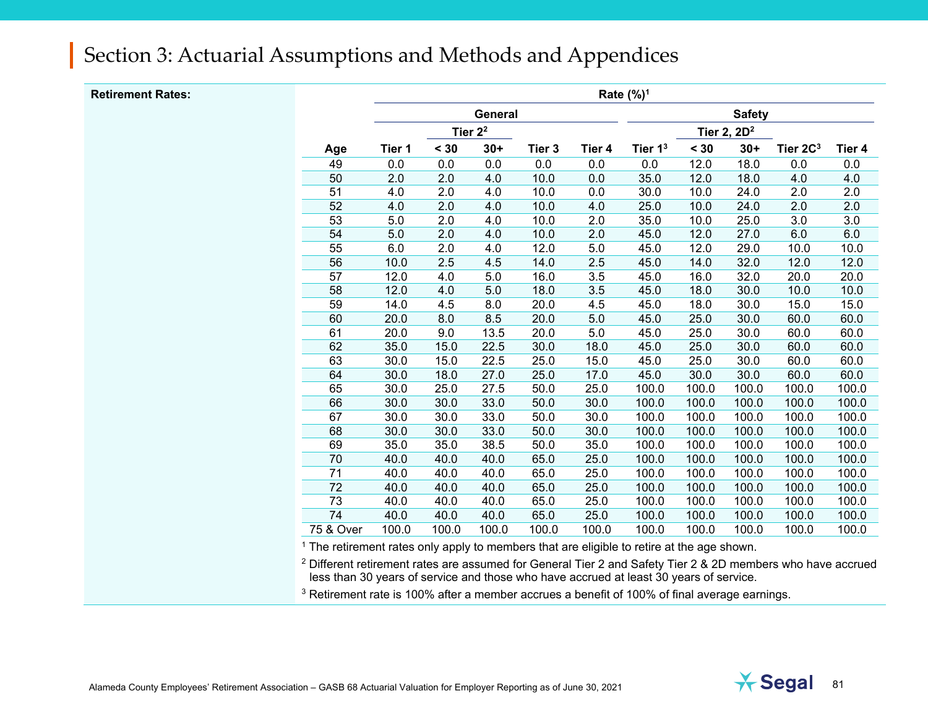#### **Retirement Rates:**

|                 | Rate (%) <sup>1</sup> |       |            |        |        |               |       |                |                      |        |  |
|-----------------|-----------------------|-------|------------|--------|--------|---------------|-------|----------------|----------------------|--------|--|
|                 |                       |       | General    |        |        | <b>Safety</b> |       |                |                      |        |  |
|                 |                       |       | Tier $2^2$ |        |        |               |       | Tier 2, $2D^2$ |                      |        |  |
| Age             | Tier 1                | < 30  | $30+$      | Tier 3 | Tier 4 | Tier $13$     | < 30  | $30+$          | Tier 2C <sup>3</sup> | Tier 4 |  |
| 49              | 0.0                   | 0.0   | 0.0        | 0.0    | 0.0    | 0.0           | 12.0  | 18.0           | 0.0                  | 0.0    |  |
| 50              | 2.0                   | 2.0   | 4.0        | 10.0   | 0.0    | 35.0          | 12.0  | 18.0           | 4.0                  | 4.0    |  |
| 51              | 4.0                   | 2.0   | 4.0        | 10.0   | 0.0    | 30.0          | 10.0  | 24.0           | 2.0                  | 2.0    |  |
| 52              | 4.0                   | 2.0   | 4.0        | 10.0   | 4.0    | 25.0          | 10.0  | 24.0           | 2.0                  | 2.0    |  |
| 53              | 5.0                   | 2.0   | 4.0        | 10.0   | 2.0    | 35.0          | 10.0  | 25.0           | 3.0                  | 3.0    |  |
| 54              | 5.0                   | 2.0   | 4.0        | 10.0   | 2.0    | 45.0          | 12.0  | 27.0           | 6.0                  | 6.0    |  |
| $\overline{55}$ | 6.0                   | 2.0   | 4.0        | 12.0   | 5.0    | 45.0          | 12.0  | 29.0           | 10.0                 | 10.0   |  |
| 56              | 10.0                  | 2.5   | 4.5        | 14.0   | 2.5    | 45.0          | 14.0  | 32.0           | 12.0                 | 12.0   |  |
| 57              | 12.0                  | 4.0   | 5.0        | 16.0   | 3.5    | 45.0          | 16.0  | 32.0           | 20.0                 | 20.0   |  |
| 58              | 12.0                  | 4.0   | 5.0        | 18.0   | 3.5    | 45.0          | 18.0  | 30.0           | 10.0                 | 10.0   |  |
| 59              | 14.0                  | 4.5   | 8.0        | 20.0   | 4.5    | 45.0          | 18.0  | 30.0           | 15.0                 | 15.0   |  |
| 60              | 20.0                  | 8.0   | 8.5        | 20.0   | 5.0    | 45.0          | 25.0  | 30.0           | 60.0                 | 60.0   |  |
| 61              | 20.0                  | 9.0   | 13.5       | 20.0   | 5.0    | 45.0          | 25.0  | 30.0           | 60.0                 | 60.0   |  |
| 62              | 35.0                  | 15.0  | 22.5       | 30.0   | 18.0   | 45.0          | 25.0  | 30.0           | 60.0                 | 60.0   |  |
| 63              | 30.0                  | 15.0  | 22.5       | 25.0   | 15.0   | 45.0          | 25.0  | 30.0           | 60.0                 | 60.0   |  |
| 64              | 30.0                  | 18.0  | 27.0       | 25.0   | 17.0   | 45.0          | 30.0  | 30.0           | 60.0                 | 60.0   |  |
| 65              | 30.0                  | 25.0  | 27.5       | 50.0   | 25.0   | 100.0         | 100.0 | 100.0          | 100.0                | 100.0  |  |
| 66              | 30.0                  | 30.0  | 33.0       | 50.0   | 30.0   | 100.0         | 100.0 | 100.0          | 100.0                | 100.0  |  |
| 67              | 30.0                  | 30.0  | 33.0       | 50.0   | 30.0   | 100.0         | 100.0 | 100.0          | 100.0                | 100.0  |  |
| 68              | 30.0                  | 30.0  | 33.0       | 50.0   | 30.0   | 100.0         | 100.0 | 100.0          | 100.0                | 100.0  |  |
| 69              | 35.0                  | 35.0  | 38.5       | 50.0   | 35.0   | 100.0         | 100.0 | 100.0          | 100.0                | 100.0  |  |
| $\overline{70}$ | 40.0                  | 40.0  | 40.0       | 65.0   | 25.0   | 100.0         | 100.0 | 100.0          | 100.0                | 100.0  |  |
| 71              | 40.0                  | 40.0  | 40.0       | 65.0   | 25.0   | 100.0         | 100.0 | 100.0          | 100.0                | 100.0  |  |
| 72              | 40.0                  | 40.0  | 40.0       | 65.0   | 25.0   | 100.0         | 100.0 | 100.0          | 100.0                | 100.0  |  |
| 73              | 40.0                  | 40.0  | 40.0       | 65.0   | 25.0   | 100.0         | 100.0 | 100.0          | 100.0                | 100.0  |  |
| 74              | 40.0                  | 40.0  | 40.0       | 65.0   | 25.0   | 100.0         | 100.0 | 100.0          | 100.0                | 100.0  |  |
| 75 & Over       | 100.0                 | 100.0 | 100.0      | 100.0  | 100.0  | 100.0         | 100.0 | 100.0          | 100.0                | 100.0  |  |

<sup>1</sup> The retirement rates only apply to members that are eligible to retire at the age shown.

<sup>2</sup> Different retirement rates are assumed for General Tier 2 and Safety Tier 2 & 2D members who have accrued less than 30 years of service and those who have accrued at least 30 years of service.

<sup>3</sup> Retirement rate is 100% after a member accrues a benefit of 100% of final average earnings.

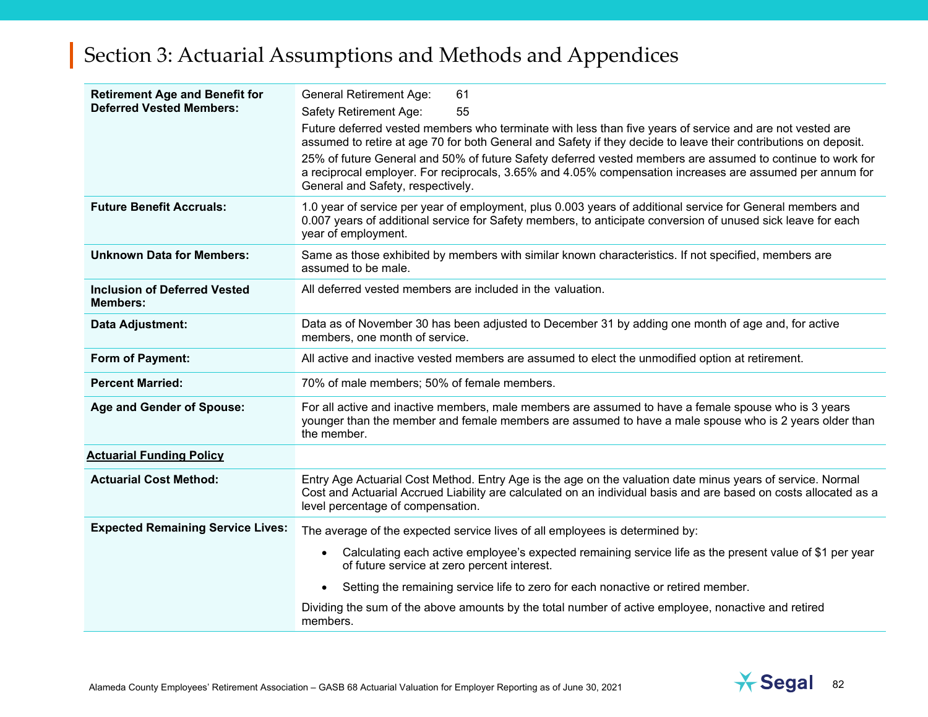| <b>Retirement Age and Benefit for</b><br><b>Deferred Vested Members:</b> | <b>General Retirement Age:</b><br>61<br>Safety Retirement Age:<br>55<br>Future deferred vested members who terminate with less than five years of service and are not vested are<br>assumed to retire at age 70 for both General and Safety if they decide to leave their contributions on deposit.<br>25% of future General and 50% of future Safety deferred vested members are assumed to continue to work for<br>a reciprocal employer. For reciprocals, 3.65% and 4.05% compensation increases are assumed per annum for<br>General and Safety, respectively. |
|--------------------------------------------------------------------------|--------------------------------------------------------------------------------------------------------------------------------------------------------------------------------------------------------------------------------------------------------------------------------------------------------------------------------------------------------------------------------------------------------------------------------------------------------------------------------------------------------------------------------------------------------------------|
| <b>Future Benefit Accruals:</b>                                          | 1.0 year of service per year of employment, plus 0.003 years of additional service for General members and<br>0.007 years of additional service for Safety members, to anticipate conversion of unused sick leave for each<br>year of employment.                                                                                                                                                                                                                                                                                                                  |
| <b>Unknown Data for Members:</b>                                         | Same as those exhibited by members with similar known characteristics. If not specified, members are<br>assumed to be male.                                                                                                                                                                                                                                                                                                                                                                                                                                        |
| <b>Inclusion of Deferred Vested</b><br><b>Members:</b>                   | All deferred vested members are included in the valuation.                                                                                                                                                                                                                                                                                                                                                                                                                                                                                                         |
| Data Adjustment:                                                         | Data as of November 30 has been adjusted to December 31 by adding one month of age and, for active<br>members, one month of service.                                                                                                                                                                                                                                                                                                                                                                                                                               |
| Form of Payment:                                                         | All active and inactive vested members are assumed to elect the unmodified option at retirement.                                                                                                                                                                                                                                                                                                                                                                                                                                                                   |
| <b>Percent Married:</b>                                                  | 70% of male members; 50% of female members.                                                                                                                                                                                                                                                                                                                                                                                                                                                                                                                        |
| Age and Gender of Spouse:                                                | For all active and inactive members, male members are assumed to have a female spouse who is 3 years<br>younger than the member and female members are assumed to have a male spouse who is 2 years older than<br>the member.                                                                                                                                                                                                                                                                                                                                      |
| <b>Actuarial Funding Policy</b>                                          |                                                                                                                                                                                                                                                                                                                                                                                                                                                                                                                                                                    |
| <b>Actuarial Cost Method:</b>                                            | Entry Age Actuarial Cost Method. Entry Age is the age on the valuation date minus years of service. Normal<br>Cost and Actuarial Accrued Liability are calculated on an individual basis and are based on costs allocated as a<br>level percentage of compensation.                                                                                                                                                                                                                                                                                                |
| <b>Expected Remaining Service Lives:</b>                                 | The average of the expected service lives of all employees is determined by:                                                                                                                                                                                                                                                                                                                                                                                                                                                                                       |
|                                                                          | Calculating each active employee's expected remaining service life as the present value of \$1 per year<br>of future service at zero percent interest.                                                                                                                                                                                                                                                                                                                                                                                                             |
|                                                                          | Setting the remaining service life to zero for each nonactive or retired member.<br>$\bullet$                                                                                                                                                                                                                                                                                                                                                                                                                                                                      |
|                                                                          | Dividing the sum of the above amounts by the total number of active employee, nonactive and retired<br>members.                                                                                                                                                                                                                                                                                                                                                                                                                                                    |

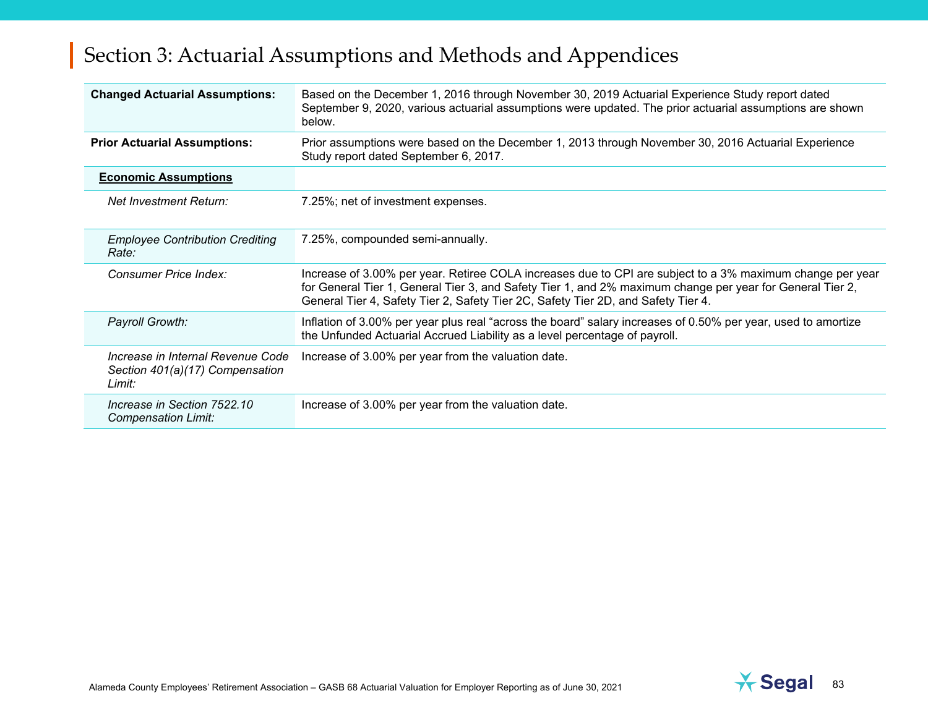| <b>Changed Actuarial Assumptions:</b>                                          | Based on the December 1, 2016 through November 30, 2019 Actuarial Experience Study report dated<br>September 9, 2020, various actuarial assumptions were updated. The prior actuarial assumptions are shown<br>below.                                                                                       |
|--------------------------------------------------------------------------------|-------------------------------------------------------------------------------------------------------------------------------------------------------------------------------------------------------------------------------------------------------------------------------------------------------------|
| <b>Prior Actuarial Assumptions:</b>                                            | Prior assumptions were based on the December 1, 2013 through November 30, 2016 Actuarial Experience<br>Study report dated September 6, 2017.                                                                                                                                                                |
| <b>Economic Assumptions</b>                                                    |                                                                                                                                                                                                                                                                                                             |
| Net Investment Return:                                                         | 7.25%; net of investment expenses.                                                                                                                                                                                                                                                                          |
| <b>Employee Contribution Crediting</b><br>Rate:                                | 7.25%, compounded semi-annually.                                                                                                                                                                                                                                                                            |
| Consumer Price Index:                                                          | Increase of 3.00% per year. Retiree COLA increases due to CPI are subject to a 3% maximum change per year<br>for General Tier 1, General Tier 3, and Safety Tier 1, and 2% maximum change per year for General Tier 2,<br>General Tier 4, Safety Tier 2, Safety Tier 2C, Safety Tier 2D, and Safety Tier 4. |
| Payroll Growth:                                                                | Inflation of 3.00% per year plus real "across the board" salary increases of 0.50% per year, used to amortize<br>the Unfunded Actuarial Accrued Liability as a level percentage of payroll.                                                                                                                 |
| Increase in Internal Revenue Code<br>Section 401(a)(17) Compensation<br>Limit: | Increase of 3.00% per year from the valuation date.                                                                                                                                                                                                                                                         |
| Increase in Section 7522.10<br>Compensation Limit:                             | Increase of 3.00% per year from the valuation date.                                                                                                                                                                                                                                                         |

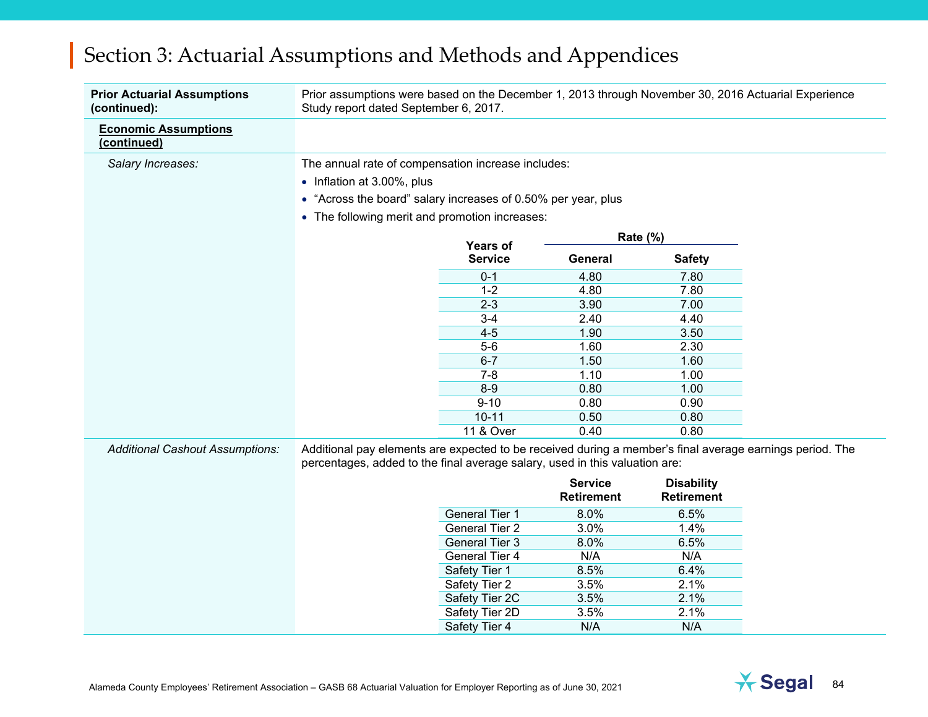| <b>Prior Actuarial Assumptions</b><br>(continued): | Prior assumptions were based on the December 1, 2013 through November 30, 2016 Actuarial Experience<br>Study report dated September 6, 2017.                                            |                                                |                   |                   |  |  |  |  |  |
|----------------------------------------------------|-----------------------------------------------------------------------------------------------------------------------------------------------------------------------------------------|------------------------------------------------|-------------------|-------------------|--|--|--|--|--|
| <b>Economic Assumptions</b><br>(continued)         |                                                                                                                                                                                         |                                                |                   |                   |  |  |  |  |  |
| Salary Increases:                                  | The annual rate of compensation increase includes:                                                                                                                                      |                                                |                   |                   |  |  |  |  |  |
|                                                    | • Inflation at 3.00%, plus                                                                                                                                                              |                                                |                   |                   |  |  |  |  |  |
|                                                    | • "Across the board" salary increases of 0.50% per year, plus                                                                                                                           |                                                |                   |                   |  |  |  |  |  |
|                                                    |                                                                                                                                                                                         |                                                |                   |                   |  |  |  |  |  |
|                                                    |                                                                                                                                                                                         | • The following merit and promotion increases: |                   |                   |  |  |  |  |  |
|                                                    |                                                                                                                                                                                         |                                                | Rate (%)          |                   |  |  |  |  |  |
|                                                    |                                                                                                                                                                                         | <b>Years of</b><br><b>Service</b>              | General           | <b>Safety</b>     |  |  |  |  |  |
|                                                    |                                                                                                                                                                                         | $0 - 1$                                        | 4.80              | 7.80              |  |  |  |  |  |
|                                                    |                                                                                                                                                                                         | $1 - 2$                                        | 4.80              | 7.80              |  |  |  |  |  |
|                                                    |                                                                                                                                                                                         | $2 - 3$                                        | 3.90              | 7.00              |  |  |  |  |  |
|                                                    |                                                                                                                                                                                         | $3 - 4$                                        | 2.40              | 4.40              |  |  |  |  |  |
|                                                    |                                                                                                                                                                                         | $4 - 5$                                        | 1.90              | 3.50              |  |  |  |  |  |
|                                                    |                                                                                                                                                                                         | $5-6$                                          | 1.60              | 2.30              |  |  |  |  |  |
|                                                    |                                                                                                                                                                                         | $6 - 7$                                        | 1.50              | 1.60              |  |  |  |  |  |
|                                                    |                                                                                                                                                                                         | $7 - 8$                                        | 1.10              | 1.00              |  |  |  |  |  |
|                                                    |                                                                                                                                                                                         | $8-9$                                          | 0.80              | 1.00              |  |  |  |  |  |
|                                                    |                                                                                                                                                                                         | $9 - 10$                                       | 0.80              | 0.90              |  |  |  |  |  |
|                                                    |                                                                                                                                                                                         | $10 - 11$                                      | 0.50              | 0.80              |  |  |  |  |  |
|                                                    |                                                                                                                                                                                         | 11 & Over                                      | 0.40              | 0.80              |  |  |  |  |  |
| <b>Additional Cashout Assumptions:</b>             | Additional pay elements are expected to be received during a member's final average earnings period. The<br>percentages, added to the final average salary, used in this valuation are: |                                                |                   |                   |  |  |  |  |  |
|                                                    |                                                                                                                                                                                         |                                                | <b>Service</b>    | <b>Disability</b> |  |  |  |  |  |
|                                                    |                                                                                                                                                                                         |                                                | <b>Retirement</b> | <b>Retirement</b> |  |  |  |  |  |
|                                                    |                                                                                                                                                                                         | <b>General Tier 1</b>                          | 8.0%              | 6.5%              |  |  |  |  |  |
|                                                    |                                                                                                                                                                                         | <b>General Tier 2</b>                          | 3.0%              | 1.4%              |  |  |  |  |  |
|                                                    |                                                                                                                                                                                         | General Tier 3                                 | 8.0%              | 6.5%              |  |  |  |  |  |
|                                                    |                                                                                                                                                                                         | General Tier 4                                 | N/A               | N/A               |  |  |  |  |  |
|                                                    |                                                                                                                                                                                         | Safety Tier 1                                  | 8.5%              | 6.4%              |  |  |  |  |  |
|                                                    |                                                                                                                                                                                         | Safety Tier 2                                  | 3.5%              | 2.1%              |  |  |  |  |  |
|                                                    |                                                                                                                                                                                         | Safety Tier 2C                                 | 3.5%              | 2.1%              |  |  |  |  |  |
|                                                    |                                                                                                                                                                                         | Safety Tier 2D                                 | 3.5%              | 2.1%              |  |  |  |  |  |
|                                                    |                                                                                                                                                                                         | Safety Tier 4                                  | N/A               | N/A               |  |  |  |  |  |

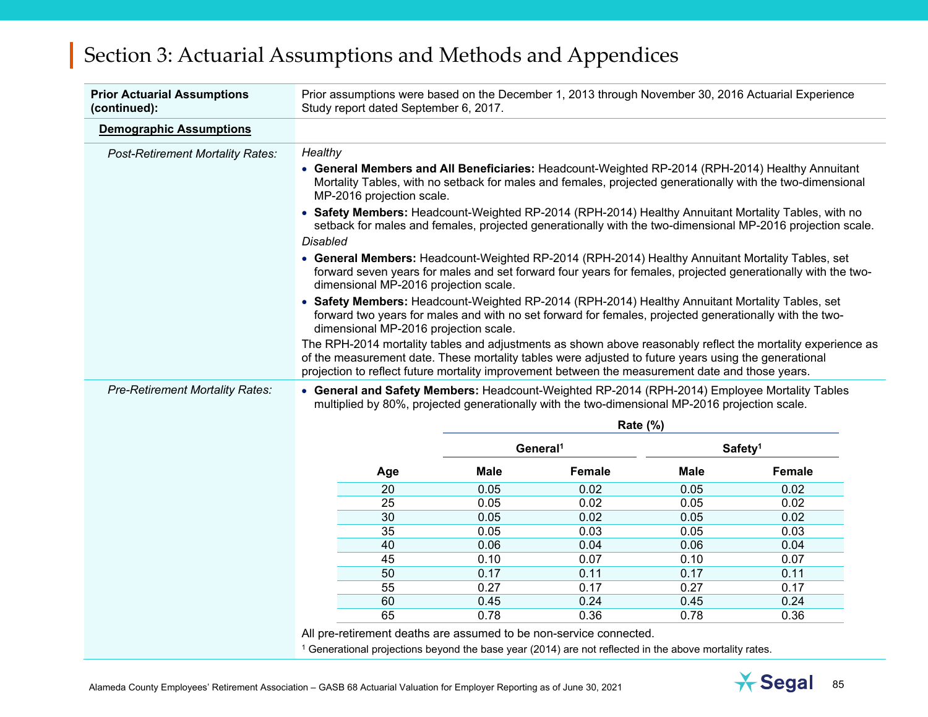| <b>Prior Actuarial Assumptions</b><br>(continued): | Prior assumptions were based on the December 1, 2013 through November 30, 2016 Actuarial Experience<br>Study report dated September 6, 2017.                                                                                                              |                 |                      |             |                     |  |  |
|----------------------------------------------------|-----------------------------------------------------------------------------------------------------------------------------------------------------------------------------------------------------------------------------------------------------------|-----------------|----------------------|-------------|---------------------|--|--|
| <b>Demographic Assumptions</b>                     |                                                                                                                                                                                                                                                           |                 |                      |             |                     |  |  |
| <b>Post-Retirement Mortality Rates:</b>            | Healthy                                                                                                                                                                                                                                                   |                 |                      |             |                     |  |  |
|                                                    | • General Members and All Beneficiaries: Headcount-Weighted RP-2014 (RPH-2014) Healthy Annuitant<br>Mortality Tables, with no setback for males and females, projected generationally with the two-dimensional<br>MP-2016 projection scale.               |                 |                      |             |                     |  |  |
|                                                    | • Safety Members: Headcount-Weighted RP-2014 (RPH-2014) Healthy Annuitant Mortality Tables, with no<br>setback for males and females, projected generationally with the two-dimensional MP-2016 projection scale.                                         |                 |                      |             |                     |  |  |
|                                                    | <b>Disabled</b>                                                                                                                                                                                                                                           |                 |                      |             |                     |  |  |
|                                                    | • General Members: Headcount-Weighted RP-2014 (RPH-2014) Healthy Annuitant Mortality Tables, set<br>forward seven years for males and set forward four years for females, projected generationally with the two-<br>dimensional MP-2016 projection scale. |                 |                      |             |                     |  |  |
|                                                    | • Safety Members: Headcount-Weighted RP-2014 (RPH-2014) Healthy Annuitant Mortality Tables, set<br>forward two years for males and with no set forward for females, projected generationally with the two-<br>dimensional MP-2016 projection scale.       |                 |                      |             |                     |  |  |
|                                                    | The RPH-2014 mortality tables and adjustments as shown above reasonably reflect the mortality experience as                                                                                                                                               |                 |                      |             |                     |  |  |
|                                                    | of the measurement date. These mortality tables were adjusted to future years using the generational                                                                                                                                                      |                 |                      |             |                     |  |  |
|                                                    | projection to reflect future mortality improvement between the measurement date and those years.                                                                                                                                                          |                 |                      |             |                     |  |  |
| <b>Pre-Retirement Mortality Rates:</b>             | • General and Safety Members: Headcount-Weighted RP-2014 (RPH-2014) Employee Mortality Tables<br>multiplied by 80%, projected generationally with the two-dimensional MP-2016 projection scale.                                                           |                 |                      |             |                     |  |  |
|                                                    |                                                                                                                                                                                                                                                           | <b>Rate (%)</b> |                      |             |                     |  |  |
|                                                    |                                                                                                                                                                                                                                                           |                 |                      |             |                     |  |  |
|                                                    |                                                                                                                                                                                                                                                           |                 | General <sup>1</sup> |             | Safety <sup>1</sup> |  |  |
|                                                    | Age                                                                                                                                                                                                                                                       | <b>Male</b>     | Female               | <b>Male</b> | Female              |  |  |
|                                                    | 20                                                                                                                                                                                                                                                        | 0.05            | 0.02                 | 0.05        | 0.02                |  |  |
|                                                    | 25                                                                                                                                                                                                                                                        | 0.05            | 0.02                 | 0.05        | 0.02                |  |  |
|                                                    | 30                                                                                                                                                                                                                                                        | 0.05            | 0.02                 | 0.05        | 0.02                |  |  |
|                                                    | 35                                                                                                                                                                                                                                                        | 0.05            | 0.03                 | 0.05        | 0.03                |  |  |
|                                                    | 40                                                                                                                                                                                                                                                        | 0.06            | 0.04                 | 0.06        | 0.04                |  |  |
|                                                    | 45                                                                                                                                                                                                                                                        | 0.10            | 0.07                 | 0.10        | 0.07                |  |  |
|                                                    | 50                                                                                                                                                                                                                                                        | 0.17            | 0.11                 | 0.17        | 0.11                |  |  |
|                                                    | 55                                                                                                                                                                                                                                                        | 0.27            | 0.17                 | 0.27        | 0.17                |  |  |
|                                                    | 60                                                                                                                                                                                                                                                        | 0.45            | 0.24                 | 0.45        | 0.24                |  |  |
|                                                    | 65                                                                                                                                                                                                                                                        | 0.78            | 0.36                 | 0.78        | 0.36                |  |  |
|                                                    | All pre-retirement deaths are assumed to be non-service connected.<br><sup>1</sup> Generational projections beyond the base year (2014) are not reflected in the above mortality rates.                                                                   |                 |                      |             |                     |  |  |

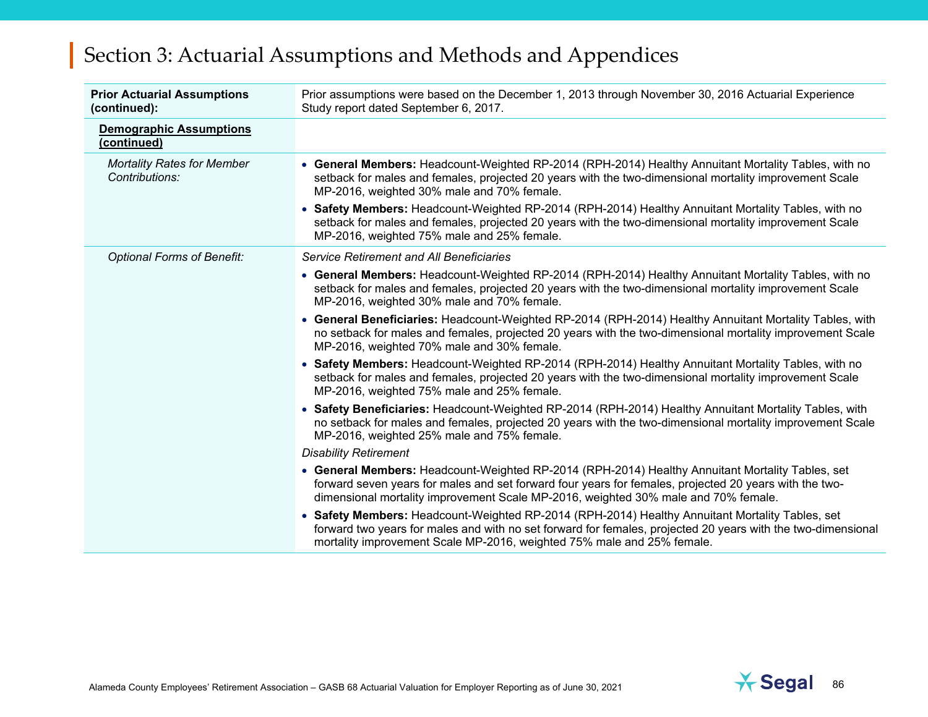| <b>Prior Actuarial Assumptions</b><br>(continued):  | Prior assumptions were based on the December 1, 2013 through November 30, 2016 Actuarial Experience<br>Study report dated September 6, 2017.                                                                                                                                                     |  |  |  |
|-----------------------------------------------------|--------------------------------------------------------------------------------------------------------------------------------------------------------------------------------------------------------------------------------------------------------------------------------------------------|--|--|--|
| <b>Demographic Assumptions</b><br>(continued)       |                                                                                                                                                                                                                                                                                                  |  |  |  |
| <b>Mortality Rates for Member</b><br>Contributions: | • General Members: Headcount-Weighted RP-2014 (RPH-2014) Healthy Annuitant Mortality Tables, with no<br>setback for males and females, projected 20 years with the two-dimensional mortality improvement Scale<br>MP-2016, weighted 30% male and 70% female.                                     |  |  |  |
|                                                     | • Safety Members: Headcount-Weighted RP-2014 (RPH-2014) Healthy Annuitant Mortality Tables, with no<br>setback for males and females, projected 20 years with the two-dimensional mortality improvement Scale<br>MP-2016, weighted 75% male and 25% female.                                      |  |  |  |
| <b>Optional Forms of Benefit:</b>                   | <b>Service Retirement and All Beneficiaries</b>                                                                                                                                                                                                                                                  |  |  |  |
|                                                     | • General Members: Headcount-Weighted RP-2014 (RPH-2014) Healthy Annuitant Mortality Tables, with no<br>setback for males and females, projected 20 years with the two-dimensional mortality improvement Scale<br>MP-2016, weighted 30% male and 70% female.                                     |  |  |  |
|                                                     | • General Beneficiaries: Headcount-Weighted RP-2014 (RPH-2014) Healthy Annuitant Mortality Tables, with<br>no setback for males and females, projected 20 years with the two-dimensional mortality improvement Scale<br>MP-2016, weighted 70% male and 30% female.                               |  |  |  |
|                                                     | • Safety Members: Headcount-Weighted RP-2014 (RPH-2014) Healthy Annuitant Mortality Tables, with no<br>setback for males and females, projected 20 years with the two-dimensional mortality improvement Scale<br>MP-2016, weighted 75% male and 25% female.                                      |  |  |  |
|                                                     | • Safety Beneficiaries: Headcount-Weighted RP-2014 (RPH-2014) Healthy Annuitant Mortality Tables, with<br>no setback for males and females, projected 20 years with the two-dimensional mortality improvement Scale<br>MP-2016, weighted 25% male and 75% female.                                |  |  |  |
|                                                     | <b>Disability Retirement</b>                                                                                                                                                                                                                                                                     |  |  |  |
|                                                     | • General Members: Headcount-Weighted RP-2014 (RPH-2014) Healthy Annuitant Mortality Tables, set<br>forward seven years for males and set forward four years for females, projected 20 years with the two-<br>dimensional mortality improvement Scale MP-2016, weighted 30% male and 70% female. |  |  |  |
|                                                     | • Safety Members: Headcount-Weighted RP-2014 (RPH-2014) Healthy Annuitant Mortality Tables, set<br>forward two years for males and with no set forward for females, projected 20 years with the two-dimensional<br>mortality improvement Scale MP-2016, weighted 75% male and 25% female.        |  |  |  |

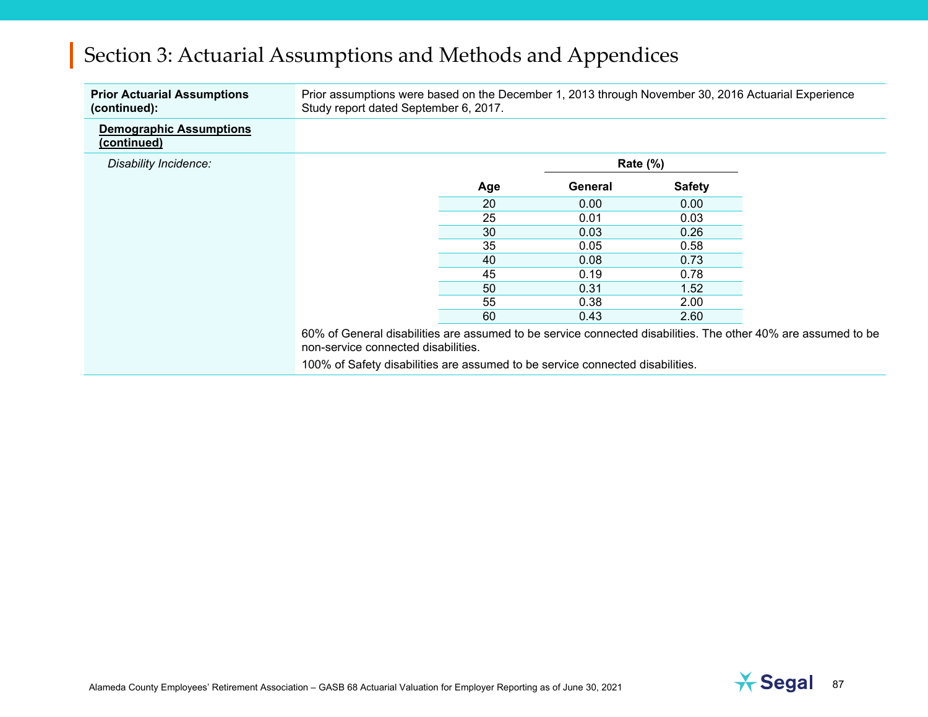| <b>Prior Actuarial Assumptions</b><br>(continued): | Prior assumptions were based on the December 1, 2013 through November 30, 2016 Actuarial Experience<br>Study report dated September 6, 2017. |     |             |               |  |
|----------------------------------------------------|----------------------------------------------------------------------------------------------------------------------------------------------|-----|-------------|---------------|--|
| <b>Demographic Assumptions</b><br>(continued)      |                                                                                                                                              |     |             |               |  |
| Disability Incidence:                              |                                                                                                                                              |     | Rate $(\%)$ |               |  |
|                                                    |                                                                                                                                              | Age | General     | <b>Safety</b> |  |
|                                                    |                                                                                                                                              | 20  | 0.00        | 0.00          |  |
|                                                    |                                                                                                                                              | 25  | 0.01        | 0.03          |  |
|                                                    |                                                                                                                                              | 30  | 0.03        | 0.26          |  |
|                                                    |                                                                                                                                              | 35  | 0.05        | 0.58          |  |
|                                                    |                                                                                                                                              | 40  | 0.08        | 0.73          |  |
|                                                    |                                                                                                                                              | 45  | 0.19        | 0.78          |  |
|                                                    |                                                                                                                                              | 50  | 0.31        | 1.52          |  |
|                                                    |                                                                                                                                              | 55  | 0.38        | 2.00          |  |
|                                                    |                                                                                                                                              | 60  | 0.43        | 2.60          |  |

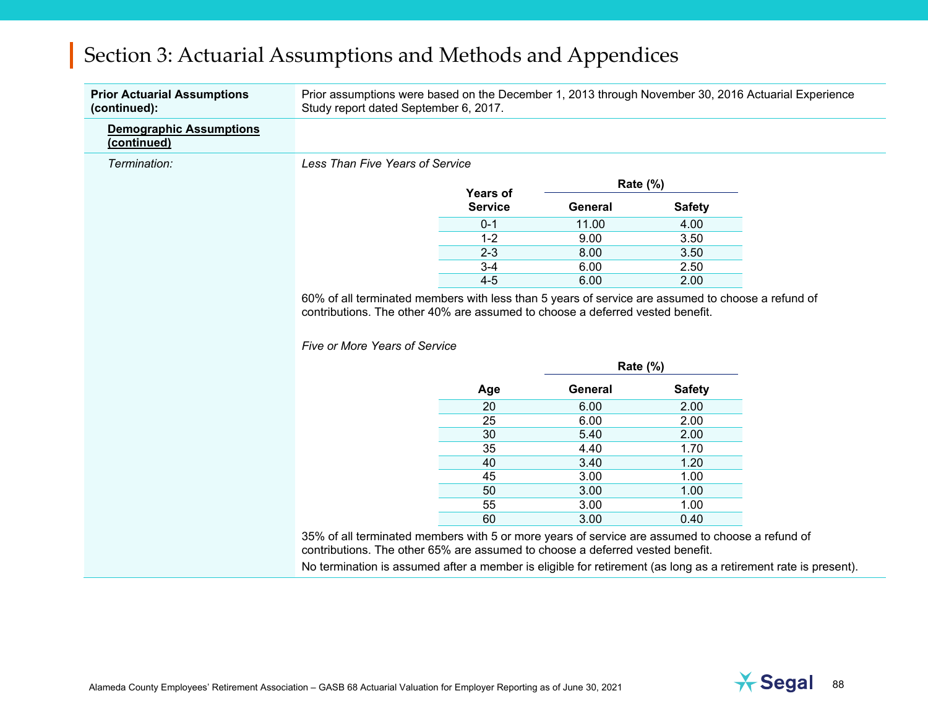| <b>Prior Actuarial Assumptions</b><br>(continued): | Prior assumptions were based on the December 1, 2013 through November 30, 2016 Actuarial Experience<br>Study report dated September 6, 2017. |                                   |             |               |  |
|----------------------------------------------------|----------------------------------------------------------------------------------------------------------------------------------------------|-----------------------------------|-------------|---------------|--|
| <b>Demographic Assumptions</b><br>(continued)      |                                                                                                                                              |                                   |             |               |  |
| Termination:                                       | Less Than Five Years of Service                                                                                                              |                                   |             |               |  |
|                                                    |                                                                                                                                              |                                   | Rate (%)    |               |  |
|                                                    |                                                                                                                                              | <b>Years of</b><br><b>Service</b> | General     | <b>Safety</b> |  |
|                                                    |                                                                                                                                              | $0 - 1$                           | 11.00       | 4.00          |  |
|                                                    |                                                                                                                                              | $1 - 2$                           | 9.00        | 3.50          |  |
|                                                    |                                                                                                                                              | $2 - 3$                           | 8.00        | 3.50          |  |
|                                                    |                                                                                                                                              | $3-4$                             | 6.00        | 2.50          |  |
|                                                    |                                                                                                                                              | $4 - 5$                           | 6.00        | 2.00          |  |
|                                                    |                                                                                                                                              |                                   | Rate $(\%)$ |               |  |
|                                                    |                                                                                                                                              |                                   |             |               |  |
|                                                    |                                                                                                                                              | Age                               | General     | <b>Safety</b> |  |
|                                                    |                                                                                                                                              | 20                                | 6.00        | 2.00          |  |
|                                                    |                                                                                                                                              | 25                                | 6.00        | 2.00          |  |
|                                                    |                                                                                                                                              | 30                                | 5.40        | 2.00          |  |
|                                                    |                                                                                                                                              | 35                                | 4.40        | 1.70          |  |
|                                                    |                                                                                                                                              | 40                                | 3.40        | 1.20          |  |
|                                                    |                                                                                                                                              | 45                                | 3.00        | 1.00          |  |
|                                                    |                                                                                                                                              | 50                                | 3.00        | 1.00          |  |
|                                                    |                                                                                                                                              | 55                                | 3.00        | 1.00          |  |
|                                                    |                                                                                                                                              | 60                                | 3.00        | 0.40          |  |

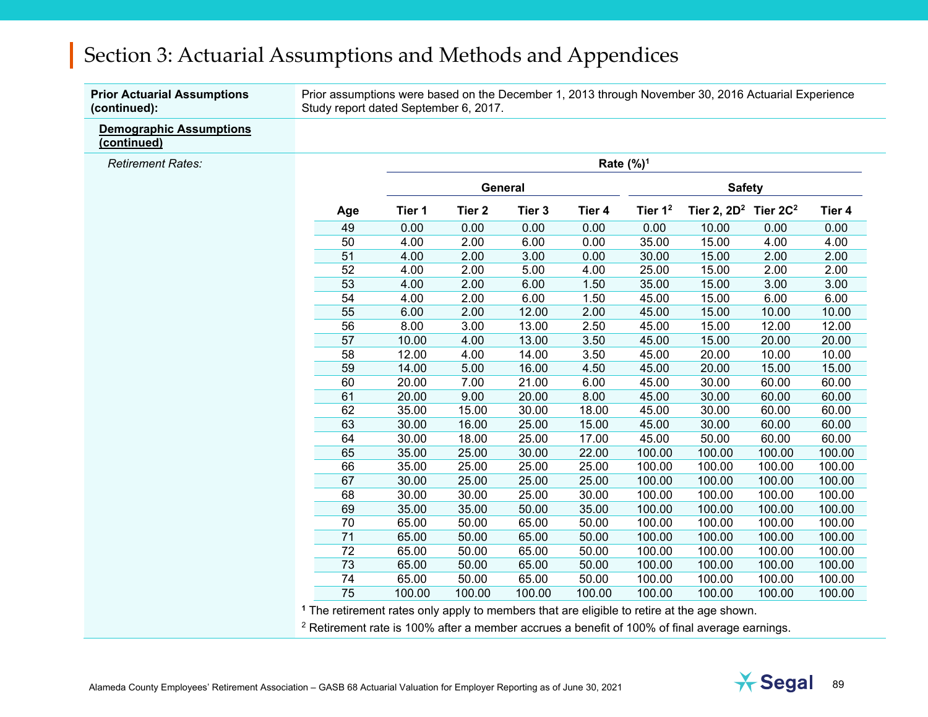**Prior Actuarial Assumptions (continued):** 

Prior assumptions were based on the December 1, 2013 through November 30, 2016 Actuarial Experience Study report dated September 6, 2017.

**Demographic Assumptions (continued)**

*Retirement Rates:* 

|     |        |        |         |        | Rate $(\%)^1$       |                            |        |        |
|-----|--------|--------|---------|--------|---------------------|----------------------------|--------|--------|
|     |        |        | General |        |                     | <b>Safety</b>              |        |        |
| Age | Tier 1 | Tier 2 | Tier 3  | Tier 4 | Tier 1 <sup>2</sup> | Tier 2, $2D^2$ Tier $2C^2$ |        | Tier 4 |
| 49  | 0.00   | 0.00   | 0.00    | 0.00   | 0.00                | 10.00                      | 0.00   | 0.00   |
| 50  | 4.00   | 2.00   | 6.00    | 0.00   | 35.00               | 15.00                      | 4.00   | 4.00   |
| 51  | 4.00   | 2.00   | 3.00    | 0.00   | 30.00               | 15.00                      | 2.00   | 2.00   |
| 52  | 4.00   | 2.00   | 5.00    | 4.00   | 25.00               | 15.00                      | 2.00   | 2.00   |
| 53  | 4.00   | 2.00   | 6.00    | 1.50   | 35.00               | 15.00                      | 3.00   | 3.00   |
| 54  | 4.00   | 2.00   | 6.00    | 1.50   | 45.00               | 15.00                      | 6.00   | 6.00   |
| 55  | 6.00   | 2.00   | 12.00   | 2.00   | 45.00               | 15.00                      | 10.00  | 10.00  |
| 56  | 8.00   | 3.00   | 13.00   | 2.50   | 45.00               | 15.00                      | 12.00  | 12.00  |
| 57  | 10.00  | 4.00   | 13.00   | 3.50   | 45.00               | 15.00                      | 20.00  | 20.00  |
| 58  | 12.00  | 4.00   | 14.00   | 3.50   | 45.00               | 20.00                      | 10.00  | 10.00  |
| 59  | 14.00  | 5.00   | 16.00   | 4.50   | 45.00               | 20.00                      | 15.00  | 15.00  |
| 60  | 20.00  | 7.00   | 21.00   | 6.00   | 45.00               | 30.00                      | 60.00  | 60.00  |
| 61  | 20.00  | 9.00   | 20.00   | 8.00   | 45.00               | 30.00                      | 60.00  | 60.00  |
| 62  | 35.00  | 15.00  | 30.00   | 18.00  | 45.00               | 30.00                      | 60.00  | 60.00  |
| 63  | 30.00  | 16.00  | 25.00   | 15.00  | 45.00               | 30.00                      | 60.00  | 60.00  |
| 64  | 30.00  | 18.00  | 25.00   | 17.00  | 45.00               | 50.00                      | 60.00  | 60.00  |
| 65  | 35.00  | 25.00  | 30.00   | 22.00  | 100.00              | 100.00                     | 100.00 | 100.00 |
| 66  | 35.00  | 25.00  | 25.00   | 25.00  | 100.00              | 100.00                     | 100.00 | 100.00 |
| 67  | 30.00  | 25.00  | 25.00   | 25.00  | 100.00              | 100.00                     | 100.00 | 100.00 |
| 68  | 30.00  | 30.00  | 25.00   | 30.00  | 100.00              | 100.00                     | 100.00 | 100.00 |
| 69  | 35.00  | 35.00  | 50.00   | 35.00  | 100.00              | 100.00                     | 100.00 | 100.00 |
| 70  | 65.00  | 50.00  | 65.00   | 50.00  | 100.00              | 100.00                     | 100.00 | 100.00 |
| 71  | 65.00  | 50.00  | 65.00   | 50.00  | 100.00              | 100.00                     | 100.00 | 100.00 |
| 72  | 65.00  | 50.00  | 65.00   | 50.00  | 100.00              | 100.00                     | 100.00 | 100.00 |
| 73  | 65.00  | 50.00  | 65.00   | 50.00  | 100.00              | 100.00                     | 100.00 | 100.00 |
| 74  | 65.00  | 50.00  | 65.00   | 50.00  | 100.00              | 100.00                     | 100.00 | 100.00 |
| 75  | 100.00 | 100.00 | 100.00  | 100.00 | 100.00              | 100.00                     | 100.00 | 100.00 |

**1** The retirement rates only apply to members that are eligible to retire at the age shown.

<sup>2</sup> Retirement rate is 100% after a member accrues a benefit of 100% of final average earnings.

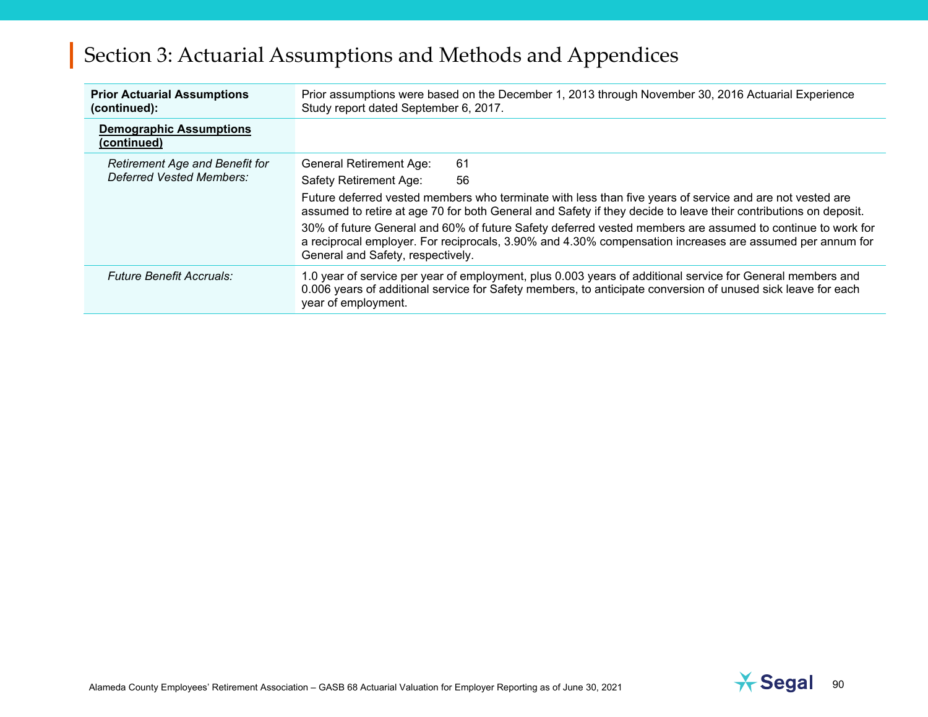| <b>Prior Actuarial Assumptions</b><br>(continued):                | Prior assumptions were based on the December 1, 2013 through November 30, 2016 Actuarial Experience<br>Study report dated September 6, 2017.                                                                                                                |  |  |  |  |
|-------------------------------------------------------------------|-------------------------------------------------------------------------------------------------------------------------------------------------------------------------------------------------------------------------------------------------------------|--|--|--|--|
| <b>Demographic Assumptions</b><br>(continued)                     |                                                                                                                                                                                                                                                             |  |  |  |  |
| <b>Retirement Age and Benefit for</b><br>Deferred Vested Members: | 61<br><b>General Retirement Age:</b>                                                                                                                                                                                                                        |  |  |  |  |
|                                                                   | Safety Retirement Age:<br>56                                                                                                                                                                                                                                |  |  |  |  |
|                                                                   | Future deferred vested members who terminate with less than five years of service and are not vested are<br>assumed to retire at age 70 for both General and Safety if they decide to leave their contributions on deposit.                                 |  |  |  |  |
|                                                                   | 30% of future General and 60% of future Safety deferred vested members are assumed to continue to work for<br>a reciprocal employer. For reciprocals, 3.90% and 4.30% compensation increases are assumed per annum for<br>General and Safety, respectively. |  |  |  |  |
| <b>Future Benefit Accruals:</b>                                   | 1.0 year of service per year of employment, plus 0.003 years of additional service for General members and<br>0.006 years of additional service for Safety members, to anticipate conversion of unused sick leave for each<br>year of employment.           |  |  |  |  |

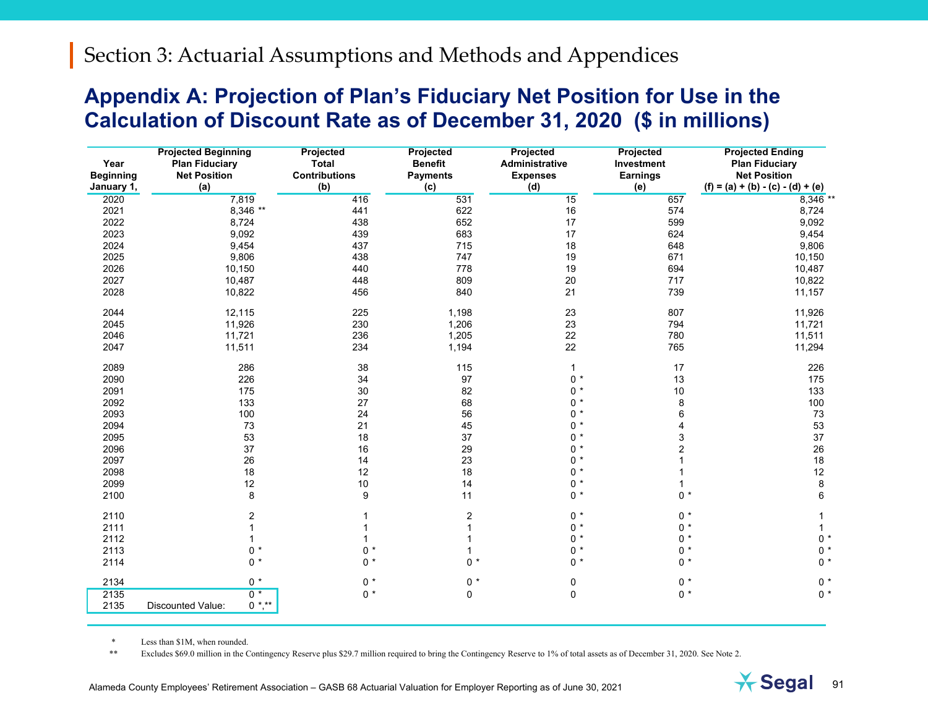#### **Appendix A: Projection of Plan's Fiduciary Net Position for Use in the Calculation of Discount Rate as of December 31, 2020 (\$ in millions)**

| Year<br><b>Beginning</b><br>January 1, | <b>Projected Beginning</b><br>Plan Fiduciary<br><b>Net Position</b><br>(a) | <b>Projected</b><br><b>Total</b><br><b>Contributions</b><br>(b) | Projected<br><b>Benefit</b><br><b>Payments</b><br>(c) | Projected<br>Administrative<br><b>Expenses</b><br>(d) | Projected<br>Investment<br><b>Earnings</b><br>(e) | <b>Projected Ending</b><br><b>Plan Fiduciary</b><br><b>Net Position</b><br>$(f) = (a) + (b) - (c) - (d) + (e)$ |
|----------------------------------------|----------------------------------------------------------------------------|-----------------------------------------------------------------|-------------------------------------------------------|-------------------------------------------------------|---------------------------------------------------|----------------------------------------------------------------------------------------------------------------|
| 2020                                   | 7,819                                                                      | 416                                                             | 531                                                   | 15                                                    | 657                                               | 8,346 **                                                                                                       |
| 2021                                   | 8,346 **                                                                   | 441                                                             | 622                                                   | 16                                                    | 574                                               | 8,724                                                                                                          |
| 2022                                   | 8,724                                                                      | 438                                                             | 652                                                   | 17                                                    | 599                                               | 9,092                                                                                                          |
| 2023                                   | 9,092                                                                      | 439                                                             | 683                                                   | 17                                                    | 624                                               | 9,454                                                                                                          |
| 2024                                   | 9,454                                                                      | 437                                                             | 715                                                   | 18                                                    | 648                                               | 9,806                                                                                                          |
| 2025                                   | 9,806                                                                      | 438                                                             | 747                                                   | 19                                                    | 671                                               | 10,150                                                                                                         |
| 2026                                   | 10,150                                                                     | 440                                                             | 778                                                   | 19                                                    | 694                                               | 10,487                                                                                                         |
| 2027                                   | 10,487                                                                     | 448                                                             | 809                                                   | 20                                                    | 717                                               | 10,822                                                                                                         |
| 2028                                   | 10,822                                                                     | 456                                                             | 840                                                   | 21                                                    | 739                                               | 11,157                                                                                                         |
| 2044                                   | 12,115                                                                     | 225                                                             | 1,198                                                 | 23                                                    | 807                                               | 11,926                                                                                                         |
| 2045                                   | 11,926                                                                     | 230                                                             | 1,206                                                 | 23                                                    | 794                                               | 11,721                                                                                                         |
| 2046                                   | 11,721                                                                     | 236                                                             | 1,205                                                 | 22                                                    | 780                                               | 11,511                                                                                                         |
| 2047                                   | 11,511                                                                     | 234                                                             | 1,194                                                 | 22                                                    | 765                                               | 11,294                                                                                                         |
| 2089                                   | 286                                                                        | 38                                                              | 115                                                   | $\mathbf{1}$                                          | 17                                                | 226                                                                                                            |
| 2090                                   | 226                                                                        | 34                                                              | 97                                                    | $0 *$                                                 | 13                                                | 175                                                                                                            |
| 2091                                   | 175                                                                        | 30                                                              | 82                                                    | $0 *$                                                 | $10$                                              | 133                                                                                                            |
| 2092                                   | 133                                                                        | 27                                                              | 68                                                    | $0 *$                                                 | 8                                                 | 100                                                                                                            |
| 2093                                   | 100                                                                        | 24                                                              | 56                                                    | $0 *$                                                 | 6                                                 | 73                                                                                                             |
| 2094                                   | 73                                                                         | 21                                                              | 45                                                    | $0 *$                                                 | 4                                                 | 53                                                                                                             |
| 2095                                   | 53                                                                         | 18                                                              | 37                                                    | $0 *$                                                 | 3                                                 | 37                                                                                                             |
| 2096                                   | 37                                                                         | 16                                                              | 29                                                    | $0 *$                                                 | $\overline{\mathbf{c}}$                           | 26                                                                                                             |
| 2097                                   | 26                                                                         | 14                                                              | 23                                                    | $0 *$                                                 |                                                   | 18                                                                                                             |
| 2098                                   | 18                                                                         | 12                                                              | 18                                                    | $0 *$                                                 |                                                   | 12                                                                                                             |
| 2099                                   | 12                                                                         | 10                                                              | 14                                                    | $0 *$                                                 |                                                   | 8                                                                                                              |
| 2100                                   | 8                                                                          | 9                                                               | 11                                                    | $0 *$                                                 | $0 *$                                             | 6                                                                                                              |
| 2110                                   | $\overline{\mathbf{c}}$                                                    | 1                                                               | $\overline{c}$                                        | $0 *$                                                 | $0 *$                                             | 1                                                                                                              |
| 2111                                   |                                                                            | 1                                                               | $\mathbf{1}$                                          | $0 *$                                                 | $0 *$                                             | 1                                                                                                              |
| 2112                                   | $\mathbf 1$                                                                | 1                                                               | 1                                                     | $0 *$                                                 | $0 *$                                             | $0 *$                                                                                                          |
| 2113                                   | $0 *$                                                                      | $0 *$                                                           | $\mathbf{1}$                                          | $0 *$                                                 | $0 *$                                             | $0 *$                                                                                                          |
| 2114                                   | $0 *$                                                                      | $0 *$                                                           | $0 *$                                                 | $0 *$                                                 | $0 *$                                             | $0 *$                                                                                                          |
| 2134                                   | $0 *$                                                                      | $0 *$                                                           | $0 *$                                                 | $\pmb{0}$                                             | $0 *$                                             | $0 *$                                                                                                          |
| 2135<br>2135                           | $0*$<br>$0$ *,**<br>Discounted Value:                                      | $0 *$                                                           | 0                                                     | $\pmb{0}$                                             | $0 *$                                             | $0 *$                                                                                                          |

*\**Less than \$1M, when rounded.

*\*\**Excludes \$69.0 million in the Contingency Reserve plus \$29.7 million required to bring the Contingency Reserve to 1% of total assets as of December 31, 2020. See Note 2.

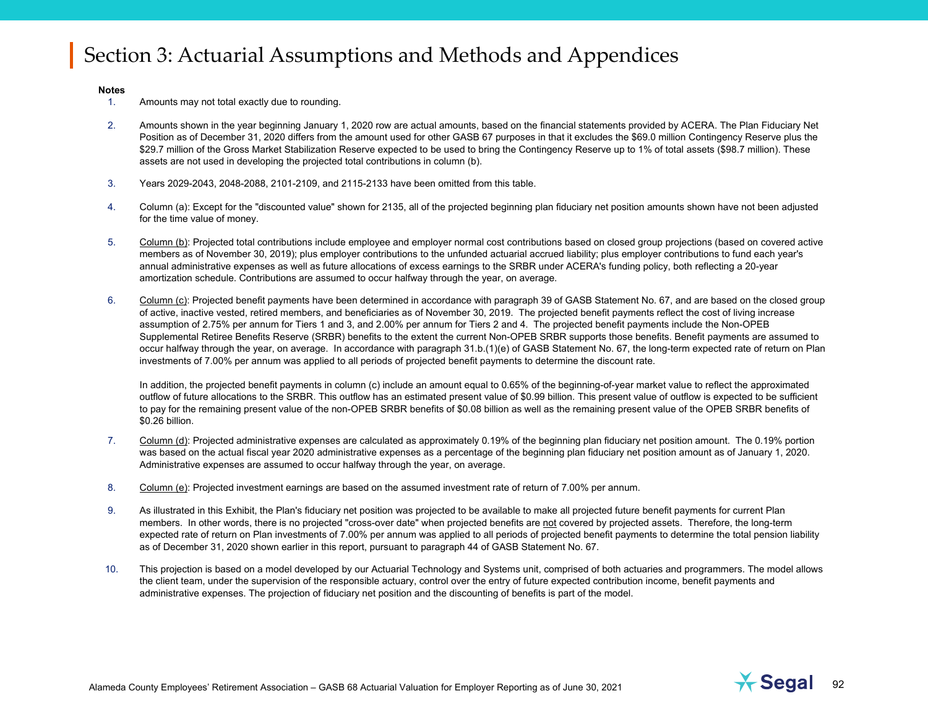#### **Notes**

- 1.Amounts may not total exactly due to rounding.
- 2.Amounts shown in the year beginning January 1, 2020 row are actual amounts, based on the financial statements provided by ACERA. The Plan Fiduciary Net Position as of December 31, 2020 differs from the amount used for other GASB 67 purposes in that it excludes the \$69.0 million Contingency Reserve plus the \$29.7 million of the Gross Market Stabilization Reserve expected to be used to bring the Contingency Reserve up to 1% of total assets (\$98.7 million). These assets are not used in developing the projected total contributions in column (b).
- 3.Years 2029-2043, 2048-2088, 2101-2109, and 2115-2133 have been omitted from this table.
- 4.Column (a): Except for the "discounted value" shown for 2135, all of the projected beginning plan fiduciary net position amounts shown have not been adjusted for the time value of money.
- 5.Column (b): Projected total contributions include employee and employer normal cost contributions based on closed group projections (based on covered active members as of November 30, 2019); plus employer contributions to the unfunded actuarial accrued liability; plus employer contributions to fund each year's annual administrative expenses as well as future allocations of excess earnings to the SRBR under ACERA's funding policy, both reflecting a 20-year amortization schedule. Contributions are assumed to occur halfway through the year, on average.
- 6.Column (c): Projected benefit payments have been determined in accordance with paragraph 39 of GASB Statement No. 67, and are based on the closed group of active, inactive vested, retired members, and beneficiaries as of November 30, 2019. The projected benefit payments reflect the cost of living increase assumption of 2.75% per annum for Tiers 1 and 3, and 2.00% per annum for Tiers 2 and 4. The projected benefit payments include the Non-OPEB Supplemental Retiree Benefits Reserve (SRBR) benefits to the extent the current Non-OPEB SRBR supports those benefits. Benefit payments are assumed to occur halfway through the year, on average. In accordance with paragraph 31.b.(1)(e) of GASB Statement No. 67, the long-term expected rate of return on Plan investments of 7.00% per annum was applied to all periods of projected benefit payments to determine the discount rate.

In addition, the projected benefit payments in column (c) include an amount equal to 0.65% of the beginning-of-year market value to reflect the approximated outflow of future allocations to the SRBR. This outflow has an estimated present value of \$0.99 billion. This present value of outflow is expected to be sufficient to pay for the remaining present value of the non-OPEB SRBR benefits of \$0.08 billion as well as the remaining present value of the OPEB SRBR benefits of \$0.26 billion.

- 7.Column (d): Projected administrative expenses are calculated as approximately 0.19% of the beginning plan fiduciary net position amount. The 0.19% portion was based on the actual fiscal year 2020 administrative expenses as a percentage of the beginning plan fiduciary net position amount as of January 1, 2020. Administrative expenses are assumed to occur halfway through the year, on average.
- 8.Column (e): Projected investment earnings are based on the assumed investment rate of return of 7.00% per annum.
- 9.As illustrated in this Exhibit, the Plan's fiduciary net position was projected to be available to make all projected future benefit payments for current Plan members. In other words, there is no projected "cross-over date" when projected benefits are not covered by projected assets. Therefore, the long-term expected rate of return on Plan investments of 7.00% per annum was applied to all periods of projected benefit payments to determine the total pension liability as of December 31, 2020 shown earlier in this report, pursuant to paragraph 44 of GASB Statement No. 67.
- 10. This projection is based on a model developed by our Actuarial Technology and Systems unit, comprised of both actuaries and programmers. The model allows the client team, under the supervision of the responsible actuary, control over the entry of future expected contribution income, benefit payments and administrative expenses. The projection of fiduciary net position and the discounting of benefits is part of the model.

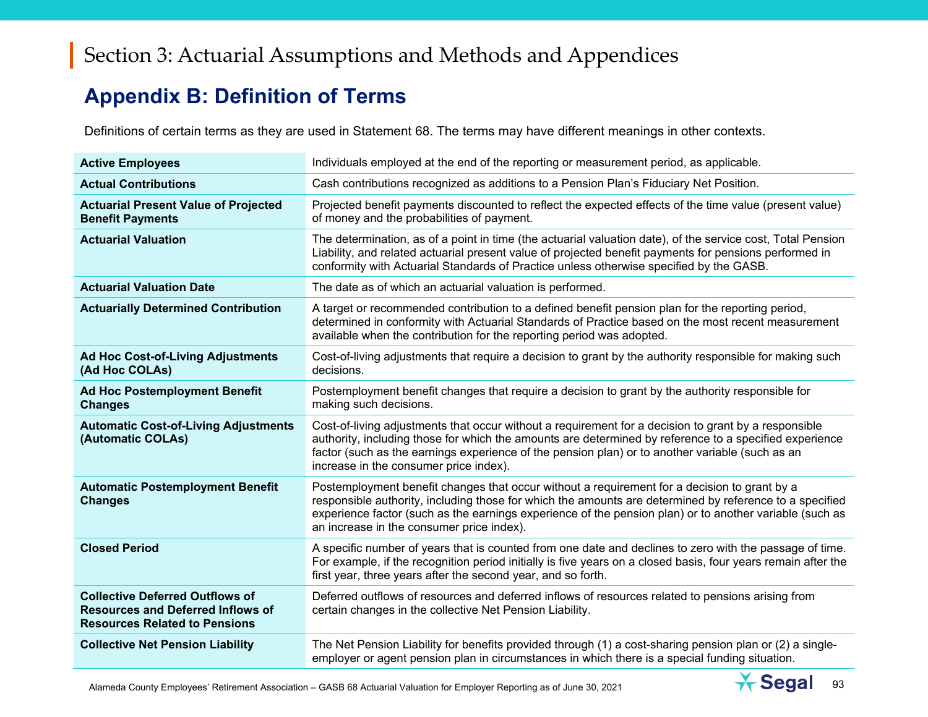## **Appendix B: Definition of Terms**

Definitions of certain terms as they are used in Statement 68. The terms may have different meanings in other contexts.

| <b>Active Employees</b>                                                                                                    | Individuals employed at the end of the reporting or measurement period, as applicable.                                                                                                                                                                                                                                                                          |
|----------------------------------------------------------------------------------------------------------------------------|-----------------------------------------------------------------------------------------------------------------------------------------------------------------------------------------------------------------------------------------------------------------------------------------------------------------------------------------------------------------|
| <b>Actual Contributions</b>                                                                                                | Cash contributions recognized as additions to a Pension Plan's Fiduciary Net Position.                                                                                                                                                                                                                                                                          |
| <b>Actuarial Present Value of Projected</b><br><b>Benefit Payments</b>                                                     | Projected benefit payments discounted to reflect the expected effects of the time value (present value)<br>of money and the probabilities of payment.                                                                                                                                                                                                           |
| <b>Actuarial Valuation</b>                                                                                                 | The determination, as of a point in time (the actuarial valuation date), of the service cost, Total Pension<br>Liability, and related actuarial present value of projected benefit payments for pensions performed in<br>conformity with Actuarial Standards of Practice unless otherwise specified by the GASB.                                                |
| <b>Actuarial Valuation Date</b>                                                                                            | The date as of which an actuarial valuation is performed.                                                                                                                                                                                                                                                                                                       |
| <b>Actuarially Determined Contribution</b>                                                                                 | A target or recommended contribution to a defined benefit pension plan for the reporting period,<br>determined in conformity with Actuarial Standards of Practice based on the most recent measurement<br>available when the contribution for the reporting period was adopted.                                                                                 |
| <b>Ad Hoc Cost-of-Living Adjustments</b><br>(Ad Hoc COLAs)                                                                 | Cost-of-living adjustments that require a decision to grant by the authority responsible for making such<br>decisions.                                                                                                                                                                                                                                          |
| <b>Ad Hoc Postemployment Benefit</b><br><b>Changes</b>                                                                     | Postemployment benefit changes that require a decision to grant by the authority responsible for<br>making such decisions.                                                                                                                                                                                                                                      |
| <b>Automatic Cost-of-Living Adjustments</b><br>(Automatic COLAs)                                                           | Cost-of-living adjustments that occur without a requirement for a decision to grant by a responsible<br>authority, including those for which the amounts are determined by reference to a specified experience<br>factor (such as the earnings experience of the pension plan) or to another variable (such as an<br>increase in the consumer price index).     |
| <b>Automatic Postemployment Benefit</b><br><b>Changes</b>                                                                  | Postemployment benefit changes that occur without a requirement for a decision to grant by a<br>responsible authority, including those for which the amounts are determined by reference to a specified<br>experience factor (such as the earnings experience of the pension plan) or to another variable (such as<br>an increase in the consumer price index). |
| <b>Closed Period</b>                                                                                                       | A specific number of years that is counted from one date and declines to zero with the passage of time.<br>For example, if the recognition period initially is five years on a closed basis, four years remain after the<br>first year, three years after the second year, and so forth.                                                                        |
| <b>Collective Deferred Outflows of</b><br><b>Resources and Deferred Inflows of</b><br><b>Resources Related to Pensions</b> | Deferred outflows of resources and deferred inflows of resources related to pensions arising from<br>certain changes in the collective Net Pension Liability.                                                                                                                                                                                                   |
| <b>Collective Net Pension Liability</b>                                                                                    | The Net Pension Liability for benefits provided through (1) a cost-sharing pension plan or (2) a single-<br>employer or agent pension plan in circumstances in which there is a special funding situation.                                                                                                                                                      |

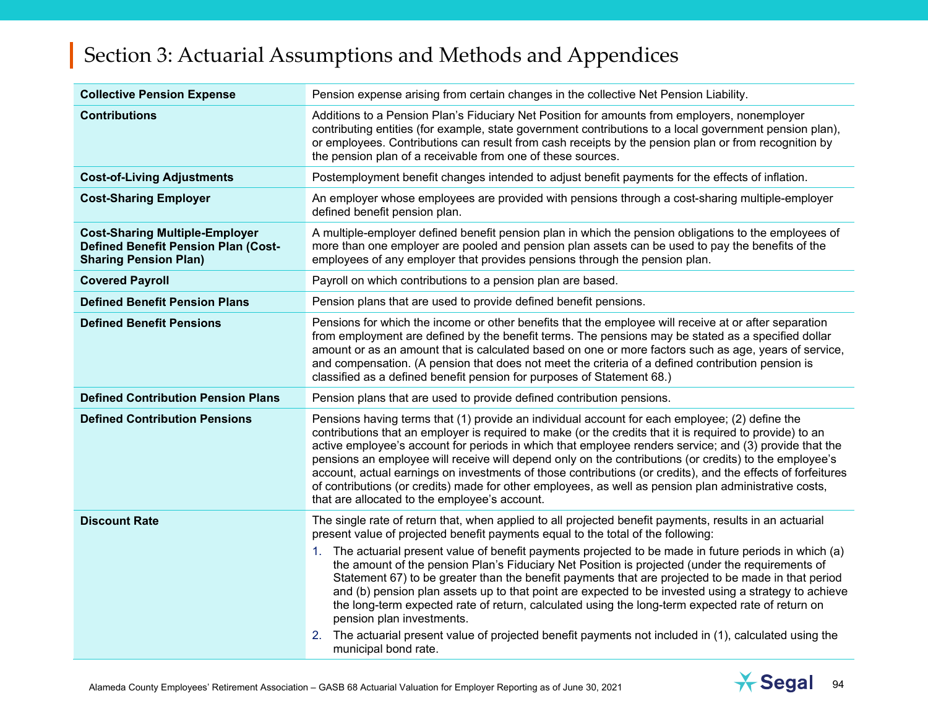| <b>Collective Pension Expense</b>                                                                                   | Pension expense arising from certain changes in the collective Net Pension Liability.                                                                                                                                                                                                                                                                                                                                                                                                                                                                                                                                                                                                                                                                   |
|---------------------------------------------------------------------------------------------------------------------|---------------------------------------------------------------------------------------------------------------------------------------------------------------------------------------------------------------------------------------------------------------------------------------------------------------------------------------------------------------------------------------------------------------------------------------------------------------------------------------------------------------------------------------------------------------------------------------------------------------------------------------------------------------------------------------------------------------------------------------------------------|
| <b>Contributions</b>                                                                                                | Additions to a Pension Plan's Fiduciary Net Position for amounts from employers, nonemployer<br>contributing entities (for example, state government contributions to a local government pension plan),<br>or employees. Contributions can result from cash receipts by the pension plan or from recognition by<br>the pension plan of a receivable from one of these sources.                                                                                                                                                                                                                                                                                                                                                                          |
| <b>Cost-of-Living Adjustments</b>                                                                                   | Postemployment benefit changes intended to adjust benefit payments for the effects of inflation.                                                                                                                                                                                                                                                                                                                                                                                                                                                                                                                                                                                                                                                        |
| <b>Cost-Sharing Employer</b>                                                                                        | An employer whose employees are provided with pensions through a cost-sharing multiple-employer<br>defined benefit pension plan.                                                                                                                                                                                                                                                                                                                                                                                                                                                                                                                                                                                                                        |
| <b>Cost-Sharing Multiple-Employer</b><br><b>Defined Benefit Pension Plan (Cost-</b><br><b>Sharing Pension Plan)</b> | A multiple-employer defined benefit pension plan in which the pension obligations to the employees of<br>more than one employer are pooled and pension plan assets can be used to pay the benefits of the<br>employees of any employer that provides pensions through the pension plan.                                                                                                                                                                                                                                                                                                                                                                                                                                                                 |
| <b>Covered Payroll</b>                                                                                              | Payroll on which contributions to a pension plan are based.                                                                                                                                                                                                                                                                                                                                                                                                                                                                                                                                                                                                                                                                                             |
| <b>Defined Benefit Pension Plans</b>                                                                                | Pension plans that are used to provide defined benefit pensions.                                                                                                                                                                                                                                                                                                                                                                                                                                                                                                                                                                                                                                                                                        |
| <b>Defined Benefit Pensions</b>                                                                                     | Pensions for which the income or other benefits that the employee will receive at or after separation<br>from employment are defined by the benefit terms. The pensions may be stated as a specified dollar<br>amount or as an amount that is calculated based on one or more factors such as age, years of service,<br>and compensation. (A pension that does not meet the criteria of a defined contribution pension is<br>classified as a defined benefit pension for purposes of Statement 68.)                                                                                                                                                                                                                                                     |
| <b>Defined Contribution Pension Plans</b>                                                                           | Pension plans that are used to provide defined contribution pensions.                                                                                                                                                                                                                                                                                                                                                                                                                                                                                                                                                                                                                                                                                   |
| <b>Defined Contribution Pensions</b>                                                                                | Pensions having terms that (1) provide an individual account for each employee; (2) define the<br>contributions that an employer is required to make (or the credits that it is required to provide) to an<br>active employee's account for periods in which that employee renders service; and (3) provide that the<br>pensions an employee will receive will depend only on the contributions (or credits) to the employee's<br>account, actual earnings on investments of those contributions (or credits), and the effects of forfeitures<br>of contributions (or credits) made for other employees, as well as pension plan administrative costs,<br>that are allocated to the employee's account.                                                 |
| <b>Discount Rate</b>                                                                                                | The single rate of return that, when applied to all projected benefit payments, results in an actuarial<br>present value of projected benefit payments equal to the total of the following:<br>1. The actuarial present value of benefit payments projected to be made in future periods in which (a)<br>the amount of the pension Plan's Fiduciary Net Position is projected (under the requirements of<br>Statement 67) to be greater than the benefit payments that are projected to be made in that period<br>and (b) pension plan assets up to that point are expected to be invested using a strategy to achieve<br>the long-term expected rate of return, calculated using the long-term expected rate of return on<br>pension plan investments. |
|                                                                                                                     | The actuarial present value of projected benefit payments not included in (1), calculated using the<br>2.<br>municipal bond rate.                                                                                                                                                                                                                                                                                                                                                                                                                                                                                                                                                                                                                       |

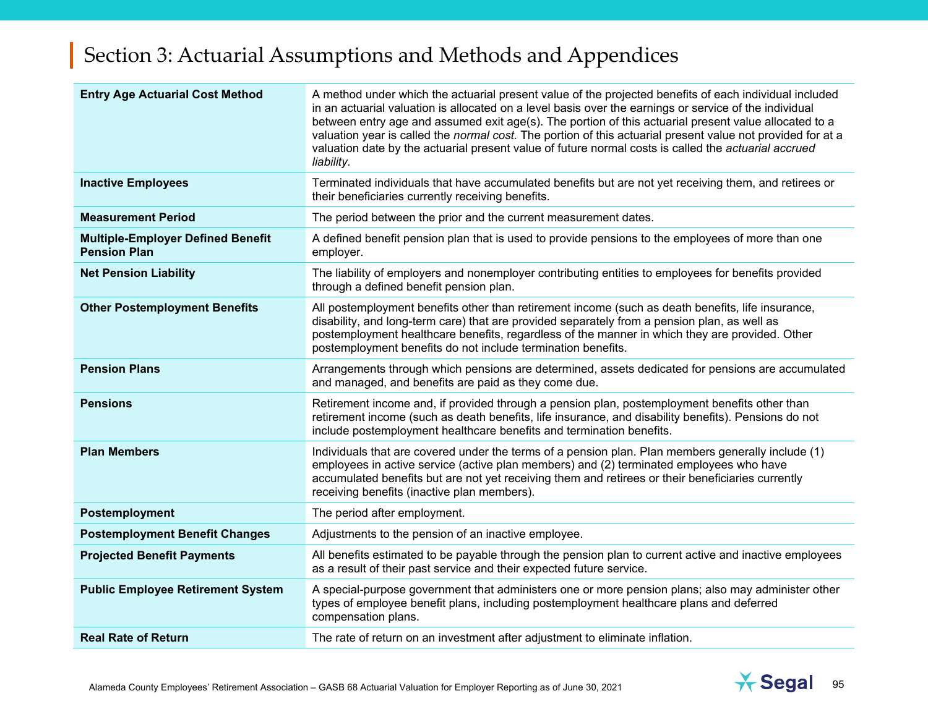| <b>Entry Age Actuarial Cost Method</b>                          | A method under which the actuarial present value of the projected benefits of each individual included<br>in an actuarial valuation is allocated on a level basis over the earnings or service of the individual<br>between entry age and assumed exit age(s). The portion of this actuarial present value allocated to a<br>valuation year is called the normal cost. The portion of this actuarial present value not provided for at a<br>valuation date by the actuarial present value of future normal costs is called the actuarial accrued<br>liability. |
|-----------------------------------------------------------------|----------------------------------------------------------------------------------------------------------------------------------------------------------------------------------------------------------------------------------------------------------------------------------------------------------------------------------------------------------------------------------------------------------------------------------------------------------------------------------------------------------------------------------------------------------------|
| <b>Inactive Employees</b>                                       | Terminated individuals that have accumulated benefits but are not yet receiving them, and retirees or<br>their beneficiaries currently receiving benefits.                                                                                                                                                                                                                                                                                                                                                                                                     |
| <b>Measurement Period</b>                                       | The period between the prior and the current measurement dates.                                                                                                                                                                                                                                                                                                                                                                                                                                                                                                |
| <b>Multiple-Employer Defined Benefit</b><br><b>Pension Plan</b> | A defined benefit pension plan that is used to provide pensions to the employees of more than one<br>employer.                                                                                                                                                                                                                                                                                                                                                                                                                                                 |
| <b>Net Pension Liability</b>                                    | The liability of employers and nonemployer contributing entities to employees for benefits provided<br>through a defined benefit pension plan.                                                                                                                                                                                                                                                                                                                                                                                                                 |
| <b>Other Postemployment Benefits</b>                            | All postemployment benefits other than retirement income (such as death benefits, life insurance,<br>disability, and long-term care) that are provided separately from a pension plan, as well as<br>postemployment healthcare benefits, regardless of the manner in which they are provided. Other<br>postemployment benefits do not include termination benefits.                                                                                                                                                                                            |
| <b>Pension Plans</b>                                            | Arrangements through which pensions are determined, assets dedicated for pensions are accumulated<br>and managed, and benefits are paid as they come due.                                                                                                                                                                                                                                                                                                                                                                                                      |
| <b>Pensions</b>                                                 | Retirement income and, if provided through a pension plan, postemployment benefits other than<br>retirement income (such as death benefits, life insurance, and disability benefits). Pensions do not<br>include postemployment healthcare benefits and termination benefits.                                                                                                                                                                                                                                                                                  |
| <b>Plan Members</b>                                             | Individuals that are covered under the terms of a pension plan. Plan members generally include (1)<br>employees in active service (active plan members) and (2) terminated employees who have<br>accumulated benefits but are not yet receiving them and retirees or their beneficiaries currently<br>receiving benefits (inactive plan members).                                                                                                                                                                                                              |
| Postemployment                                                  | The period after employment.                                                                                                                                                                                                                                                                                                                                                                                                                                                                                                                                   |
| <b>Postemployment Benefit Changes</b>                           | Adjustments to the pension of an inactive employee.                                                                                                                                                                                                                                                                                                                                                                                                                                                                                                            |
| <b>Projected Benefit Payments</b>                               | All benefits estimated to be payable through the pension plan to current active and inactive employees<br>as a result of their past service and their expected future service.                                                                                                                                                                                                                                                                                                                                                                                 |
| <b>Public Employee Retirement System</b>                        | A special-purpose government that administers one or more pension plans; also may administer other<br>types of employee benefit plans, including postemployment healthcare plans and deferred<br>compensation plans.                                                                                                                                                                                                                                                                                                                                           |
| <b>Real Rate of Return</b>                                      | The rate of return on an investment after adjustment to eliminate inflation.                                                                                                                                                                                                                                                                                                                                                                                                                                                                                   |